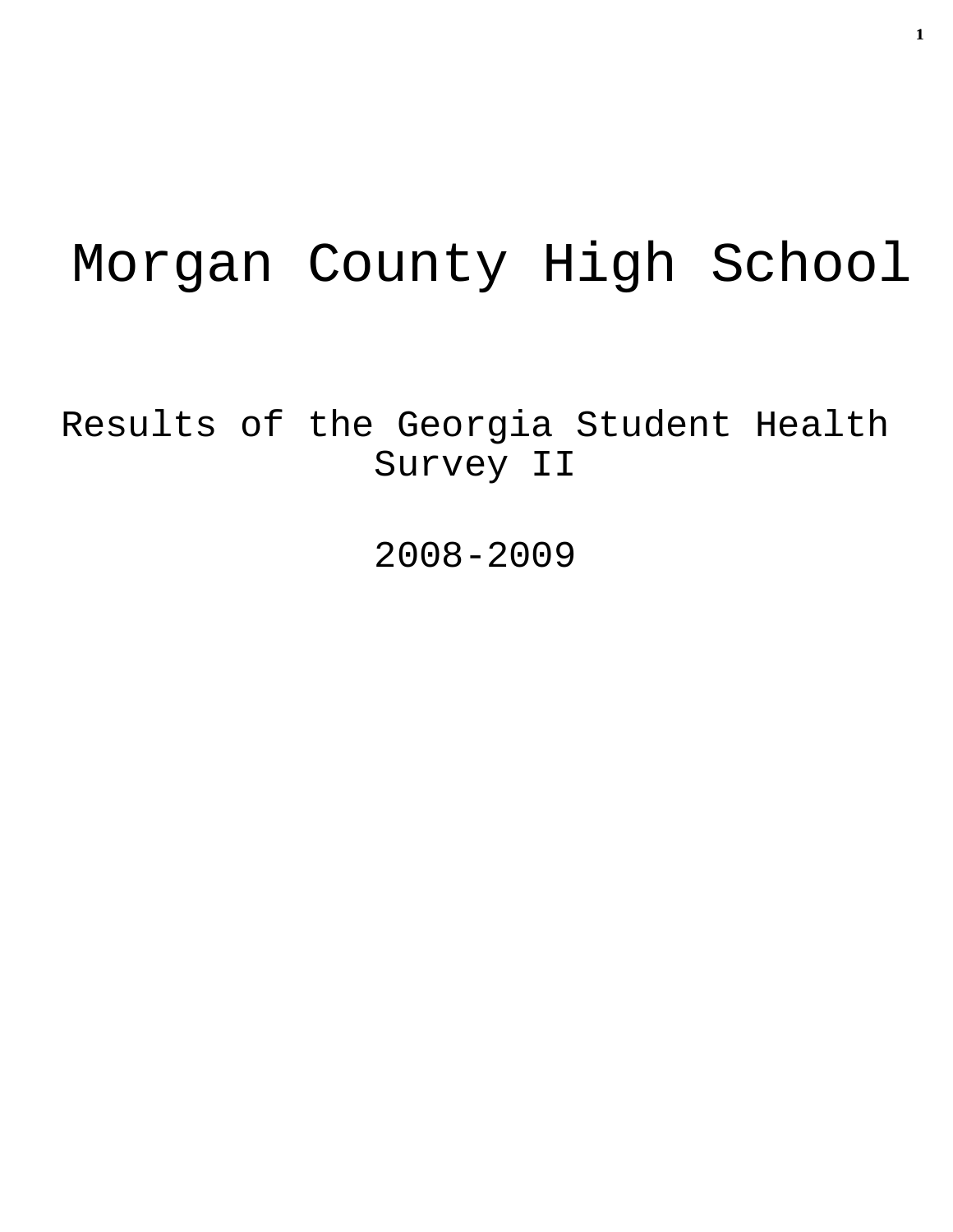# Morgan County High School

Results of the Georgia Student Health Survey II

2008-2009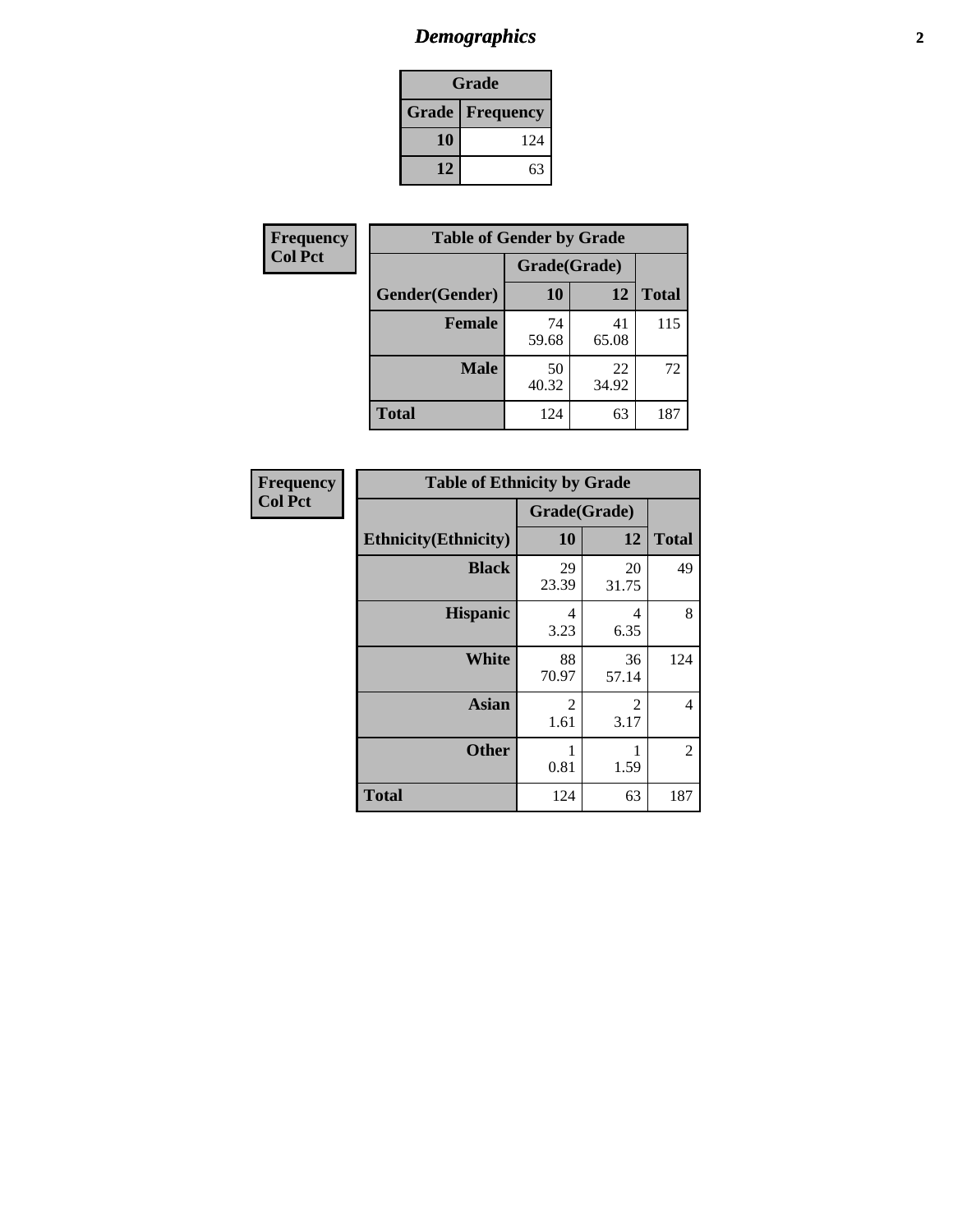# *Demographics* **2**

| Grade                    |     |  |  |  |
|--------------------------|-----|--|--|--|
| <b>Grade   Frequency</b> |     |  |  |  |
| 10                       | 124 |  |  |  |
| 12                       | 63  |  |  |  |

| <b>Frequency</b> | <b>Table of Gender by Grade</b> |              |             |              |
|------------------|---------------------------------|--------------|-------------|--------------|
| <b>Col Pct</b>   |                                 | Grade(Grade) |             |              |
|                  | Gender(Gender)                  | 10           | 12          | <b>Total</b> |
|                  | <b>Female</b>                   | 74<br>59.68  | 41<br>65.08 | 115          |
|                  | <b>Male</b>                     | 50<br>40.32  | 22<br>34.92 | 72           |
|                  | <b>Total</b>                    | 124          | 63          | 187          |

| <b>Frequency</b><br>Col Pct |
|-----------------------------|

| <b>Table of Ethnicity by Grade</b> |                        |             |              |  |  |  |
|------------------------------------|------------------------|-------------|--------------|--|--|--|
|                                    | Grade(Grade)           |             |              |  |  |  |
| <b>Ethnicity</b> (Ethnicity)       | 10                     | 12          | <b>Total</b> |  |  |  |
| <b>Black</b>                       | 29<br>23.39            | 20<br>31.75 | 49           |  |  |  |
| <b>Hispanic</b>                    | 4<br>3.23              | 4<br>6.35   | 8            |  |  |  |
| <b>White</b>                       | 88<br>70.97            | 36<br>57.14 | 124          |  |  |  |
| <b>Asian</b>                       | $\overline{2}$<br>1.61 | 2<br>3.17   | 4            |  |  |  |
| <b>Other</b>                       | 1<br>0.81              | 1<br>1.59   | 2            |  |  |  |
| <b>Total</b>                       | 124                    | 63          | 187          |  |  |  |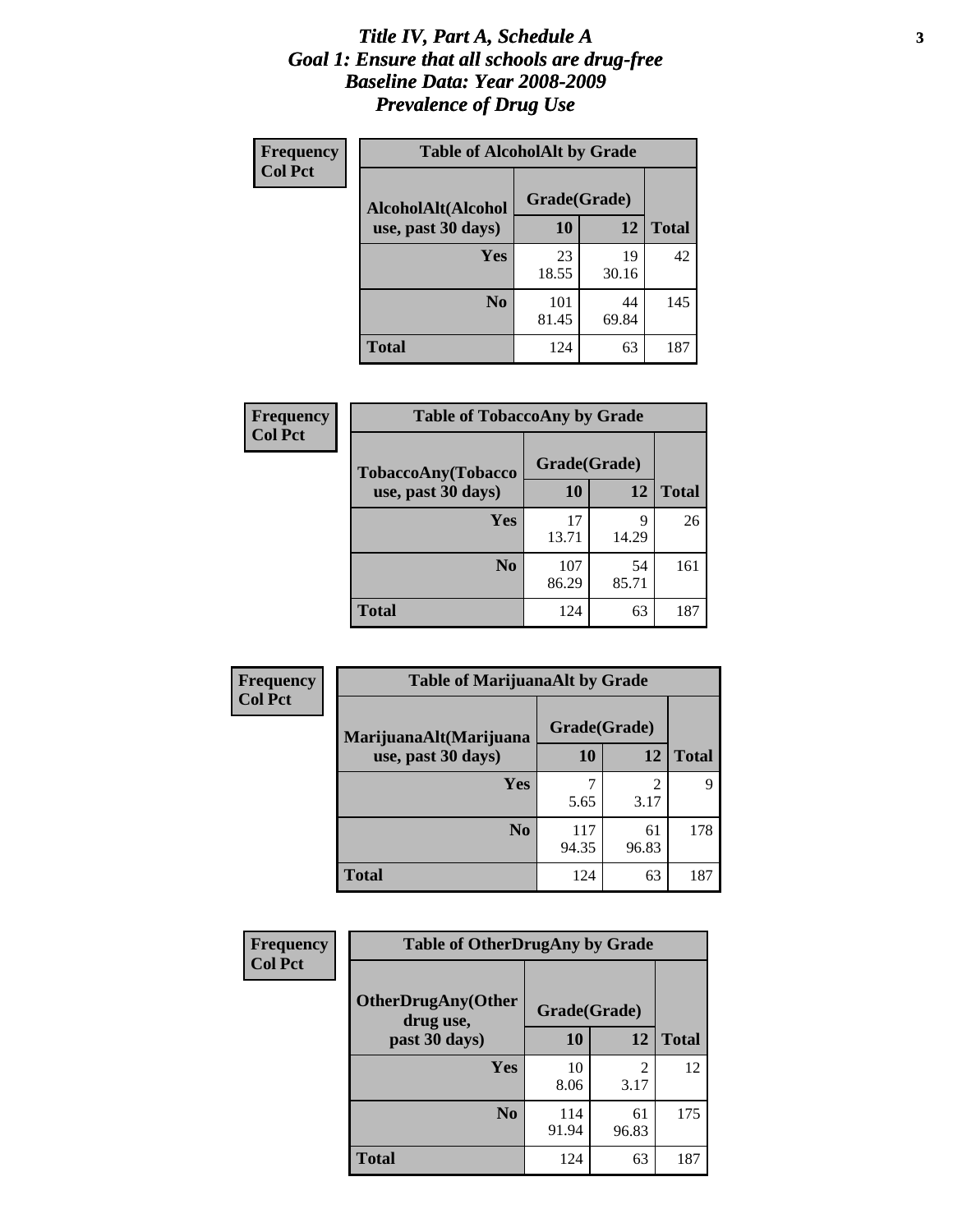#### *Title IV, Part A, Schedule A* **3** *Goal 1: Ensure that all schools are drug-free Baseline Data: Year 2008-2009 Prevalence of Drug Use*

| Frequency<br><b>Col Pct</b> | <b>Table of AlcoholAlt by Grade</b> |              |             |              |  |
|-----------------------------|-------------------------------------|--------------|-------------|--------------|--|
|                             | AlcoholAlt(Alcohol                  | Grade(Grade) |             |              |  |
|                             | use, past 30 days)                  | <b>10</b>    | 12          | <b>Total</b> |  |
|                             | <b>Yes</b>                          | 23<br>18.55  | 19<br>30.16 | 42           |  |
|                             | N <sub>0</sub>                      | 101<br>81.45 | 44<br>69.84 | 145          |  |
|                             | <b>Total</b>                        | 124          | 63          | 187          |  |

| Frequency      | <b>Table of TobaccoAny by Grade</b> |              |             |              |  |
|----------------|-------------------------------------|--------------|-------------|--------------|--|
| <b>Col Pct</b> | TobaccoAny(Tobacco                  | Grade(Grade) |             |              |  |
|                | use, past 30 days)                  | 10           | 12          | <b>Total</b> |  |
|                | Yes                                 | 17<br>13.71  | 9<br>14.29  | 26           |  |
|                | N <sub>0</sub>                      | 107<br>86.29 | 54<br>85.71 | 161          |  |
|                | <b>Total</b>                        | 124          | 63          | 187          |  |

| Frequency<br><b>Col Pct</b> | <b>Table of MarijuanaAlt by Grade</b> |              |             |              |  |
|-----------------------------|---------------------------------------|--------------|-------------|--------------|--|
|                             | MarijuanaAlt(Marijuana                | Grade(Grade) |             |              |  |
|                             | use, past 30 days)                    | <b>10</b>    | 12          | <b>Total</b> |  |
|                             | <b>Yes</b>                            | 5.65         | 2<br>3.17   | 9            |  |
|                             | N <sub>0</sub>                        | 117<br>94.35 | 61<br>96.83 | 178          |  |
|                             | <b>Total</b>                          | 124          | 63          | 187          |  |

| Frequency<br><b>Col Pct</b> | <b>Table of OtherDrugAny by Grade</b>  |              |             |              |  |
|-----------------------------|----------------------------------------|--------------|-------------|--------------|--|
|                             | <b>OtherDrugAny(Other</b><br>drug use, | Grade(Grade) |             |              |  |
|                             | past 30 days)                          | 10           | 12          | <b>Total</b> |  |
|                             | Yes                                    | 10<br>8.06   | 2<br>3.17   | 12           |  |
|                             | N <sub>0</sub>                         | 114<br>91.94 | 61<br>96.83 | 175          |  |
|                             | <b>Total</b>                           | 124          | 63          | 187          |  |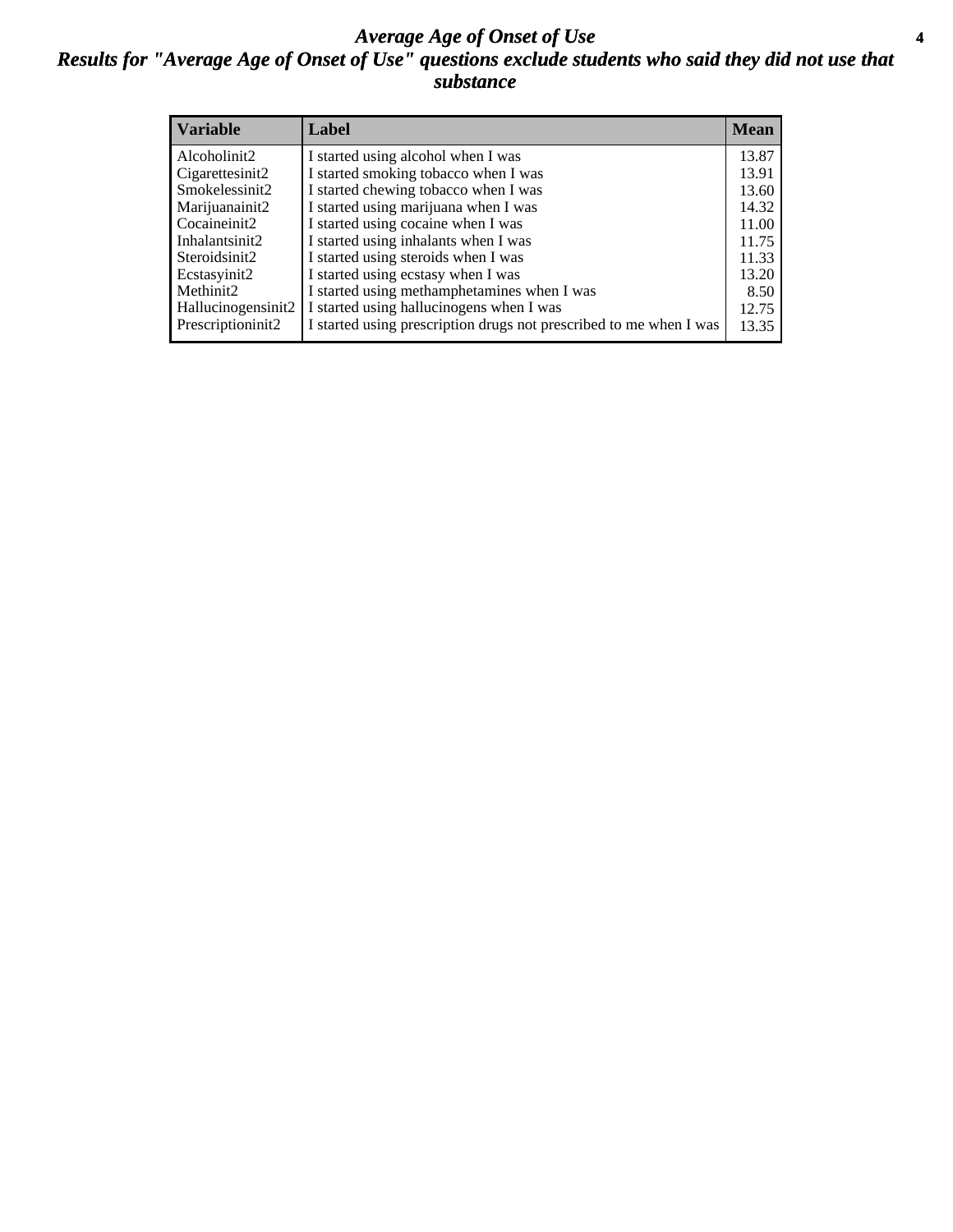#### *Average Age of Onset of Use* **4** *Results for "Average Age of Onset of Use" questions exclude students who said they did not use that substance*

| <b>Variable</b>    | Label                                                              | <b>Mean</b> |
|--------------------|--------------------------------------------------------------------|-------------|
| Alcoholinit2       | I started using alcohol when I was                                 | 13.87       |
| Cigarettesinit2    | I started smoking tobacco when I was                               | 13.91       |
| Smokelessinit2     | I started chewing tobacco when I was                               | 13.60       |
| Marijuanainit2     | I started using marijuana when I was                               | 14.32       |
| Cocaineinit2       | I started using cocaine when I was                                 | 11.00       |
| Inhalantsinit2     | I started using inhalants when I was                               | 11.75       |
| Steroidsinit2      | I started using steroids when I was                                | 11.33       |
| Ecstasyinit2       | I started using ecstasy when I was                                 | 13.20       |
| Methinit2          | I started using methamphetamines when I was                        | 8.50        |
| Hallucinogensinit2 | I started using hallucinogens when I was                           | 12.75       |
| Prescriptioninit2  | I started using prescription drugs not prescribed to me when I was | 13.35       |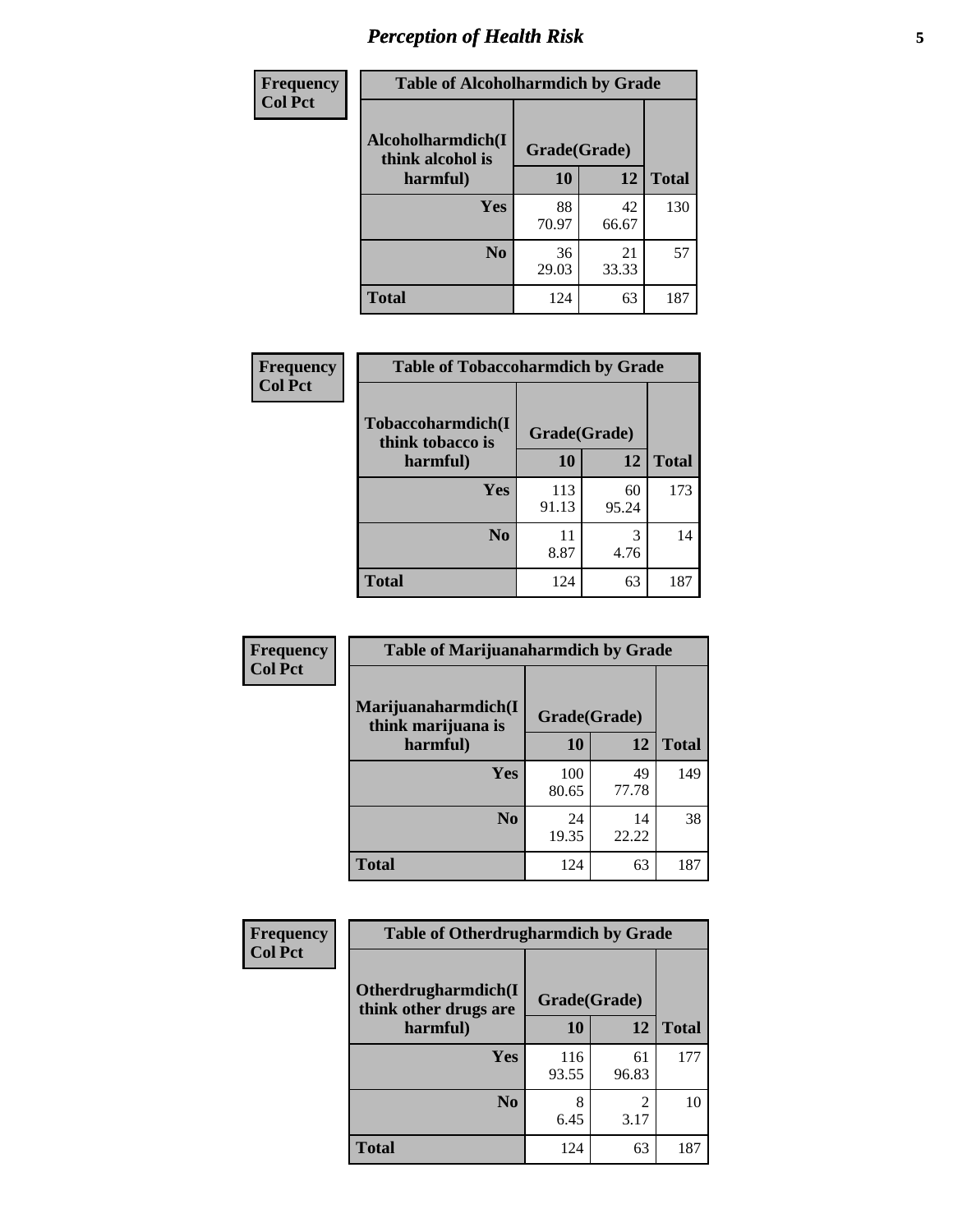# *Perception of Health Risk* **5**

| Frequency      | <b>Table of Alcoholharmdich by Grade</b> |              |             |              |  |
|----------------|------------------------------------------|--------------|-------------|--------------|--|
| <b>Col Pct</b> | Alcoholharmdich(I<br>think alcohol is    | Grade(Grade) |             |              |  |
|                | harmful)                                 | 10           | 12          | <b>Total</b> |  |
|                | <b>Yes</b>                               | 88<br>70.97  | 42<br>66.67 | 130          |  |
|                | N <sub>0</sub>                           | 36<br>29.03  | 21<br>33.33 | 57           |  |
|                | <b>Total</b>                             | 124          | 63          | 187          |  |

| Frequency      | <b>Table of Tobaccoharmdich by Grade</b> |              |             |              |  |
|----------------|------------------------------------------|--------------|-------------|--------------|--|
| <b>Col Pct</b> | Tobaccoharmdich(I<br>think tobacco is    | Grade(Grade) |             |              |  |
|                | harmful)                                 | 10           | 12          | <b>Total</b> |  |
|                | Yes                                      | 113<br>91.13 | 60<br>95.24 | 173          |  |
|                | N <sub>0</sub>                           | 11<br>8.87   | 3<br>4.76   | 14           |  |
|                | <b>Total</b>                             | 124          | 63          | 187          |  |

| <b>Frequency</b> | <b>Table of Marijuanaharmdich by Grade</b>                |              |             |              |  |
|------------------|-----------------------------------------------------------|--------------|-------------|--------------|--|
| <b>Col Pct</b>   | Marijuanaharmdich(I<br>Grade(Grade)<br>think marijuana is |              |             |              |  |
|                  | harmful)                                                  | 10           | 12          | <b>Total</b> |  |
|                  | <b>Yes</b>                                                | 100<br>80.65 | 49<br>77.78 | 149          |  |
|                  | N <sub>0</sub>                                            | 24<br>19.35  | 14<br>22.22 | 38           |  |
|                  | <b>Total</b>                                              | 124          | 63          | 187          |  |

| <b>Frequency</b> | <b>Table of Otherdrugharmdich by Grade</b>   |              |             |              |  |  |  |  |
|------------------|----------------------------------------------|--------------|-------------|--------------|--|--|--|--|
| <b>Col Pct</b>   | Otherdrugharmdich(I<br>think other drugs are | Grade(Grade) |             |              |  |  |  |  |
|                  | harmful)                                     | 10           | 12          | <b>Total</b> |  |  |  |  |
|                  | <b>Yes</b>                                   | 116<br>93.55 | 61<br>96.83 | 177          |  |  |  |  |
|                  | N <sub>0</sub>                               | 6.45         | 2<br>3.17   | 10           |  |  |  |  |
|                  | <b>Total</b>                                 | 124          | 63          | 187          |  |  |  |  |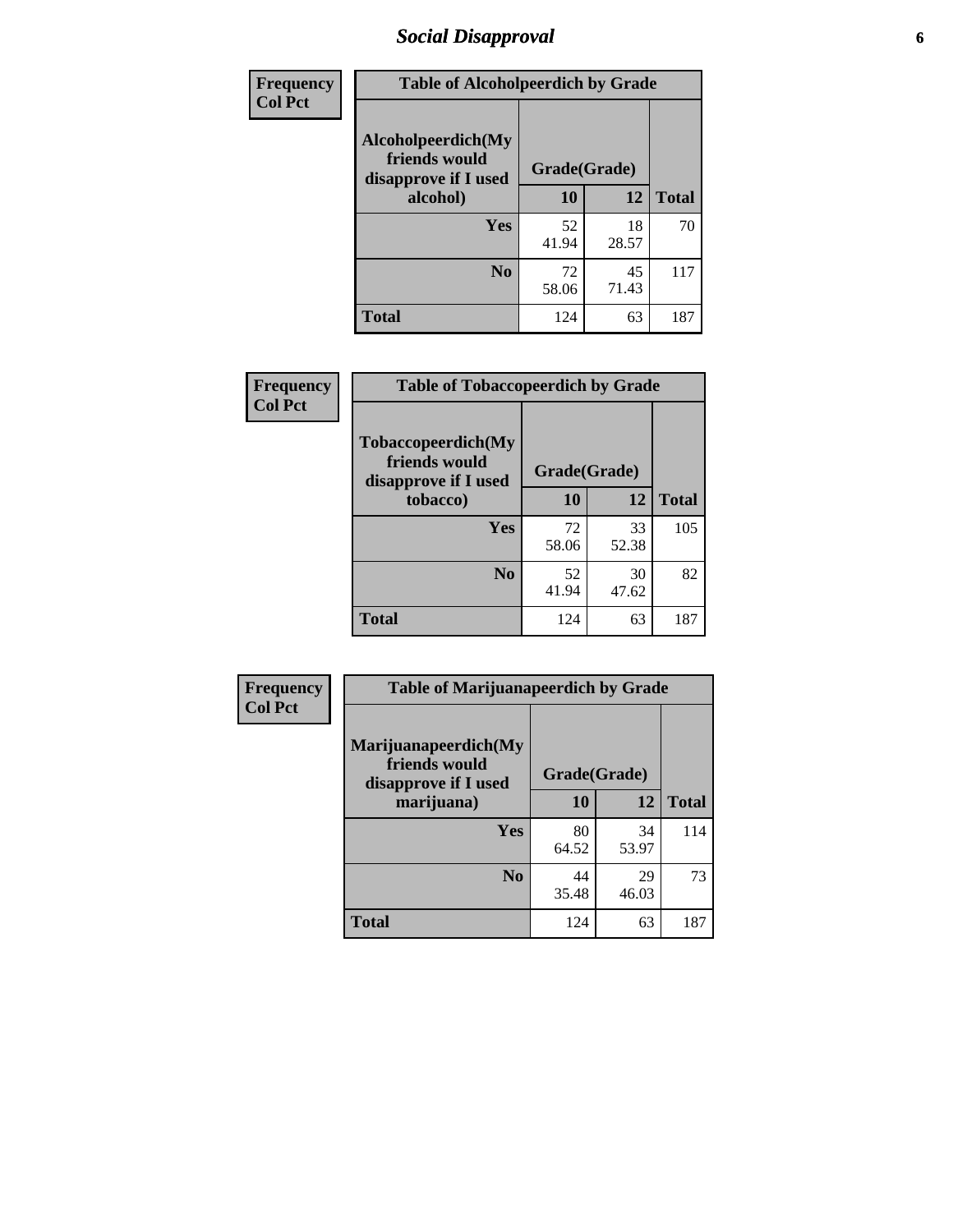# *Social Disapproval* **6**

| <b>Frequency</b> | <b>Table of Alcoholpeerdich by Grade</b>                    |              |              |     |
|------------------|-------------------------------------------------------------|--------------|--------------|-----|
| <b>Col Pct</b>   | Alcoholpeerdich(My<br>friends would<br>disapprove if I used | Grade(Grade) |              |     |
|                  | alcohol)                                                    | 10<br>12     | <b>Total</b> |     |
|                  | <b>Yes</b>                                                  | 52<br>41.94  | 18<br>28.57  | 70  |
|                  | N <sub>0</sub>                                              | 72<br>58.06  | 45<br>71.43  | 117 |
|                  | <b>Total</b>                                                | 124          | 63           | 187 |

| <b>Frequency</b> |
|------------------|
| <b>Col Pct</b>   |

| <b>Table of Tobaccopeerdich by Grade</b>                    |              |             |              |  |  |  |
|-------------------------------------------------------------|--------------|-------------|--------------|--|--|--|
| Tobaccopeerdich(My<br>friends would<br>disapprove if I used | Grade(Grade) |             |              |  |  |  |
| tobacco)                                                    | 10           | 12          | <b>Total</b> |  |  |  |
| Yes                                                         | 72<br>58.06  | 33<br>52.38 | 105          |  |  |  |
| N <sub>0</sub>                                              | 52<br>41.94  | 30<br>47.62 | 82           |  |  |  |
| <b>Total</b>                                                | 124          | 63          | 187          |  |  |  |

| Frequency      | <b>Table of Marijuanapeerdich by Grade</b>                    |              |             |              |  |  |  |  |
|----------------|---------------------------------------------------------------|--------------|-------------|--------------|--|--|--|--|
| <b>Col Pct</b> | Marijuanapeerdich(My<br>friends would<br>disapprove if I used | Grade(Grade) |             |              |  |  |  |  |
|                | marijuana)                                                    | 10           | 12          | <b>Total</b> |  |  |  |  |
|                | <b>Yes</b>                                                    | 80<br>64.52  | 34<br>53.97 | 114          |  |  |  |  |
|                | N <sub>0</sub>                                                | 44<br>35.48  | 29<br>46.03 | 73           |  |  |  |  |
|                | <b>Total</b>                                                  | 124          | 63          | 187          |  |  |  |  |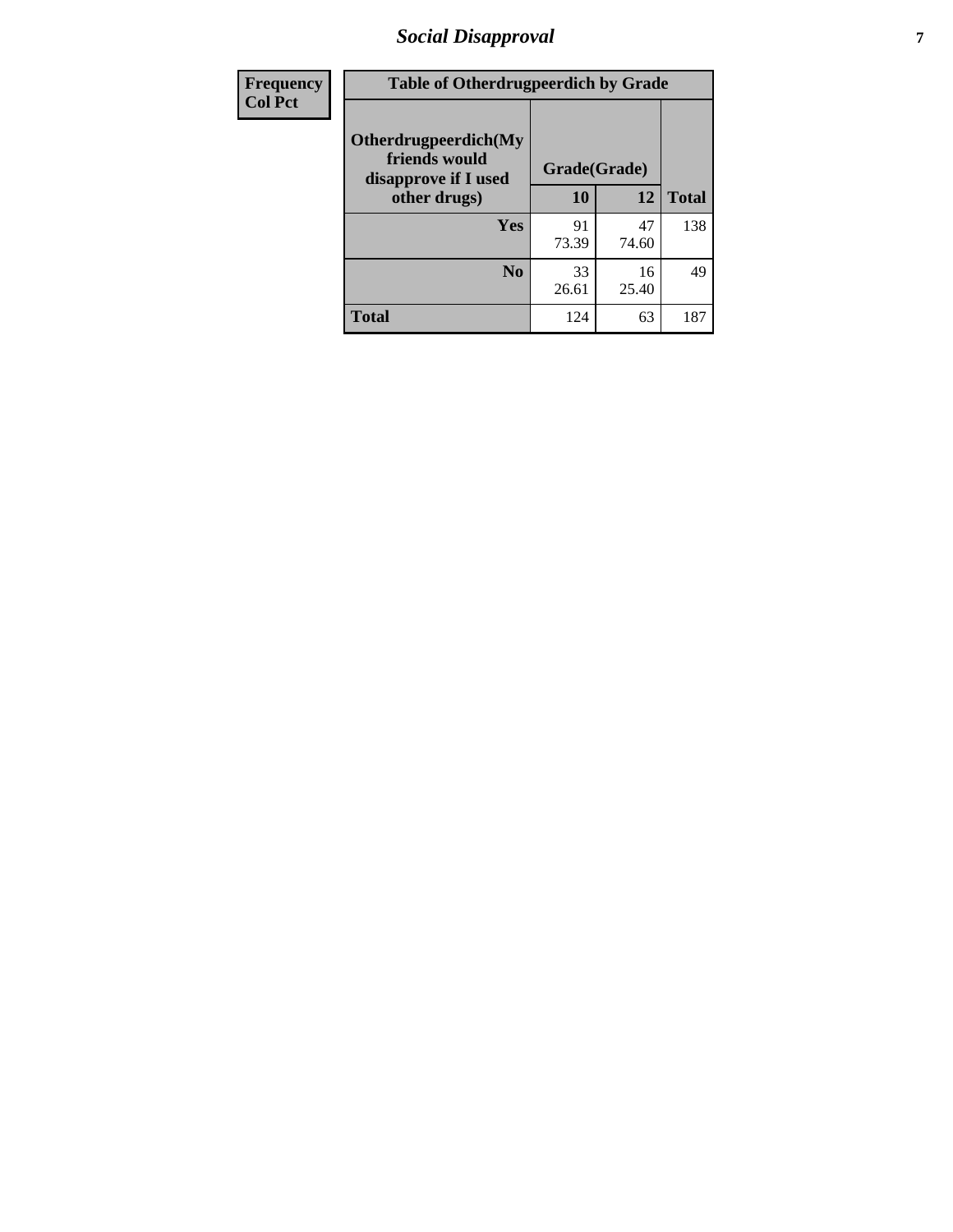# *Social Disapproval* **7**

| Frequency      | <b>Table of Otherdrugpeerdich by Grade</b>                    |              |             |              |  |  |  |  |
|----------------|---------------------------------------------------------------|--------------|-------------|--------------|--|--|--|--|
| <b>Col Pct</b> | Otherdrugpeerdich(My<br>friends would<br>disapprove if I used | Grade(Grade) |             |              |  |  |  |  |
|                | other drugs)                                                  | 10           | 12          | <b>Total</b> |  |  |  |  |
|                | <b>Yes</b>                                                    | 91<br>73.39  | 47<br>74.60 | 138          |  |  |  |  |
|                | N <sub>0</sub>                                                | 33<br>26.61  | 16<br>25.40 | 49           |  |  |  |  |
|                | <b>Total</b>                                                  | 124          | 63          | 187          |  |  |  |  |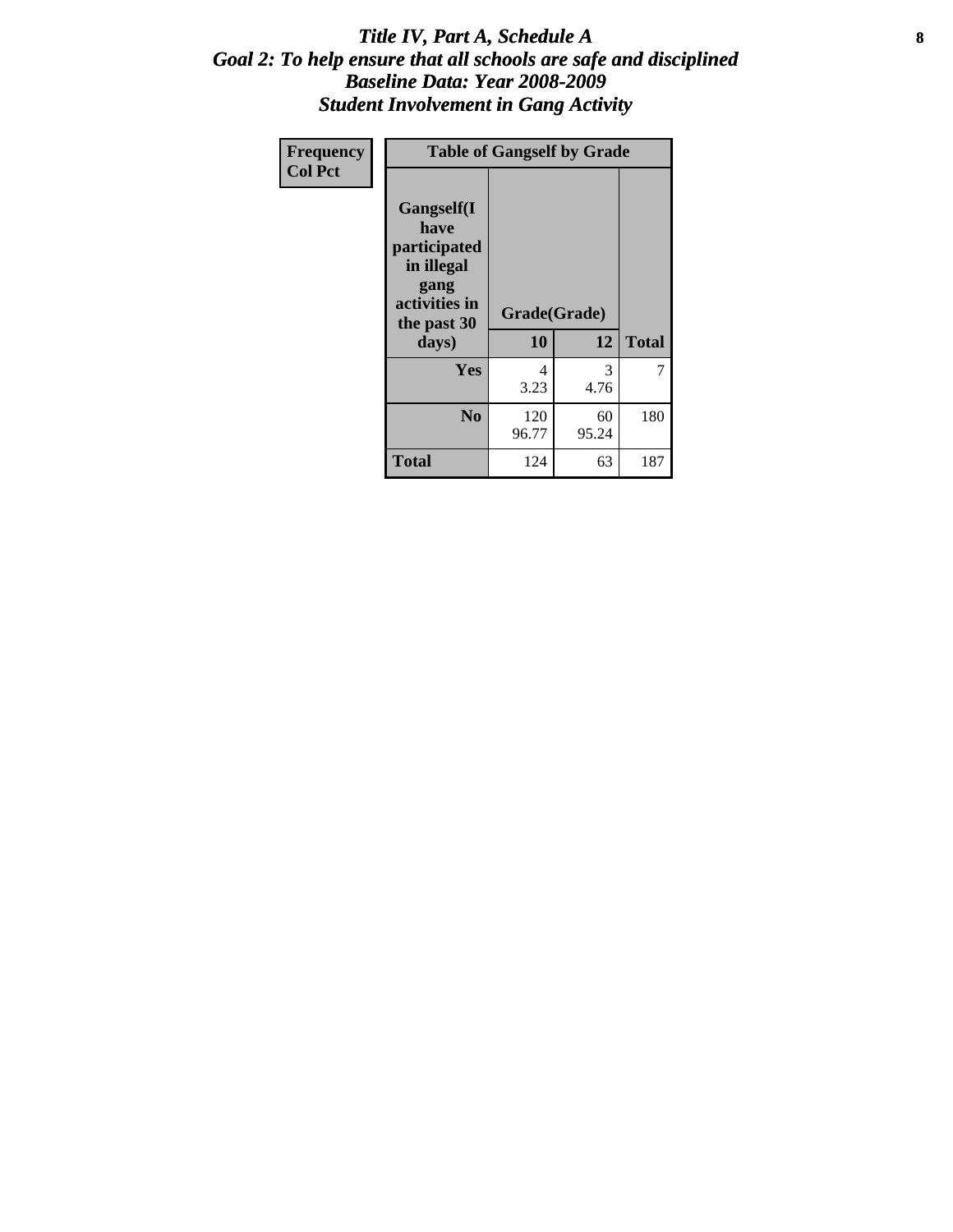#### Title IV, Part A, Schedule A **8** *Goal 2: To help ensure that all schools are safe and disciplined Baseline Data: Year 2008-2009 Student Involvement in Gang Activity*

| Frequency      | <b>Table of Gangself by Grade</b>                                                                 |                    |             |              |
|----------------|---------------------------------------------------------------------------------------------------|--------------------|-------------|--------------|
| <b>Col Pct</b> | Gangself(I<br>have<br>participated<br>in illegal<br>gang<br>activities in<br>the past 30<br>days) | Grade(Grade)<br>10 | 12          | <b>Total</b> |
|                | Yes                                                                                               | 4<br>3.23          | 3<br>4.76   | 7            |
|                | N <sub>0</sub>                                                                                    | 120<br>96.77       | 60<br>95.24 | 180          |
|                | <b>Total</b>                                                                                      | 124                | 63          | 187          |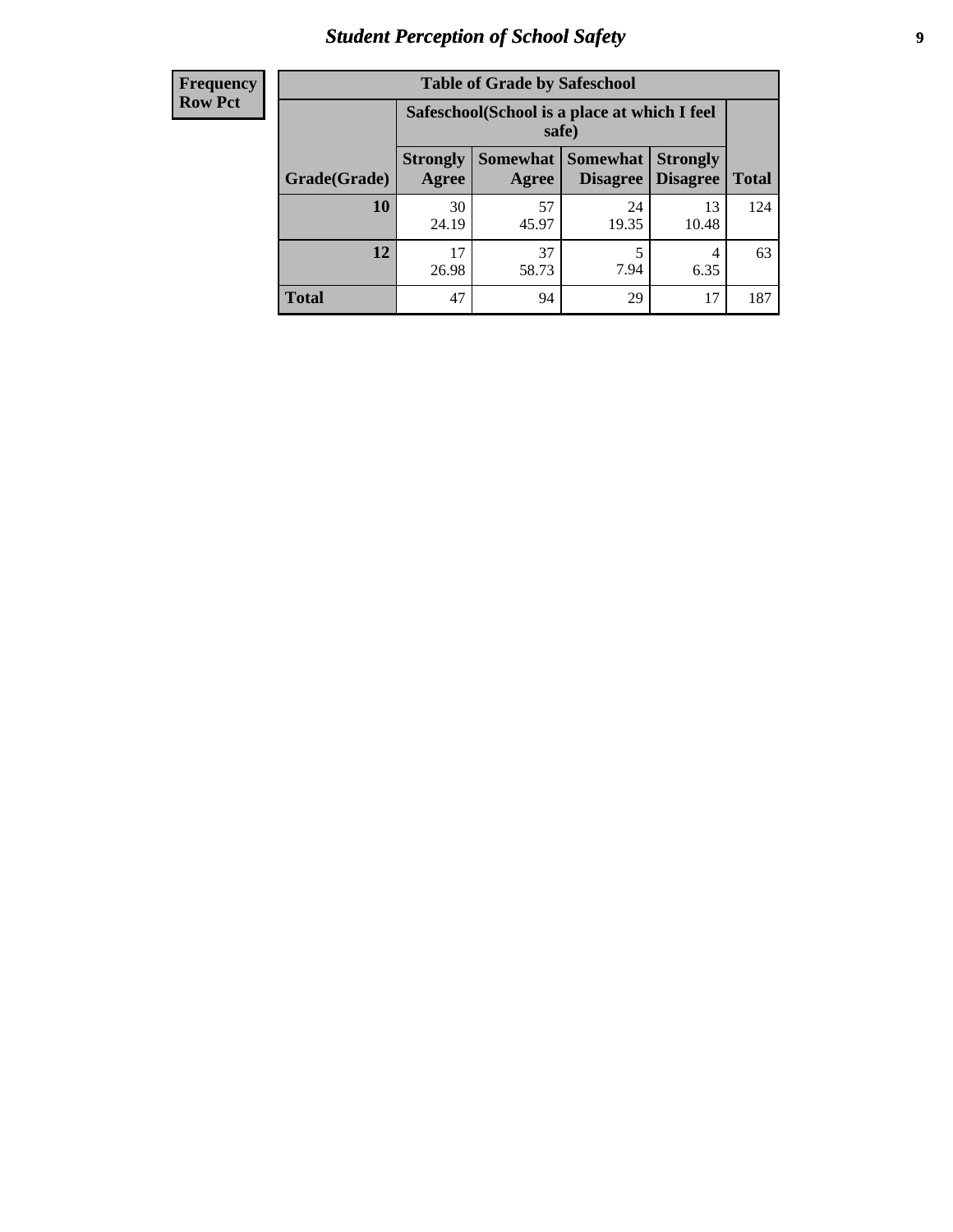# *Student Perception of School Safety* **9**

| <b>Frequency</b><br>Row Pct |
|-----------------------------|
|                             |

| <b>Table of Grade by Safeschool</b> |                                                                                                                                                                                    |             |             |             |     |  |  |
|-------------------------------------|------------------------------------------------------------------------------------------------------------------------------------------------------------------------------------|-------------|-------------|-------------|-----|--|--|
|                                     | Safeschool (School is a place at which I feel<br>safe)<br>Somewhat Somewhat<br><b>Strongly</b><br><b>Strongly</b><br><b>Disagree</b><br>Agree<br>Disagree<br><b>Total</b><br>Agree |             |             |             |     |  |  |
| Grade(Grade)                        |                                                                                                                                                                                    |             |             |             |     |  |  |
| 10                                  | 30<br>24.19                                                                                                                                                                        | 57<br>45.97 | 24<br>19.35 | 13<br>10.48 | 124 |  |  |
| 12                                  | 17<br>26.98                                                                                                                                                                        | 37<br>58.73 | 5<br>7.94   | 4<br>6.35   | 63  |  |  |
| <b>Total</b>                        | 47                                                                                                                                                                                 | 94          | 29          | 17          | 187 |  |  |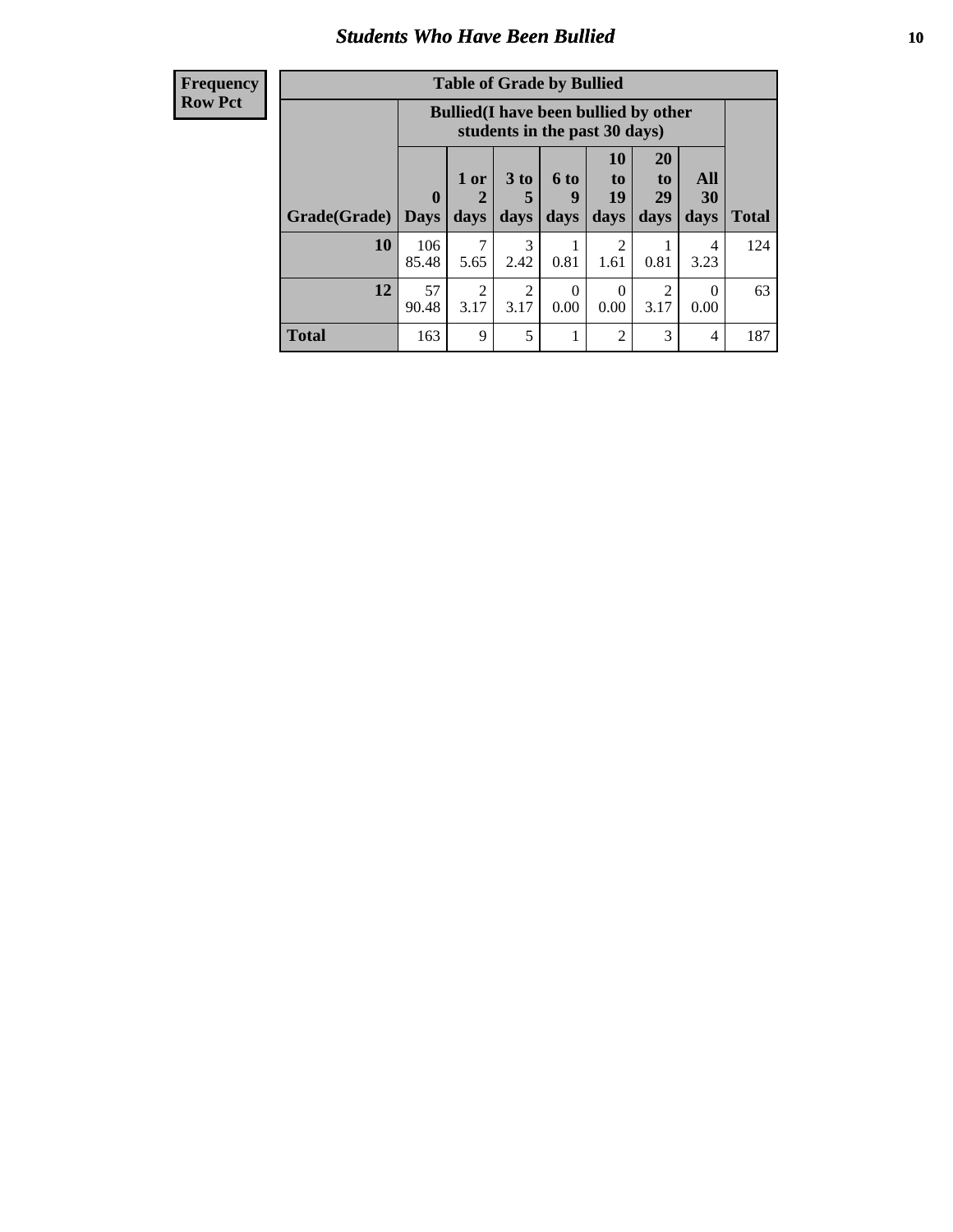### *Students Who Have Been Bullied* **10**

#### **Frequency Row Pct**

| <b>Table of Grade by Bullied</b> |                  |                                                                               |                              |                   |                               |                               |                   |              |
|----------------------------------|------------------|-------------------------------------------------------------------------------|------------------------------|-------------------|-------------------------------|-------------------------------|-------------------|--------------|
|                                  |                  | <b>Bullied</b> (I have been bullied by other<br>students in the past 30 days) |                              |                   |                               |                               |                   |              |
| Grade(Grade)                     | 0<br><b>Days</b> | 1 or<br>days                                                                  | 3 <sub>to</sub><br>5<br>days | 6 to<br>9<br>days | <b>10</b><br>to<br>19<br>days | <b>20</b><br>to<br>29<br>days | All<br>30<br>days | <b>Total</b> |
| 10                               | 106<br>85.48     | 7<br>5.65                                                                     | 3<br>2.42                    | 0.81              | $\mathfrak{D}$<br>1.61        | 0.81                          | 4<br>3.23         | 124          |
| 12                               | 57<br>90.48      | $\overline{c}$<br>3.17                                                        | 2<br>3.17                    | $\theta$<br>0.00  | $\Omega$<br>0.00              | 2<br>3.17                     | $\Omega$<br>0.00  | 63           |
| <b>Total</b>                     | 163              | 9                                                                             | 5                            |                   | 2                             | 3                             | 4                 | 187          |

 $\blacksquare$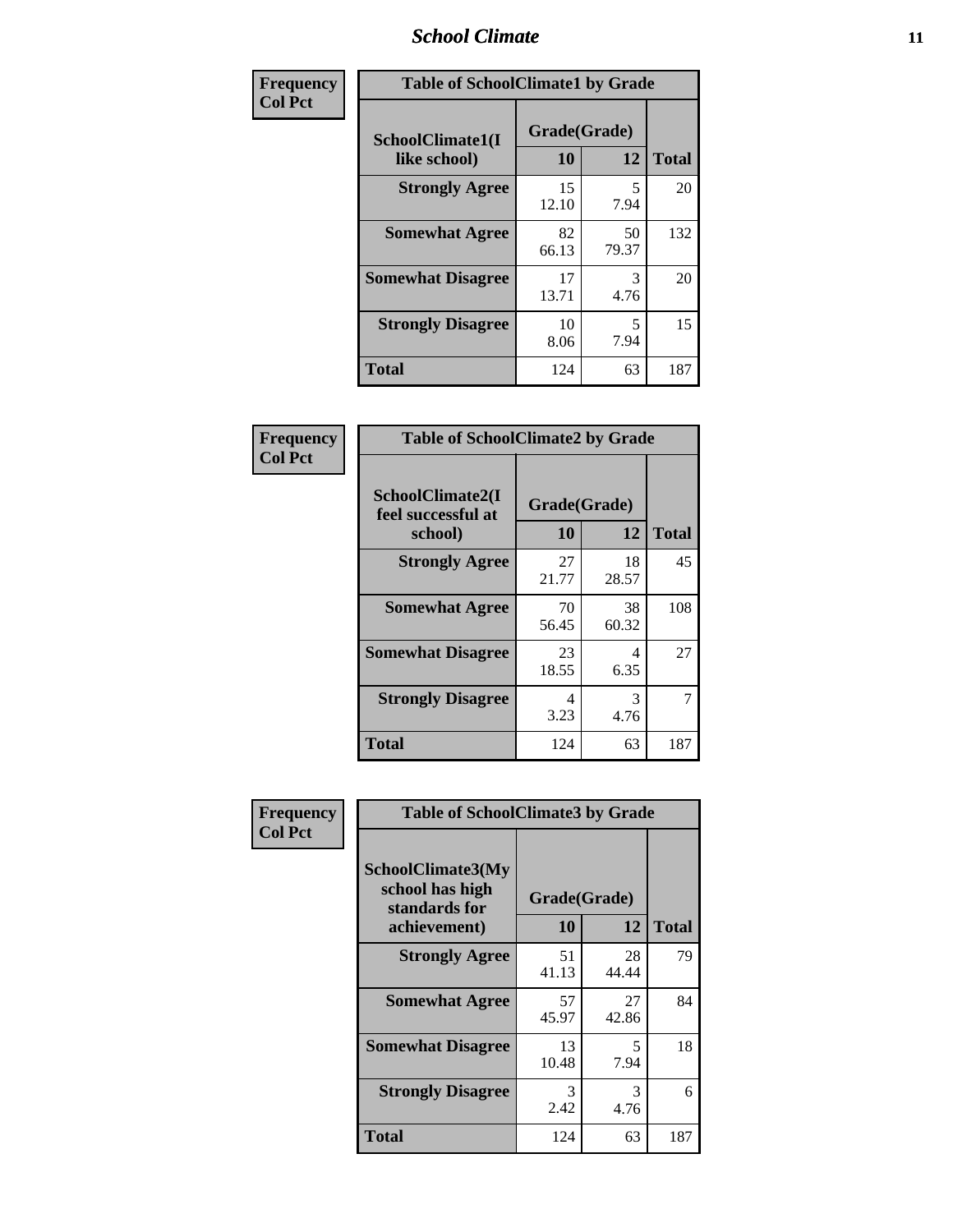### *School Climate* **11**

| Frequency      | <b>Table of SchoolClimate1 by Grade</b> |                    |             |              |  |  |
|----------------|-----------------------------------------|--------------------|-------------|--------------|--|--|
| <b>Col Pct</b> | SchoolClimate1(I<br>like school)        | Grade(Grade)<br>10 | 12          | <b>Total</b> |  |  |
|                | <b>Strongly Agree</b>                   | 15<br>12.10        | 5<br>7.94   | 20           |  |  |
|                | <b>Somewhat Agree</b>                   | 82<br>66.13        | 50<br>79.37 | 132          |  |  |
|                | <b>Somewhat Disagree</b>                | 17<br>13.71        | 3<br>4.76   | 20           |  |  |
|                | <b>Strongly Disagree</b>                | 10<br>8.06         | 5<br>7.94   | 15           |  |  |
|                | <b>Total</b>                            | 124                | 63          | 187          |  |  |

| <b>Frequency</b> |  |
|------------------|--|
| <b>Col Pct</b>   |  |

| <b>Table of SchoolClimate2 by Grade</b>           |                    |             |              |  |  |
|---------------------------------------------------|--------------------|-------------|--------------|--|--|
| SchoolClimate2(I<br>feel successful at<br>school) | Grade(Grade)<br>10 | 12          | <b>Total</b> |  |  |
| <b>Strongly Agree</b>                             | 27<br>21.77        | 18<br>28.57 | 45           |  |  |
| <b>Somewhat Agree</b>                             | 70<br>56.45        | 38<br>60.32 | 108          |  |  |
| <b>Somewhat Disagree</b>                          | 23<br>18.55        | 4<br>6.35   | 27           |  |  |
| <b>Strongly Disagree</b>                          | 4<br>3.23          | 3<br>4.76   | 7            |  |  |
| <b>Total</b>                                      | 124                | 63          | 187          |  |  |

| Frequency      | <b>Table of SchoolClimate3 by Grade</b>               |              |             |              |  |  |
|----------------|-------------------------------------------------------|--------------|-------------|--------------|--|--|
| <b>Col Pct</b> | SchoolClimate3(My<br>school has high<br>standards for | Grade(Grade) |             |              |  |  |
|                | achievement)                                          | 10           | 12          | <b>Total</b> |  |  |
|                | <b>Strongly Agree</b>                                 | 51<br>41.13  | 28<br>44.44 | 79           |  |  |
|                | <b>Somewhat Agree</b>                                 | 57<br>45.97  | 27<br>42.86 | 84           |  |  |
|                | <b>Somewhat Disagree</b>                              | 13<br>10.48  | 5<br>7.94   | 18           |  |  |
|                | <b>Strongly Disagree</b>                              | 3<br>2.42    | 3<br>4.76   | 6            |  |  |
|                | Total                                                 | 124          | 63          | 187          |  |  |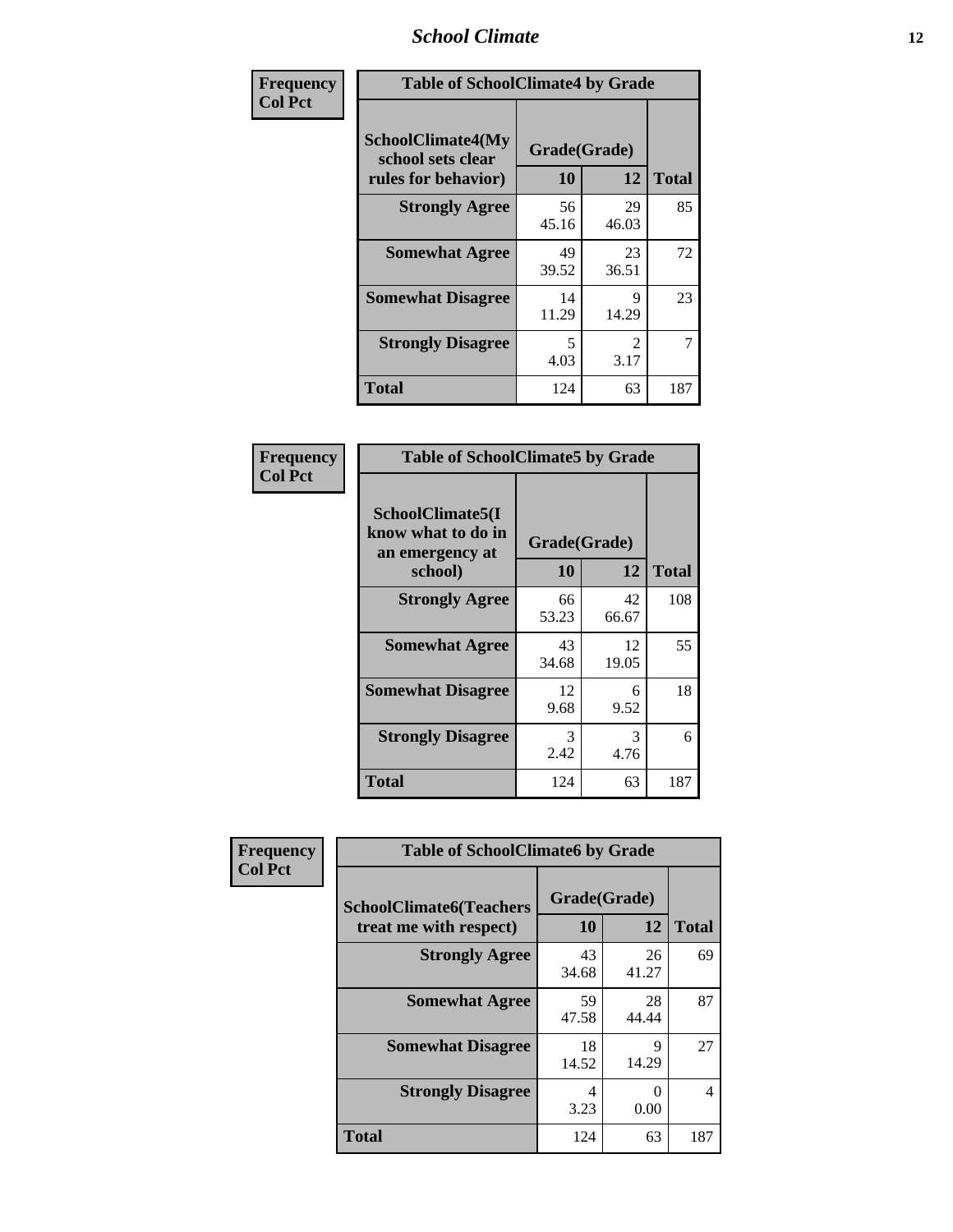### *School Climate* **12**

| Frequency      | <b>Table of SchoolClimate4 by Grade</b>                              |                    |                        |              |
|----------------|----------------------------------------------------------------------|--------------------|------------------------|--------------|
| <b>Col Pct</b> | <b>SchoolClimate4(My</b><br>school sets clear<br>rules for behavior) | Grade(Grade)<br>10 | 12                     | <b>Total</b> |
|                | <b>Strongly Agree</b>                                                | 56<br>45.16        | 29<br>46.03            | 85           |
|                | <b>Somewhat Agree</b>                                                | 49<br>39.52        | 23<br>36.51            | 72           |
|                | <b>Somewhat Disagree</b>                                             | 14<br>11.29        | 9<br>14.29             | 23           |
|                | <b>Strongly Disagree</b>                                             | 5<br>4.03          | $\mathfrak{D}$<br>3.17 | 7            |
|                | <b>Total</b>                                                         | 124                | 63                     | 187          |

| <b>Table of SchoolClimate5 by Grade</b>                   |              |             |              |  |  |
|-----------------------------------------------------------|--------------|-------------|--------------|--|--|
| SchoolClimate5(I<br>know what to do in<br>an emergency at | Grade(Grade) |             |              |  |  |
| school)                                                   | 10           | 12          | <b>Total</b> |  |  |
| <b>Strongly Agree</b>                                     | 66<br>53.23  | 42<br>66.67 | 108          |  |  |
| <b>Somewhat Agree</b>                                     | 43<br>34.68  | 12<br>19.05 | 55           |  |  |
| <b>Somewhat Disagree</b>                                  | 12<br>9.68   | 6<br>9.52   | 18           |  |  |
| <b>Strongly Disagree</b>                                  | 3<br>2.42    | 3<br>4.76   | 6            |  |  |
| Total                                                     | 124          | 63          | 187          |  |  |

| Frequency      | <b>Table of SchoolClimate6 by Grade</b>                  |                    |             |                |  |
|----------------|----------------------------------------------------------|--------------------|-------------|----------------|--|
| <b>Col Pct</b> | <b>SchoolClimate6(Teachers</b><br>treat me with respect) | Grade(Grade)<br>10 | 12          | <b>Total</b>   |  |
|                | <b>Strongly Agree</b>                                    | 43<br>34.68        | 26<br>41.27 | 69             |  |
|                | <b>Somewhat Agree</b>                                    | 59<br>47.58        | 28<br>44.44 | 87             |  |
|                | <b>Somewhat Disagree</b>                                 | 18<br>14.52        | 9<br>14.29  | 27             |  |
|                | <b>Strongly Disagree</b>                                 | 4<br>3.23          | 0<br>0.00   | $\overline{4}$ |  |
|                | <b>Total</b>                                             | 124                | 63          | 187            |  |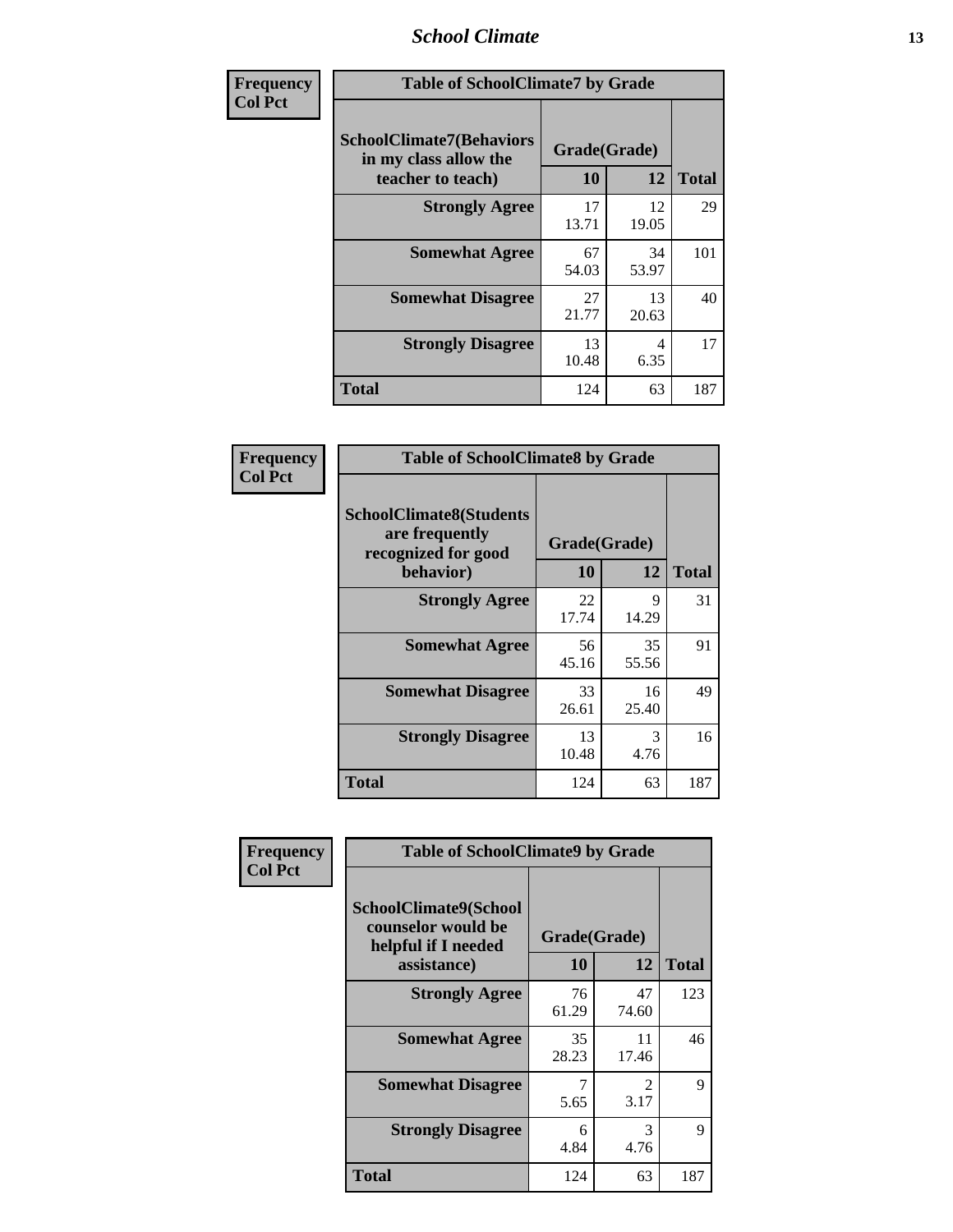### *School Climate* **13**

| Frequency      | <b>Table of SchoolClimate7 by Grade</b>                                       |                           |             |              |  |
|----------------|-------------------------------------------------------------------------------|---------------------------|-------------|--------------|--|
| <b>Col Pct</b> | <b>SchoolClimate7(Behaviors</b><br>in my class allow the<br>teacher to teach) | Grade(Grade)<br><b>10</b> | 12          | <b>Total</b> |  |
|                | <b>Strongly Agree</b>                                                         | 17<br>13.71               | 12<br>19.05 | 29           |  |
|                | <b>Somewhat Agree</b>                                                         | 67<br>54.03               | 34<br>53.97 | 101          |  |
|                | <b>Somewhat Disagree</b>                                                      | 27<br>21.77               | 13<br>20.63 | 40           |  |
|                | <b>Strongly Disagree</b>                                                      | 13<br>10.48               | 4<br>6.35   | 17           |  |
|                | <b>Total</b>                                                                  | 124                       | 63          | 187          |  |

| Frequency      | <b>Table of SchoolClimate8 by Grade</b>                                              |                    |             |              |
|----------------|--------------------------------------------------------------------------------------|--------------------|-------------|--------------|
| <b>Col Pct</b> | <b>SchoolClimate8(Students</b><br>are frequently<br>recognized for good<br>behavior) | Grade(Grade)<br>10 | 12          | <b>Total</b> |
|                | <b>Strongly Agree</b>                                                                | 22<br>17.74        | 9<br>14.29  | 31           |
|                | <b>Somewhat Agree</b>                                                                | 56<br>45.16        | 35<br>55.56 | 91           |
|                | <b>Somewhat Disagree</b>                                                             | 33<br>26.61        | 16<br>25.40 | 49           |
|                | <b>Strongly Disagree</b>                                                             | 13<br>10.48        | 3<br>4.76   | 16           |
|                | <b>Total</b>                                                                         | 124                | 63          | 187          |

| Frequency      | <b>Table of SchoolClimate9 by Grade</b>                                           |                    |                        |              |
|----------------|-----------------------------------------------------------------------------------|--------------------|------------------------|--------------|
| <b>Col Pct</b> | SchoolClimate9(School<br>counselor would be<br>helpful if I needed<br>assistance) | Grade(Grade)<br>10 | 12                     | <b>Total</b> |
|                | <b>Strongly Agree</b>                                                             | 76<br>61.29        | 47<br>74.60            | 123          |
|                | <b>Somewhat Agree</b>                                                             | 35<br>28.23        | 11<br>17.46            | 46           |
|                | <b>Somewhat Disagree</b>                                                          | 7<br>5.65          | $\mathfrak{D}$<br>3.17 | 9            |
|                | <b>Strongly Disagree</b>                                                          | 6<br>4.84          | 3<br>4.76              | 9            |
|                | Total                                                                             | 124                | 63                     | 187          |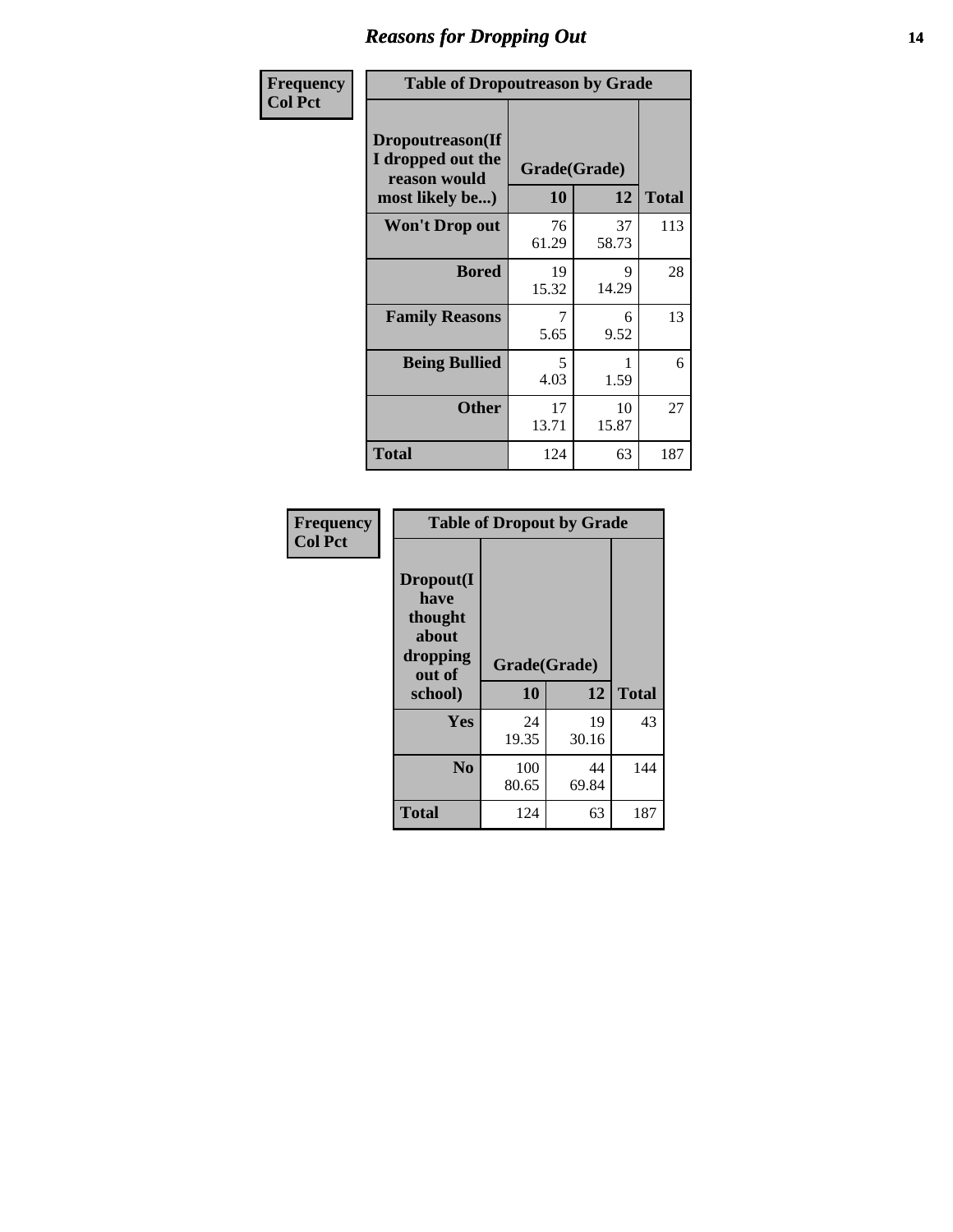### *Reasons for Dropping Out* **14**

| Frequency      | <b>Table of Dropoutreason by Grade</b>                                   |                    |             |              |  |
|----------------|--------------------------------------------------------------------------|--------------------|-------------|--------------|--|
| <b>Col Pct</b> | Dropoutreason(If<br>I dropped out the<br>reason would<br>most likely be) | Grade(Grade)<br>10 | 12          | <b>Total</b> |  |
|                | Won't Drop out                                                           | 76<br>61.29        | 37<br>58.73 | 113          |  |
|                | <b>Bored</b>                                                             | 19<br>15.32        | 9<br>14.29  | 28           |  |
|                | <b>Family Reasons</b>                                                    | 7<br>5.65          | 6<br>9.52   | 13           |  |
|                | <b>Being Bullied</b>                                                     | 5<br>4.03          | 1.59        | 6            |  |
|                | <b>Other</b>                                                             | 17<br>13.71        | 10<br>15.87 | 27           |  |
|                | <b>Total</b>                                                             | 124                | 63          | 187          |  |

| Frequency<br><b>Col Pct</b> | <b>Table of Dropout by Grade</b>                                       |                    |             |              |  |
|-----------------------------|------------------------------------------------------------------------|--------------------|-------------|--------------|--|
|                             | Dropout(I<br>have<br>thought<br>about<br>dropping<br>out of<br>school) | Grade(Grade)<br>10 | 12          | <b>Total</b> |  |
|                             | Yes                                                                    | 24<br>19.35        | 19<br>30.16 | 43           |  |
|                             | N <sub>0</sub>                                                         | 100<br>80.65       | 44<br>69.84 | 144          |  |
|                             | <b>Total</b>                                                           | 124                | 63          | 187          |  |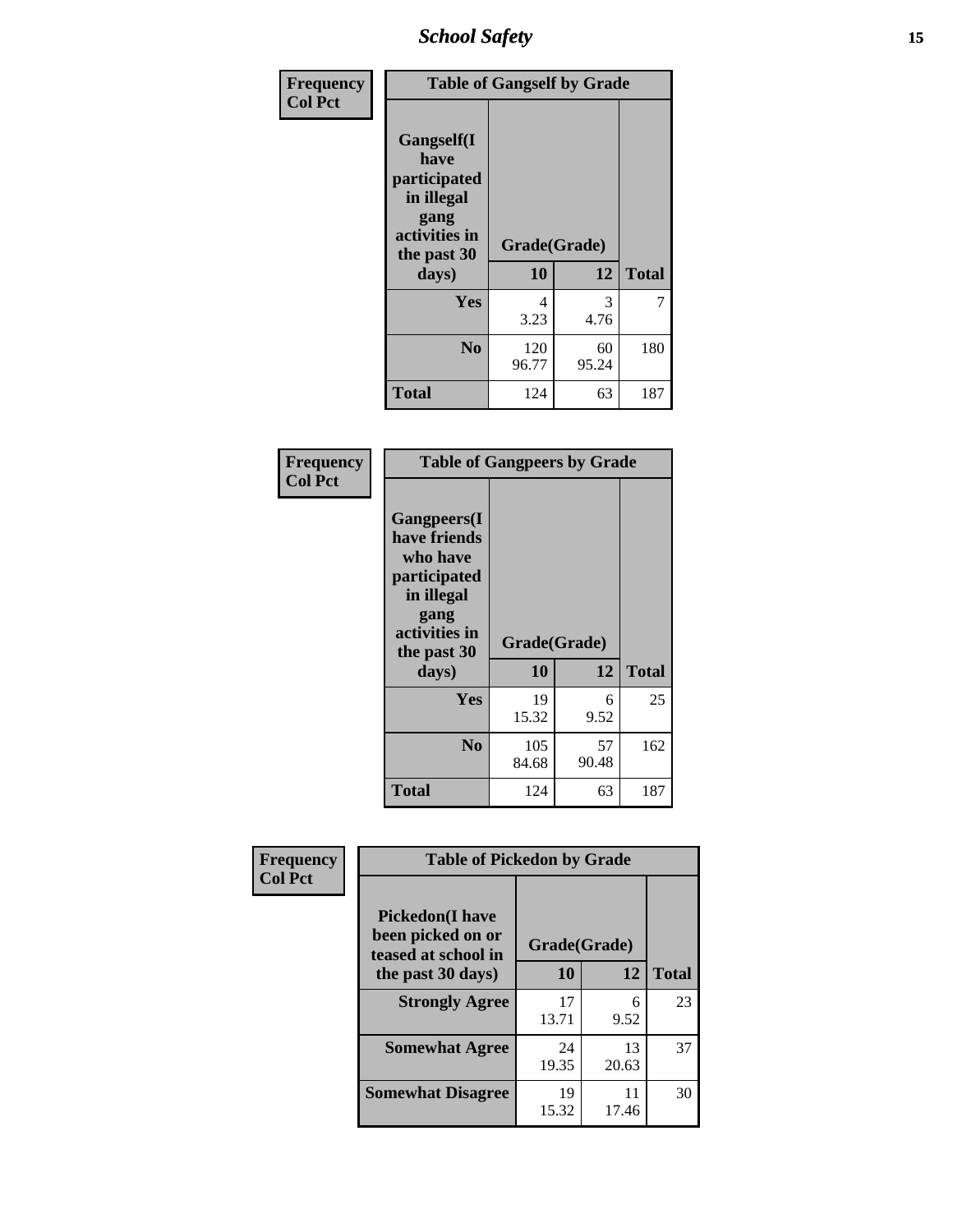*School Safety* **15**

| Frequency      |                                                                                                   | <b>Table of Gangself by Grade</b> |             |              |  |
|----------------|---------------------------------------------------------------------------------------------------|-----------------------------------|-------------|--------------|--|
| <b>Col Pct</b> | Gangself(I<br>have<br>participated<br>in illegal<br>gang<br>activities in<br>the past 30<br>days) | Grade(Grade)<br>10                | 12          | <b>Total</b> |  |
|                | Yes                                                                                               | 4<br>3.23                         | 3<br>4.76   | 7            |  |
|                | N <sub>0</sub>                                                                                    | 120<br>96.77                      | 60<br>95.24 | 180          |  |
|                | <b>Total</b>                                                                                      | 124                               | 63          | 187          |  |

| Frequency<br><b>Col Pct</b> | <b>Table of Gangpeers by Grade</b>                                                                                     |                    |             |              |  |
|-----------------------------|------------------------------------------------------------------------------------------------------------------------|--------------------|-------------|--------------|--|
|                             | Gangpeers(I<br>have friends<br>who have<br>participated<br>in illegal<br>gang<br>activities in<br>the past 30<br>days) | Grade(Grade)<br>10 | 12          | <b>Total</b> |  |
|                             | Yes                                                                                                                    | 19<br>15.32        | 6<br>9.52   | 25           |  |
|                             | N <sub>0</sub>                                                                                                         | 105<br>84.68       | 57<br>90.48 | 162          |  |
|                             | Total                                                                                                                  | 124                | 63          | 187          |  |

| Frequency      | <b>Table of Pickedon by Grade</b>                                  |              |             |              |  |  |  |  |  |
|----------------|--------------------------------------------------------------------|--------------|-------------|--------------|--|--|--|--|--|
| <b>Col Pct</b> | <b>Pickedon(I have</b><br>been picked on or<br>teased at school in | Grade(Grade) |             |              |  |  |  |  |  |
|                | the past 30 days)                                                  | 10           | 12          | <b>Total</b> |  |  |  |  |  |
|                | <b>Strongly Agree</b>                                              | 17<br>13.71  | 6<br>9.52   | 23           |  |  |  |  |  |
|                | <b>Somewhat Agree</b>                                              | 24<br>19.35  | 13<br>20.63 | 37           |  |  |  |  |  |
|                | <b>Somewhat Disagree</b>                                           | 19<br>15.32  | 11<br>17.46 | 30           |  |  |  |  |  |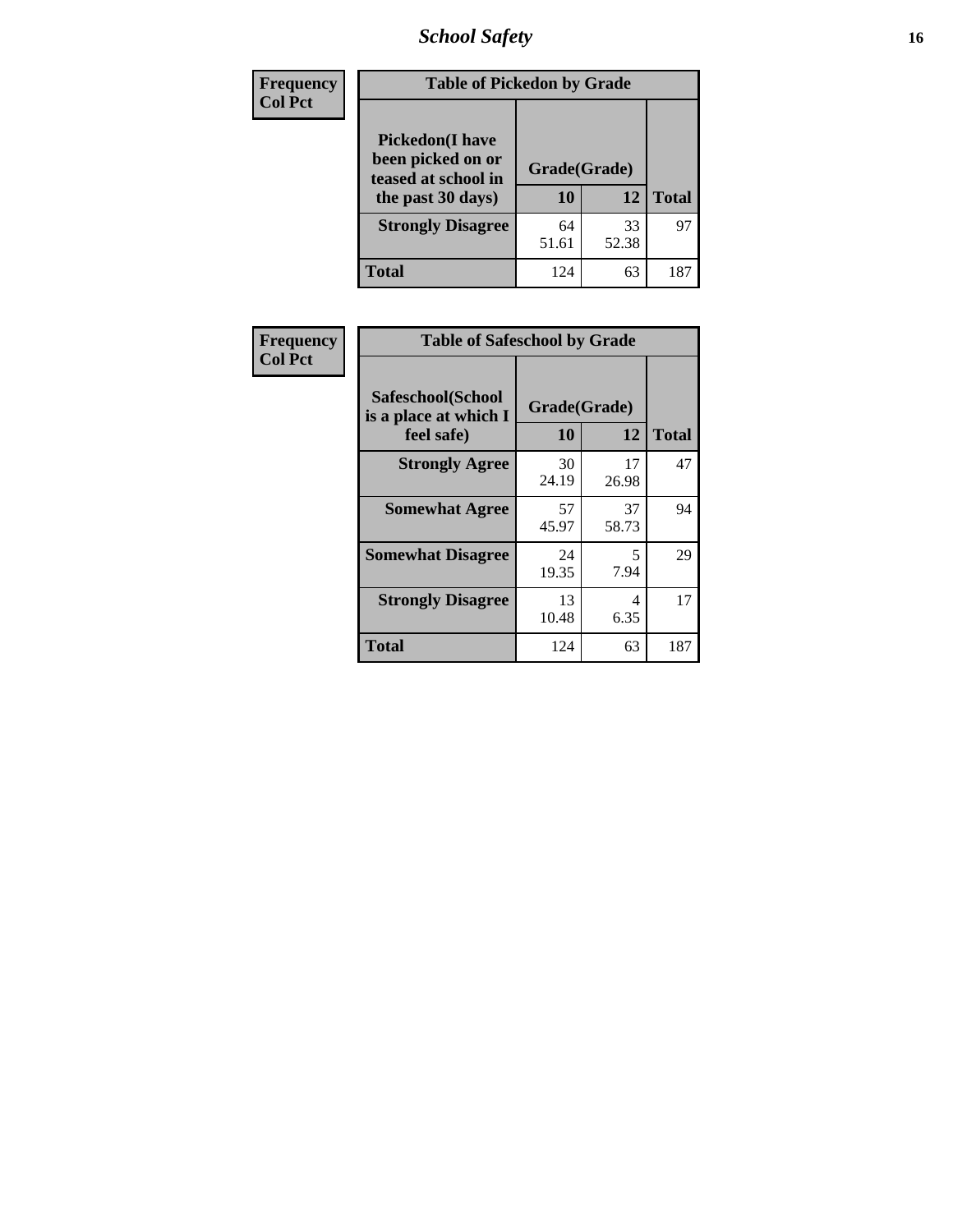*School Safety* **16**

| <b>Frequency</b> |                                                                                          | <b>Table of Pickedon by Grade</b> |              |     |  |  |  |  |  |
|------------------|------------------------------------------------------------------------------------------|-----------------------------------|--------------|-----|--|--|--|--|--|
| <b>Col Pct</b>   | <b>Pickedon</b> (I have<br>been picked on or<br>teased at school in<br>the past 30 days) | Grade(Grade)<br>10                | <b>Total</b> |     |  |  |  |  |  |
|                  | <b>Strongly Disagree</b>                                                                 | 64<br>51.61                       | 33<br>52.38  | 97  |  |  |  |  |  |
|                  | <b>Total</b>                                                                             | 124                               | 63           | 187 |  |  |  |  |  |

| Frequency      | <b>Table of Safeschool by Grade</b>                      |                    |              |     |
|----------------|----------------------------------------------------------|--------------------|--------------|-----|
| <b>Col Pct</b> | Safeschool(School<br>is a place at which I<br>feel safe) | Grade(Grade)<br>10 | <b>Total</b> |     |
|                | <b>Strongly Agree</b>                                    | 30<br>24.19        | 17<br>26.98  | 47  |
|                | <b>Somewhat Agree</b>                                    | 57<br>45.97        | 37<br>58.73  | 94  |
|                | <b>Somewhat Disagree</b>                                 | 24<br>19.35        | 5<br>7.94    | 29  |
|                | <b>Strongly Disagree</b>                                 | 13<br>10.48        | 4<br>6.35    | 17  |
|                | <b>Total</b>                                             | 124                | 63           | 187 |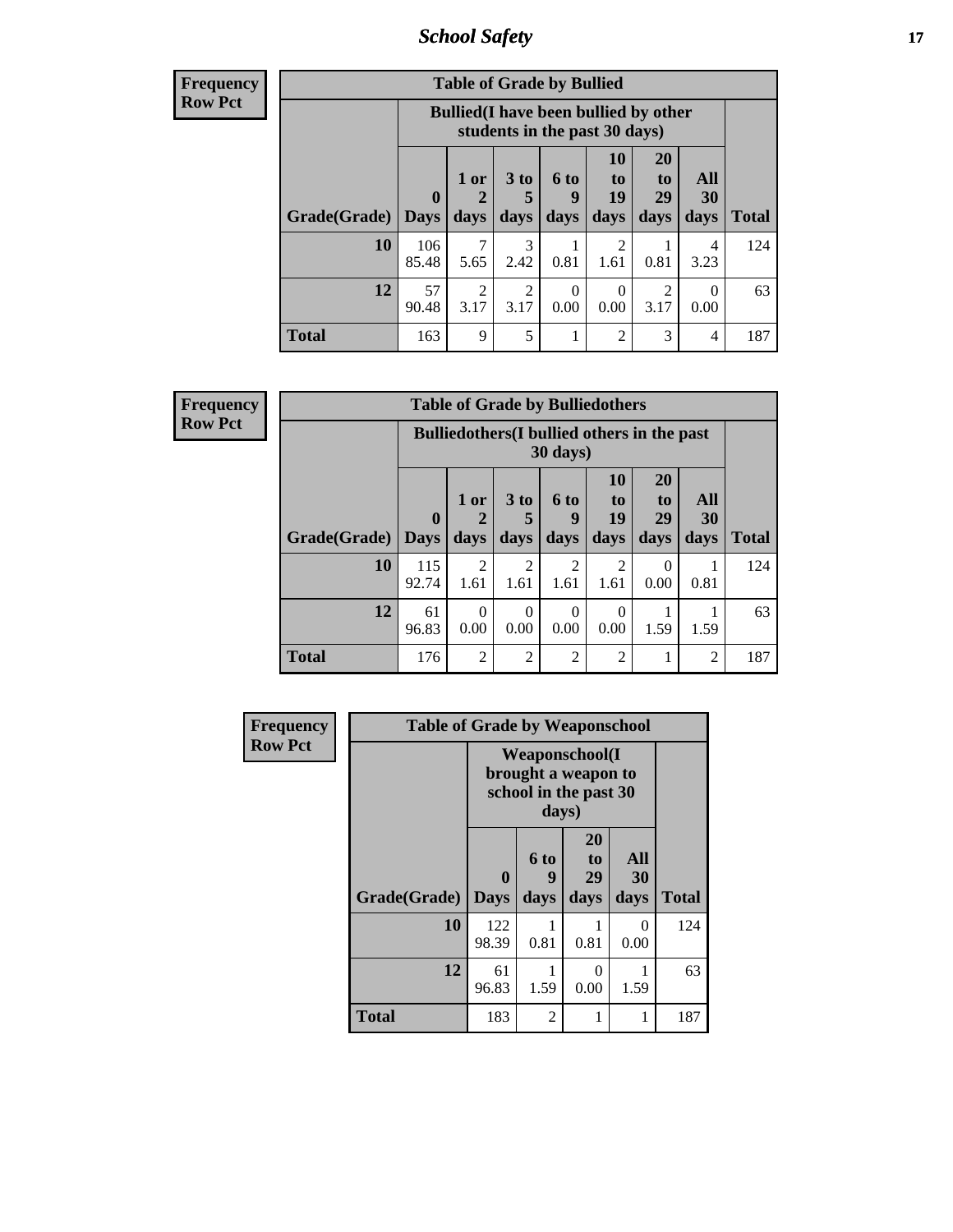*School Safety* **17**

**Frequency Row Pct**

|              |                             | <b>Table of Grade by Bullied</b>                                              |                              |                   |                               |                               |                   |              |  |  |
|--------------|-----------------------------|-------------------------------------------------------------------------------|------------------------------|-------------------|-------------------------------|-------------------------------|-------------------|--------------|--|--|
|              |                             | <b>Bullied</b> (I have been bullied by other<br>students in the past 30 days) |                              |                   |                               |                               |                   |              |  |  |
| Grade(Grade) | $\mathbf{0}$<br><b>Days</b> | 1 or<br>2<br>days                                                             | 3 <sub>to</sub><br>5<br>days | 6 to<br>g<br>days | <b>10</b><br>to<br>19<br>days | <b>20</b><br>to<br>29<br>days | All<br>30<br>days | <b>Total</b> |  |  |
| 10           | 106<br>85.48                | 7<br>5.65                                                                     | 3<br>2.42                    | 0.81              | 2<br>1.61                     | 0.81                          | 4<br>3.23         | 124          |  |  |
| 12           | 57<br>90.48                 | $\overline{2}$<br>3.17                                                        | $\overline{2}$<br>3.17       | 0<br>0.00         | 0<br>0.00                     | 2<br>3.17                     | 0<br>0.00         | 63           |  |  |
| <b>Total</b> | 163                         | 9                                                                             | 5                            | 1                 | $\overline{2}$                | 3                             | 4                 | 187          |  |  |

**Frequency Row Pct**

| <b>Table of Grade by Bulliedothers</b> |                        |                                                                |                              |                        |                        |                               |                   |              |  |
|----------------------------------------|------------------------|----------------------------------------------------------------|------------------------------|------------------------|------------------------|-------------------------------|-------------------|--------------|--|
|                                        |                        | <b>Bulliedothers</b> (I bullied others in the past<br>30 days) |                              |                        |                        |                               |                   |              |  |
| Grade(Grade)                           | $\mathbf{0}$<br>  Days | 1 or<br>2<br>days                                              | 3 <sub>to</sub><br>5<br>days | 6 to<br>g<br>days      | 10<br>to<br>19<br>days | <b>20</b><br>to<br>29<br>days | All<br>30<br>days | <b>Total</b> |  |
| 10                                     | 115<br>92.74           | $\overline{2}$<br>1.61                                         | 2<br>1.61                    | $\overline{c}$<br>1.61 | $\overline{2}$<br>1.61 | $\Omega$<br>0.00              | 0.81              | 124          |  |
| 12                                     | 61<br>96.83            | $\Omega$<br>0.00                                               | $\Omega$<br>0.00             | 0<br>0.00              | 0<br>0.00              | 1.59                          | 1.59              | 63           |  |
| Total                                  | 176                    | $\overline{2}$                                                 | $\overline{2}$               | $\overline{c}$         | $\overline{2}$         |                               | $\overline{c}$    | 187          |  |

| <b>Frequency</b> | <b>Table of Grade by Weaponschool</b> |                                                                        |                              |                               |                   |              |  |  |  |
|------------------|---------------------------------------|------------------------------------------------------------------------|------------------------------|-------------------------------|-------------------|--------------|--|--|--|
| <b>Row Pct</b>   |                                       | <b>Weaponschool</b> (I<br>brought a weapon to<br>school in the past 30 |                              |                               |                   |              |  |  |  |
|                  | Grade(Grade)                          | $\bf{0}$<br><b>Days</b>                                                | 6 <sub>to</sub><br>9<br>days | <b>20</b><br>to<br>29<br>days | All<br>30<br>days | <b>Total</b> |  |  |  |
|                  | 10                                    | 122<br>98.39                                                           | 0.81                         | 0.81                          | $\Omega$<br>0.00  | 124          |  |  |  |
|                  | 12                                    | 61<br>96.83                                                            | 1.59                         | 0<br>0.00                     | 1.59              | 63           |  |  |  |
|                  | <b>Total</b>                          | 183                                                                    | $\mathfrak{D}$               | 1                             | 1                 | 187          |  |  |  |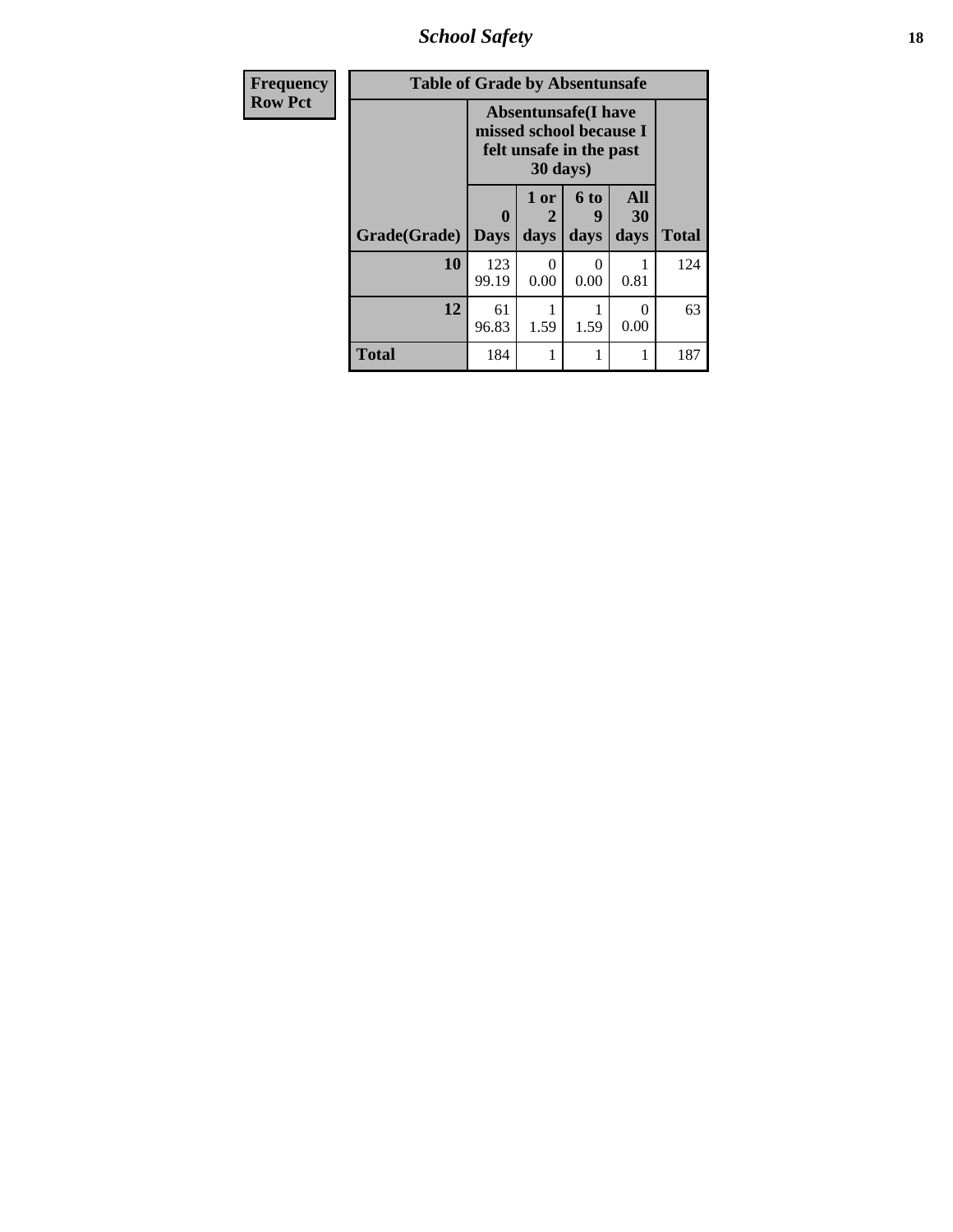*School Safety* **18**

| <b>Frequency</b> | <b>Table of Grade by Absentunsafe</b> |                                                                                   |                   |                   |                   |              |  |  |  |  |
|------------------|---------------------------------------|-----------------------------------------------------------------------------------|-------------------|-------------------|-------------------|--------------|--|--|--|--|
| <b>Row Pct</b>   |                                       | <b>Absentunsafe</b> (I have<br>missed school because I<br>felt unsafe in the past |                   |                   |                   |              |  |  |  |  |
|                  | <b>Grade(Grade)</b>                   | 0<br><b>Days</b>                                                                  | 1 or<br>2<br>days | 6 to<br>9<br>days | All<br>30<br>days | <b>Total</b> |  |  |  |  |
|                  | 10                                    | 123<br>99.19                                                                      | 0<br>0.00         | 0<br>0.00         | 0.81              | 124          |  |  |  |  |
|                  | 12                                    | 61<br>96.83                                                                       | 1.59              | 1.59              | 0<br>0.00         | 63           |  |  |  |  |
|                  | <b>Total</b>                          | 184                                                                               |                   | 1                 |                   | 187          |  |  |  |  |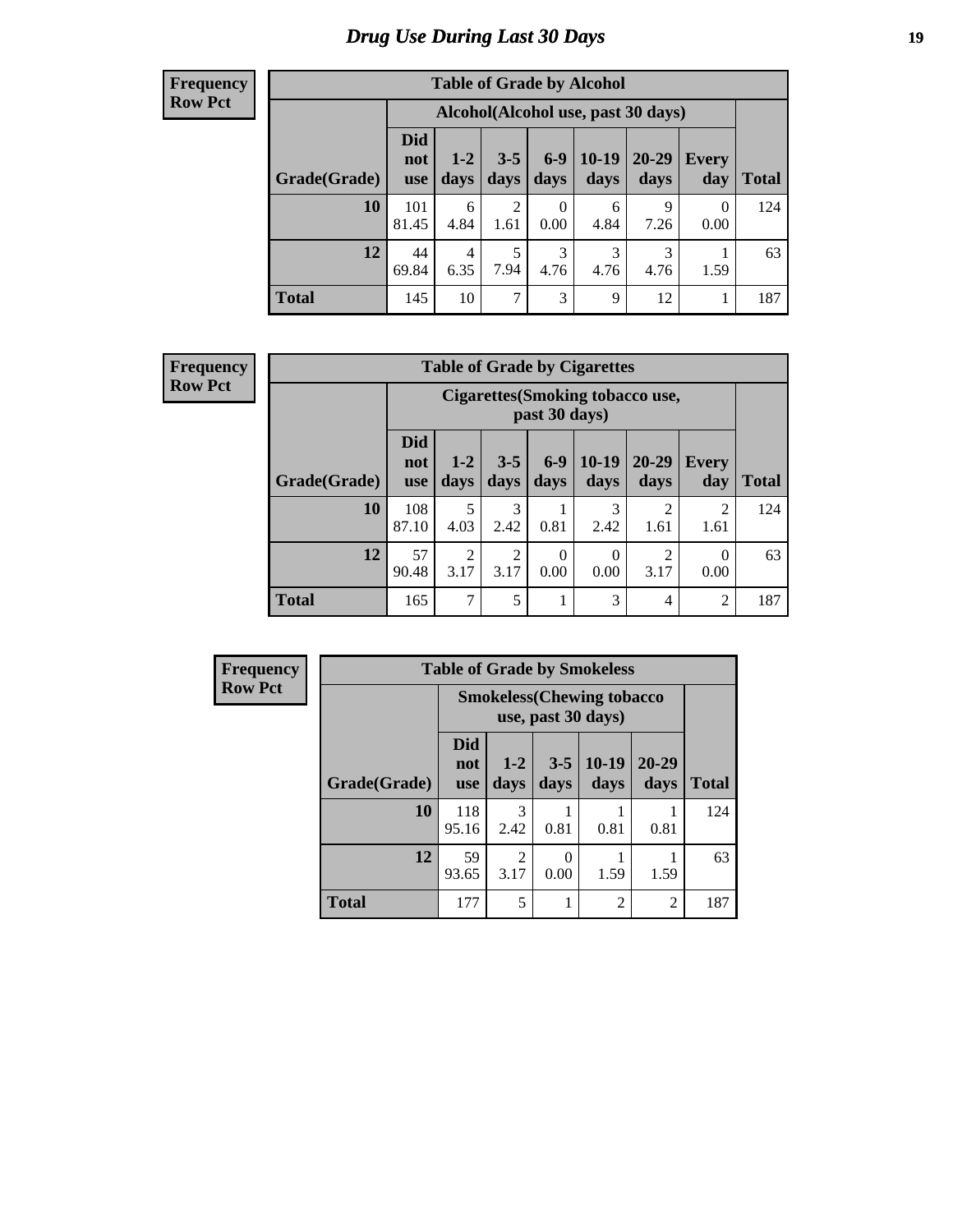# *Drug Use During Last 30 Days* **19**

#### **Frequency Row Pct**

| <b>Table of Grade by Alcohol</b> |                                 |                        |                 |                        |                                    |               |                  |              |  |
|----------------------------------|---------------------------------|------------------------|-----------------|------------------------|------------------------------------|---------------|------------------|--------------|--|
|                                  |                                 |                        |                 |                        | Alcohol(Alcohol use, past 30 days) |               |                  |              |  |
| Grade(Grade)                     | <b>Did</b><br>not<br><b>use</b> | $1-2$<br>days          | $3 - 5$<br>days | $6-9$<br>days          | $10-19$<br>days                    | 20-29<br>days | Every<br>day     | <b>Total</b> |  |
| <b>10</b>                        | 101<br>81.45                    | 6<br>4.84              | 2<br>1.61       | $\overline{0}$<br>0.00 | 6<br>4.84                          | 9<br>7.26     | $\Omega$<br>0.00 | 124          |  |
| 12                               | 44<br>69.84                     | $\overline{4}$<br>6.35 | 5<br>7.94       | 3<br>4.76              | 3<br>4.76                          | 3<br>4.76     | 1.59             | 63           |  |
| <b>Total</b>                     | 145                             | 10                     | 7               | 3                      | 9                                  | 12            | 1                | 187          |  |

#### **Frequency Row Pct**

| <b>Table of Grade by Cigarettes</b> |                                 |                                                          |                 |                  |                        |                        |                  |              |  |  |
|-------------------------------------|---------------------------------|----------------------------------------------------------|-----------------|------------------|------------------------|------------------------|------------------|--------------|--|--|
|                                     |                                 | <b>Cigarettes (Smoking tobacco use,</b><br>past 30 days) |                 |                  |                        |                        |                  |              |  |  |
| Grade(Grade)                        | <b>Did</b><br>not<br><b>use</b> | $1 - 2$<br>days                                          | $3 - 5$<br>days | $6-9$<br>days    | $10-19$<br>days        | 20-29<br>days          | Every<br>day     | <b>Total</b> |  |  |
| 10                                  | 108<br>87.10                    | 5<br>4.03                                                | 3<br>2.42       | 0.81             | 3<br>2.42              | $\overline{2}$<br>1.61 | 2<br>1.61        | 124          |  |  |
| 12                                  | 57<br>90.48                     | $\overline{2}$<br>3.17                                   | 2<br>3.17       | $\theta$<br>0.00 | $\overline{0}$<br>0.00 | 2<br>3.17              | $\Omega$<br>0.00 | 63           |  |  |
| <b>Total</b>                        | 165                             | $\overline{7}$                                           | 5               | 1                | 3                      | 4                      | 2                | 187          |  |  |

| Frequency      | <b>Table of Grade by Smokeless</b> |                                   |                        |                  |                 |                |              |
|----------------|------------------------------------|-----------------------------------|------------------------|------------------|-----------------|----------------|--------------|
| <b>Row Pct</b> |                                    | <b>Smokeless</b> (Chewing tobacco |                        |                  |                 |                |              |
|                | Grade(Grade)                       | <b>Did</b><br>not<br><b>use</b>   | $1 - 2$<br>days        | $3 - 5$<br>days  | $10-19$<br>days | 20-29<br>days  | <b>Total</b> |
|                | 10                                 | 118<br>95.16                      | 3<br>2.42              | 0.81             | 0.81            | 0.81           | 124          |
|                | 12                                 | 59<br>93.65                       | $\overline{2}$<br>3.17 | $\theta$<br>0.00 | 1.59            | 1.59           | 63           |
|                | <b>Total</b>                       | 177                               | 5                      | 1                | $\overline{2}$  | $\overline{2}$ | 187          |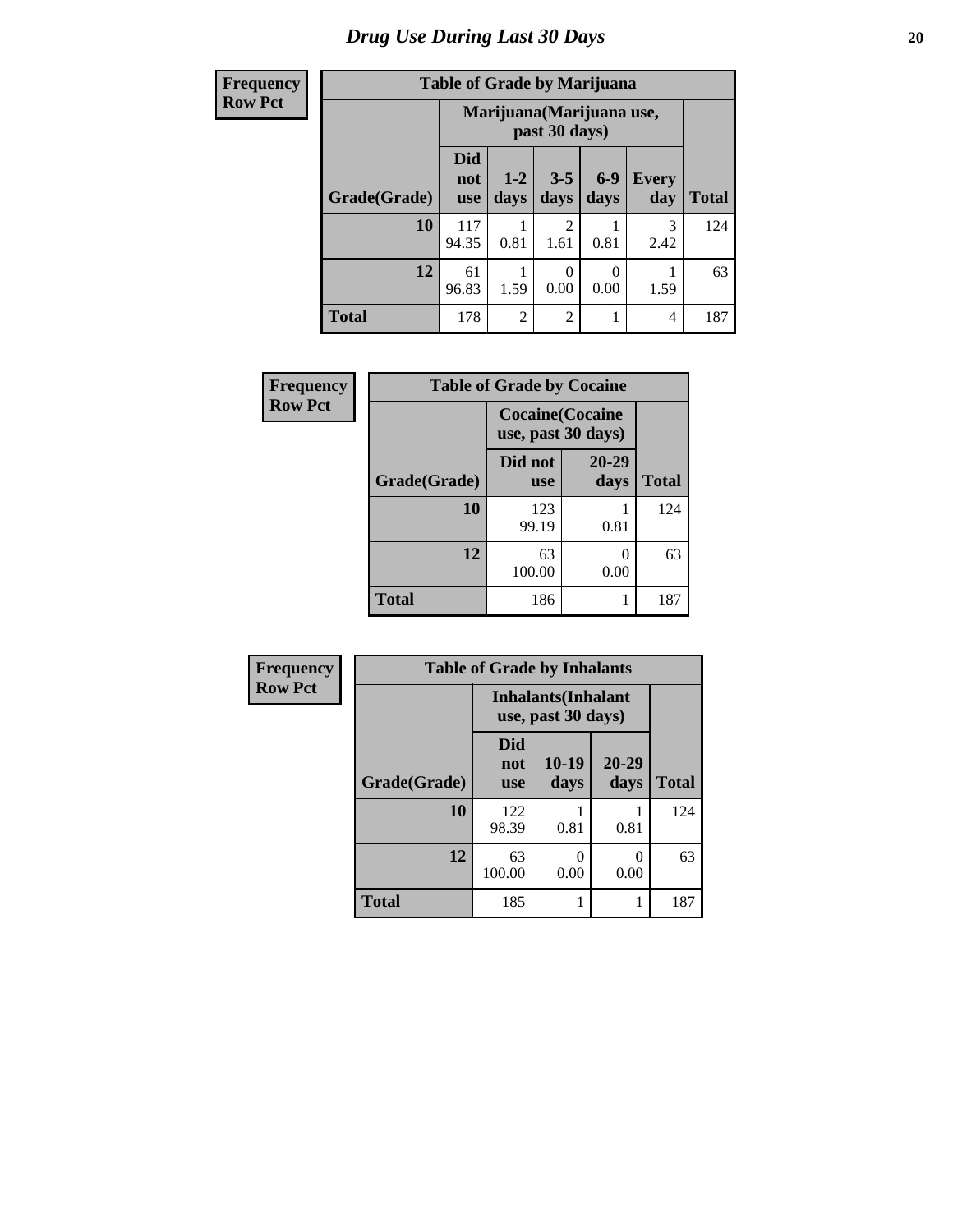# *Drug Use During Last 30 Days* 20

| <b>Frequency</b> |              | <b>Table of Grade by Marijuana</b> |                |                        |               |                     |              |
|------------------|--------------|------------------------------------|----------------|------------------------|---------------|---------------------|--------------|
| <b>Row Pct</b>   |              | Marijuana (Marijuana use,          |                |                        |               |                     |              |
|                  | Grade(Grade) | <b>Did</b><br>not<br><b>use</b>    | $1-2$<br>days  | $3 - 5$<br>days        | $6-9$<br>days | <b>Every</b><br>day | <b>Total</b> |
|                  | 10           | 117<br>94.35                       | 0.81           | $\overline{c}$<br>1.61 | 0.81          | 3<br>2.42           | 124          |
|                  | 12           | 61<br>96.83                        | 1.59           | $\theta$<br>0.00       | 0.00          | 1.59                | 63           |
|                  | <b>Total</b> | 178                                | $\overline{2}$ | $\overline{2}$         |               | 4                   | 187          |

| Frequency      |              | <b>Table of Grade by Cocaine</b>              |               |              |  |  |  |  |  |
|----------------|--------------|-----------------------------------------------|---------------|--------------|--|--|--|--|--|
| <b>Row Pct</b> |              | <b>Cocaine</b> (Cocaine<br>use, past 30 days) |               |              |  |  |  |  |  |
|                | Grade(Grade) | Did not<br><b>use</b>                         | 20-29<br>days | <b>Total</b> |  |  |  |  |  |
|                | 10           | 123<br>99.19                                  | 0.81          | 124          |  |  |  |  |  |
|                | 12           | 63<br>100.00                                  | 0.00          | 63           |  |  |  |  |  |
|                | <b>Total</b> | 186                                           |               | 187          |  |  |  |  |  |

| Frequency      | <b>Table of Grade by Inhalants</b> |                                                  |                 |                   |              |
|----------------|------------------------------------|--------------------------------------------------|-----------------|-------------------|--------------|
| <b>Row Pct</b> |                                    | <b>Inhalants</b> (Inhalant<br>use, past 30 days) |                 |                   |              |
|                | Grade(Grade)                       | <b>Did</b><br>not<br><b>use</b>                  | $10-19$<br>days | $20 - 29$<br>days | <b>Total</b> |
|                | 10                                 | 122<br>98.39                                     | 0.81            | 0.81              | 124          |
|                | 12                                 | 63<br>100.00                                     | 0<br>0.00       | 0<br>0.00         | 63           |
|                | <b>Total</b>                       | 185                                              |                 |                   | 187          |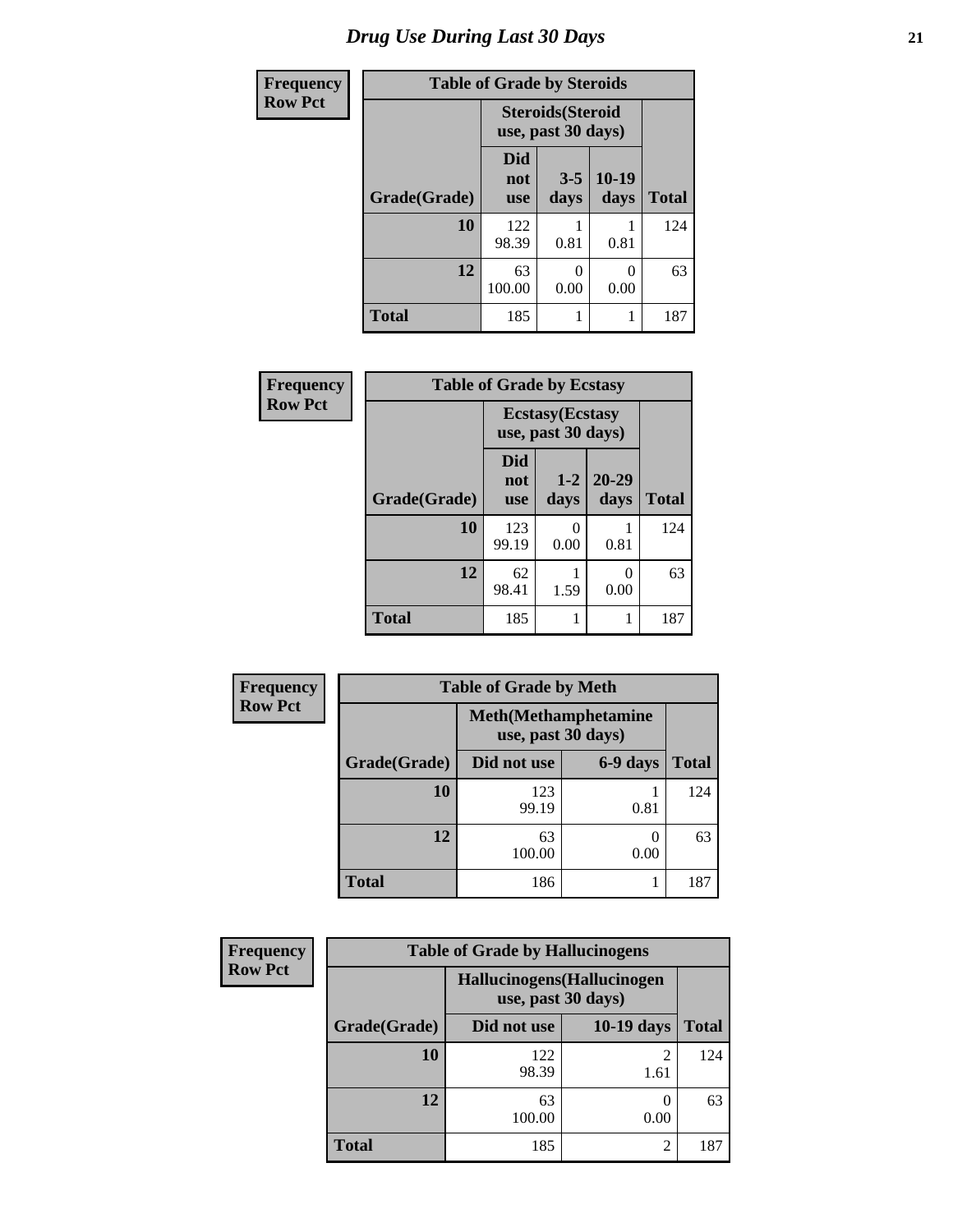| <b>Frequency</b> |              | <b>Table of Grade by Steroids</b> |                                                |                 |              |
|------------------|--------------|-----------------------------------|------------------------------------------------|-----------------|--------------|
| <b>Row Pct</b>   |              |                                   | <b>Steroids</b> (Steroid<br>use, past 30 days) |                 |              |
|                  | Grade(Grade) | Did<br>not<br><b>use</b>          | $3 - 5$<br>days                                | $10-19$<br>days | <b>Total</b> |
|                  | 10           | 122<br>98.39                      | 0.81                                           | 0.81            | 124          |
|                  | 12           | 63<br>100.00                      | 0<br>0.00                                      | 0<br>0.00       | 63           |
|                  | Total        | 185                               |                                                |                 | 187          |

| Frequency      | <b>Table of Grade by Ecstasy</b> |                                               |               |                   |              |
|----------------|----------------------------------|-----------------------------------------------|---------------|-------------------|--------------|
| <b>Row Pct</b> |                                  | <b>Ecstasy</b> (Ecstasy<br>use, past 30 days) |               |                   |              |
|                | Grade(Grade)                     | Did<br>not<br><b>use</b>                      | $1-2$<br>days | $20 - 29$<br>days | <b>Total</b> |
|                | 10                               | 123<br>99.19                                  | 0<br>0.00     | 0.81              | 124          |
|                | 12                               | 62<br>98.41                                   | 1.59          | 0<br>0.00         | 63           |
|                | <b>Total</b>                     | 185                                           |               |                   | 187          |

| <b>Frequency</b> |                                                    | <b>Table of Grade by Meth</b> |          |              |
|------------------|----------------------------------------------------|-------------------------------|----------|--------------|
| <b>Row Pct</b>   | <b>Meth</b> (Methamphetamine<br>use, past 30 days) |                               |          |              |
|                  | Grade(Grade)                                       | Did not use                   | 6-9 days | <b>Total</b> |
|                  | 10                                                 | 123<br>99.19                  | 0.81     | 124          |
|                  | 12                                                 | 63<br>100.00                  | 0.00     | 63           |
|                  | <b>Total</b>                                       | 186                           |          | 187          |

| Frequency      | <b>Table of Grade by Hallucinogens</b> |                                                   |              |              |  |
|----------------|----------------------------------------|---------------------------------------------------|--------------|--------------|--|
| <b>Row Pct</b> |                                        | Hallucinogens (Hallucinogen<br>use, past 30 days) |              |              |  |
|                | Grade(Grade)                           | Did not use                                       | $10-19$ days | <b>Total</b> |  |
|                | 10                                     | 122<br>98.39                                      | 1.61         | 124          |  |
|                | 12                                     | 63<br>100.00                                      | 0.00         | 63           |  |
|                | <b>Total</b>                           | 185                                               | 2            | 187          |  |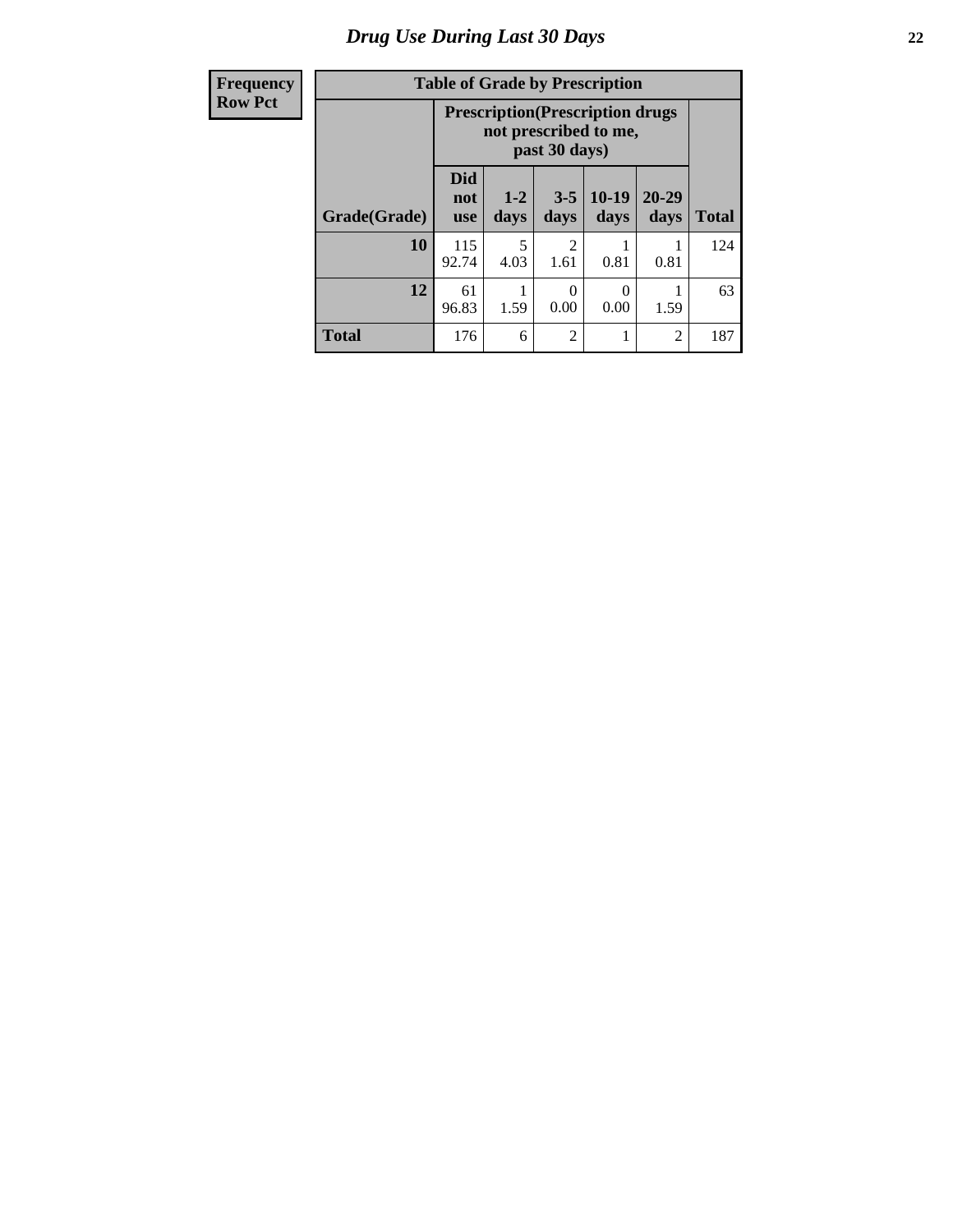# *Drug Use During Last 30 Days* **22**

| <b>Frequency</b><br><b>Row Pct</b> |  |  |
|------------------------------------|--|--|
|------------------------------------|--|--|

# **Table of Grade by Prescription**

| <b>ACIILY</b> |              | Table of Graue by Frescription                                                     |                 |                        |                  |                   |              |  |
|---------------|--------------|------------------------------------------------------------------------------------|-----------------|------------------------|------------------|-------------------|--------------|--|
| Pct           |              | <b>Prescription</b> (Prescription drugs)<br>not prescribed to me,<br>past 30 days) |                 |                        |                  |                   |              |  |
|               | Grade(Grade) | <b>Did</b><br>not<br><b>use</b>                                                    | $1 - 2$<br>days | $3 - 5$<br>days        | $10-19$<br>days  | $20 - 29$<br>days | <b>Total</b> |  |
|               | 10           | 115<br>92.74                                                                       | 5<br>4.03       | $\overline{2}$<br>1.61 | 0.81             | 0.81              | 124          |  |
|               | 12           | 61<br>96.83                                                                        | 1.59            | $\Omega$<br>0.00       | $\Omega$<br>0.00 | 1.59              | 63           |  |
|               | <b>Total</b> | 176                                                                                | 6               | 2                      |                  | 2                 | 187          |  |

┑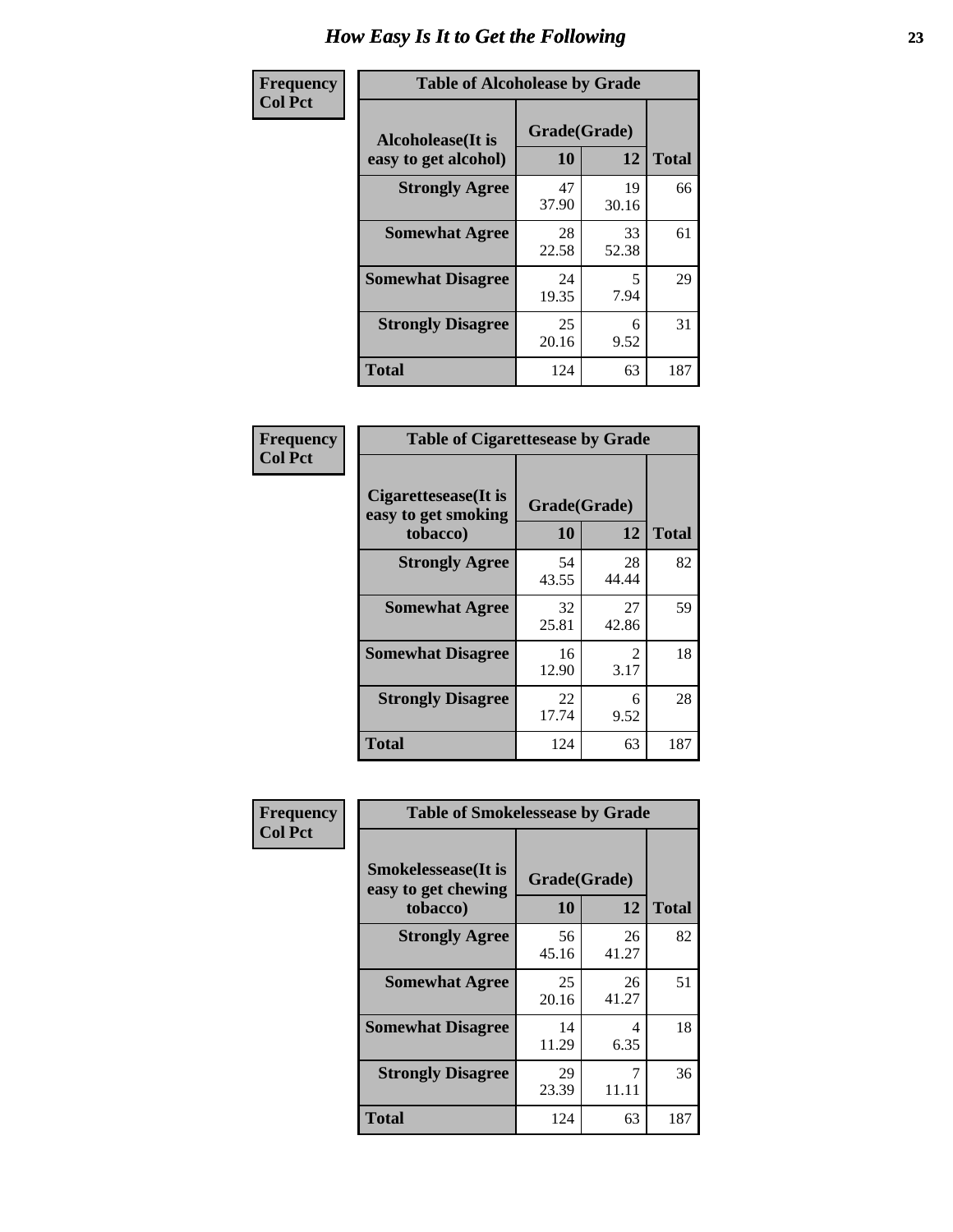| Frequency      | <b>Table of Alcoholease by Grade</b>              |                          |             |              |  |
|----------------|---------------------------------------------------|--------------------------|-------------|--------------|--|
| <b>Col Pct</b> | <b>Alcoholease</b> (It is<br>easy to get alcohol) | Grade(Grade)<br>10<br>12 |             | <b>Total</b> |  |
|                | <b>Strongly Agree</b>                             | 47<br>37.90              | 19<br>30.16 | 66           |  |
|                | <b>Somewhat Agree</b>                             | 28<br>22.58              | 33<br>52.38 | 61           |  |
|                | <b>Somewhat Disagree</b>                          | 24<br>19.35              | 5<br>7.94   | 29           |  |
|                | <b>Strongly Disagree</b>                          | 25<br>20.16              | 6<br>9.52   | 31           |  |
|                | <b>Total</b>                                      | 124                      | 63          | 187          |  |

| Frequency      | <b>Table of Cigarettesease by Grade</b>                 |                    |                                     |              |
|----------------|---------------------------------------------------------|--------------------|-------------------------------------|--------------|
| <b>Col Pct</b> | Cigarettesease(It is<br>easy to get smoking<br>tobacco) | Grade(Grade)<br>10 | 12                                  | <b>Total</b> |
|                | <b>Strongly Agree</b>                                   | 54<br>43.55        | 28<br>44.44                         | 82           |
|                | <b>Somewhat Agree</b>                                   | 32<br>25.81        | 27<br>42.86                         | 59           |
|                | <b>Somewhat Disagree</b>                                | 16<br>12.90        | $\mathcal{D}_{\mathcal{L}}$<br>3.17 | 18           |
|                | <b>Strongly Disagree</b>                                | 22<br>17.74        | 6<br>9.52                           | 28           |
|                | <b>Total</b>                                            | 124                | 63                                  | 187          |

| Frequency      | <b>Table of Smokelessease by Grade</b>             |              |             |              |  |  |
|----------------|----------------------------------------------------|--------------|-------------|--------------|--|--|
| <b>Col Pct</b> | <b>Smokelessease</b> (It is<br>easy to get chewing | Grade(Grade) |             |              |  |  |
|                | tobacco)                                           | 10           | 12          | <b>Total</b> |  |  |
|                | <b>Strongly Agree</b>                              | 56<br>45.16  | 26<br>41.27 | 82           |  |  |
|                | <b>Somewhat Agree</b>                              | 25<br>20.16  | 26<br>41.27 | 51           |  |  |
|                | <b>Somewhat Disagree</b>                           | 14<br>11.29  | 4<br>6.35   | 18           |  |  |
|                | <b>Strongly Disagree</b>                           | 29<br>23.39  | 7<br>11.11  | 36           |  |  |
|                | <b>Total</b>                                       | 124          | 63          | 187          |  |  |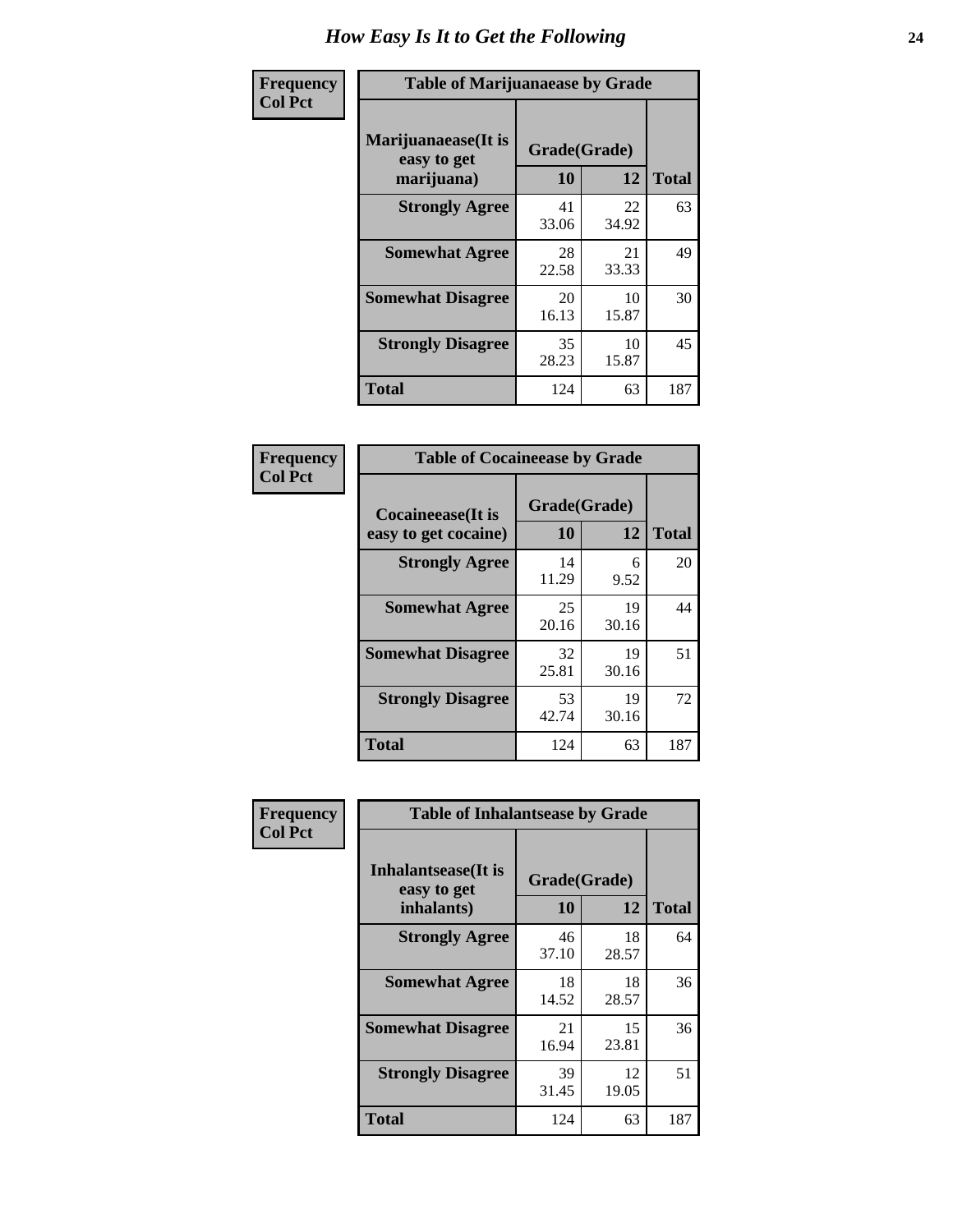| Frequency      | <b>Table of Marijuanaease by Grade</b>           |                    |             |              |  |
|----------------|--------------------------------------------------|--------------------|-------------|--------------|--|
| <b>Col Pct</b> | Marijuanaease(It is<br>easy to get<br>marijuana) | Grade(Grade)<br>10 | 12          | <b>Total</b> |  |
|                | <b>Strongly Agree</b>                            | 41<br>33.06        | 22<br>34.92 | 63           |  |
|                | <b>Somewhat Agree</b>                            | 28<br>22.58        | 21<br>33.33 | 49           |  |
|                | <b>Somewhat Disagree</b>                         | 20<br>16.13        | 10<br>15.87 | 30           |  |
|                | <b>Strongly Disagree</b>                         | 35<br>28.23        | 10<br>15.87 | 45           |  |
|                | <b>Total</b>                                     | 124                | 63          | 187          |  |

| <b>Table of Cocaineease by Grade</b> |                    |              |     |  |  |
|--------------------------------------|--------------------|--------------|-----|--|--|
| <b>Cocaineease</b> (It is            | Grade(Grade)<br>10 | <b>Total</b> |     |  |  |
| easy to get cocaine)                 |                    | 12           |     |  |  |
| <b>Strongly Agree</b>                | 14<br>11.29        | 6<br>9.52    | 20  |  |  |
| <b>Somewhat Agree</b>                | 25<br>20.16        | 19<br>30.16  | 44  |  |  |
| <b>Somewhat Disagree</b>             | 32<br>25.81        | 19<br>30.16  | 51  |  |  |
| <b>Strongly Disagree</b>             | 53<br>42.74        | 19<br>30.16  | 72  |  |  |
| <b>Total</b>                         | 124                | 63           | 187 |  |  |

| Frequency      | <b>Table of Inhalantsease by Grade</b>                   |                    |             |              |
|----------------|----------------------------------------------------------|--------------------|-------------|--------------|
| <b>Col Pct</b> | <b>Inhalantsease</b> (It is<br>easy to get<br>inhalants) | Grade(Grade)<br>10 | 12          | <b>Total</b> |
|                | <b>Strongly Agree</b>                                    | 46<br>37.10        | 18<br>28.57 | 64           |
|                | <b>Somewhat Agree</b>                                    | 18<br>14.52        | 18<br>28.57 | 36           |
|                | <b>Somewhat Disagree</b>                                 | 21<br>16.94        | 15<br>23.81 | 36           |
|                | <b>Strongly Disagree</b>                                 | 39<br>31.45        | 12<br>19.05 | 51           |
|                | <b>Total</b>                                             | 124                | 63          | 187          |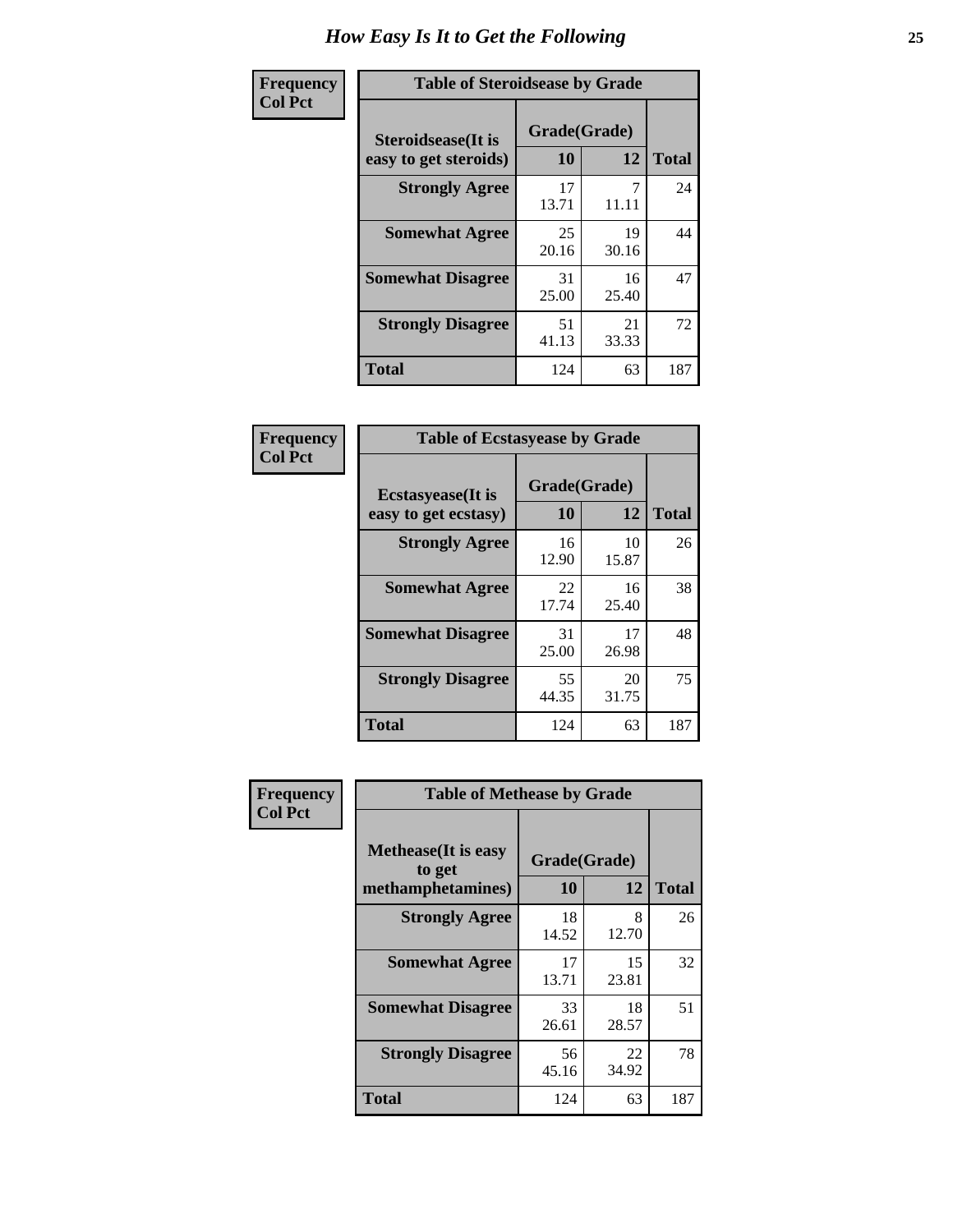| Frequency      | <b>Table of Steroidsease by Grade</b>               |                    |             |              |  |  |  |  |  |  |  |
|----------------|-----------------------------------------------------|--------------------|-------------|--------------|--|--|--|--|--|--|--|
| <b>Col Pct</b> | <b>Steroidsease</b> (It is<br>easy to get steroids) | Grade(Grade)<br>10 | 12          | <b>Total</b> |  |  |  |  |  |  |  |
|                | <b>Strongly Agree</b>                               | 17<br>13.71        | 11.11       | 24           |  |  |  |  |  |  |  |
|                | <b>Somewhat Agree</b>                               | 25<br>20.16        | 19<br>30.16 | 44           |  |  |  |  |  |  |  |
|                | <b>Somewhat Disagree</b>                            | 31<br>25.00        | 16<br>25.40 | 47           |  |  |  |  |  |  |  |
|                | <b>Strongly Disagree</b>                            | 51<br>41.13        | 21<br>33.33 | 72           |  |  |  |  |  |  |  |
|                | <b>Total</b>                                        | 124                | 63          | 187          |  |  |  |  |  |  |  |

| Frequency      | <b>Table of Ecstasyease by Grade</b>              |                    |             |                                             |  |  |  |  |  |  |  |  |
|----------------|---------------------------------------------------|--------------------|-------------|---------------------------------------------|--|--|--|--|--|--|--|--|
| <b>Col Pct</b> | <b>Ecstasyease</b> (It is<br>easy to get ecstasy) | Grade(Grade)<br>10 | 12          | <b>Total</b><br>26<br>38<br>48<br>75<br>187 |  |  |  |  |  |  |  |  |
|                | <b>Strongly Agree</b>                             | 16<br>12.90        | 10<br>15.87 |                                             |  |  |  |  |  |  |  |  |
|                | <b>Somewhat Agree</b>                             | 22<br>17.74        | 16<br>25.40 |                                             |  |  |  |  |  |  |  |  |
|                | <b>Somewhat Disagree</b>                          | 31<br>25.00        | 17<br>26.98 |                                             |  |  |  |  |  |  |  |  |
|                | <b>Strongly Disagree</b>                          | 55<br>44.35        | 20<br>31.75 |                                             |  |  |  |  |  |  |  |  |
|                | <b>Total</b>                                      | 124                | 63          |                                             |  |  |  |  |  |  |  |  |

| Frequency      | <b>Table of Methease by Grade</b>                          |                    |             |              |
|----------------|------------------------------------------------------------|--------------------|-------------|--------------|
| <b>Col Pct</b> | <b>Methease</b> (It is easy<br>to get<br>methamphetamines) | Grade(Grade)<br>10 | 12          | <b>Total</b> |
|                | <b>Strongly Agree</b>                                      | 18<br>14.52        | 8<br>12.70  | 26           |
|                | <b>Somewhat Agree</b>                                      | 17<br>13.71        | 15<br>23.81 | 32           |
|                | <b>Somewhat Disagree</b>                                   | 33<br>26.61        | 18<br>28.57 | 51           |
|                | <b>Strongly Disagree</b>                                   | 56<br>45.16        | 22<br>34.92 | 78           |
|                | <b>Total</b>                                               | 124                | 63          | 187          |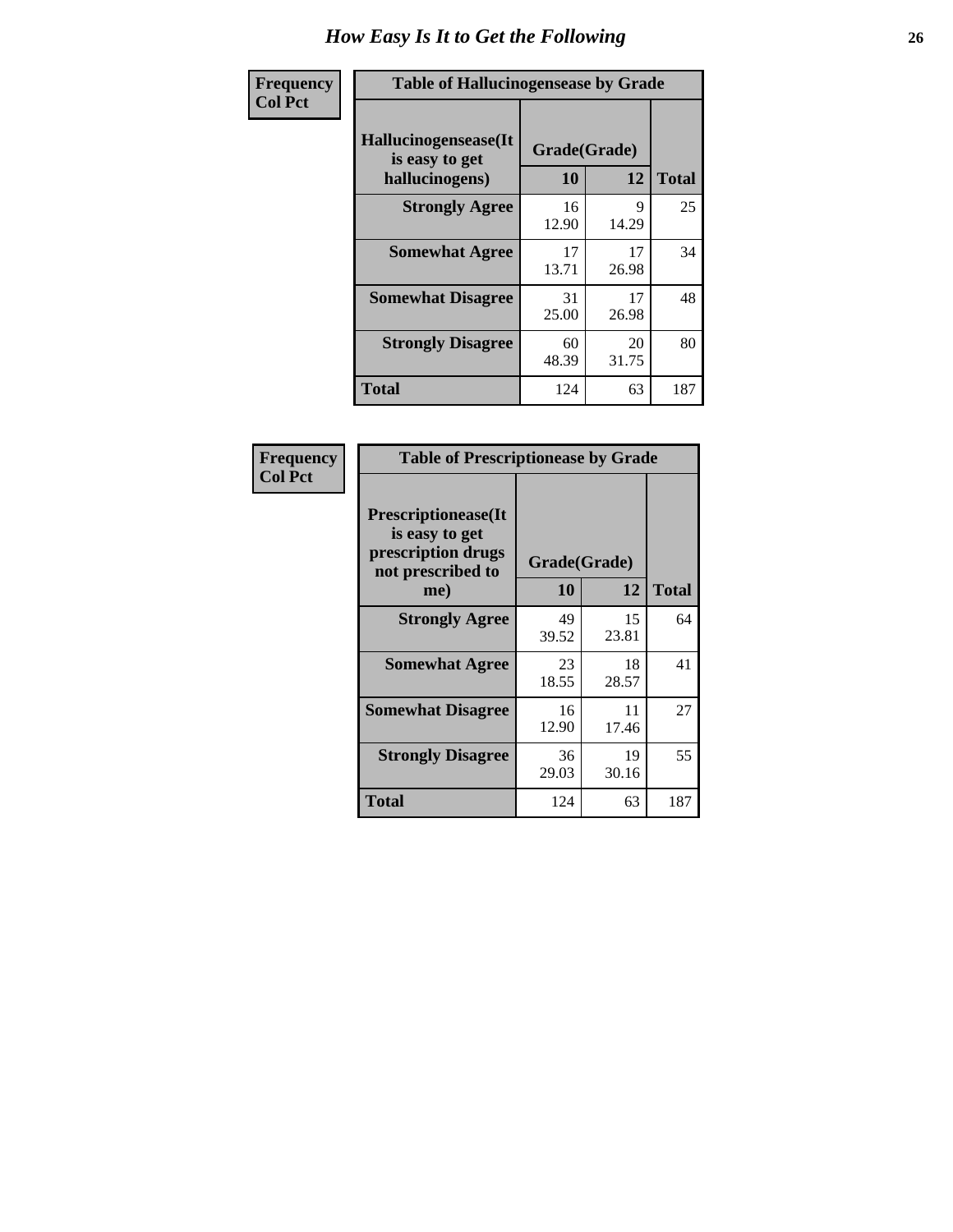| <b>Frequency</b> | <b>Table of Hallucinogensease by Grade</b>               |                    |             |              |
|------------------|----------------------------------------------------------|--------------------|-------------|--------------|
| <b>Col Pct</b>   | Hallucinogensease(It<br>is easy to get<br>hallucinogens) | Grade(Grade)<br>10 | 12          | <b>Total</b> |
|                  | <b>Strongly Agree</b>                                    | 16<br>12.90        | 9<br>14.29  | 25           |
|                  | <b>Somewhat Agree</b>                                    | 17<br>13.71        | 17<br>26.98 | 34           |
|                  | <b>Somewhat Disagree</b>                                 | 31<br>25.00        | 17<br>26.98 | 48           |
|                  | <b>Strongly Disagree</b>                                 | 60<br>48.39        | 20<br>31.75 | 80           |
|                  | <b>Total</b>                                             | 124                | 63          | 187          |

| Frequency<br>  Col Pct |
|------------------------|
|                        |

| <b>Table of Prescriptionease by Grade</b>                                                |             |              |              |  |  |  |  |  |  |
|------------------------------------------------------------------------------------------|-------------|--------------|--------------|--|--|--|--|--|--|
| <b>Prescriptionease</b> (It<br>is easy to get<br>prescription drugs<br>not prescribed to |             | Grade(Grade) |              |  |  |  |  |  |  |
| me)                                                                                      | 10          | 12           | <b>Total</b> |  |  |  |  |  |  |
| <b>Strongly Agree</b>                                                                    | 49<br>39.52 | 15<br>23.81  | 64           |  |  |  |  |  |  |
| <b>Somewhat Agree</b>                                                                    | 23<br>18.55 | 18<br>28.57  | 41           |  |  |  |  |  |  |
| <b>Somewhat Disagree</b>                                                                 | 16<br>12.90 | 11<br>17.46  | 27           |  |  |  |  |  |  |
| <b>Strongly Disagree</b>                                                                 | 36<br>29.03 | 19<br>30.16  | 55           |  |  |  |  |  |  |
| <b>Total</b>                                                                             | 124         | 63           | 187          |  |  |  |  |  |  |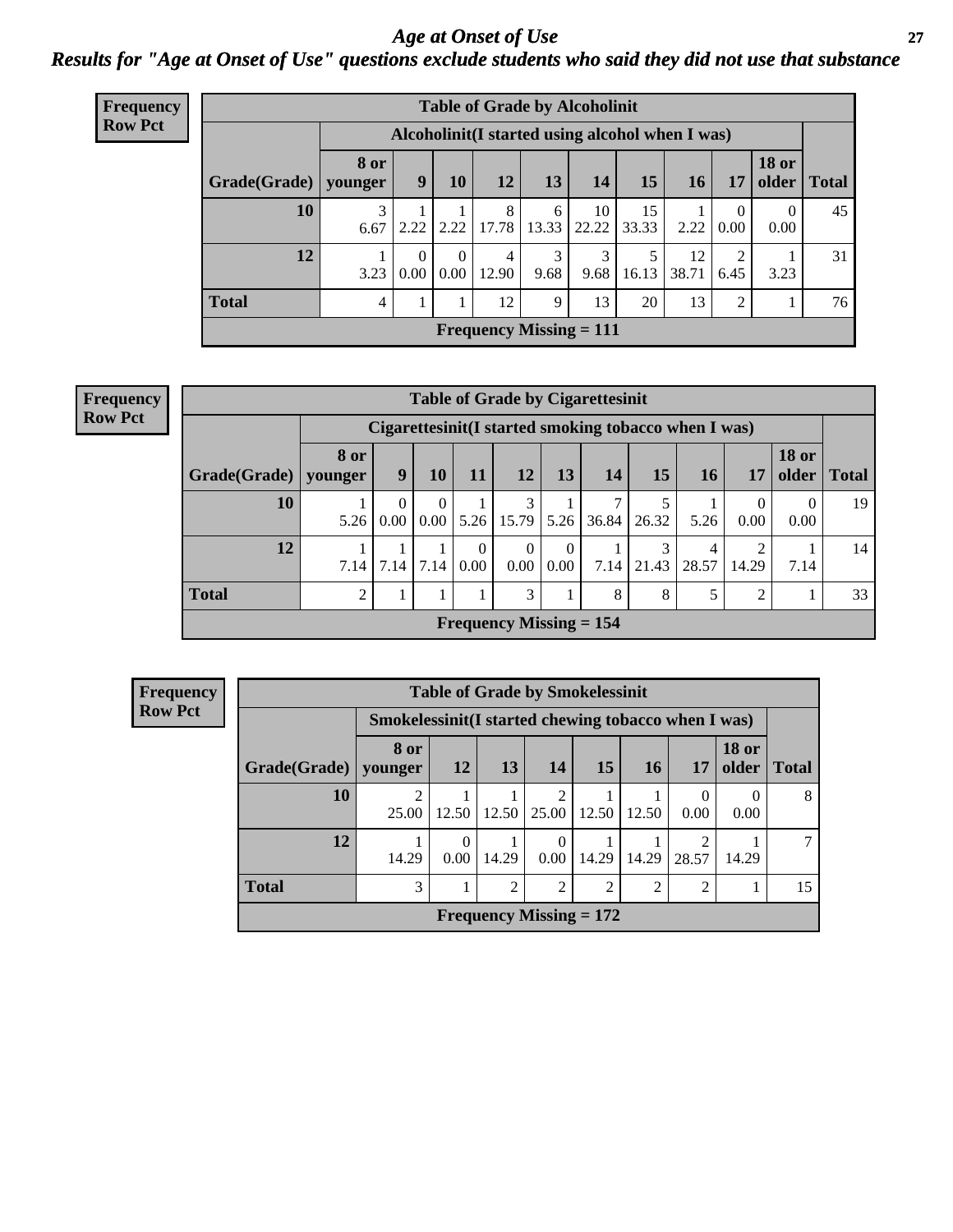#### *Age at Onset of Use* **27** *Results for "Age at Onset of Use" questions exclude students who said they did not use that substance*

| <b>Frequency</b> | <b>Table of Grade by Alcoholinit</b> |      |                  |                  |                            |            |                                                  |             |             |                |                       |              |
|------------------|--------------------------------------|------|------------------|------------------|----------------------------|------------|--------------------------------------------------|-------------|-------------|----------------|-----------------------|--------------|
| <b>Row Pct</b>   |                                      |      |                  |                  |                            |            | Alcoholinit (I started using alcohol when I was) |             |             |                |                       |              |
|                  | Grade(Grade)   younger               | 8 or | 9 <sup>1</sup>   | 10               | 12                         | 13         | 14                                               | 15          | 16          | 17             | <b>18 or</b><br>older | <b>Total</b> |
|                  | 10                                   | 6.67 |                  |                  | 8<br>$2.22$   2.22   17.78 | 6<br>13.33 | 10<br>22.22                                      | 15<br>33.33 | 2.22        | 0.00           | $\Omega$<br>0.00      | 45           |
|                  | 12                                   | 3.23 | $\Omega$<br>0.00 | $\Omega$<br>0.00 | $\overline{4}$<br>12.90    | 3<br>9.68  | 3<br>9.68                                        | 16.13       | 12<br>38.71 | ↑<br>6.45      | 3.23                  | 31           |
|                  | <b>Total</b>                         | 4    |                  |                  | 12                         | 9          | 13                                               | 20          | 13          | $\overline{2}$ |                       | 76           |
|                  |                                      |      |                  |                  |                            |            | <b>Frequency Missing = 111</b>                   |             |             |                |                       |              |

| <b>Frequency</b> |
|------------------|
| <b>Row Pct</b>   |

| <b>Table of Grade by Cigarettesinit</b>                                                                               |      |                                                       |                  |                  |                           |                  |       |            |            |                         |                  |    |
|-----------------------------------------------------------------------------------------------------------------------|------|-------------------------------------------------------|------------------|------------------|---------------------------|------------------|-------|------------|------------|-------------------------|------------------|----|
|                                                                                                                       |      | Cigarettesinit (I started smoking tobacco when I was) |                  |                  |                           |                  |       |            |            |                         |                  |    |
| <b>18 or</b><br>8 or<br>15<br>14<br>older<br>13<br>$ $ Grade(Grade) $ $<br>9<br>10<br>11<br>12<br>16<br>17<br>younger |      |                                                       |                  |                  |                           |                  |       |            |            |                         | <b>Total</b>     |    |
| 10                                                                                                                    | 5.26 | $\Omega$<br>0.00                                      | $\theta$<br>0.00 | 5.26             | 3<br>15.79                | 5.26             | 36.84 | 5<br>26.32 | 5.26       | 0<br>0.00               | $\Omega$<br>0.00 | 19 |
| 12                                                                                                                    | 7.14 | 7.14                                                  | 7.14             | $\Omega$<br>0.00 | $\Omega$<br>0.00          | $\Omega$<br>0.00 | 7.14  | 3<br>21.43 | 4<br>28.57 | $\mathfrak{D}$<br>14.29 | 7.14             | 14 |
| Total                                                                                                                 | റ    |                                                       |                  |                  | 3                         |                  | 8     | 8          | 5          | 2                       |                  | 33 |
|                                                                                                                       |      |                                                       |                  |                  | Frequency Missing $= 154$ |                  |       |            |            |                         |                  |    |

| <b>Frequency</b>                                                      | <b>Table of Grade by Smokelessinit</b> |                         |                  |                |                           |                |                             |                         |                       |              |  |  |  |
|-----------------------------------------------------------------------|----------------------------------------|-------------------------|------------------|----------------|---------------------------|----------------|-----------------------------|-------------------------|-----------------------|--------------|--|--|--|
| <b>Row Pct</b><br>Smokelessinit(I started chewing tobacco when I was) |                                        |                         |                  |                |                           |                |                             |                         |                       |              |  |  |  |
|                                                                       | Grade(Grade)                           | 8 or<br>younger         | 12               | 13             | <b>14</b>                 | <b>15</b>      | 16                          | 17                      | <b>18 or</b><br>older | <b>Total</b> |  |  |  |
|                                                                       | 10                                     | $\overline{2}$<br>25.00 | 12.50            | 12.50          | $\overline{2}$<br>25.00   | 12.50          | 12.50                       | $\Omega$<br>0.00        | $\theta$<br>0.00      | 8            |  |  |  |
|                                                                       | 12                                     | 14.29                   | $\Omega$<br>0.00 | 14.29          | $\Omega$<br>$0.00\vert$   | 14.29          | 14.29                       | $\overline{c}$<br>28.57 | 14.29                 | $\tau$       |  |  |  |
|                                                                       | <b>Total</b>                           | 3                       |                  | $\mathfrak{D}$ | $\overline{2}$            | $\overline{2}$ | $\mathcal{D}_{\mathcal{A}}$ | $\overline{2}$          |                       | 15           |  |  |  |
|                                                                       |                                        |                         |                  |                | Frequency Missing $= 172$ |                |                             |                         |                       |              |  |  |  |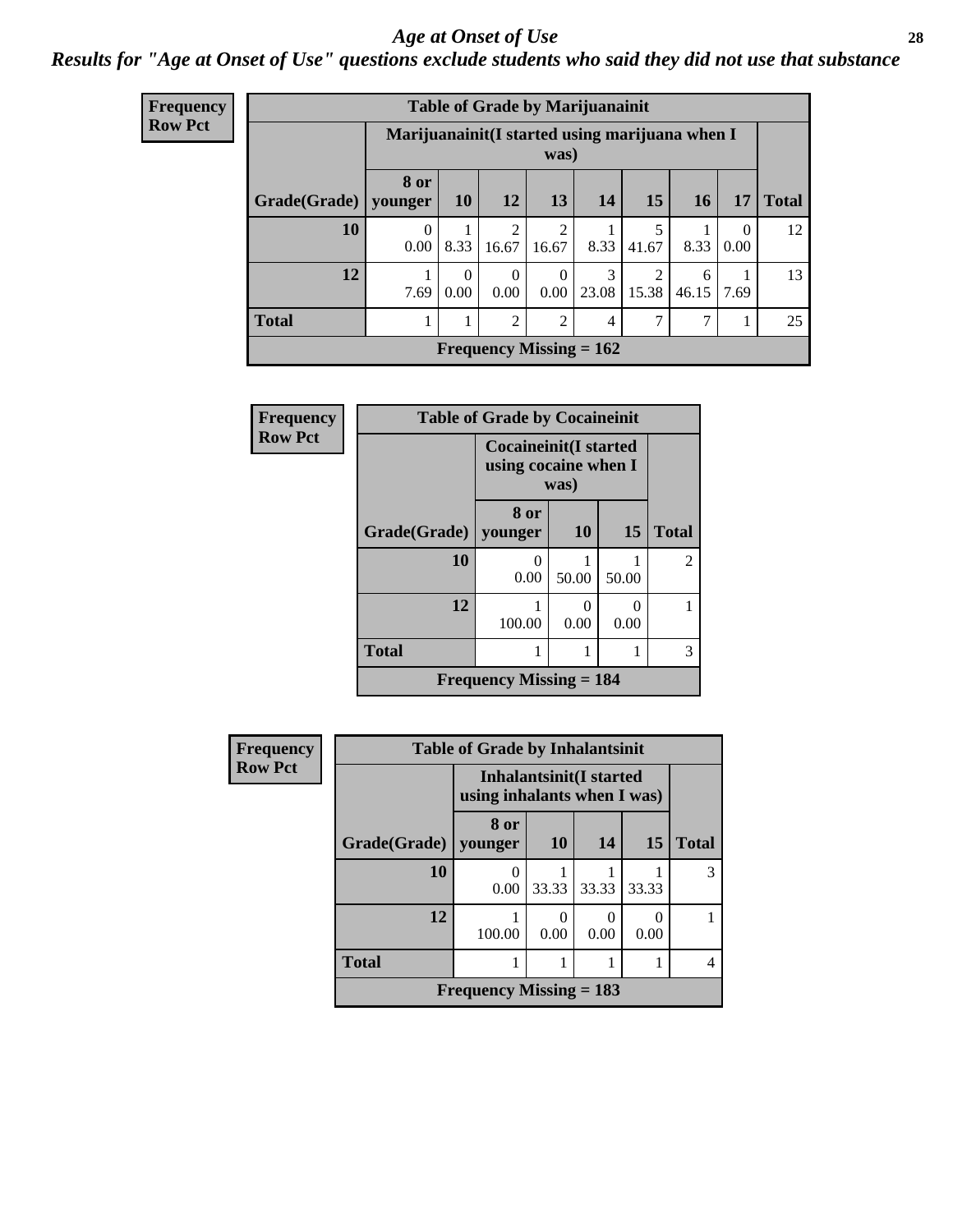#### *Age at Onset of Use* **28**

### *Results for "Age at Onset of Use" questions exclude students who said they did not use that substance*

| <b>Frequency</b> | <b>Table of Grade by Marijuanainit</b> |                  |                                                         |                  |                         |                           |            |            |           |              |  |  |
|------------------|----------------------------------------|------------------|---------------------------------------------------------|------------------|-------------------------|---------------------------|------------|------------|-----------|--------------|--|--|
| <b>Row Pct</b>   |                                        |                  | Marijuanainit (I started using marijuana when I<br>was) |                  |                         |                           |            |            |           |              |  |  |
|                  | Grade(Grade)   younger                 | 8 or             | <b>10</b>                                               | <b>12</b>        | 13                      | 14                        | 15         | 16         | 17        | <b>Total</b> |  |  |
|                  | 10                                     | $\theta$<br>0.00 | 8.33                                                    | റ<br>16.67       | $\overline{2}$<br>16.67 | 8.33                      | 5<br>41.67 | 8.33       | 0<br>0.00 | 12           |  |  |
|                  | 12                                     | 7.69             | $\theta$<br>0.00                                        | $\Omega$<br>0.00 | 0.00                    | 3<br>23.08                | 15.38      | 6<br>46.15 | 7.69      | 13           |  |  |
|                  | <b>Total</b>                           |                  |                                                         | $\mathfrak{D}$   | $\overline{2}$          | $\overline{4}$            | 7          |            |           | 25           |  |  |
|                  |                                        |                  |                                                         |                  |                         | Frequency Missing $= 162$ |            |            |           |              |  |  |

| <b>Frequency</b> | <b>Table of Grade by Cocaineinit</b> |                                                              |           |           |                |  |
|------------------|--------------------------------------|--------------------------------------------------------------|-----------|-----------|----------------|--|
| <b>Row Pct</b>   |                                      | <b>Cocaineinit(I started</b><br>using cocaine when I<br>was) |           |           |                |  |
|                  | Grade(Grade)                         | 8 or<br>younger                                              | <b>10</b> | 15        | <b>Total</b>   |  |
|                  | 10                                   | 0.00                                                         | 50.00     | 50.00     | $\overline{2}$ |  |
|                  | 12                                   | 100.00                                                       | 0<br>0.00 | 0<br>0.00 |                |  |
|                  | <b>Total</b>                         |                                                              |           |           | 3              |  |
|                  |                                      | <b>Frequency Missing = 184</b>                               |           |           |                |  |

| <b>Frequency</b> | <b>Table of Grade by Inhalantsinit</b> |                             |                                |       |           |              |  |
|------------------|----------------------------------------|-----------------------------|--------------------------------|-------|-----------|--------------|--|
| <b>Row Pct</b>   |                                        | using inhalants when I was) | <b>Inhalantsinit(I started</b> |       |           |              |  |
|                  | Grade(Grade)                           | 8 or<br>younger             | 10                             | 14    | 15        | <b>Total</b> |  |
|                  | 10                                     | 0.00                        | 33.33                          | 33.33 | 33.33     | 3            |  |
|                  | 12                                     | 100.00                      | 0.00                           | 0.00  | ∩<br>0.00 |              |  |
|                  | <b>Total</b>                           |                             |                                |       |           | 4            |  |
|                  |                                        | Frequency Missing $= 183$   |                                |       |           |              |  |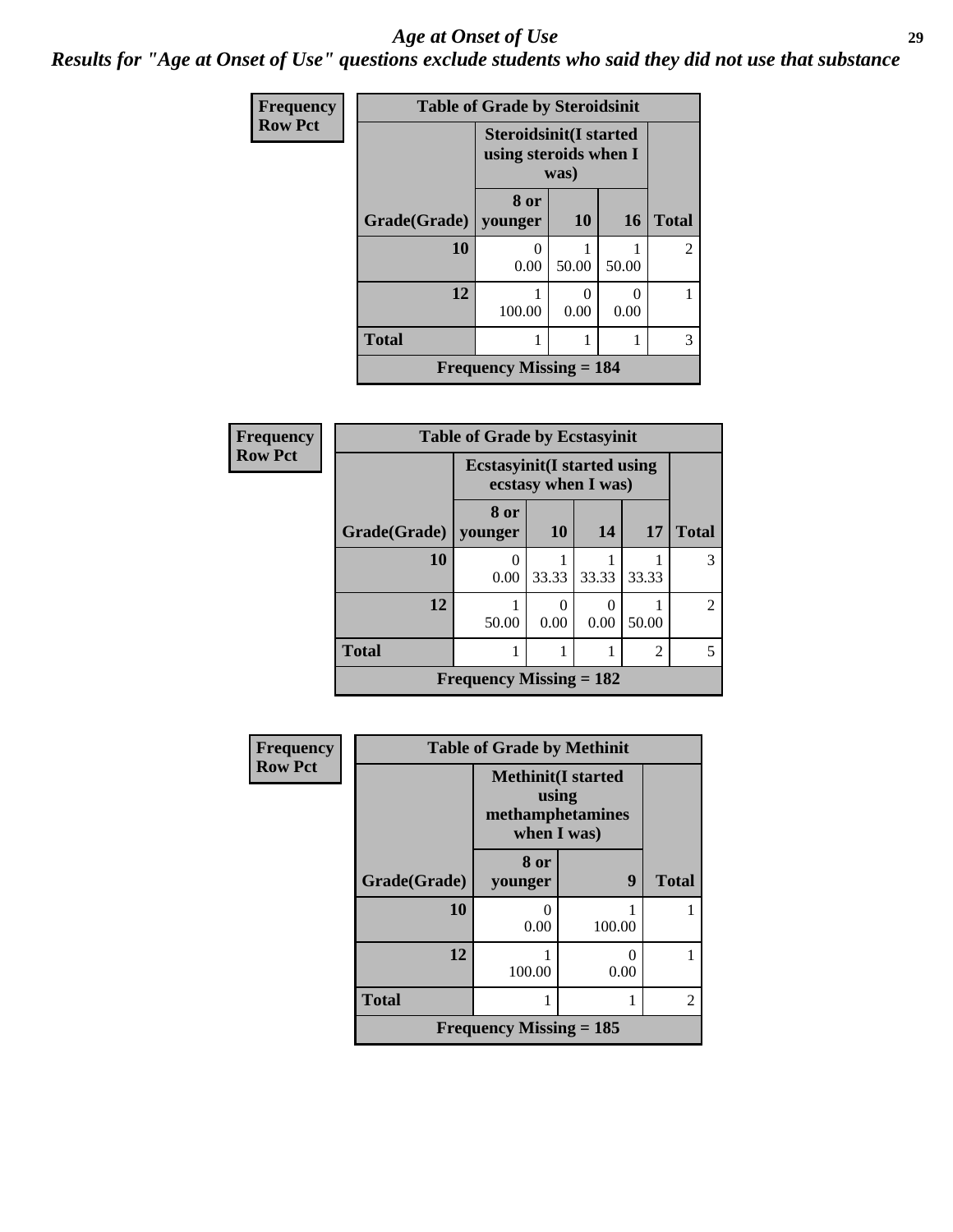#### *Age at Onset of Use* **29**

*Results for "Age at Onset of Use" questions exclude students who said they did not use that substance*

| <b>Frequency</b> | <b>Table of Grade by Steroidsinit</b> |                                                                |           |           |                |  |  |
|------------------|---------------------------------------|----------------------------------------------------------------|-----------|-----------|----------------|--|--|
| <b>Row Pct</b>   |                                       | <b>Steroidsinit(I started</b><br>using steroids when I<br>was) |           |           |                |  |  |
|                  | Grade(Grade)   younger                | 8 or                                                           | <b>10</b> | <b>16</b> | <b>Total</b>   |  |  |
|                  |                                       |                                                                |           |           |                |  |  |
|                  | 10                                    | 0.00                                                           | 50.00     | 50.00     | $\overline{2}$ |  |  |
|                  | 12                                    | 100.00                                                         | 0<br>0.00 | 0<br>0.00 |                |  |  |
|                  | <b>Total</b>                          |                                                                |           |           | 3              |  |  |
|                  |                                       | <b>Frequency Missing = 184</b>                                 |           |           |                |  |  |

| Frequency      | <b>Table of Grade by Ecstasyinit</b> |                                                            |                      |       |                |                |  |
|----------------|--------------------------------------|------------------------------------------------------------|----------------------|-------|----------------|----------------|--|
| <b>Row Pct</b> |                                      | <b>Ecstasyinit</b> (I started using<br>ecstasy when I was) |                      |       |                |                |  |
|                | Grade(Grade)                         | 8 or<br>younger                                            | <b>10</b>            | 14    | <b>17</b>      | <b>Total</b>   |  |
|                | <b>10</b>                            | 0<br>0.00                                                  | 33.33                | 33.33 | 33.33          | 3              |  |
|                | 12                                   | 50.00                                                      | $\mathbf{0}$<br>0.00 | 0.00  | 50.00          | $\overline{2}$ |  |
|                | <b>Total</b>                         |                                                            |                      |       | $\overline{2}$ | 5              |  |
|                |                                      | Frequency Missing $= 182$                                  |                      |       |                |                |  |

| <b>Frequency</b> | <b>Table of Grade by Methinit</b> |                                                                        |        |              |  |
|------------------|-----------------------------------|------------------------------------------------------------------------|--------|--------------|--|
| <b>Row Pct</b>   |                                   | <b>Methinit</b> (I started<br>using<br>methamphetamines<br>when I was) |        |              |  |
|                  | Grade(Grade)                      | 8 or<br>younger                                                        | 9      | <b>Total</b> |  |
|                  | 10                                | 0.00                                                                   | 100.00 |              |  |
|                  | 12                                | 100.00                                                                 | 0.00   |              |  |
|                  | <b>Total</b>                      |                                                                        |        | 2            |  |
|                  |                                   | Frequency Missing $= 185$                                              |        |              |  |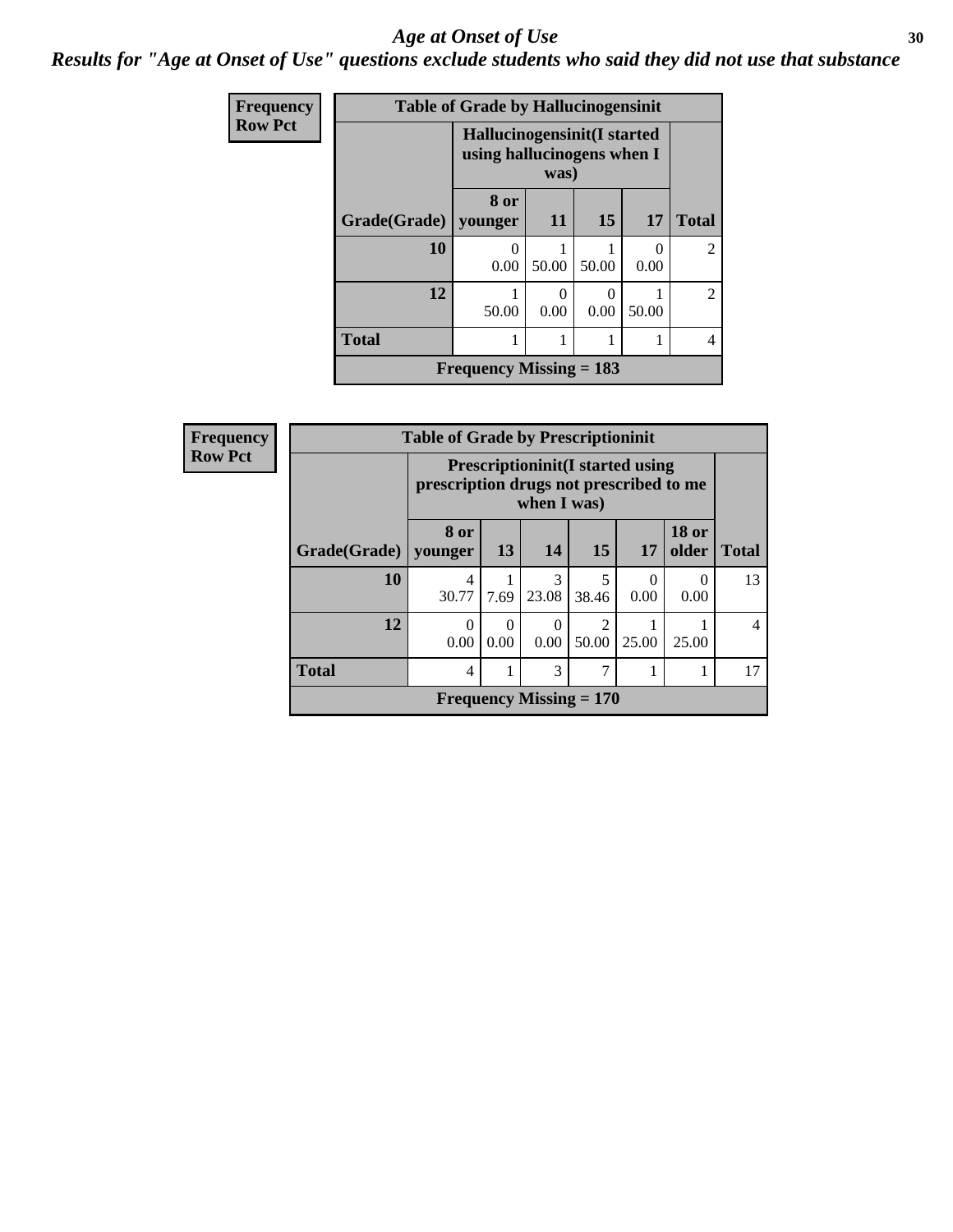#### Age at Onset of Use **30**

*Results for "Age at Onset of Use" questions exclude students who said they did not use that substance*

| Frequency      |                           | <b>Table of Grade by Hallucinogensinit</b>                |                       |                  |       |                             |  |
|----------------|---------------------------|-----------------------------------------------------------|-----------------------|------------------|-------|-----------------------------|--|
| <b>Row Pct</b> |                           | Hallucinogensinit(I started<br>using hallucinogens when I | was)                  |                  |       |                             |  |
|                | Grade(Grade)   younger    | 8 or                                                      | 11                    | 15               | 17    | <b>Total</b>                |  |
|                | 10                        | 0.00                                                      | 50.00                 | 50.00            | 0.00  | $\mathcal{L}$               |  |
|                | 12                        | 50.00                                                     | $\mathcal{O}$<br>0.00 | $\Omega$<br>0.00 | 50.00 | $\mathcal{D}_{\mathcal{L}}$ |  |
|                | <b>Total</b>              |                                                           | 1                     |                  |       | 4                           |  |
|                | Frequency Missing $= 183$ |                                                           |                       |                  |       |                             |  |

| <b>Frequency</b> | <b>Table of Grade by Prescriptioninit</b> |                                                                                                    |                  |            |                           |           |                       |              |
|------------------|-------------------------------------------|----------------------------------------------------------------------------------------------------|------------------|------------|---------------------------|-----------|-----------------------|--------------|
| <b>Row Pct</b>   |                                           | <b>Prescriptioninit (I started using</b><br>prescription drugs not prescribed to me<br>when I was) |                  |            |                           |           |                       |              |
|                  | Grade(Grade)   younger                    | 8 or                                                                                               | 13               | 14         | 15                        | 17        | <b>18 or</b><br>older | <b>Total</b> |
|                  | 10                                        | 4<br>30.77                                                                                         | 7.69             | 3<br>23.08 | 5<br>38.46                | 0<br>0.00 | $\Omega$<br>0.00      | 13           |
|                  | 12                                        | $\Omega$<br>0.00                                                                                   | $\Omega$<br>0.00 | 0<br>0.00  | ာ<br>50.00                | 25.00     | 25.00                 | 4            |
|                  | <b>Total</b>                              | $\overline{4}$                                                                                     |                  | 3          |                           |           | 1                     | 17           |
|                  |                                           |                                                                                                    |                  |            | Frequency Missing $= 170$ |           |                       |              |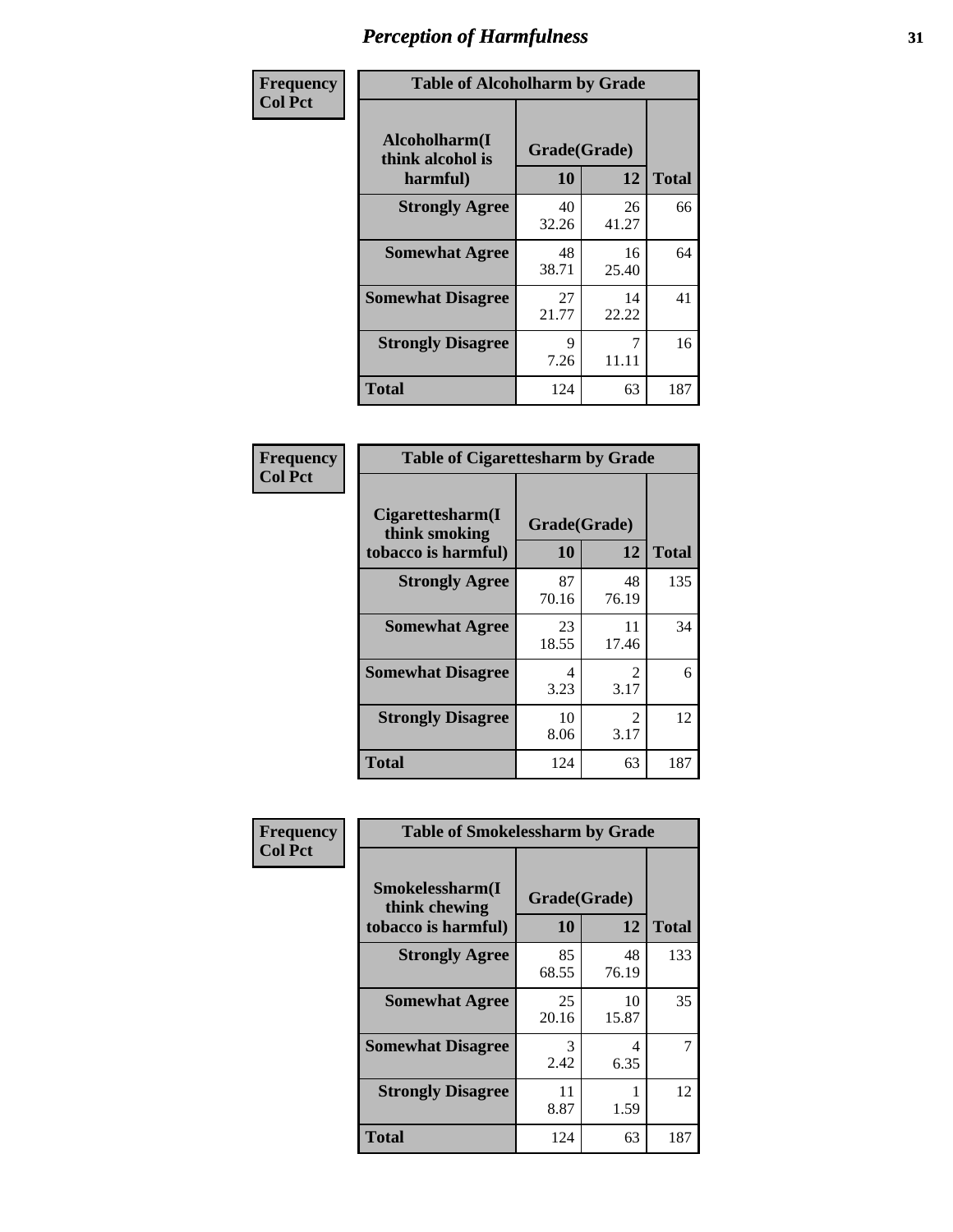| Frequency      | <b>Table of Alcoholharm by Grade</b>          |                    |             |              |  |  |
|----------------|-----------------------------------------------|--------------------|-------------|--------------|--|--|
| <b>Col Pct</b> | Alcoholharm(I<br>think alcohol is<br>harmful) | Grade(Grade)<br>10 | 12          | <b>Total</b> |  |  |
|                | <b>Strongly Agree</b>                         | 40<br>32.26        | 26<br>41.27 | 66           |  |  |
|                | <b>Somewhat Agree</b>                         | 48<br>38.71        | 16<br>25.40 | 64           |  |  |
|                | <b>Somewhat Disagree</b>                      | 27<br>21.77        | 14<br>22.22 | 41           |  |  |
|                | <b>Strongly Disagree</b>                      | 9<br>7.26          | 7<br>11.11  | 16           |  |  |
|                | <b>Total</b>                                  | 124                | 63          | 187          |  |  |

| <b>Table of Cigarettesharm by Grade</b>                  |                    |                        |              |  |  |  |
|----------------------------------------------------------|--------------------|------------------------|--------------|--|--|--|
| Cigarettesharm(I<br>think smoking<br>tobacco is harmful) | Grade(Grade)<br>10 | 12                     | <b>Total</b> |  |  |  |
| <b>Strongly Agree</b>                                    | 87<br>70.16        | 48<br>76.19            | 135          |  |  |  |
| <b>Somewhat Agree</b>                                    | 23<br>18.55        | 11<br>17.46            | 34           |  |  |  |
| <b>Somewhat Disagree</b>                                 | 4<br>3.23          | $\mathfrak{D}$<br>3.17 | 6            |  |  |  |
| <b>Strongly Disagree</b>                                 | 10<br>8.06         | $\mathfrak{D}$<br>3.17 | 12           |  |  |  |
| <b>Total</b>                                             | 124                | 63                     | 187          |  |  |  |

| Frequency      | <b>Table of Smokelessharm by Grade</b>                  |                    |             |              |  |  |
|----------------|---------------------------------------------------------|--------------------|-------------|--------------|--|--|
| <b>Col Pct</b> | Smokelessharm(I<br>think chewing<br>tobacco is harmful) | Grade(Grade)<br>10 | 12          | <b>Total</b> |  |  |
|                | <b>Strongly Agree</b>                                   | 85<br>68.55        | 48<br>76.19 | 133          |  |  |
|                | <b>Somewhat Agree</b>                                   | 25<br>20.16        | 10<br>15.87 | 35           |  |  |
|                | <b>Somewhat Disagree</b>                                | 3<br>2.42          | 4<br>6.35   | 7            |  |  |
|                | <b>Strongly Disagree</b>                                | 11<br>8.87         | 1.59        | 12           |  |  |
|                | <b>Total</b>                                            | 124                | 63          | 187          |  |  |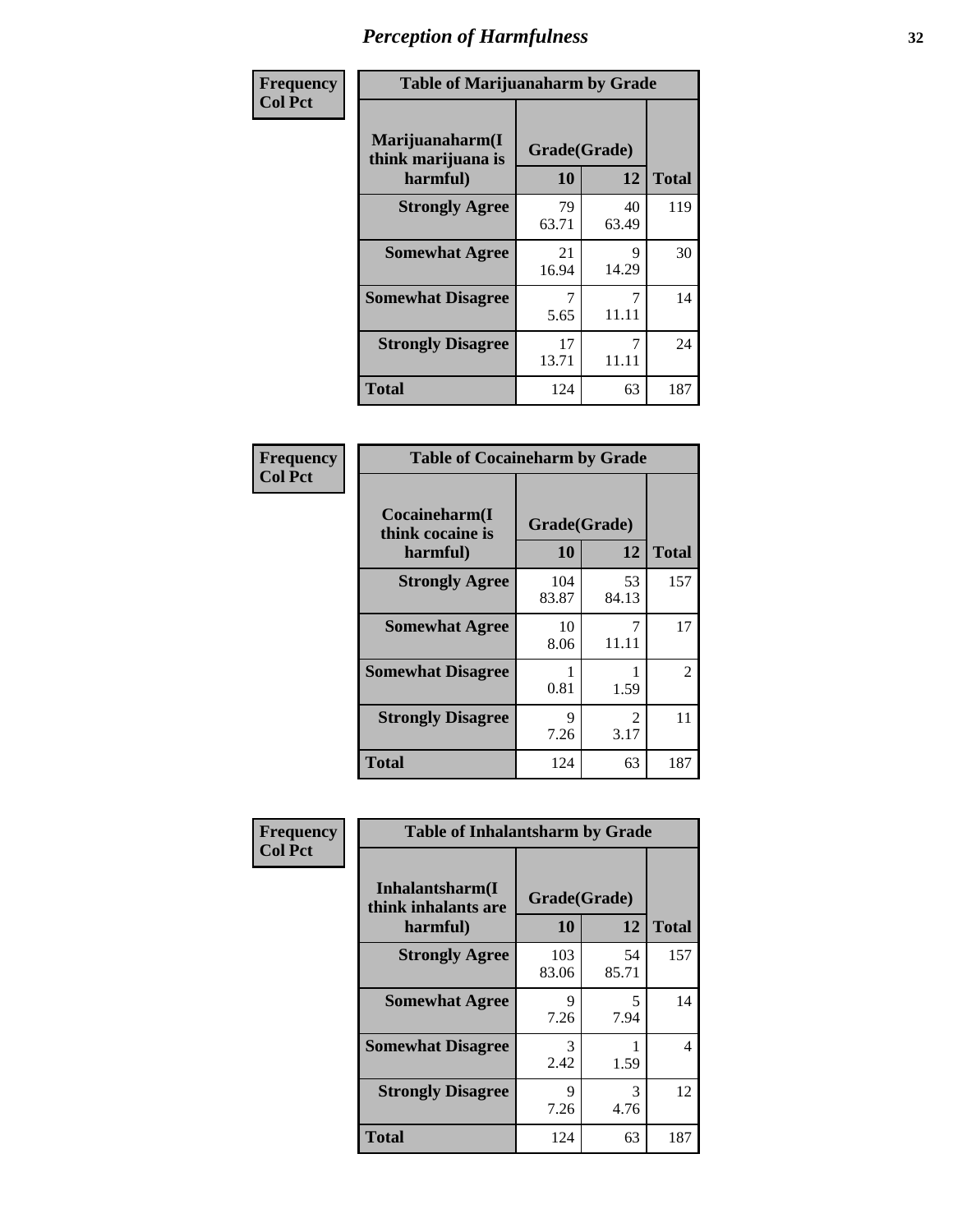| Frequency      |                                                   | <b>Table of Marijuanaharm by Grade</b> |             |              |  |  |
|----------------|---------------------------------------------------|----------------------------------------|-------------|--------------|--|--|
| <b>Col Pct</b> | Marijuanaharm(I<br>think marijuana is<br>harmful) | Grade(Grade)<br>10                     | 12          | <b>Total</b> |  |  |
|                | <b>Strongly Agree</b>                             | 79<br>63.71                            | 40<br>63.49 | 119          |  |  |
|                | <b>Somewhat Agree</b>                             | 21<br>16.94                            | 9<br>14.29  | 30           |  |  |
|                | <b>Somewhat Disagree</b>                          | 7<br>5.65                              | 11.11       | 14           |  |  |
|                | <b>Strongly Disagree</b>                          | 17<br>13.71                            | 11.11       | 24           |  |  |
|                | <b>Total</b>                                      | 124                                    | 63          | 187          |  |  |

| <b>Table of Cocaineharm by Grade</b>          |                    |                        |              |  |  |  |  |
|-----------------------------------------------|--------------------|------------------------|--------------|--|--|--|--|
| Cocaineharm(I<br>think cocaine is<br>harmful) | Grade(Grade)<br>10 | 12                     | <b>Total</b> |  |  |  |  |
| <b>Strongly Agree</b>                         | 104<br>83.87       | 53<br>84.13            | 157          |  |  |  |  |
| <b>Somewhat Agree</b>                         | 10<br>8.06         | 7<br>11.11             | 17           |  |  |  |  |
| <b>Somewhat Disagree</b>                      | 1<br>0.81          | 1.59                   | 2            |  |  |  |  |
| <b>Strongly Disagree</b>                      | 9<br>7.26          | $\mathfrak{D}$<br>3.17 | 11           |  |  |  |  |
| <b>Total</b>                                  | 124                | 63                     | 187          |  |  |  |  |

| Frequency      | <b>Table of Inhalantsharm by Grade</b>             |                           |                                  |              |  |
|----------------|----------------------------------------------------|---------------------------|----------------------------------|--------------|--|
| <b>Col Pct</b> | Inhalantsharm(I<br>think inhalants are<br>harmful) | Grade(Grade)<br><b>10</b> | 12                               | <b>Total</b> |  |
|                | <b>Strongly Agree</b>                              | 103<br>83.06              | 54<br>85.71                      | 157          |  |
|                | <b>Somewhat Agree</b>                              | 9<br>7.26                 | $\overline{\phantom{0}}$<br>7.94 | 14           |  |
|                | <b>Somewhat Disagree</b>                           | 3<br>2.42                 | 1.59                             | 4            |  |
|                | <b>Strongly Disagree</b>                           | 9<br>7.26                 | 3<br>4.76                        | 12           |  |
|                | Total                                              | 124                       | 63                               | 187          |  |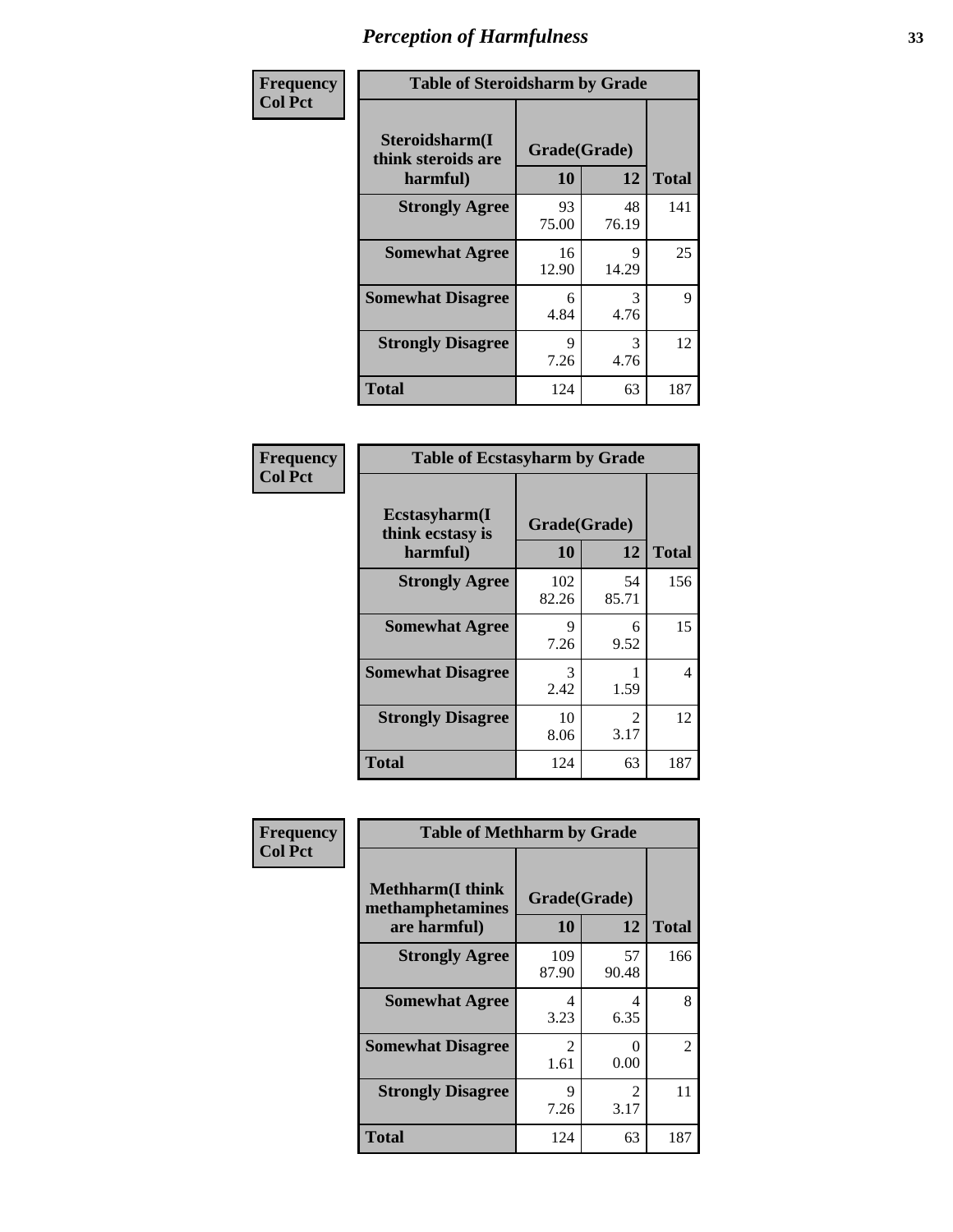| Frequency      | <b>Table of Steroidsharm by Grade</b>            |                    |             |              |
|----------------|--------------------------------------------------|--------------------|-------------|--------------|
| <b>Col Pct</b> | Steroidsharm(I<br>think steroids are<br>harmful) | Grade(Grade)<br>10 | 12          | <b>Total</b> |
|                | <b>Strongly Agree</b>                            | 93<br>75.00        | 48<br>76.19 | 141          |
|                | <b>Somewhat Agree</b>                            | 16<br>12.90        | 9<br>14.29  | 25           |
|                | <b>Somewhat Disagree</b>                         | 6<br>4.84          | 3<br>4.76   | 9            |
|                | <b>Strongly Disagree</b>                         | 9<br>7.26          | 3<br>4.76   | 12           |
|                | <b>Total</b>                                     | 124                | 63          | 187          |

| <b>Table of Ecstasyharm by Grade</b>                |                    |                        |     |  |  |  |
|-----------------------------------------------------|--------------------|------------------------|-----|--|--|--|
| $E$ cstasyharm $(I$<br>think ecstasy is<br>harmful) | Grade(Grade)<br>10 | <b>Total</b>           |     |  |  |  |
| <b>Strongly Agree</b>                               | 102<br>82.26       | 54<br>85.71            | 156 |  |  |  |
| <b>Somewhat Agree</b>                               | 9<br>7.26          | 6<br>9.52              | 15  |  |  |  |
| <b>Somewhat Disagree</b>                            | 3<br>2.42          | 1.59                   | 4   |  |  |  |
| <b>Strongly Disagree</b>                            | 10<br>8.06         | $\mathfrak{D}$<br>3.17 | 12  |  |  |  |
| Total                                               | 124                | 63                     | 187 |  |  |  |

| Frequency      | <b>Table of Methharm by Grade</b>                            |                           |                       |              |
|----------------|--------------------------------------------------------------|---------------------------|-----------------------|--------------|
| <b>Col Pct</b> | <b>Methharm</b> (I think<br>methamphetamines<br>are harmful) | Grade(Grade)<br><b>10</b> | 12                    | <b>Total</b> |
|                | <b>Strongly Agree</b>                                        | 109<br>87.90              | 57<br>90.48           | 166          |
|                | <b>Somewhat Agree</b>                                        | 4<br>3.23                 | 4<br>6.35             | 8            |
|                | <b>Somewhat Disagree</b>                                     | 2<br>1.61                 | 0<br>0.00             | 2            |
|                | <b>Strongly Disagree</b>                                     | 9<br>7.26                 | $\mathcal{L}$<br>3.17 | 11           |
|                | <b>Total</b>                                                 | 124                       | 63                    | 187          |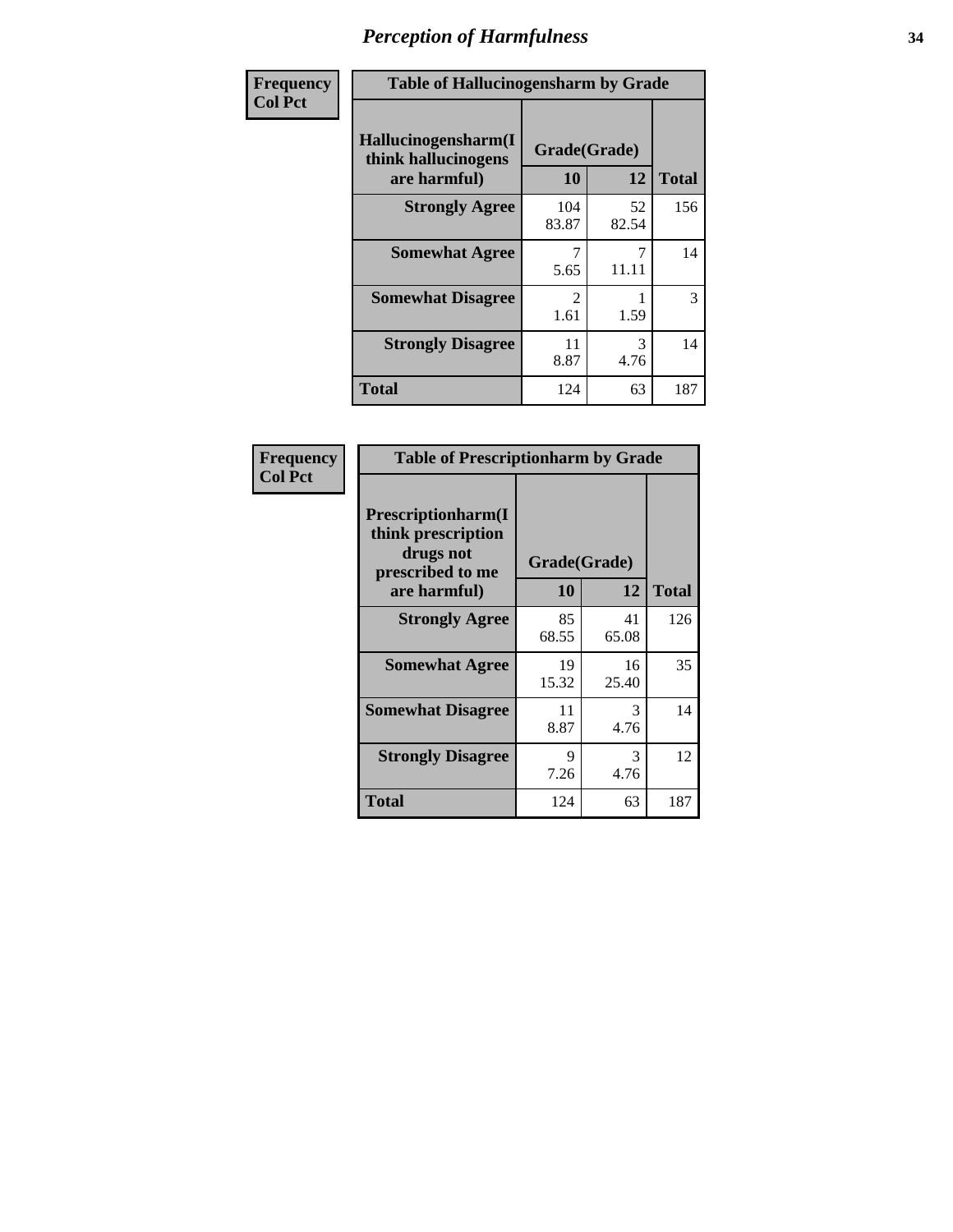| Frequency      | <b>Table of Hallucinogensharm by Grade</b>                 |                    |             |              |
|----------------|------------------------------------------------------------|--------------------|-------------|--------------|
| <b>Col Pct</b> | Hallucinogensharm(I<br>think hallucinogens<br>are harmful) | Grade(Grade)<br>10 | 12          | <b>Total</b> |
|                | <b>Strongly Agree</b>                                      | 104<br>83.87       | 52<br>82.54 | 156          |
|                | <b>Somewhat Agree</b>                                      | 5.65               | 7<br>11.11  | 14           |
|                | <b>Somewhat Disagree</b>                                   | 2<br>1.61          | 1.59        | 3            |
|                | <b>Strongly Disagree</b>                                   | 11<br>8.87         | 3<br>4.76   | 14           |
|                | <b>Total</b>                                               | 124                | 63          | 187          |

| <b>Frequency</b><br>Col Pct |
|-----------------------------|
|                             |

| <b>Table of Prescriptionharm by Grade</b>                                 |              |             |              |  |  |
|---------------------------------------------------------------------------|--------------|-------------|--------------|--|--|
| Prescriptionharm(I<br>think prescription<br>drugs not<br>prescribed to me | Grade(Grade) |             |              |  |  |
| are harmful)                                                              | 10           | 12          | <b>Total</b> |  |  |
| <b>Strongly Agree</b>                                                     | 85<br>68.55  | 41<br>65.08 | 126          |  |  |
| <b>Somewhat Agree</b>                                                     | 19<br>15.32  | 16<br>25.40 | 35           |  |  |
| <b>Somewhat Disagree</b>                                                  | 11<br>8.87   | 3<br>4.76   | 14           |  |  |
| <b>Strongly Disagree</b>                                                  | 9<br>7.26    | 3<br>4.76   | 12           |  |  |
| <b>Total</b>                                                              | 124          | 63          | 187          |  |  |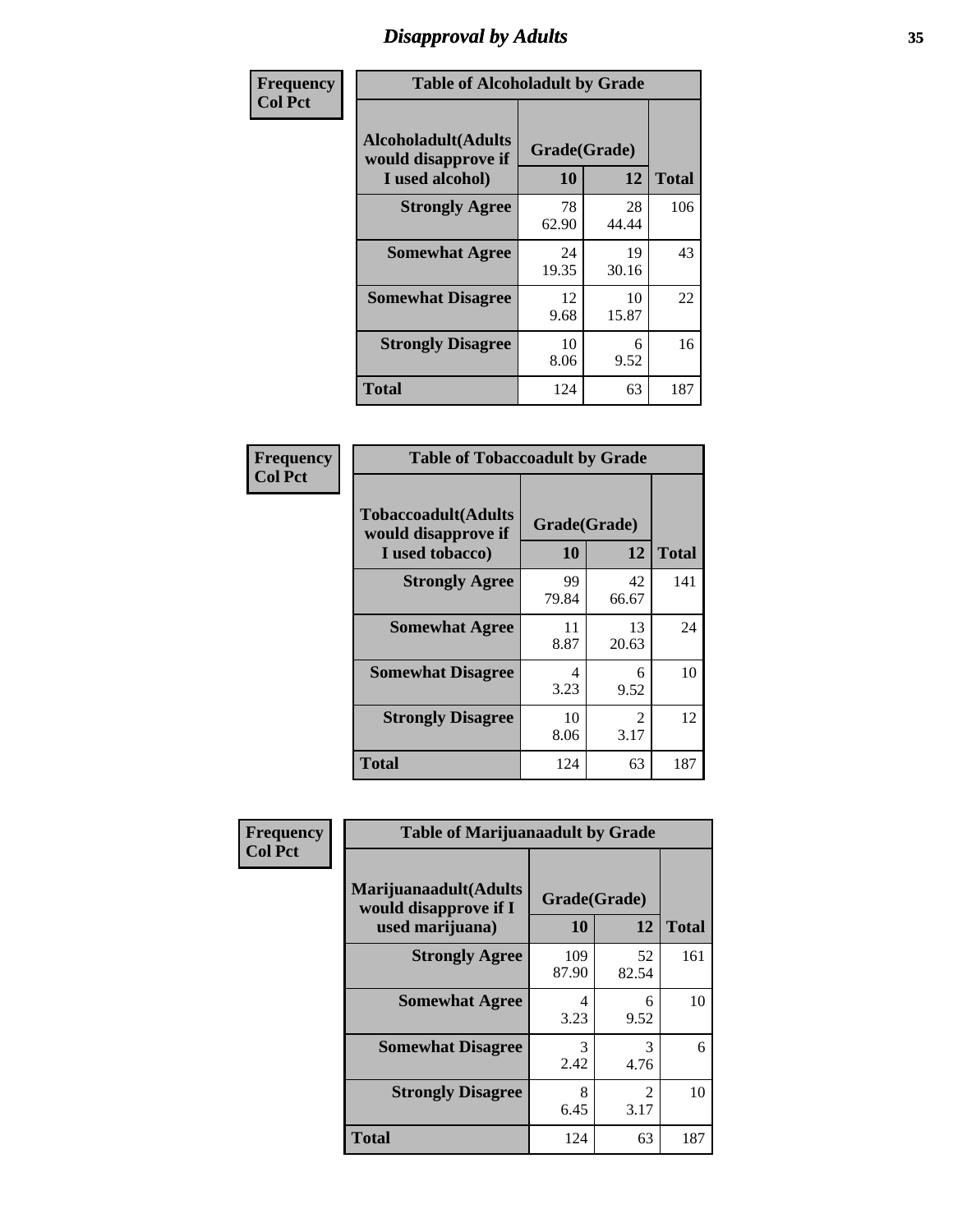# *Disapproval by Adults* **35**

| Frequency      | <b>Table of Alcoholadult by Grade</b>                                 |                    |             |              |
|----------------|-----------------------------------------------------------------------|--------------------|-------------|--------------|
| <b>Col Pct</b> | <b>Alcoholadult</b> (Adults<br>would disapprove if<br>I used alcohol) | Grade(Grade)<br>10 | 12          | <b>Total</b> |
|                | <b>Strongly Agree</b>                                                 | 78<br>62.90        | 28<br>44.44 | 106          |
|                | <b>Somewhat Agree</b>                                                 | 24<br>19.35        | 19<br>30.16 | 43           |
|                | <b>Somewhat Disagree</b>                                              | 12<br>9.68         | 10<br>15.87 | 22           |
|                | <b>Strongly Disagree</b>                                              | 10<br>8.06         | 6<br>9.52   | 16           |
|                | <b>Total</b>                                                          | 124                | 63          | 187          |

| <b>Table of Tobaccoadult by Grade</b>                                |                    |                                     |              |  |  |  |
|----------------------------------------------------------------------|--------------------|-------------------------------------|--------------|--|--|--|
| <b>Tobaccoadult(Adults</b><br>would disapprove if<br>I used tobacco) | Grade(Grade)<br>10 | 12                                  | <b>Total</b> |  |  |  |
| <b>Strongly Agree</b>                                                | 99<br>79.84        | 42<br>66.67                         | 141          |  |  |  |
| <b>Somewhat Agree</b>                                                | 11<br>8.87         | 13<br>20.63                         | 24           |  |  |  |
| <b>Somewhat Disagree</b>                                             | 4<br>3.23          | 6<br>9.52                           | 10           |  |  |  |
| <b>Strongly Disagree</b>                                             | 10<br>8.06         | $\mathcal{D}_{\mathcal{L}}$<br>3.17 | 12           |  |  |  |
| <b>Total</b>                                                         | 124                | 63                                  | 187          |  |  |  |

| Frequency      | <b>Table of Marijuanaadult by Grade</b>                           |                    |                        |              |
|----------------|-------------------------------------------------------------------|--------------------|------------------------|--------------|
| <b>Col Pct</b> | Marijuanaadult(Adults<br>would disapprove if I<br>used marijuana) | Grade(Grade)<br>10 | 12                     | <b>Total</b> |
|                | <b>Strongly Agree</b>                                             | 109<br>87.90       | 52<br>82.54            | 161          |
|                | <b>Somewhat Agree</b>                                             | 4<br>3.23          | 6<br>9.52              | 10           |
|                | <b>Somewhat Disagree</b>                                          | 3<br>2.42          | 3<br>4.76              | 6            |
|                | <b>Strongly Disagree</b>                                          | 8<br>6.45          | $\mathfrak{D}$<br>3.17 | 10           |
|                | <b>Total</b>                                                      | 124                | 63                     | 187          |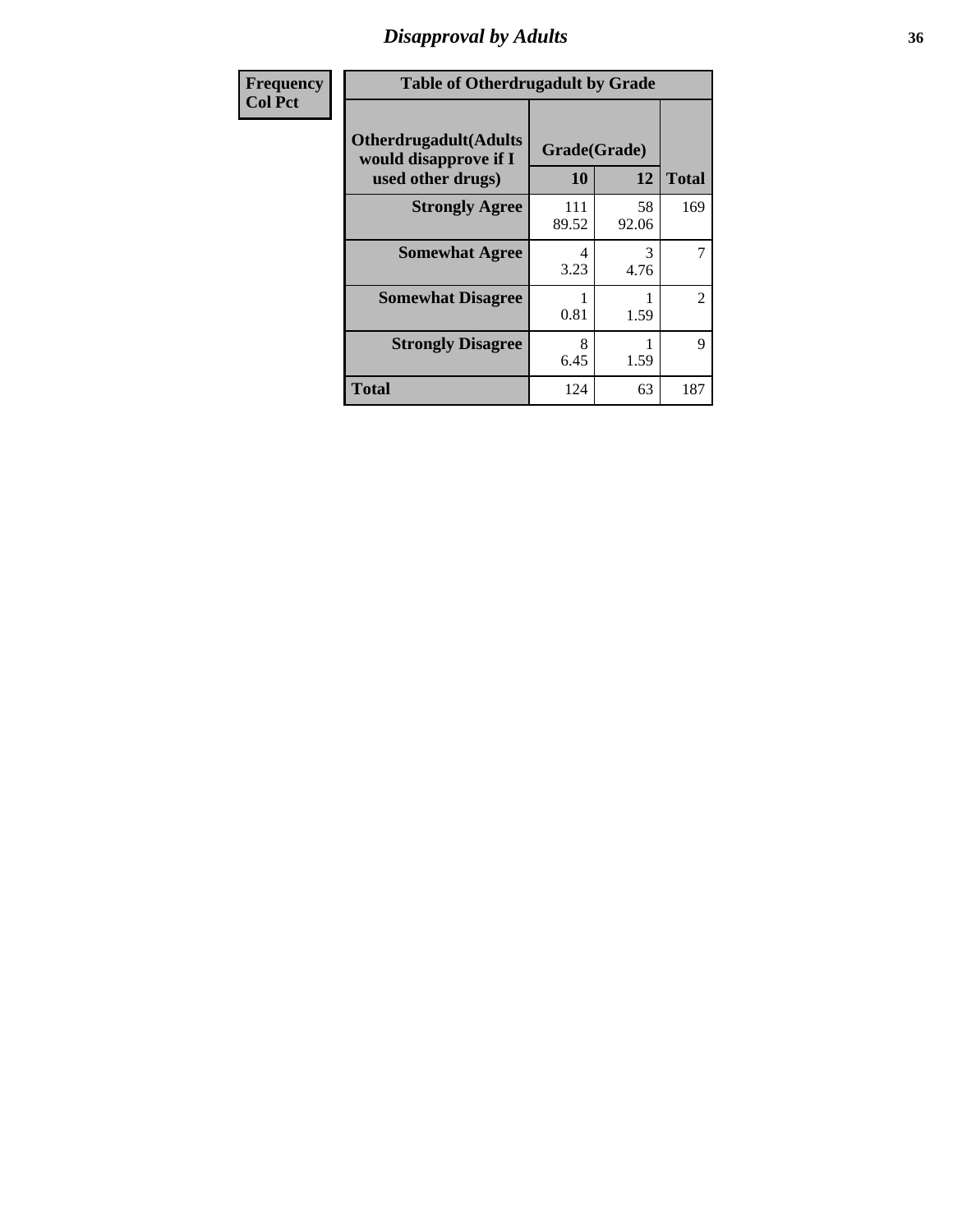# *Disapproval by Adults* **36**

| <b>Frequency</b> | <b>Table of Otherdrugadult by Grade</b>                                     |                    |             |              |
|------------------|-----------------------------------------------------------------------------|--------------------|-------------|--------------|
| <b>Col Pct</b>   | <b>Otherdrugadult</b> (Adults<br>would disapprove if I<br>used other drugs) | Grade(Grade)<br>10 | 12          | <b>Total</b> |
|                  | <b>Strongly Agree</b>                                                       | 111<br>89.52       | 58<br>92.06 | 169          |
|                  | <b>Somewhat Agree</b>                                                       | 4<br>3.23          | 3<br>4.76   | 7            |
|                  | <b>Somewhat Disagree</b>                                                    | 0.81               | 1.59        | 2            |
|                  | <b>Strongly Disagree</b>                                                    | 8<br>6.45          | 1.59        | 9            |
|                  | <b>Total</b>                                                                | 124                | 63          | 187          |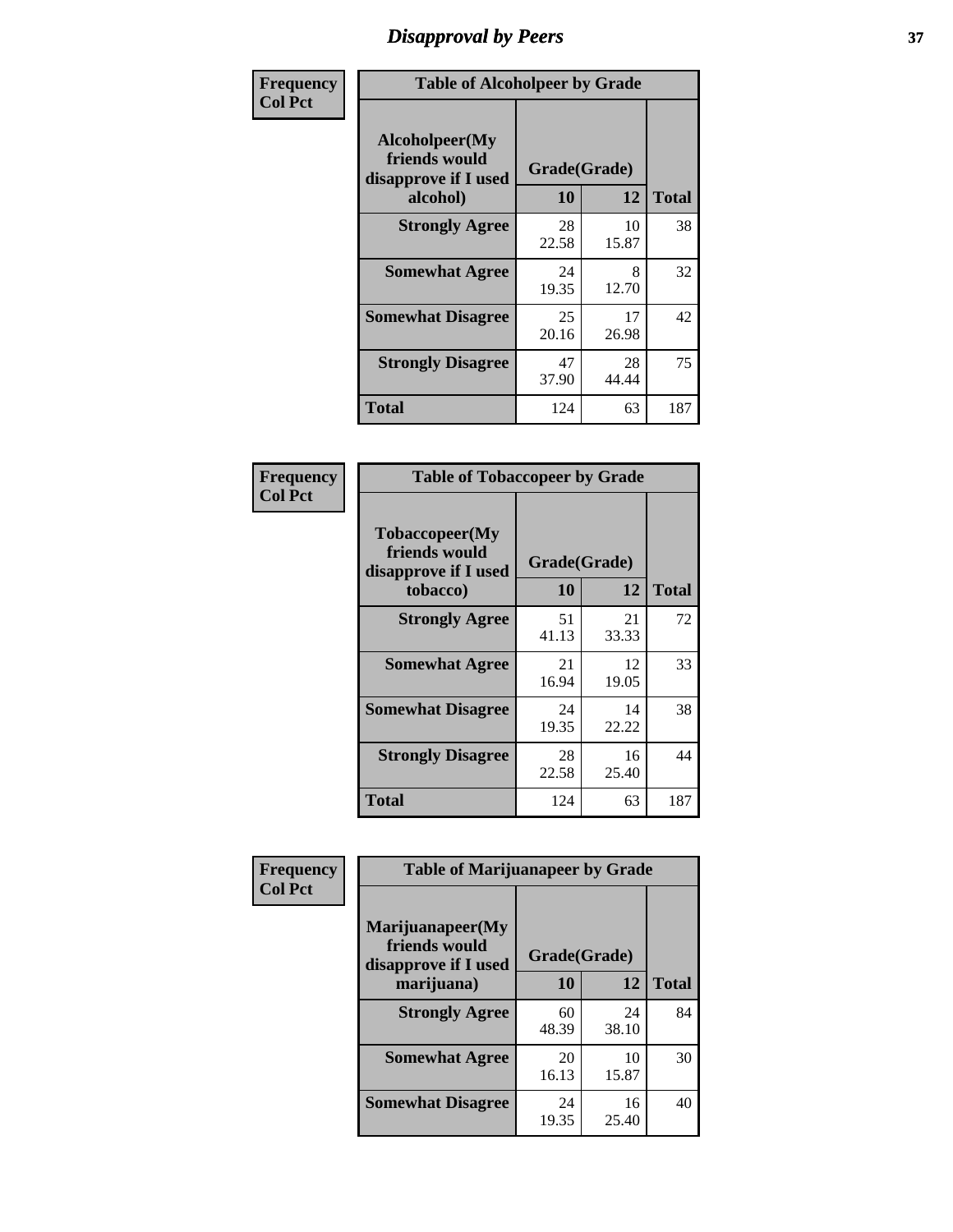# *Disapproval by Peers* **37**

| Frequency      | <b>Table of Alcoholpeer by Grade</b>                    |              |             |              |  |
|----------------|---------------------------------------------------------|--------------|-------------|--------------|--|
| <b>Col Pct</b> | Alcoholpeer(My<br>friends would<br>disapprove if I used | Grade(Grade) |             |              |  |
|                | alcohol)                                                | 10           | 12          | <b>Total</b> |  |
|                | <b>Strongly Agree</b>                                   | 28<br>22.58  | 10<br>15.87 | 38           |  |
|                | <b>Somewhat Agree</b>                                   | 24<br>19.35  | 8<br>12.70  | 32           |  |
|                | <b>Somewhat Disagree</b>                                | 25<br>20.16  | 17<br>26.98 | 42           |  |
|                | <b>Strongly Disagree</b>                                | 47<br>37.90  | 28<br>44.44 | 75           |  |
|                | Total                                                   | 124          | 63          | 187          |  |

| Frequency      | <b>Table of Tobaccopeer by Grade</b>                    |              |             |              |
|----------------|---------------------------------------------------------|--------------|-------------|--------------|
| <b>Col Pct</b> | Tobaccopeer(My<br>friends would<br>disapprove if I used | Grade(Grade) |             |              |
|                | tobacco)                                                | 10           | 12          | <b>Total</b> |
|                | <b>Strongly Agree</b>                                   | 51<br>41.13  | 21<br>33.33 | 72           |
|                | <b>Somewhat Agree</b>                                   | 21<br>16.94  | 12<br>19.05 | 33           |
|                | <b>Somewhat Disagree</b>                                | 24<br>19.35  | 14<br>22.22 | 38           |
|                | <b>Strongly Disagree</b>                                | 28<br>22.58  | 16<br>25.40 | 44           |
|                | Total                                                   | 124          | 63          | 187          |

| Frequency      | <b>Table of Marijuanapeer by Grade</b>                    |              |             |              |
|----------------|-----------------------------------------------------------|--------------|-------------|--------------|
| <b>Col Pct</b> | Marijuanapeer(My<br>friends would<br>disapprove if I used | Grade(Grade) |             |              |
|                | marijuana)                                                | 10           | 12          | <b>Total</b> |
|                | <b>Strongly Agree</b>                                     | 60<br>48.39  | 24<br>38.10 | 84           |
|                | <b>Somewhat Agree</b>                                     | 20<br>16.13  | 10<br>15.87 | 30           |
|                | <b>Somewhat Disagree</b>                                  | 24<br>19.35  | 16<br>25.40 | 40           |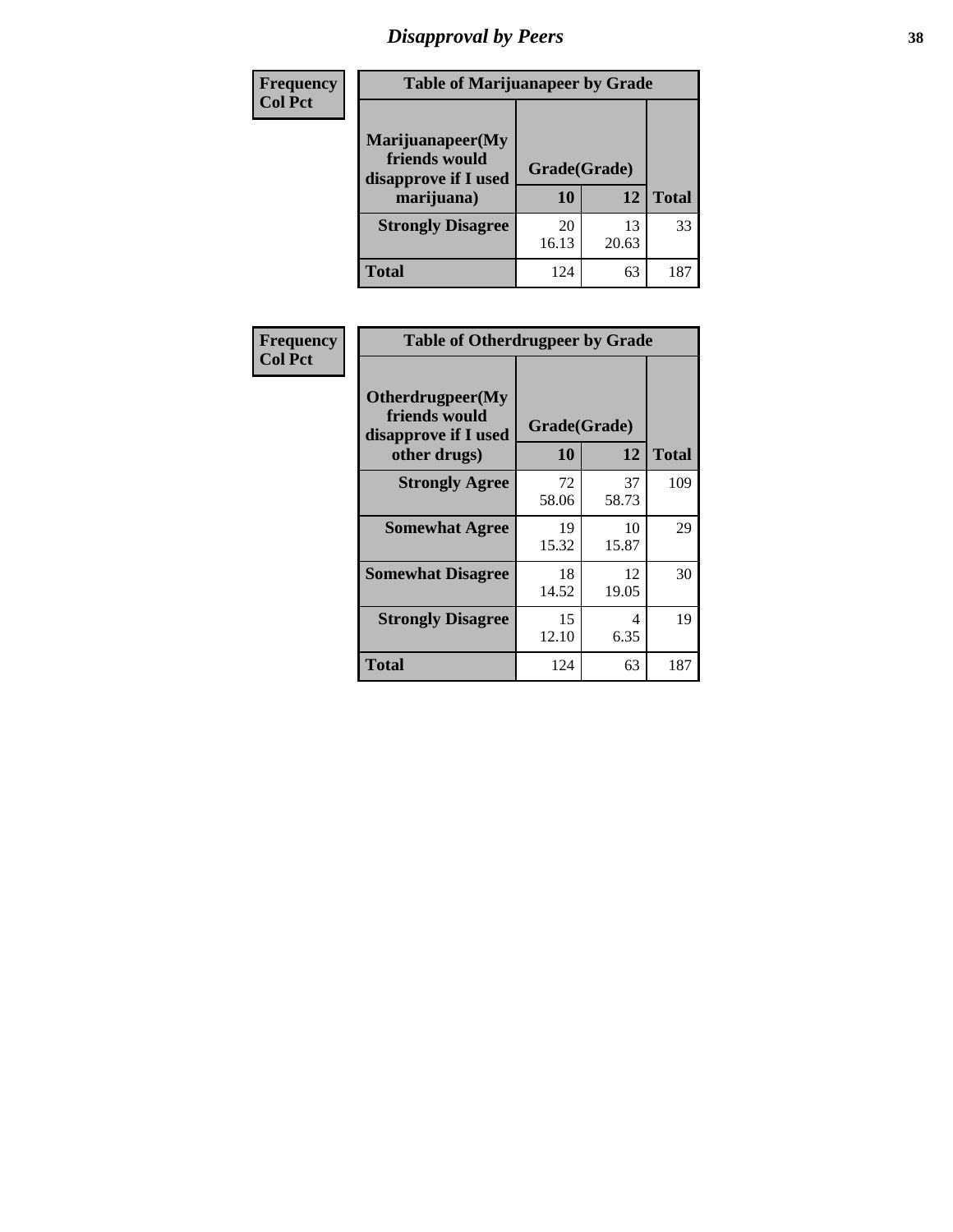# *Disapproval by Peers* **38**

| <b>Frequency</b> | <b>Table of Marijuanapeer by Grade</b>                                  |                           |             |              |  |
|------------------|-------------------------------------------------------------------------|---------------------------|-------------|--------------|--|
| <b>Col Pct</b>   | Marijuanapeer(My<br>friends would<br>disapprove if I used<br>marijuana) | Grade(Grade)<br><b>10</b> | 12          | <b>Total</b> |  |
|                  | <b>Strongly Disagree</b>                                                | 20<br>16.13               | 13<br>20.63 | 33           |  |
|                  | <b>Total</b>                                                            | 124                       | 63          | 187          |  |

| <b>Frequency</b> | <b>Table of Otherdrugpeer by Grade</b>                                    |                           |             |              |
|------------------|---------------------------------------------------------------------------|---------------------------|-------------|--------------|
| <b>Col Pct</b>   | Otherdrugpeer(My<br>friends would<br>disapprove if I used<br>other drugs) | Grade(Grade)<br><b>10</b> | 12          | <b>Total</b> |
|                  |                                                                           |                           |             |              |
|                  | <b>Strongly Agree</b>                                                     | 72<br>58.06               | 37<br>58.73 | 109          |
|                  | <b>Somewhat Agree</b>                                                     | 19<br>15.32               | 10<br>15.87 | 29           |
|                  | <b>Somewhat Disagree</b>                                                  | 18<br>14.52               | 12<br>19.05 | 30           |
|                  | <b>Strongly Disagree</b>                                                  | 15<br>12.10               | 4<br>6.35   | 19           |
|                  | <b>Total</b>                                                              | 124                       | 63          | 187          |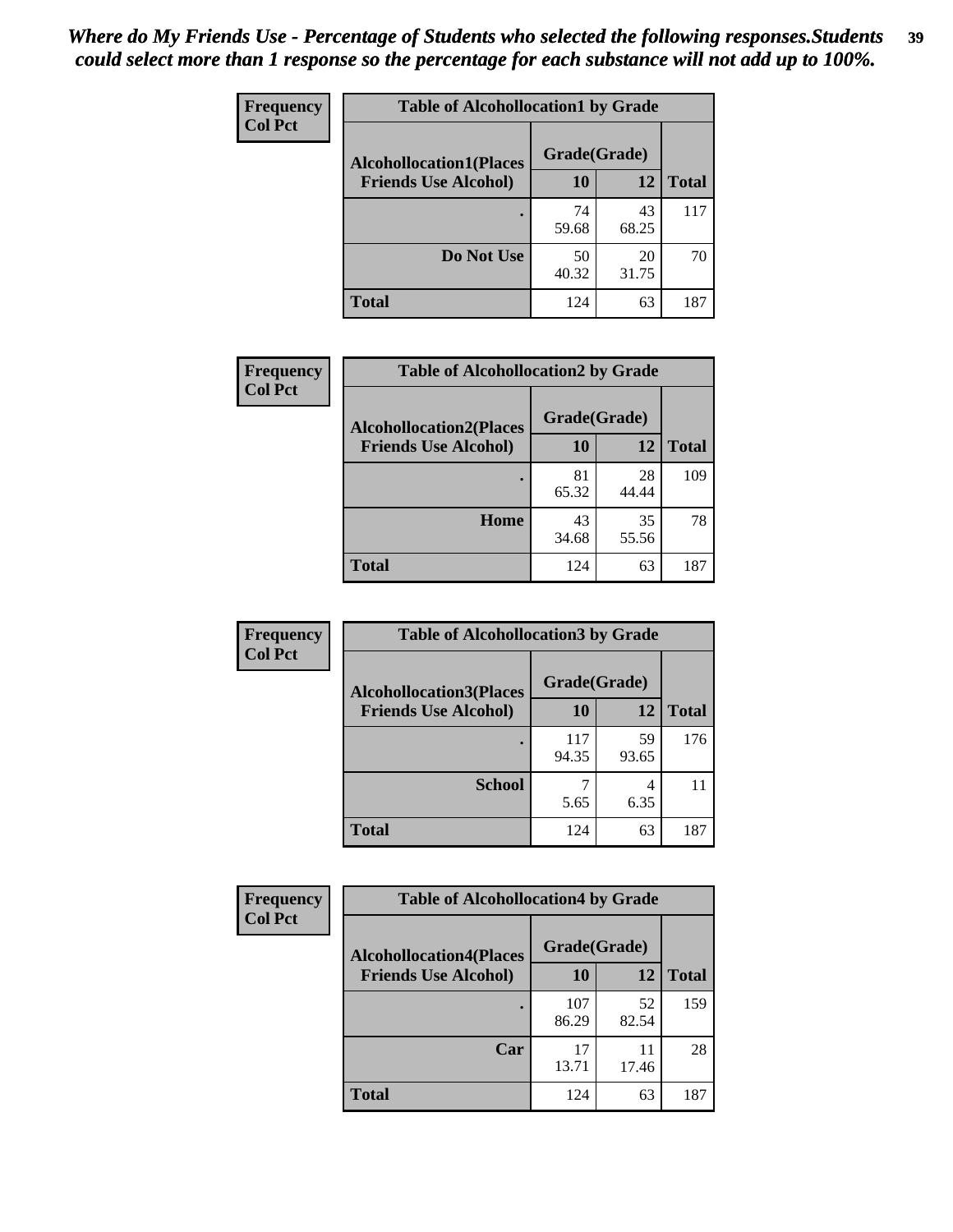| Frequency<br><b>Col Pct</b> | <b>Table of Alcohollocation1 by Grade</b> |              |             |              |
|-----------------------------|-------------------------------------------|--------------|-------------|--------------|
|                             | <b>Alcohollocation1(Places</b>            | Grade(Grade) |             |              |
|                             | <b>Friends Use Alcohol)</b>               | 10           | 12          | <b>Total</b> |
|                             |                                           | 74<br>59.68  | 43<br>68.25 | 117          |
|                             | Do Not Use                                | 50<br>40.32  | 20<br>31.75 | 70           |
|                             | <b>Total</b>                              | 124          | 63          | 187          |

| Frequency      | <b>Table of Alcohollocation2 by Grade</b>                     |                           |             |              |
|----------------|---------------------------------------------------------------|---------------------------|-------------|--------------|
| <b>Col Pct</b> | <b>Alcohollocation2(Places</b><br><b>Friends Use Alcohol)</b> | Grade(Grade)<br><b>10</b> | <b>12</b>   | <b>Total</b> |
|                |                                                               | 81<br>65.32               | 28<br>44.44 | 109          |
|                | Home                                                          | 43<br>34.68               | 35<br>55.56 | 78           |
|                | <b>Total</b>                                                  | 124                       | 63          | 187          |

| Frequency      | <b>Table of Alcohollocation 3 by Grade</b>                    |                    |             |              |
|----------------|---------------------------------------------------------------|--------------------|-------------|--------------|
| <b>Col Pct</b> | <b>Alcohollocation3(Places</b><br><b>Friends Use Alcohol)</b> | Grade(Grade)<br>10 | 12          | <b>Total</b> |
|                |                                                               | 117<br>94.35       | 59<br>93.65 | 176          |
|                | <b>School</b>                                                 | 5.65               | 4<br>6.35   | 11           |
|                | <b>Total</b>                                                  | 124                | 63          | 187          |

| <b>Frequency</b> | <b>Table of Alcohollocation4 by Grade</b> |              |             |              |
|------------------|-------------------------------------------|--------------|-------------|--------------|
| <b>Col Pct</b>   | <b>Alcohollocation4(Places</b>            | Grade(Grade) |             |              |
|                  | <b>Friends Use Alcohol)</b>               | 10           | 12          | <b>Total</b> |
|                  |                                           | 107<br>86.29 | 52<br>82.54 | 159          |
|                  | Car                                       | 17<br>13.71  | 11<br>17.46 | 28           |
|                  | <b>Total</b>                              | 124          | 63          | 187          |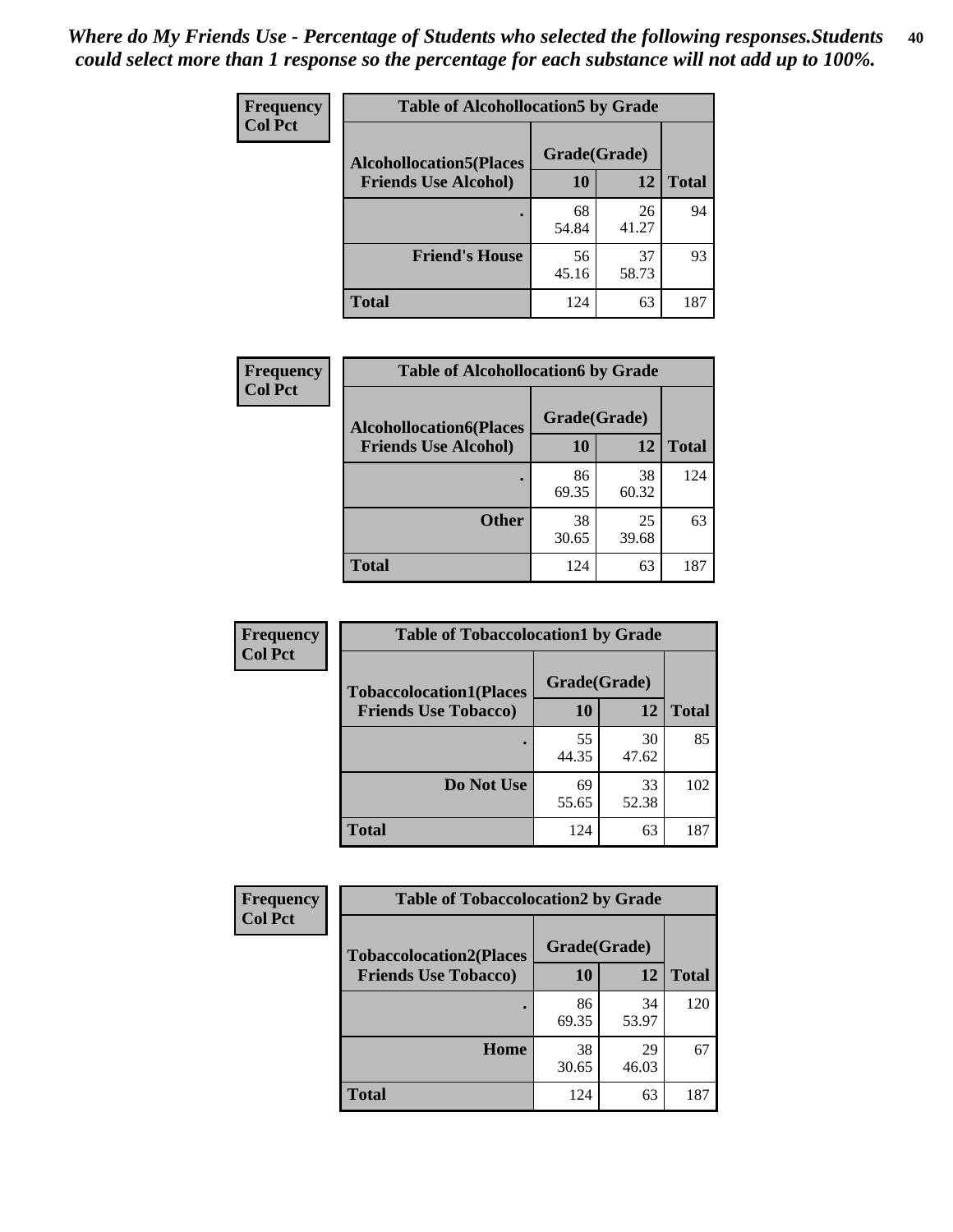| Frequency<br><b>Col Pct</b> | <b>Table of Alcohollocation5 by Grade</b> |              |             |              |
|-----------------------------|-------------------------------------------|--------------|-------------|--------------|
|                             | <b>Alcohollocation5(Places</b>            | Grade(Grade) |             |              |
|                             | <b>Friends Use Alcohol)</b>               | 10           | 12          | <b>Total</b> |
|                             |                                           | 68<br>54.84  | 26<br>41.27 | 94           |
|                             | <b>Friend's House</b>                     | 56<br>45.16  | 37<br>58.73 | 93           |
|                             | <b>Total</b>                              | 124          | 63          | 187          |

| Frequency      | <b>Table of Alcohollocation6 by Grade</b>                     |                    |             |              |
|----------------|---------------------------------------------------------------|--------------------|-------------|--------------|
| <b>Col Pct</b> | <b>Alcohollocation6(Places</b><br><b>Friends Use Alcohol)</b> | Grade(Grade)<br>10 | 12          | <b>Total</b> |
|                |                                                               | 86<br>69.35        | 38<br>60.32 | 124          |
|                | <b>Other</b>                                                  | 38<br>30.65        | 25<br>39.68 | 63           |
|                | <b>Total</b>                                                  | 124                | 63          | 187          |

| Frequency      | <b>Table of Tobaccolocation1 by Grade</b> |              |             |              |
|----------------|-------------------------------------------|--------------|-------------|--------------|
| <b>Col Pct</b> | <b>Tobaccolocation1(Places</b>            | Grade(Grade) |             |              |
|                | <b>Friends Use Tobacco)</b>               | 10           | 12          | <b>Total</b> |
|                |                                           | 55<br>44.35  | 30<br>47.62 | 85           |
|                | Do Not Use                                | 69<br>55.65  | 33<br>52.38 | 102          |
|                | <b>Total</b>                              | 124          | 63          | 187          |

| <b>Frequency</b> | <b>Table of Tobaccolocation2 by Grade</b> |              |             |              |  |
|------------------|-------------------------------------------|--------------|-------------|--------------|--|
| <b>Col Pct</b>   | <b>Tobaccolocation2(Places</b>            | Grade(Grade) |             |              |  |
|                  | <b>Friends Use Tobacco)</b>               | 10           | 12          | <b>Total</b> |  |
|                  |                                           | 86<br>69.35  | 34<br>53.97 | 120          |  |
|                  | Home                                      | 38<br>30.65  | 29<br>46.03 | 67           |  |
|                  | <b>Total</b>                              | 124          | 63          | 187          |  |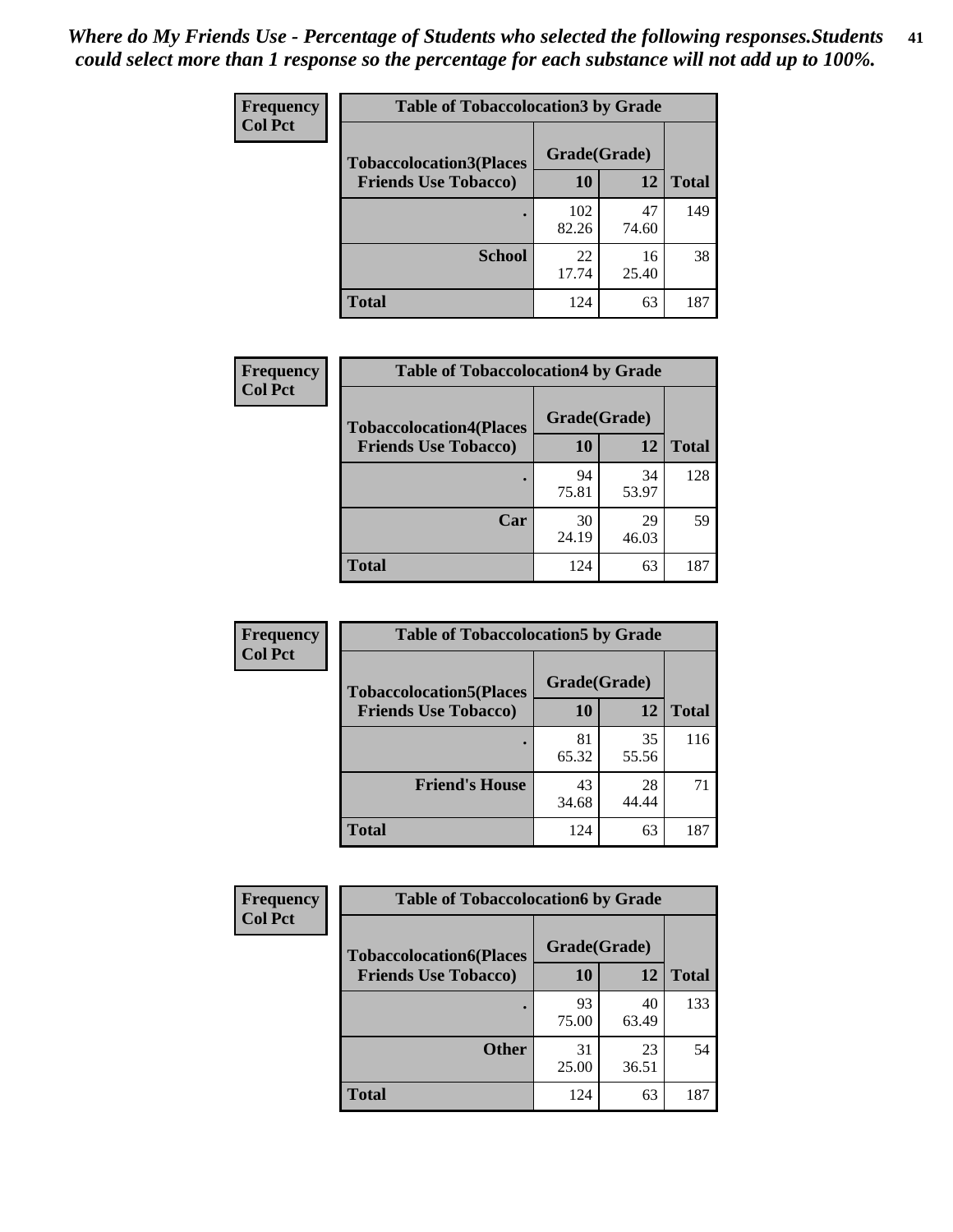| Frequency      | <b>Table of Tobaccolocation 3 by Grade</b> |              |             |              |
|----------------|--------------------------------------------|--------------|-------------|--------------|
| <b>Col Pct</b> | <b>Tobaccolocation3(Places</b>             | Grade(Grade) |             |              |
|                | <b>Friends Use Tobacco)</b>                | 10           | <b>12</b>   | <b>Total</b> |
|                |                                            | 102<br>82.26 | 47<br>74.60 | 149          |
|                | <b>School</b>                              | 22<br>17.74  | 16<br>25.40 | 38           |
|                | <b>Total</b>                               | 124          | 63          | 187          |

| Frequency      | <b>Table of Tobaccolocation4 by Grade</b>                     |                           |             |              |
|----------------|---------------------------------------------------------------|---------------------------|-------------|--------------|
| <b>Col Pct</b> | <b>Tobaccolocation4(Places</b><br><b>Friends Use Tobacco)</b> | Grade(Grade)<br><b>10</b> | 12          | <b>Total</b> |
|                |                                                               | 94<br>75.81               | 34<br>53.97 | 128          |
|                | Car                                                           | 30<br>24.19               | 29<br>46.03 | 59           |
|                | <b>Total</b>                                                  | 124                       | 63          | 187          |

| Frequency      | <b>Table of Tobaccolocation5 by Grade</b> |              |             |              |
|----------------|-------------------------------------------|--------------|-------------|--------------|
| <b>Col Pct</b> | <b>Tobaccolocation5(Places</b>            | Grade(Grade) |             |              |
|                | <b>Friends Use Tobacco)</b>               | 10           | <b>12</b>   | <b>Total</b> |
|                |                                           | 81<br>65.32  | 35<br>55.56 | 116          |
|                | <b>Friend's House</b>                     | 43<br>34.68  | 28<br>44.44 | 71           |
|                | <b>Total</b>                              | 124          | 63          | 187          |

| <b>Frequency</b> | <b>Table of Tobaccolocation6 by Grade</b> |              |             |              |  |
|------------------|-------------------------------------------|--------------|-------------|--------------|--|
| <b>Col Pct</b>   | <b>Tobaccolocation6(Places</b>            | Grade(Grade) |             |              |  |
|                  | <b>Friends Use Tobacco)</b>               | 10           | 12          | <b>Total</b> |  |
|                  |                                           | 93<br>75.00  | 40<br>63.49 | 133          |  |
|                  | <b>Other</b>                              | 31<br>25.00  | 23<br>36.51 | 54           |  |
|                  | <b>Total</b>                              | 124          | 63          | 187          |  |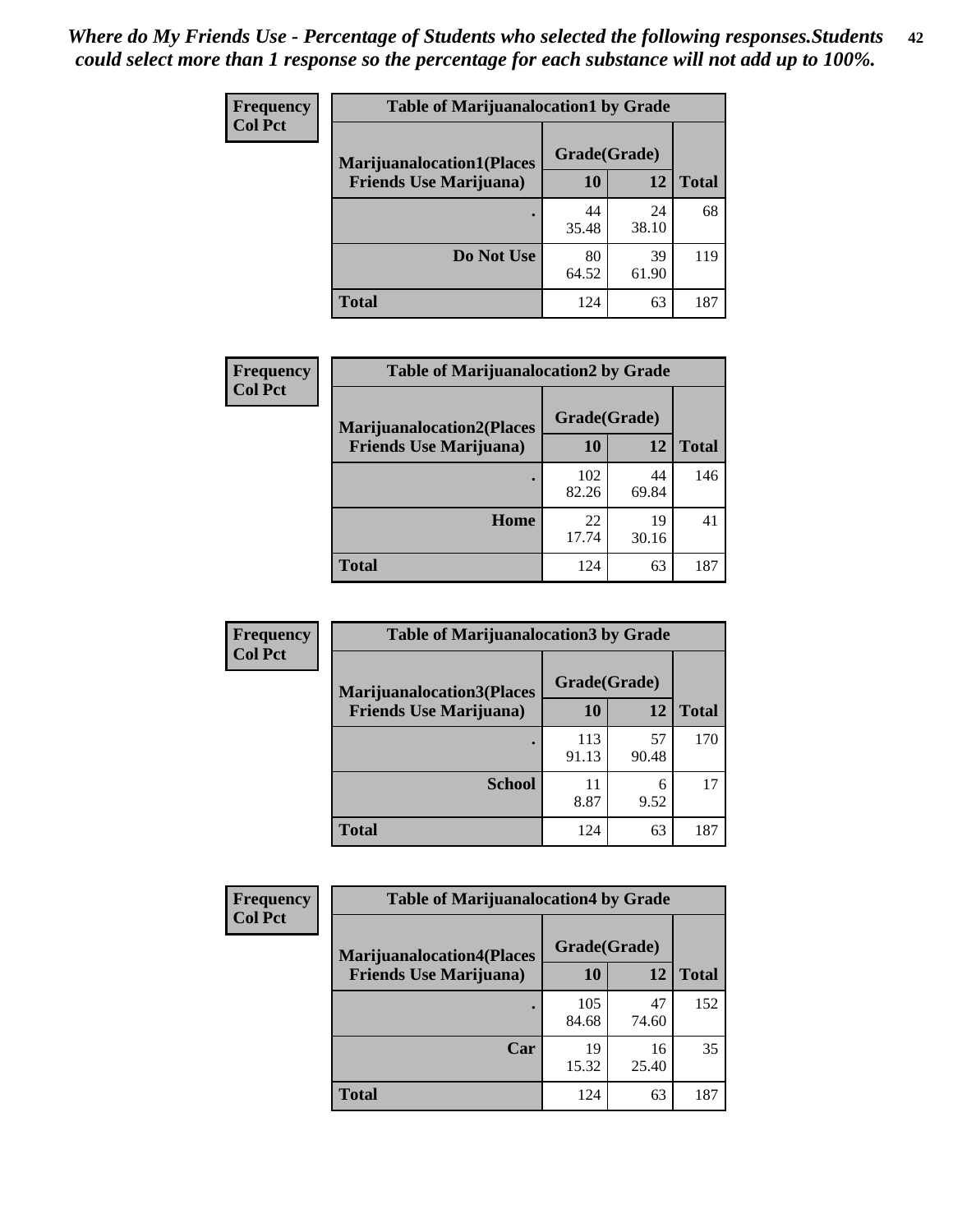| <b>Frequency</b> | <b>Table of Marijuanalocation1 by Grade</b> |              |             |              |
|------------------|---------------------------------------------|--------------|-------------|--------------|
| <b>Col Pct</b>   | <b>Marijuanalocation1(Places</b>            | Grade(Grade) |             |              |
|                  | <b>Friends Use Marijuana</b> )              | 10           | 12          | <b>Total</b> |
|                  |                                             | 44<br>35.48  | 24<br>38.10 | 68           |
|                  | Do Not Use                                  | 80<br>64.52  | 39<br>61.90 | 119          |
|                  | <b>Total</b>                                | 124          | 63          | 187          |

| <b>Frequency</b> | <b>Table of Marijuanalocation2 by Grade</b>                        |                    |             |              |
|------------------|--------------------------------------------------------------------|--------------------|-------------|--------------|
| <b>Col Pct</b>   | <b>Marijuanalocation2(Places</b><br><b>Friends Use Marijuana</b> ) | Grade(Grade)<br>10 | 12          | <b>Total</b> |
|                  |                                                                    | 102<br>82.26       | 44<br>69.84 | 146          |
|                  | Home                                                               | 22<br>17.74        | 19<br>30.16 | 41           |
|                  | <b>Total</b>                                                       | 124                | 63          | 187          |

| Frequency<br><b>Col Pct</b> | <b>Table of Marijuanalocation3 by Grade</b> |              |             |              |
|-----------------------------|---------------------------------------------|--------------|-------------|--------------|
|                             | <b>Marijuanalocation3</b> (Places           | Grade(Grade) |             |              |
|                             | <b>Friends Use Marijuana</b> )              | 10           | 12          | <b>Total</b> |
|                             |                                             | 113<br>91.13 | 57<br>90.48 | 170          |
|                             | <b>School</b>                               | 11<br>8.87   | 6<br>9.52   | 17           |
|                             | <b>Total</b>                                | 124          | 63          | 187          |

| Frequency      | <b>Table of Marijuanalocation4 by Grade</b> |              |             |              |
|----------------|---------------------------------------------|--------------|-------------|--------------|
| <b>Col Pct</b> | <b>Marijuanalocation4(Places</b>            | Grade(Grade) |             |              |
|                | <b>Friends Use Marijuana</b> )              | <b>10</b>    | 12          | <b>Total</b> |
|                |                                             | 105<br>84.68 | 47<br>74.60 | 152          |
|                | Car                                         | 19<br>15.32  | 16<br>25.40 | 35           |
|                | <b>Total</b>                                | 124          | 63          | 187          |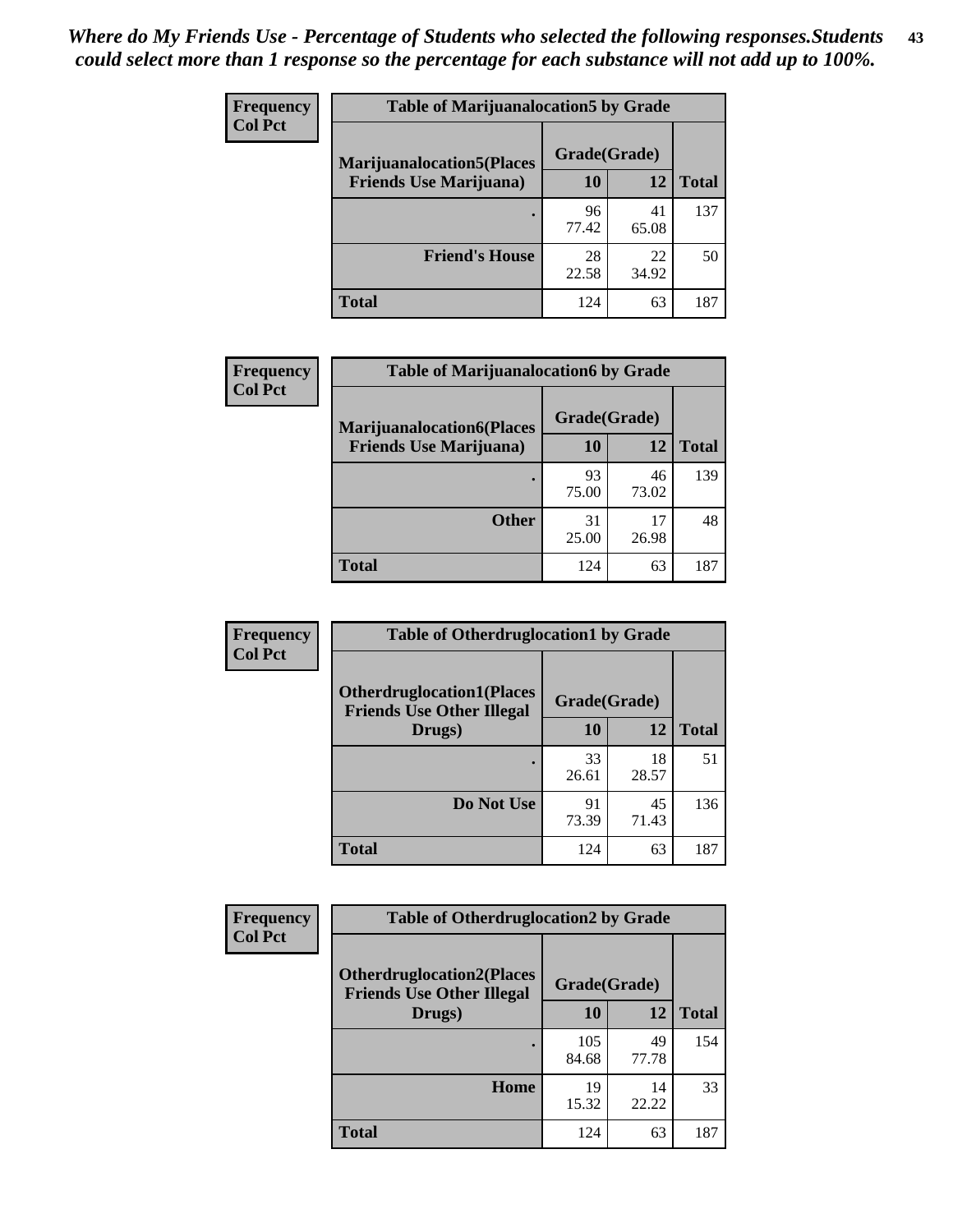| <b>Frequency</b> | <b>Table of Marijuanalocation5 by Grade</b> |              |             |              |
|------------------|---------------------------------------------|--------------|-------------|--------------|
| <b>Col Pct</b>   | <b>Marijuanalocation5(Places)</b>           | Grade(Grade) |             |              |
|                  | <b>Friends Use Marijuana</b> )              | 10           | 12          | <b>Total</b> |
|                  |                                             | 96<br>77.42  | 41<br>65.08 | 137          |
|                  | <b>Friend's House</b>                       | 28<br>22.58  | 22<br>34.92 | 50           |
|                  | <b>Total</b>                                | 124          | 63          | 187          |

| <b>Frequency</b> | <b>Table of Marijuanalocation6 by Grade</b>                        |                           |             |       |
|------------------|--------------------------------------------------------------------|---------------------------|-------------|-------|
| <b>Col Pct</b>   | <b>Marijuanalocation6(Places</b><br><b>Friends Use Marijuana</b> ) | Grade(Grade)<br><b>10</b> | 12          | Total |
|                  |                                                                    | 93<br>75.00               | 46<br>73.02 | 139   |
|                  | <b>Other</b>                                                       | 31<br>25.00               | 17<br>26.98 | 48    |
|                  | <b>Total</b>                                                       | 124                       | 63          | 187   |

| <b>Frequency</b> | <b>Table of Otherdruglocation1 by Grade</b>                          |              |             |              |
|------------------|----------------------------------------------------------------------|--------------|-------------|--------------|
| <b>Col Pct</b>   | <b>Otherdruglocation1(Places</b><br><b>Friends Use Other Illegal</b> | Grade(Grade) |             |              |
|                  | Drugs)                                                               | 10           | 12          | <b>Total</b> |
|                  |                                                                      | 33<br>26.61  | 18<br>28.57 | 51           |
|                  | Do Not Use                                                           | 91<br>73.39  | 45<br>71.43 | 136          |
|                  | <b>Total</b>                                                         | 124          | 63          | 187          |

| <b>Frequency</b> | <b>Table of Otherdruglocation2 by Grade</b>                           |              |             |              |
|------------------|-----------------------------------------------------------------------|--------------|-------------|--------------|
| <b>Col Pct</b>   | <b>Otherdruglocation2(Places)</b><br><b>Friends Use Other Illegal</b> | Grade(Grade) |             |              |
|                  | Drugs)                                                                | 10           | 12          | <b>Total</b> |
|                  |                                                                       | 105<br>84.68 | 49<br>77.78 | 154          |
|                  | Home                                                                  | 19<br>15.32  | 14<br>22.22 | 33           |
|                  | <b>Total</b>                                                          | 124          | 63          | 187          |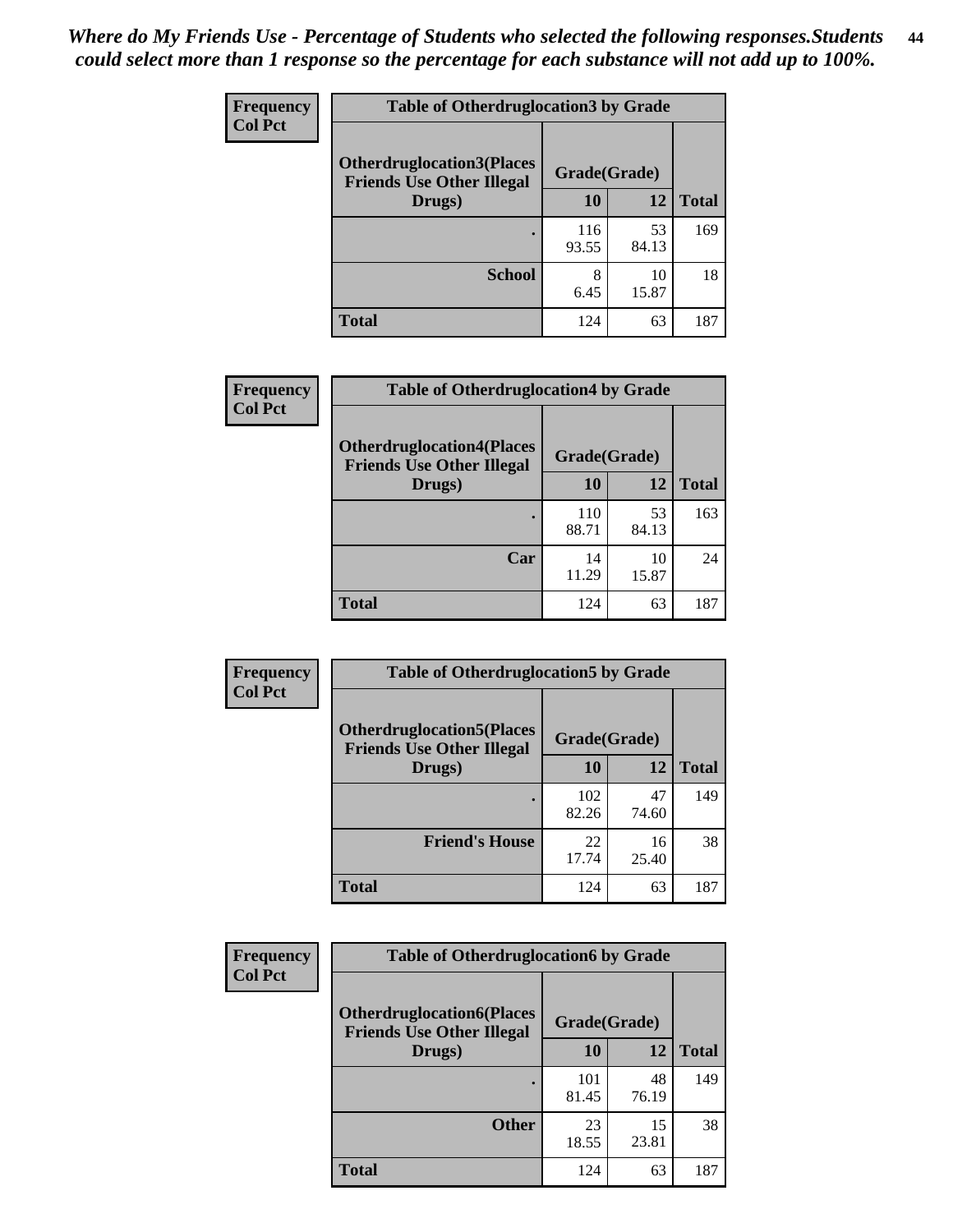| <b>Frequency</b> | <b>Table of Otherdruglocation 3 by Grade</b>                         |              |             |              |
|------------------|----------------------------------------------------------------------|--------------|-------------|--------------|
| <b>Col Pct</b>   | <b>Otherdruglocation3(Places</b><br><b>Friends Use Other Illegal</b> | Grade(Grade) |             |              |
|                  | Drugs)                                                               | 10           | 12          | <b>Total</b> |
|                  |                                                                      | 116<br>93.55 | 53<br>84.13 | 169          |
|                  | <b>School</b>                                                        | 8<br>6.45    | 10<br>15.87 | 18           |
|                  | <b>Total</b>                                                         | 124          | 63          | 187          |

| Frequency      | <b>Table of Otherdruglocation4 by Grade</b>                          |              |             |              |
|----------------|----------------------------------------------------------------------|--------------|-------------|--------------|
| <b>Col Pct</b> | <b>Otherdruglocation4(Places</b><br><b>Friends Use Other Illegal</b> | Grade(Grade) |             |              |
|                | Drugs)                                                               | 10           | 12          | <b>Total</b> |
|                |                                                                      | 110<br>88.71 | 53<br>84.13 | 163          |
|                | Car                                                                  | 14<br>11.29  | 10<br>15.87 | 24           |
|                | <b>Total</b>                                                         | 124          | 63          | 187          |

| Frequency      | <b>Table of Otherdruglocation5 by Grade</b>                          |              |             |              |
|----------------|----------------------------------------------------------------------|--------------|-------------|--------------|
| <b>Col Pct</b> | <b>Otherdruglocation5(Places</b><br><b>Friends Use Other Illegal</b> | Grade(Grade) |             |              |
|                | Drugs)                                                               | 10           | 12          | <b>Total</b> |
|                |                                                                      | 102<br>82.26 | 47<br>74.60 | 149          |
|                | <b>Friend's House</b>                                                | 22<br>17.74  | 16<br>25.40 | 38           |
|                | <b>Total</b>                                                         | 124          | 63          | 187          |

| <b>Frequency</b> | <b>Table of Otherdruglocation6 by Grade</b>                          |              |             |              |
|------------------|----------------------------------------------------------------------|--------------|-------------|--------------|
| <b>Col Pct</b>   | <b>Otherdruglocation6(Places</b><br><b>Friends Use Other Illegal</b> | Grade(Grade) |             |              |
|                  | Drugs)                                                               | <b>10</b>    | 12          | <b>Total</b> |
|                  |                                                                      | 101<br>81.45 | 48<br>76.19 | 149          |
|                  | <b>Other</b>                                                         | 23<br>18.55  | 15<br>23.81 | 38           |
|                  | Total                                                                | 124          | 63          | 187          |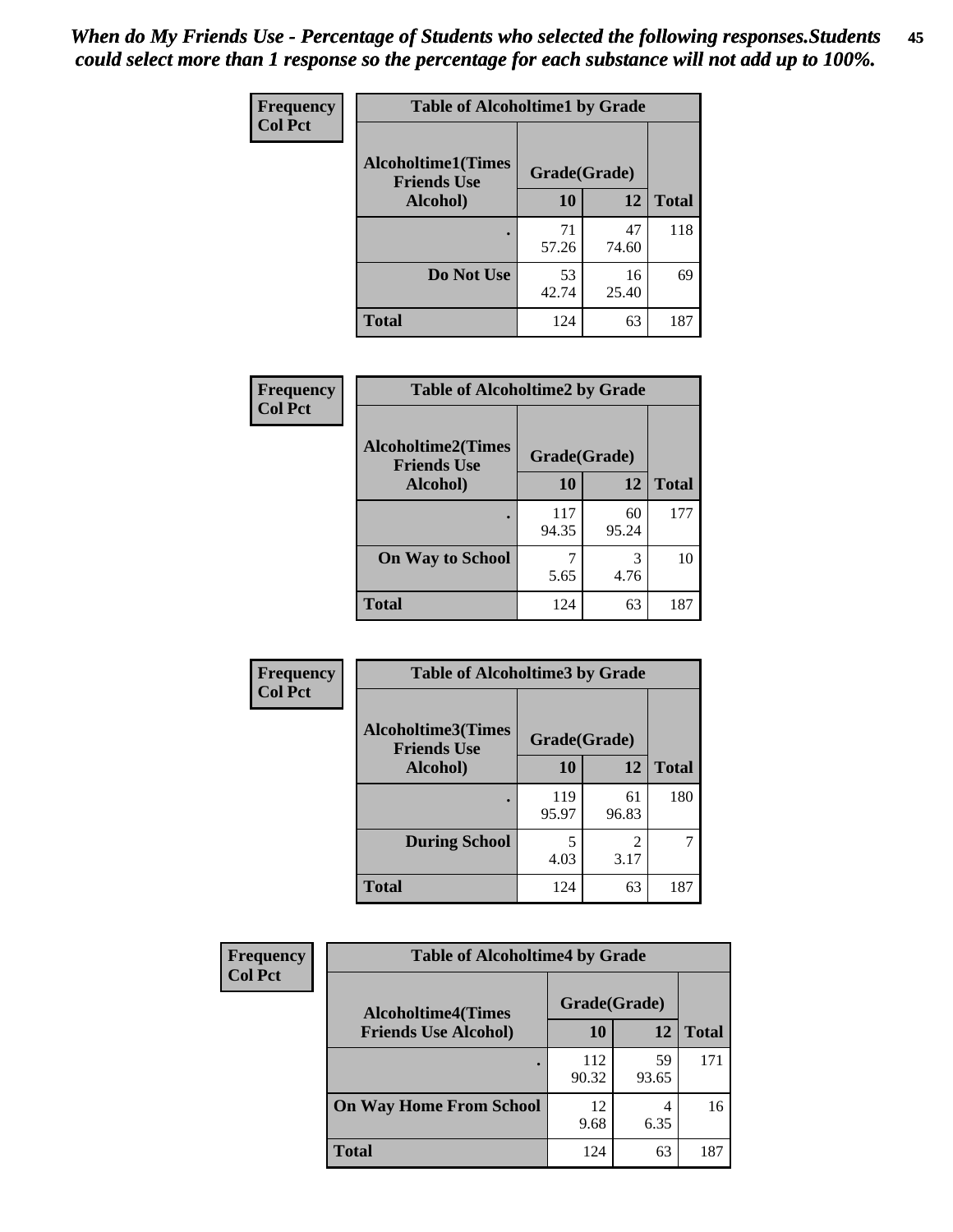| Frequency      | <b>Table of Alcoholtime1 by Grade</b>           |              |             |              |
|----------------|-------------------------------------------------|--------------|-------------|--------------|
| <b>Col Pct</b> | <b>Alcoholtime1(Times</b><br><b>Friends Use</b> | Grade(Grade) |             |              |
|                | Alcohol)                                        | 10           | 12          | <b>Total</b> |
|                |                                                 | 71<br>57.26  | 47<br>74.60 | 118          |
|                | Do Not Use                                      | 53<br>42.74  | 16<br>25.40 | 69           |
|                | <b>Total</b>                                    | 124          | 63          | 187          |

| Frequency      | <b>Table of Alcoholtime2 by Grade</b>           |              |             |              |
|----------------|-------------------------------------------------|--------------|-------------|--------------|
| <b>Col Pct</b> | <b>Alcoholtime2(Times</b><br><b>Friends Use</b> | Grade(Grade) |             |              |
|                | Alcohol)                                        | 10           | 12          | <b>Total</b> |
|                |                                                 | 117<br>94.35 | 60<br>95.24 | 177          |
|                | <b>On Way to School</b>                         | 5.65         | 3<br>4.76   | 10           |
|                | <b>Total</b>                                    | 124          | 63          | 187          |

| Frequency      | <b>Table of Alcoholtime3 by Grade</b>           |              |             |              |
|----------------|-------------------------------------------------|--------------|-------------|--------------|
| <b>Col Pct</b> | <b>Alcoholtime3(Times</b><br><b>Friends Use</b> | Grade(Grade) |             |              |
|                | Alcohol)                                        | 10           | 12          | <b>Total</b> |
|                |                                                 | 119<br>95.97 | 61<br>96.83 | 180          |
|                | <b>During School</b>                            | 5<br>4.03    | 2<br>3.17   | 7            |
|                | <b>Total</b>                                    | 124          | 63          | 187          |

| <b>Frequency</b> | <b>Table of Alcoholtime4 by Grade</b> |              |             |              |
|------------------|---------------------------------------|--------------|-------------|--------------|
| <b>Col Pct</b>   | <b>Alcoholtime4(Times</b>             | Grade(Grade) |             |              |
|                  | <b>Friends Use Alcohol)</b>           | 10           | 12          | <b>Total</b> |
|                  |                                       | 112<br>90.32 | 59<br>93.65 | 171          |
|                  | <b>On Way Home From School</b>        | 12<br>9.68   | 4<br>6.35   | 16           |
|                  | <b>Total</b>                          | 124          | 63          | 187          |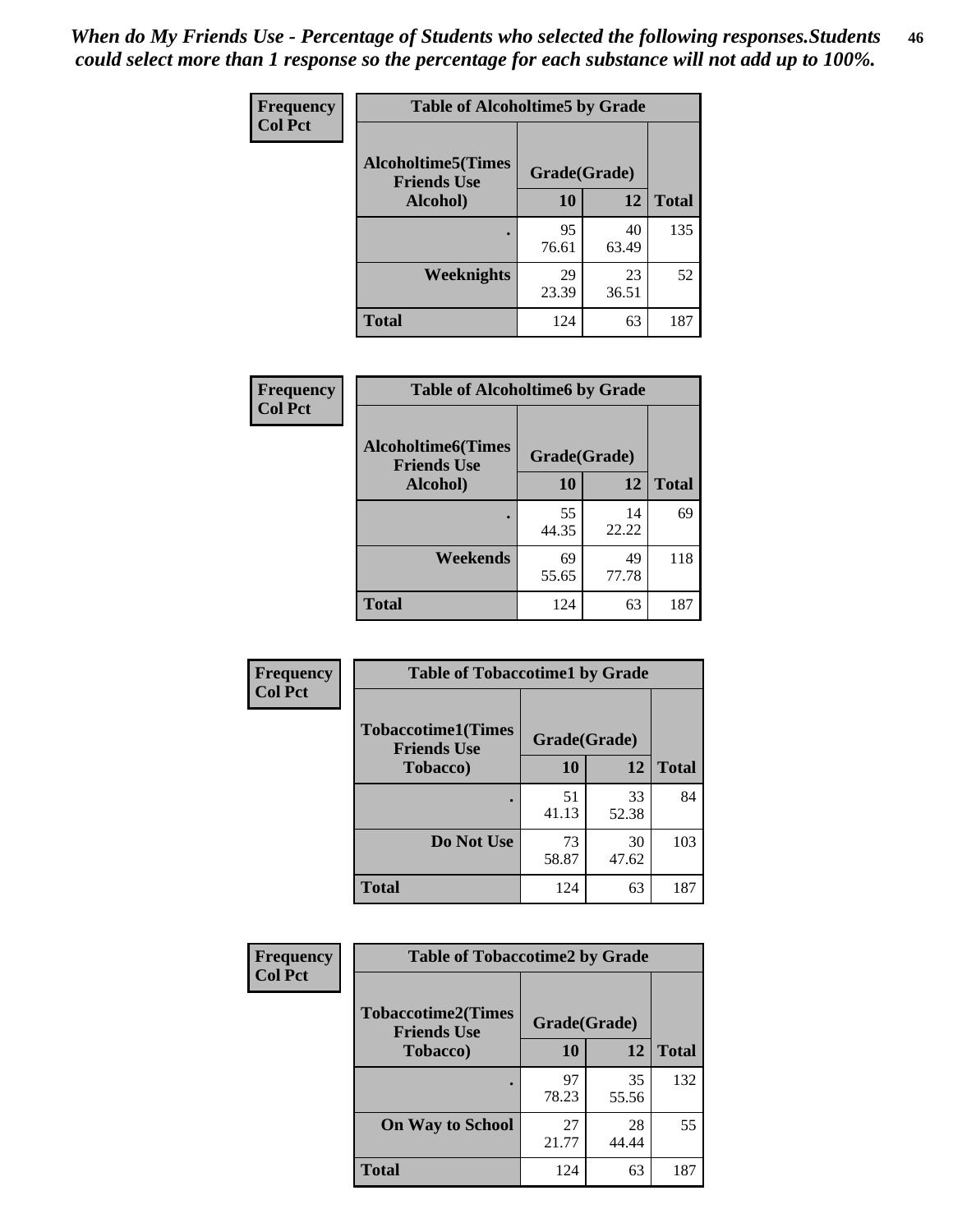*When do My Friends Use - Percentage of Students who selected the following responses.Students could select more than 1 response so the percentage for each substance will not add up to 100%.* **46**

| Frequency      | <b>Table of Alcoholtime5 by Grade</b>           |              |             |              |
|----------------|-------------------------------------------------|--------------|-------------|--------------|
| <b>Col Pct</b> | <b>Alcoholtime5(Times</b><br><b>Friends Use</b> | Grade(Grade) |             |              |
|                | Alcohol)                                        | 10           | 12          | <b>Total</b> |
|                |                                                 | 95<br>76.61  | 40<br>63.49 | 135          |
|                | Weeknights                                      | 29<br>23.39  | 23<br>36.51 | 52           |
|                | <b>Total</b>                                    | 124          | 63          | 187          |

| <b>Frequency</b> | <b>Table of Alcoholtime6 by Grade</b>           |              |             |              |
|------------------|-------------------------------------------------|--------------|-------------|--------------|
| <b>Col Pct</b>   | <b>Alcoholtime6(Times</b><br><b>Friends Use</b> | Grade(Grade) |             |              |
|                  | Alcohol)                                        | 10           | 12          | <b>Total</b> |
|                  |                                                 | 55<br>44.35  | 14<br>22.22 | 69           |
|                  | Weekends                                        | 69<br>55.65  | 49<br>77.78 | 118          |
|                  | <b>Total</b>                                    | 124          | 63          | 187          |

| Frequency      | <b>Table of Tobaccotime1 by Grade</b>           |              |             |              |
|----------------|-------------------------------------------------|--------------|-------------|--------------|
| <b>Col Pct</b> | <b>Tobaccotime1(Times</b><br><b>Friends Use</b> | Grade(Grade) |             |              |
|                | <b>Tobacco</b> )                                | 10           | 12          | <b>Total</b> |
|                | ٠                                               | 51<br>41.13  | 33<br>52.38 | 84           |
|                | Do Not Use                                      | 73<br>58.87  | 30<br>47.62 | 103          |
|                | <b>Total</b>                                    | 124          | 63          | 187          |

| <b>Frequency</b> | <b>Table of Tobaccotime2 by Grade</b>                           |             |             |              |
|------------------|-----------------------------------------------------------------|-------------|-------------|--------------|
| <b>Col Pct</b>   | <b>Tobaccotime2(Times</b><br>Grade(Grade)<br><b>Friends Use</b> |             |             |              |
|                  | <b>Tobacco</b> )                                                | 10          | 12          | <b>Total</b> |
|                  |                                                                 | 97<br>78.23 | 35<br>55.56 | 132          |
|                  | <b>On Way to School</b>                                         | 27<br>21.77 | 28<br>44.44 | 55           |
|                  | <b>Total</b>                                                    | 124         | 63          | 187          |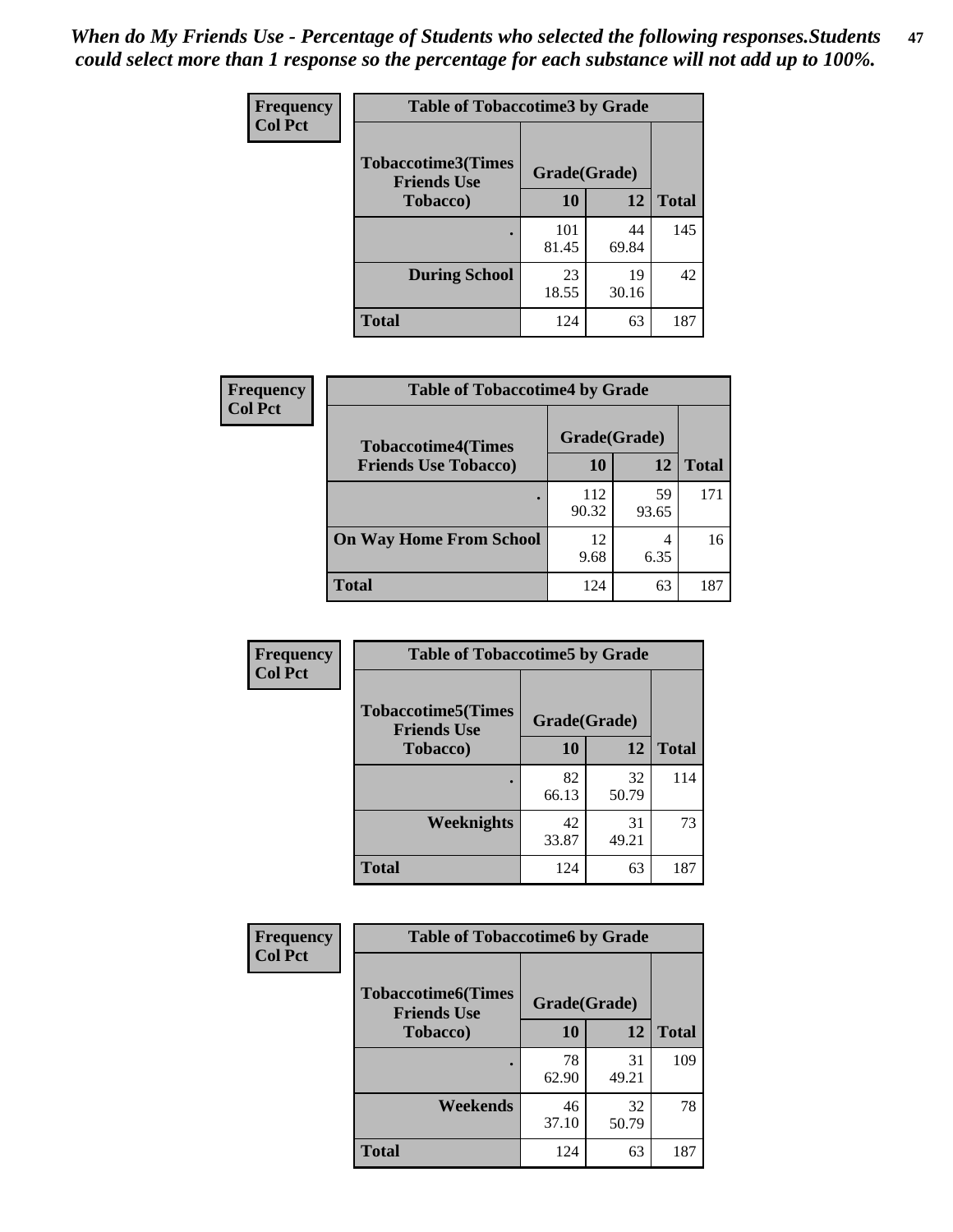*When do My Friends Use - Percentage of Students who selected the following responses.Students could select more than 1 response so the percentage for each substance will not add up to 100%.* **47**

| <b>Frequency</b> | <b>Table of Tobaccotime3 by Grade</b>           |              |             |              |  |
|------------------|-------------------------------------------------|--------------|-------------|--------------|--|
| <b>Col Pct</b>   | <b>Tobaccotime3(Times</b><br><b>Friends Use</b> | Grade(Grade) |             |              |  |
|                  | <b>Tobacco</b> )                                | 10           | 12          | <b>Total</b> |  |
|                  |                                                 | 101<br>81.45 | 44<br>69.84 | 145          |  |
|                  | <b>During School</b>                            | 23<br>18.55  | 19<br>30.16 | 42           |  |
|                  | <b>Total</b>                                    | 124          | 63          | 187          |  |

| <b>Frequency</b> | <b>Table of Tobaccotime4 by Grade</b> |              |             |              |
|------------------|---------------------------------------|--------------|-------------|--------------|
| <b>Col Pct</b>   | <b>Tobaccotime4(Times</b>             | Grade(Grade) |             |              |
|                  | <b>Friends Use Tobacco)</b>           | 10           | 12          | <b>Total</b> |
|                  |                                       | 112<br>90.32 | 59<br>93.65 | 171          |
|                  | <b>On Way Home From School</b>        | 12<br>9.68   | 4<br>6.35   | 16           |
|                  | <b>Total</b>                          | 124          | 63          | 187          |

| Frequency      | <b>Table of Tobaccotime5 by Grade</b>           |              |             |              |
|----------------|-------------------------------------------------|--------------|-------------|--------------|
| <b>Col Pct</b> | <b>Tobaccotime5(Times</b><br><b>Friends Use</b> | Grade(Grade) |             |              |
|                | <b>Tobacco</b> )                                | 10           | 12          | <b>Total</b> |
|                |                                                 | 82<br>66.13  | 32<br>50.79 | 114          |
|                | Weeknights                                      | 42<br>33.87  | 31<br>49.21 | 73           |
|                | <b>Total</b>                                    | 124          | 63          | 187          |

| <b>Frequency</b> | <b>Table of Tobaccotime6 by Grade</b>           |              |             |              |  |
|------------------|-------------------------------------------------|--------------|-------------|--------------|--|
| <b>Col Pct</b>   | <b>Tobaccotime6(Times</b><br><b>Friends Use</b> | Grade(Grade) |             |              |  |
|                  | <b>Tobacco</b> )                                | 10           | 12          | <b>Total</b> |  |
|                  | ٠                                               | 78<br>62.90  | 31<br>49.21 | 109          |  |
|                  | Weekends                                        | 46<br>37.10  | 32<br>50.79 | 78           |  |
|                  | <b>Total</b>                                    | 124          | 63          | 187          |  |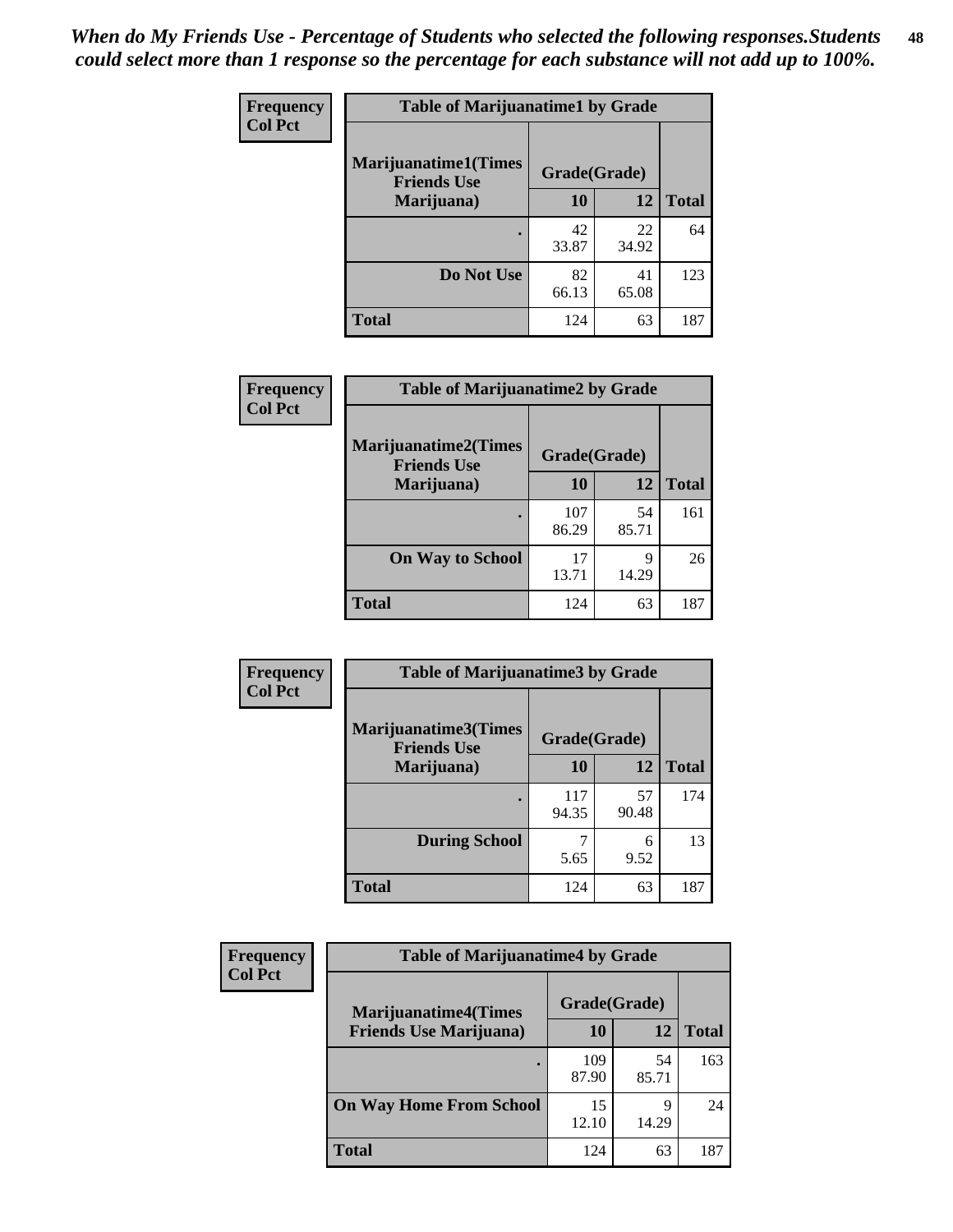| Frequency      | <b>Table of Marijuanatime1 by Grade</b>           |              |             |              |
|----------------|---------------------------------------------------|--------------|-------------|--------------|
| <b>Col Pct</b> | <b>Marijuanatime1(Times</b><br><b>Friends Use</b> | Grade(Grade) |             |              |
|                | Marijuana)                                        | 10           | 12          | <b>Total</b> |
|                |                                                   | 42<br>33.87  | 22<br>34.92 | 64           |
|                | Do Not Use                                        | 82<br>66.13  | 41<br>65.08 | 123          |
|                | <b>Total</b>                                      | 124          | 63          | 187          |

| Frequency      | <b>Table of Marijuanatime2 by Grade</b>    |              |             |              |
|----------------|--------------------------------------------|--------------|-------------|--------------|
| <b>Col Pct</b> | Marijuanatime2(Times<br><b>Friends Use</b> | Grade(Grade) |             |              |
|                | Marijuana)                                 | 10           | 12          | <b>Total</b> |
|                |                                            | 107<br>86.29 | 54<br>85.71 | 161          |
|                | <b>On Way to School</b>                    | 17<br>13.71  | 9<br>14.29  | 26           |
|                | <b>Total</b>                               | 124          | 63          | 187          |

| <b>Frequency</b> | <b>Table of Marijuanatime3 by Grade</b>    |              |             |              |  |
|------------------|--------------------------------------------|--------------|-------------|--------------|--|
| <b>Col Pct</b>   | Marijuanatime3(Times<br><b>Friends Use</b> | Grade(Grade) |             |              |  |
|                  | Marijuana)                                 | 10           | 12          | <b>Total</b> |  |
|                  |                                            | 117<br>94.35 | 57<br>90.48 | 174          |  |
|                  | <b>During School</b>                       | 5.65         | 6<br>9.52   | 13           |  |
|                  | <b>Total</b>                               | 124          | 63          | 187          |  |

| <b>Frequency</b><br><b>Col Pct</b> | <b>Table of Marijuanatime4 by Grade</b> |              |             |              |
|------------------------------------|-----------------------------------------|--------------|-------------|--------------|
|                                    | <b>Marijuanatime4</b> (Times            | Grade(Grade) |             |              |
|                                    | <b>Friends Use Marijuana</b> )          | 10           | 12          | <b>Total</b> |
|                                    |                                         | 109<br>87.90 | 54<br>85.71 | 163          |
|                                    | <b>On Way Home From School</b>          | 15<br>12.10  | q<br>14.29  | 24           |
|                                    | <b>Total</b>                            | 124          | 63          | 187          |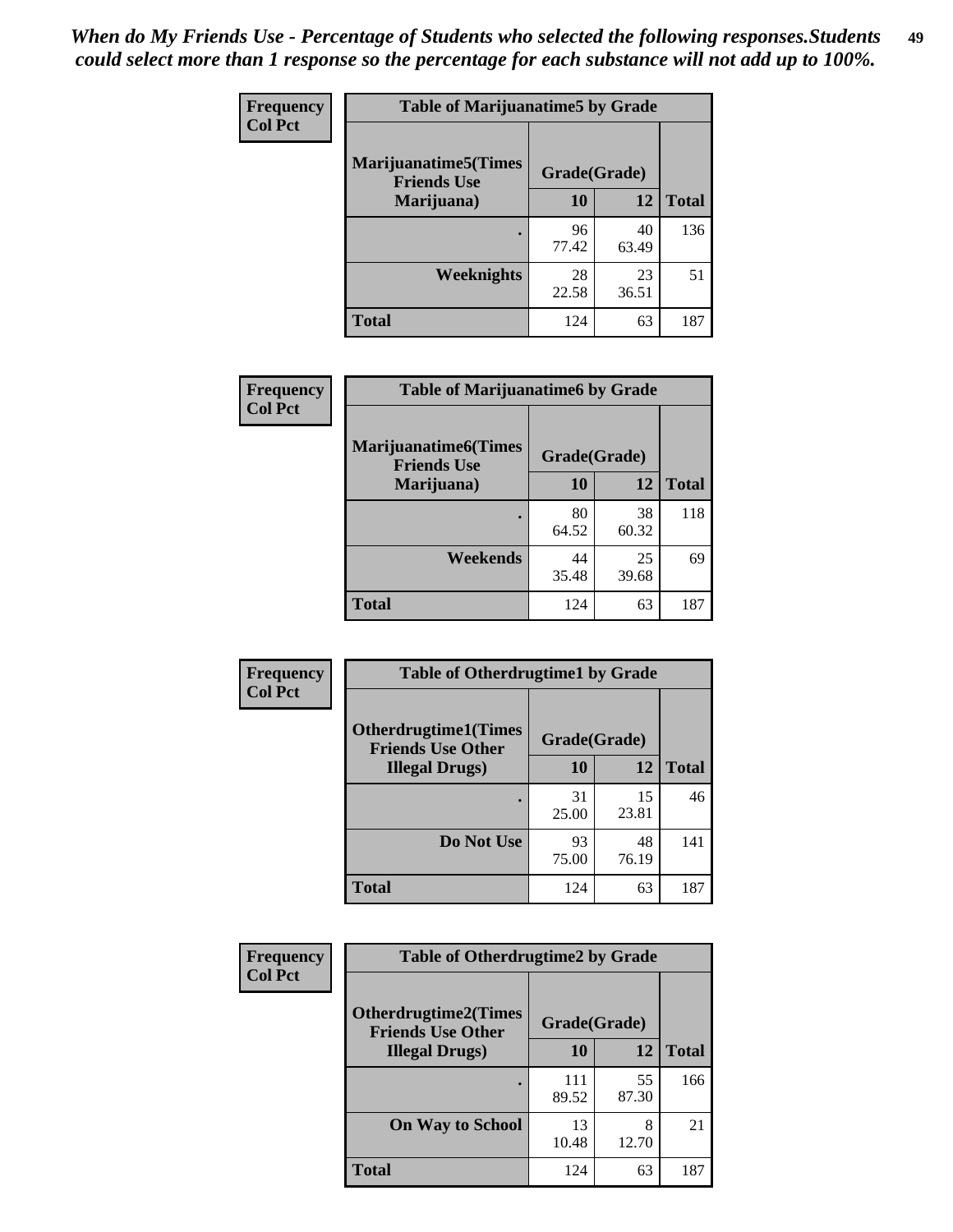| Frequency      | <b>Table of Marijuanatime5 by Grade</b>            |              |             |              |
|----------------|----------------------------------------------------|--------------|-------------|--------------|
| <b>Col Pct</b> | <b>Marijuanatime5</b> (Times<br><b>Friends Use</b> | Grade(Grade) |             |              |
|                | Marijuana)                                         | 10           | 12          | <b>Total</b> |
|                |                                                    | 96<br>77.42  | 40<br>63.49 | 136          |
|                | <b>Weeknights</b>                                  | 28<br>22.58  | 23<br>36.51 | 51           |
|                | <b>Total</b>                                       | 124          | 63          | 187          |

| Frequency      | <b>Table of Marijuanatime6 by Grade</b>            |              |             |              |
|----------------|----------------------------------------------------|--------------|-------------|--------------|
| <b>Col Pct</b> | <b>Marijuanatime6</b> (Times<br><b>Friends Use</b> | Grade(Grade) |             |              |
|                | Marijuana)                                         | 10           | 12          | <b>Total</b> |
|                |                                                    | 80<br>64.52  | 38<br>60.32 | 118          |
|                | Weekends                                           | 44<br>35.48  | 25<br>39.68 | 69           |
|                | <b>Total</b>                                       | 124          | 63          | 187          |

| <b>Frequency</b> | <b>Table of Otherdrugtime1 by Grade</b>                 |              |             |              |
|------------------|---------------------------------------------------------|--------------|-------------|--------------|
| <b>Col Pct</b>   | <b>Otherdrugtime1(Times</b><br><b>Friends Use Other</b> | Grade(Grade) |             |              |
|                  | <b>Illegal Drugs</b> )                                  | 10           | 12          | <b>Total</b> |
|                  |                                                         | 31<br>25.00  | 15<br>23.81 | 46           |
|                  | Do Not Use                                              | 93<br>75.00  | 48<br>76.19 | 141          |
|                  | <b>Total</b>                                            | 124          | 63          | 187          |

| Frequency      | <b>Table of Otherdrugtime2 by Grade</b>                 |              |             |              |  |  |  |
|----------------|---------------------------------------------------------|--------------|-------------|--------------|--|--|--|
| <b>Col Pct</b> | <b>Otherdrugtime2(Times</b><br><b>Friends Use Other</b> | Grade(Grade) |             |              |  |  |  |
|                | <b>Illegal Drugs</b> )                                  | 10           | 12          | <b>Total</b> |  |  |  |
|                |                                                         | 111<br>89.52 | 55<br>87.30 | 166          |  |  |  |
|                | <b>On Way to School</b>                                 | 13<br>10.48  | 8<br>12.70  | 21           |  |  |  |
|                | <b>Total</b>                                            | 124          | 63          | 187          |  |  |  |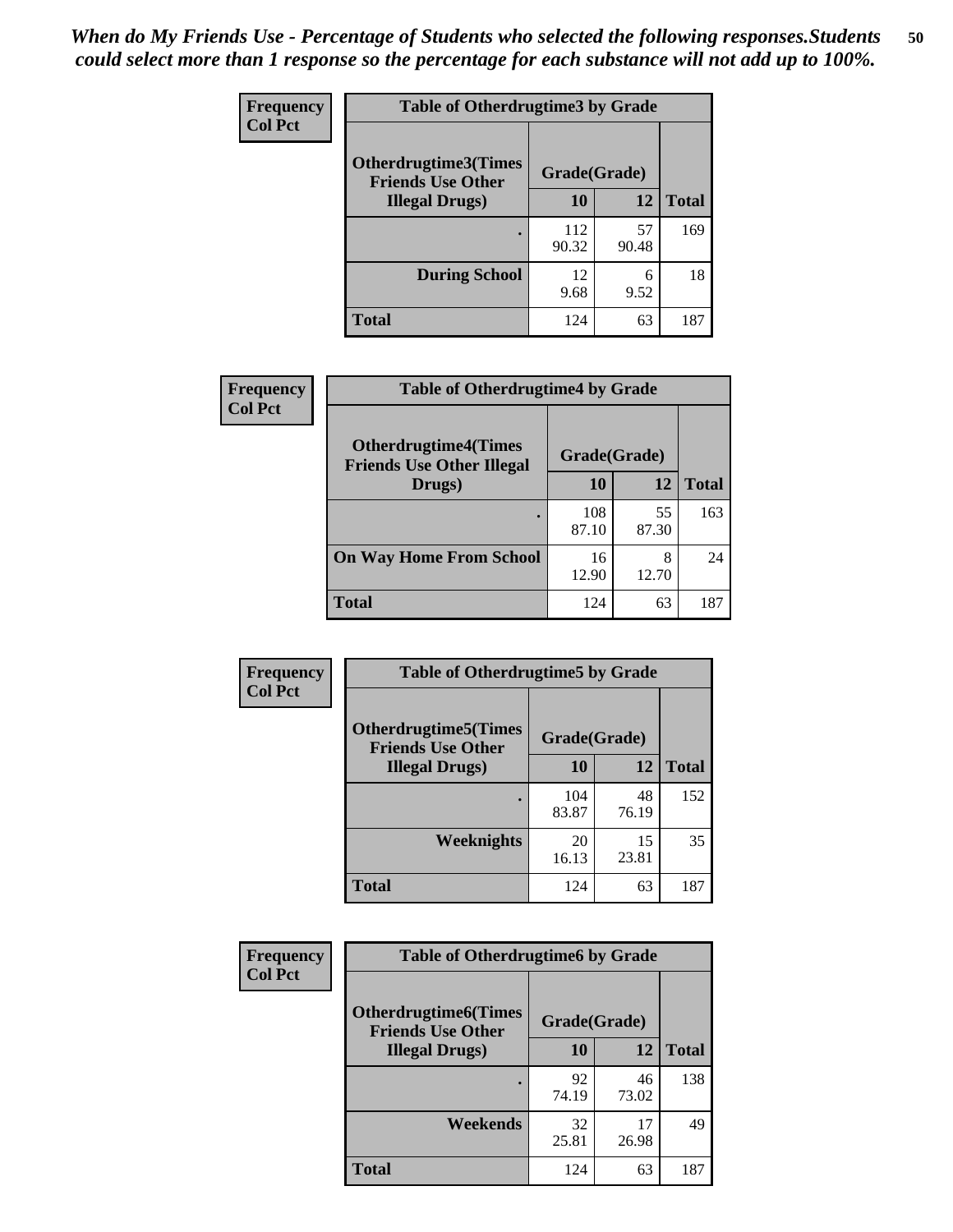| <b>Frequency</b> | <b>Table of Otherdrugtime3 by Grade</b>          |              |             |              |  |  |
|------------------|--------------------------------------------------|--------------|-------------|--------------|--|--|
| <b>Col Pct</b>   | Otherdrugtime3(Times<br><b>Friends Use Other</b> | Grade(Grade) |             |              |  |  |
|                  | <b>Illegal Drugs</b> )                           | 10           | 12          | <b>Total</b> |  |  |
|                  |                                                  | 112<br>90.32 | 57<br>90.48 | 169          |  |  |
|                  | <b>During School</b>                             | 12<br>9.68   | 6<br>9.52   | 18           |  |  |
|                  | Total                                            | 124          | 63          | 187          |  |  |

| Frequency      | <b>Table of Otherdrugtime4 by Grade</b>                         |              |             |              |  |  |
|----------------|-----------------------------------------------------------------|--------------|-------------|--------------|--|--|
| <b>Col Pct</b> | <b>Otherdrugtime4(Times</b><br><b>Friends Use Other Illegal</b> | Grade(Grade) |             |              |  |  |
|                | Drugs)                                                          | 10           | 12          | <b>Total</b> |  |  |
|                | ٠                                                               | 108<br>87.10 | 55<br>87.30 | 163          |  |  |
|                | <b>On Way Home From School</b>                                  | 16<br>12.90  | 8<br>12.70  | 24           |  |  |
|                | <b>Total</b>                                                    | 124          | 63          | 187          |  |  |

| <b>Frequency</b> | <b>Table of Otherdrugtime5 by Grade</b>                  |              |             |              |  |  |  |
|------------------|----------------------------------------------------------|--------------|-------------|--------------|--|--|--|
| <b>Col Pct</b>   | <b>Otherdrugtime5</b> (Times<br><b>Friends Use Other</b> | Grade(Grade) |             |              |  |  |  |
|                  | <b>Illegal Drugs</b> )                                   | 10           | 12          | <b>Total</b> |  |  |  |
|                  |                                                          | 104<br>83.87 | 48<br>76.19 | 152          |  |  |  |
|                  | Weeknights                                               | 20<br>16.13  | 15<br>23.81 | 35           |  |  |  |
|                  | Total                                                    | 124          | 63          | 187          |  |  |  |

| Frequency      | <b>Table of Otherdrugtime6 by Grade</b>                                 |             |             |              |
|----------------|-------------------------------------------------------------------------|-------------|-------------|--------------|
| <b>Col Pct</b> | <b>Otherdrugtime6(Times</b><br>Grade(Grade)<br><b>Friends Use Other</b> |             |             |              |
|                | <b>Illegal Drugs</b> )                                                  | 10          | 12          | <b>Total</b> |
|                |                                                                         | 92<br>74.19 | 46<br>73.02 | 138          |
|                | Weekends                                                                | 32<br>25.81 | 17<br>26.98 | 49           |
|                | Total                                                                   | 124         | 63          | 187          |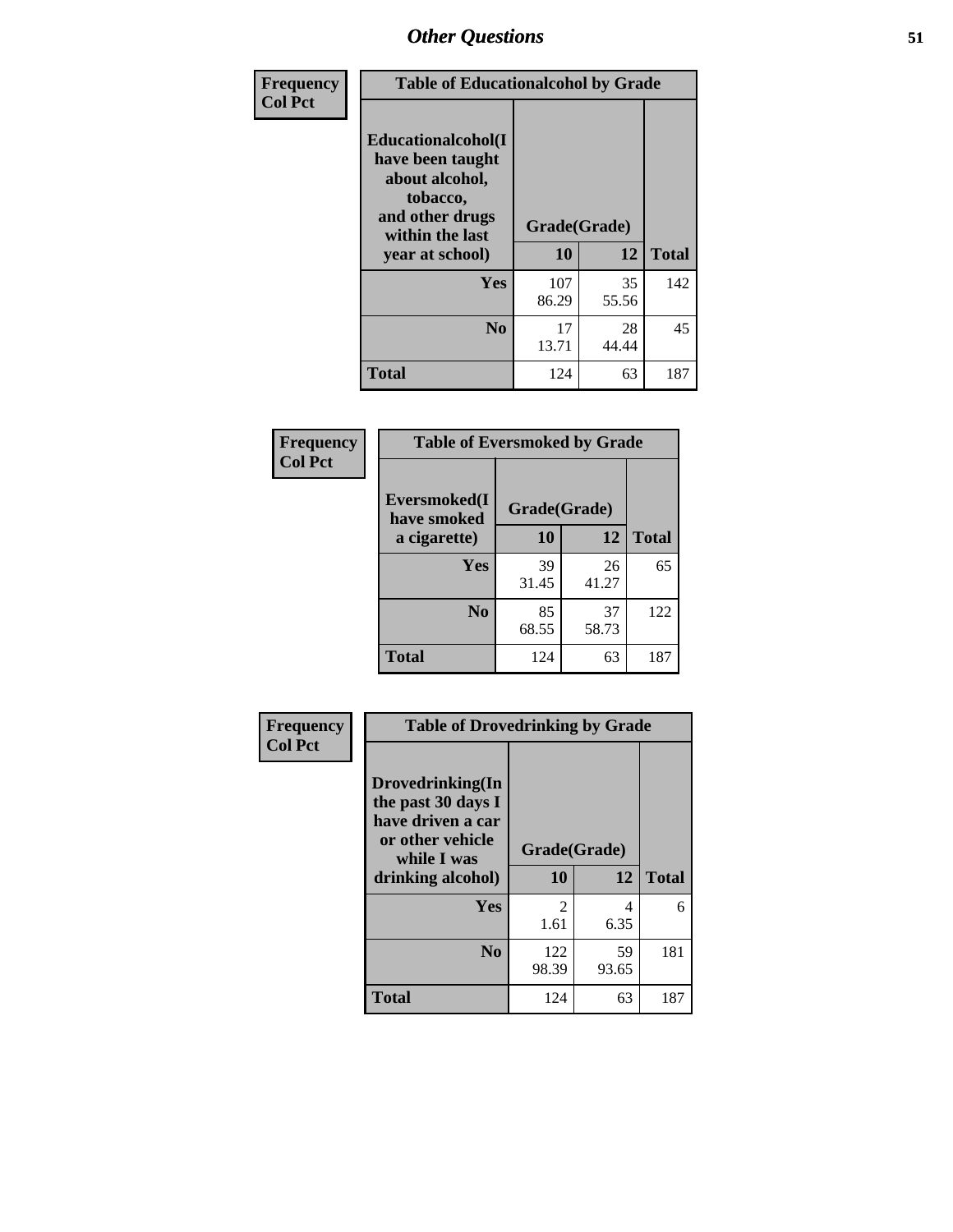| Frequency      | <b>Table of Educationalcohol by Grade</b>                                                                  |              |             |              |  |  |
|----------------|------------------------------------------------------------------------------------------------------------|--------------|-------------|--------------|--|--|
| <b>Col Pct</b> | Educationalcohol(I<br>have been taught<br>about alcohol,<br>tobacco,<br>and other drugs<br>within the last | Grade(Grade) |             |              |  |  |
|                | year at school)                                                                                            | 10           | 12          | <b>Total</b> |  |  |
|                | Yes                                                                                                        | 107<br>86.29 | 35<br>55.56 | 142          |  |  |
|                | N <sub>0</sub>                                                                                             | 17<br>13.71  | 28<br>44.44 | 45           |  |  |
|                | <b>Total</b>                                                                                               | 124          | 63          | 187          |  |  |

| Frequency      | <b>Table of Eversmoked by Grade</b> |              |             |              |  |  |  |
|----------------|-------------------------------------|--------------|-------------|--------------|--|--|--|
| <b>Col Pct</b> | Eversmoked(I<br>have smoked         | Grade(Grade) |             |              |  |  |  |
|                | a cigarette)                        | 10           | 12          | <b>Total</b> |  |  |  |
|                | <b>Yes</b>                          | 39<br>31.45  | 26<br>41.27 | 65           |  |  |  |
|                | N <sub>0</sub>                      | 85<br>68.55  | 37<br>58.73 | 122          |  |  |  |
|                | <b>Total</b>                        | 124          | 63          | 187          |  |  |  |

| Frequency      | <b>Table of Drovedrinking by Grade</b>                                                                              |                    |              |     |  |  |
|----------------|---------------------------------------------------------------------------------------------------------------------|--------------------|--------------|-----|--|--|
| <b>Col Pct</b> | Drovedrinking(In<br>the past 30 days I<br>have driven a car<br>or other vehicle<br>while I was<br>drinking alcohol) | Grade(Grade)<br>10 | <b>Total</b> |     |  |  |
|                | <b>Yes</b>                                                                                                          | 2<br>1.61          | 4<br>6.35    | 6   |  |  |
|                | N <sub>0</sub>                                                                                                      | 122<br>98.39       | 59<br>93.65  | 181 |  |  |
|                | <b>Total</b>                                                                                                        | 124                | 63           | 187 |  |  |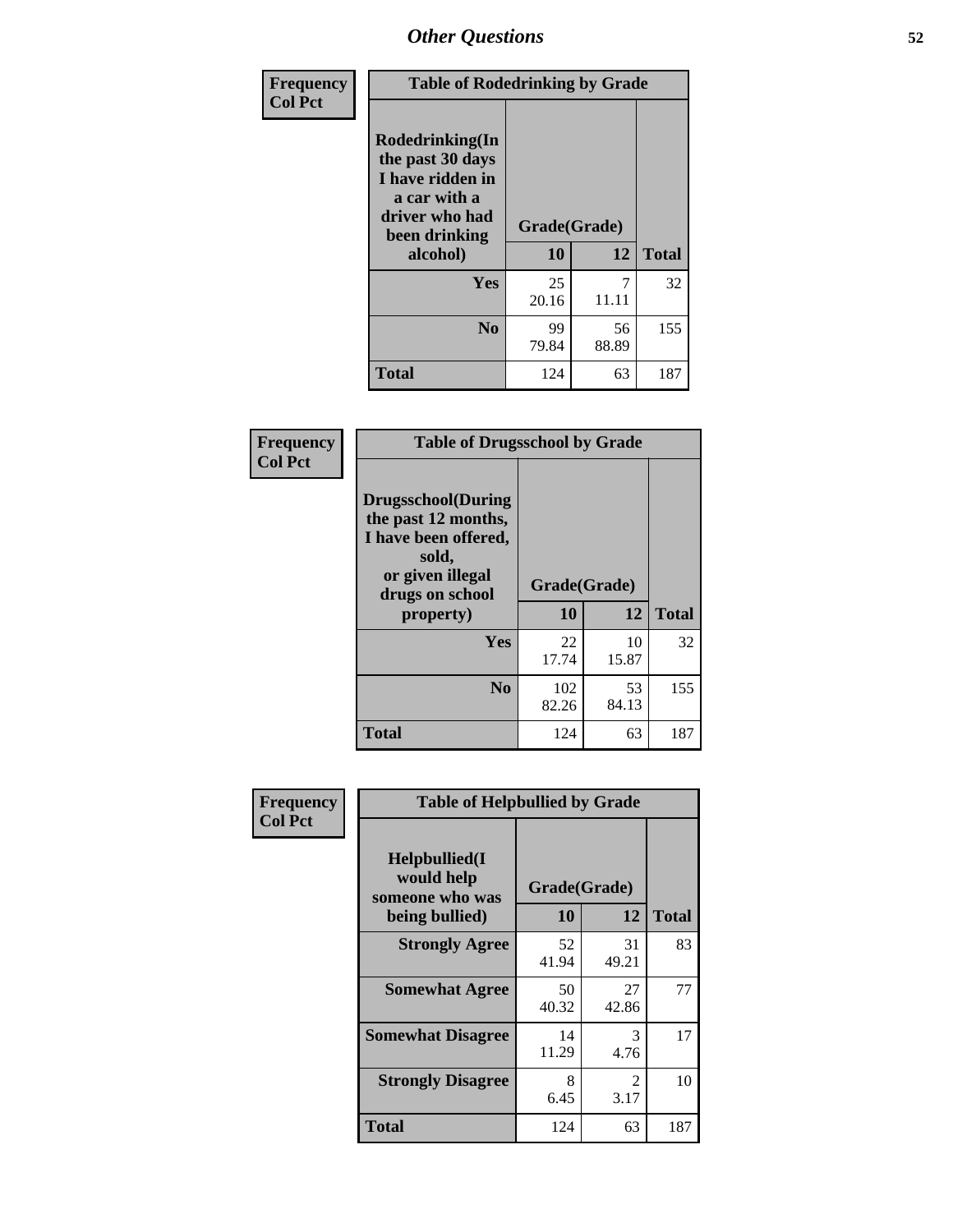| Frequency<br><b>Col Pct</b> | <b>Table of Rodedrinking by Grade</b>                                                                                      |             |             |              |  |  |
|-----------------------------|----------------------------------------------------------------------------------------------------------------------------|-------------|-------------|--------------|--|--|
|                             | Rodedrinking(In<br>the past 30 days<br>I have ridden in<br>a car with a<br>driver who had<br>Grade(Grade)<br>been drinking |             |             |              |  |  |
|                             | alcohol)                                                                                                                   | 10          | 12          | <b>Total</b> |  |  |
|                             | <b>Yes</b>                                                                                                                 | 25<br>20.16 | 7<br>11.11  | 32           |  |  |
|                             | N <sub>0</sub>                                                                                                             | 99<br>79.84 | 56<br>88.89 | 155          |  |  |
|                             | <b>Total</b>                                                                                                               | 124         | 63          | 187          |  |  |

#### **Frequency Col Pct**

| <b>Table of Drugsschool by Grade</b>                                                                                      |              |             |              |  |  |  |  |
|---------------------------------------------------------------------------------------------------------------------------|--------------|-------------|--------------|--|--|--|--|
| <b>Drugsschool</b> (During<br>the past 12 months,<br>I have been offered,<br>sold,<br>or given illegal<br>drugs on school | Grade(Grade) |             |              |  |  |  |  |
| property)                                                                                                                 | 10           | 12          | <b>Total</b> |  |  |  |  |
| Yes                                                                                                                       | 22<br>17.74  | 10<br>15.87 | 32           |  |  |  |  |
| N <sub>0</sub>                                                                                                            | 102<br>82.26 | 53<br>84.13 | 155          |  |  |  |  |
| <b>Total</b>                                                                                                              | 124          | 63          | 187          |  |  |  |  |

| Frequency      | <b>Table of Helpbullied by Grade</b>                 |              |                        |              |  |  |  |  |
|----------------|------------------------------------------------------|--------------|------------------------|--------------|--|--|--|--|
| <b>Col Pct</b> | $Helpb$ ullied $(I$<br>would help<br>someone who was | Grade(Grade) |                        |              |  |  |  |  |
|                | being bullied)                                       | 10           | 12                     | <b>Total</b> |  |  |  |  |
|                | <b>Strongly Agree</b>                                | 52<br>41.94  | 31<br>49.21            | 83           |  |  |  |  |
|                | <b>Somewhat Agree</b>                                | 50<br>40.32  | 27<br>42.86            | 77           |  |  |  |  |
|                | <b>Somewhat Disagree</b>                             | 14<br>11.29  | 3<br>4.76              | 17           |  |  |  |  |
|                | <b>Strongly Disagree</b>                             | 8<br>6.45    | $\mathfrak{D}$<br>3.17 | 10           |  |  |  |  |
|                | <b>Total</b>                                         | 124          | 63                     | 187          |  |  |  |  |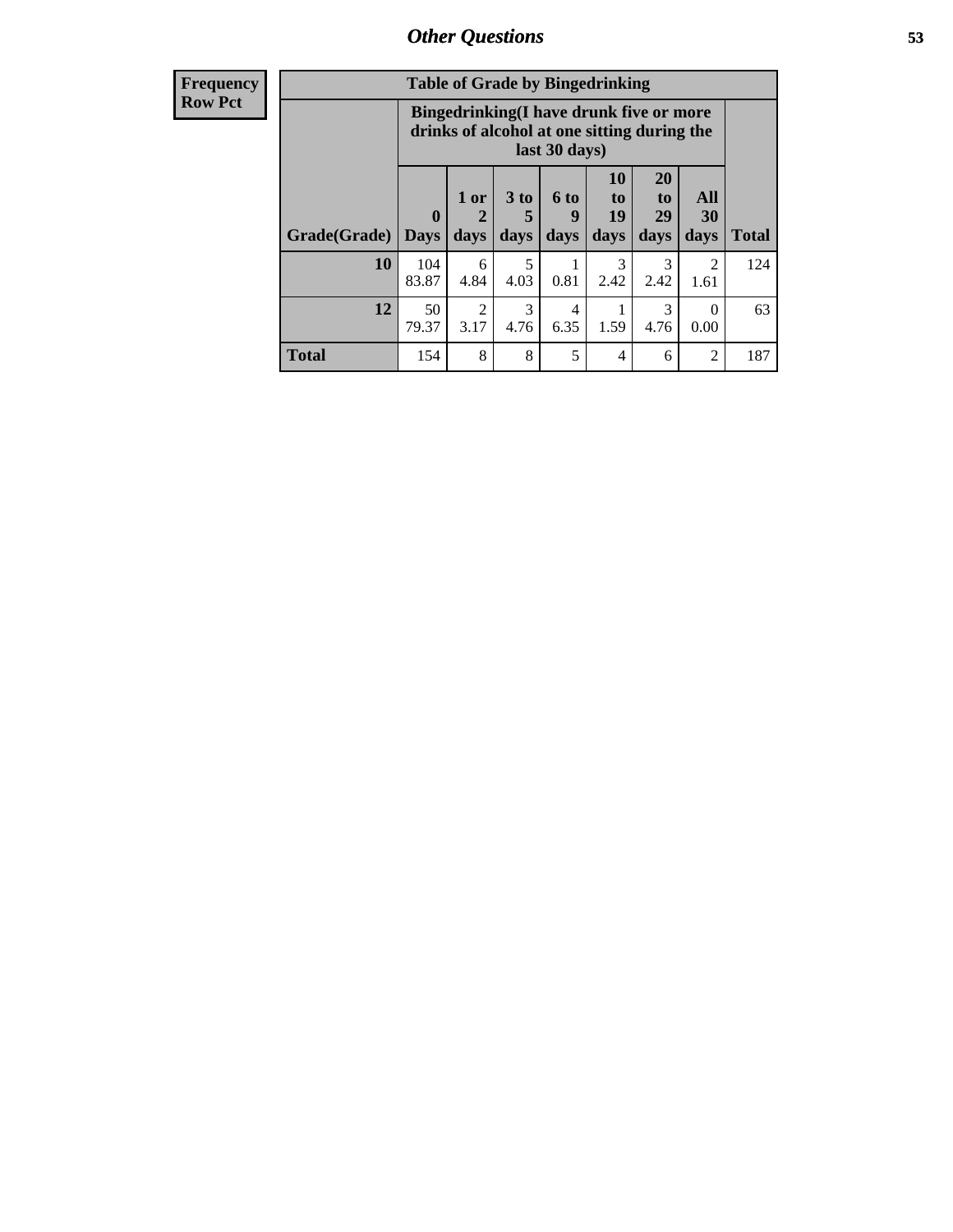| Frequency      |              | <b>Table of Grade by Bingedrinking</b>                                                                  |                |              |                              |                        |                               |                        |              |
|----------------|--------------|---------------------------------------------------------------------------------------------------------|----------------|--------------|------------------------------|------------------------|-------------------------------|------------------------|--------------|
| <b>Row Pct</b> |              | Bingedrinking(I have drunk five or more<br>drinks of alcohol at one sitting during the<br>last 30 days) |                |              |                              |                        |                               |                        |              |
|                | Grade(Grade) | $\mathbf 0$<br><b>Days</b>                                                                              | $1$ or<br>days | 3 to<br>days | 6 <sub>to</sub><br>9<br>days | 10<br>to<br>19<br>days | <b>20</b><br>to<br>29<br>days | All<br>30<br>days      | <b>Total</b> |
|                | <b>10</b>    | 104<br>83.87                                                                                            | 6<br>4.84      | 5<br>4.03    | 0.81                         | 3<br>2.42              | $\mathcal{R}$<br>2.42         | $\mathfrak{D}$<br>1.61 | 124          |
|                | 12           | 50<br>79.37                                                                                             | 2<br>3.17      | 3<br>4.76    | 4<br>6.35                    | 1.59                   | 3<br>4.76                     | $\Omega$<br>0.00       | 63           |
|                | <b>Total</b> | 154                                                                                                     | 8              | 8            | 5                            | 4                      | 6                             | $\overline{2}$         | 187          |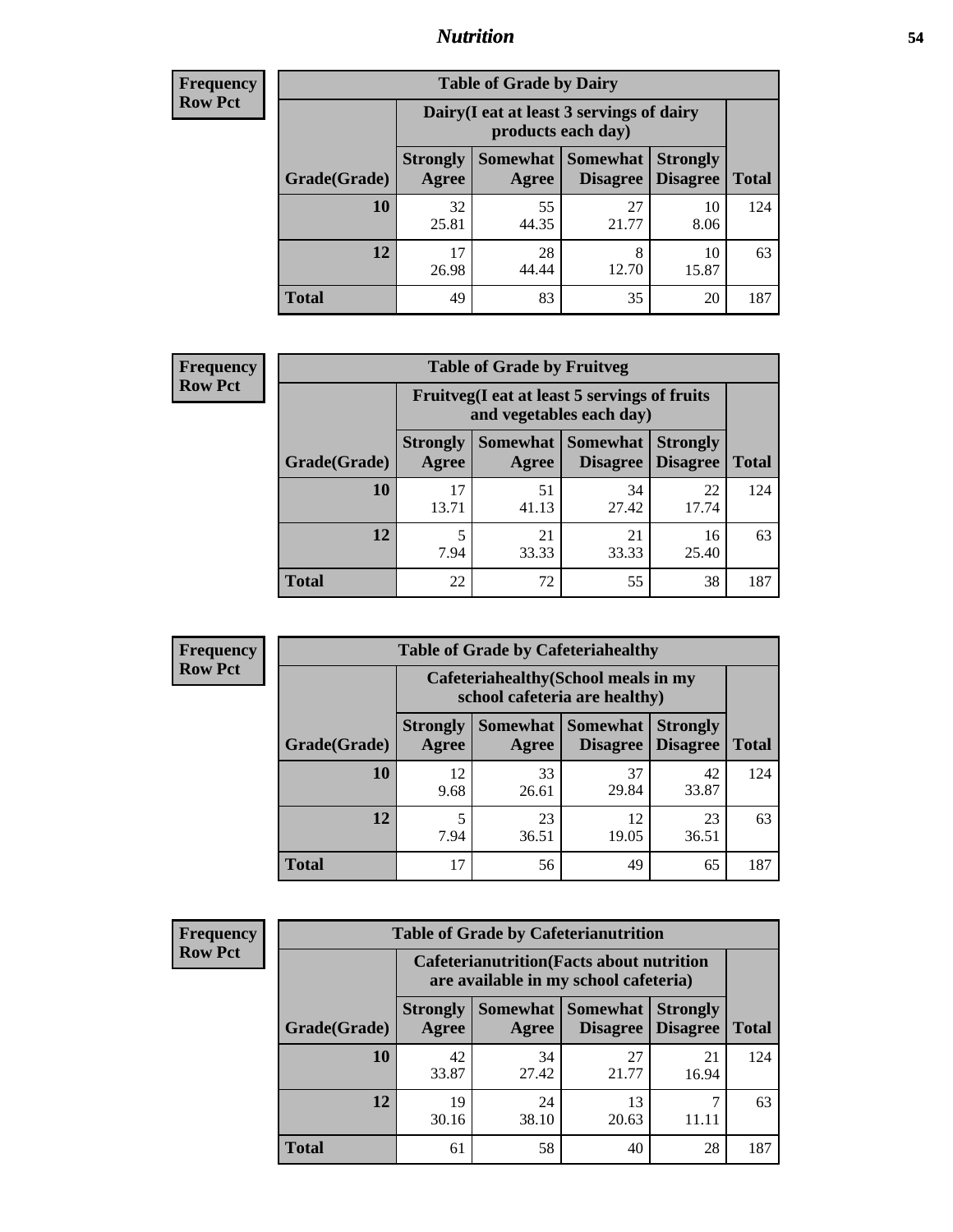## *Nutrition* **54**

| <b>Frequency</b><br>Row Pct |
|-----------------------------|
|                             |

| <b>Table of Grade by Dairy</b> |                          |                                                                 |                             |                                    |              |  |
|--------------------------------|--------------------------|-----------------------------------------------------------------|-----------------------------|------------------------------------|--------------|--|
|                                |                          | Dairy (I eat at least 3 servings of dairy<br>products each day) |                             |                                    |              |  |
| Grade(Grade)                   | <b>Strongly</b><br>Agree | Somewhat<br>Agree                                               | <b>Somewhat</b><br>Disagree | <b>Strongly</b><br><b>Disagree</b> | <b>Total</b> |  |
| 10                             | 32<br>25.81              | 55<br>44.35                                                     | 27<br>21.77                 | 10<br>8.06                         | 124          |  |
| 12                             | 17<br>26.98              | 28<br>44.44                                                     | 8<br>12.70                  | 10<br>15.87                        | 63           |  |
| <b>Total</b>                   | 49                       | 83                                                              | 35                          | 20                                 | 187          |  |

| <b>Frequency</b> |  |
|------------------|--|
| <b>Row Pct</b>   |  |

| cy | <b>Table of Grade by Fruitveg</b> |                          |                                                                          |                                          |                                    |              |  |
|----|-----------------------------------|--------------------------|--------------------------------------------------------------------------|------------------------------------------|------------------------------------|--------------|--|
|    |                                   |                          | Fruitveg(I eat at least 5 servings of fruits<br>and vegetables each day) |                                          |                                    |              |  |
|    | Grade(Grade)                      | <b>Strongly</b><br>Agree | Agree                                                                    | Somewhat   Somewhat  <br><b>Disagree</b> | <b>Strongly</b><br><b>Disagree</b> | <b>Total</b> |  |
|    | <b>10</b>                         | 17<br>13.71              | 51<br>41.13                                                              | 34<br>27.42                              | 22<br>17.74                        | 124          |  |
|    | 12                                | 5<br>7.94                | 21<br>33.33                                                              | 21<br>33.33                              | 16<br>25.40                        | 63           |  |
|    | <b>Total</b>                      | 22                       | 72                                                                       | 55                                       | 38                                 | 187          |  |

| <b>Frequency</b> |
|------------------|
| Row Pct          |

| <b>Table of Grade by Cafeteriahealthy</b> |                          |                                                                       |                             |                                    |              |  |
|-------------------------------------------|--------------------------|-----------------------------------------------------------------------|-----------------------------|------------------------------------|--------------|--|
|                                           |                          | Cafeteriahealthy (School meals in my<br>school cafeteria are healthy) |                             |                                    |              |  |
| Grade(Grade)                              | <b>Strongly</b><br>Agree | Somewhat  <br>Agree                                                   | <b>Somewhat</b><br>Disagree | <b>Strongly</b><br><b>Disagree</b> | <b>Total</b> |  |
| 10                                        | 12<br>9.68               | 33<br>26.61                                                           | 37<br>29.84                 | 42<br>33.87                        | 124          |  |
| 12                                        | 5<br>7.94                | 23<br>36.51                                                           | 12<br>19.05                 | 23<br>36.51                        | 63           |  |
| <b>Total</b>                              | 17                       | 56                                                                    | 49                          | 65                                 | 187          |  |

**Frequency Row Pct**

| <b>Table of Grade by Cafeterianutrition</b> |                          |                                                                                           |                      |                                    |              |  |  |
|---------------------------------------------|--------------------------|-------------------------------------------------------------------------------------------|----------------------|------------------------------------|--------------|--|--|
|                                             |                          | <b>Cafeterianutrition</b> (Facts about nutrition<br>are available in my school cafeteria) |                      |                                    |              |  |  |
| Grade(Grade)                                | <b>Strongly</b><br>Agree | Somewhat  <br>Agree                                                                       | Somewhat<br>Disagree | <b>Strongly</b><br><b>Disagree</b> | <b>Total</b> |  |  |
| 10                                          | 42<br>33.87              | 34<br>27.42                                                                               | 27<br>21.77          | 21<br>16.94                        | 124          |  |  |
| 12                                          | 19<br>30.16              | 24<br>38.10                                                                               | 13<br>20.63          | 11.11                              | 63           |  |  |
| <b>Total</b>                                | 61                       | 58                                                                                        | 40                   | 28                                 | 187          |  |  |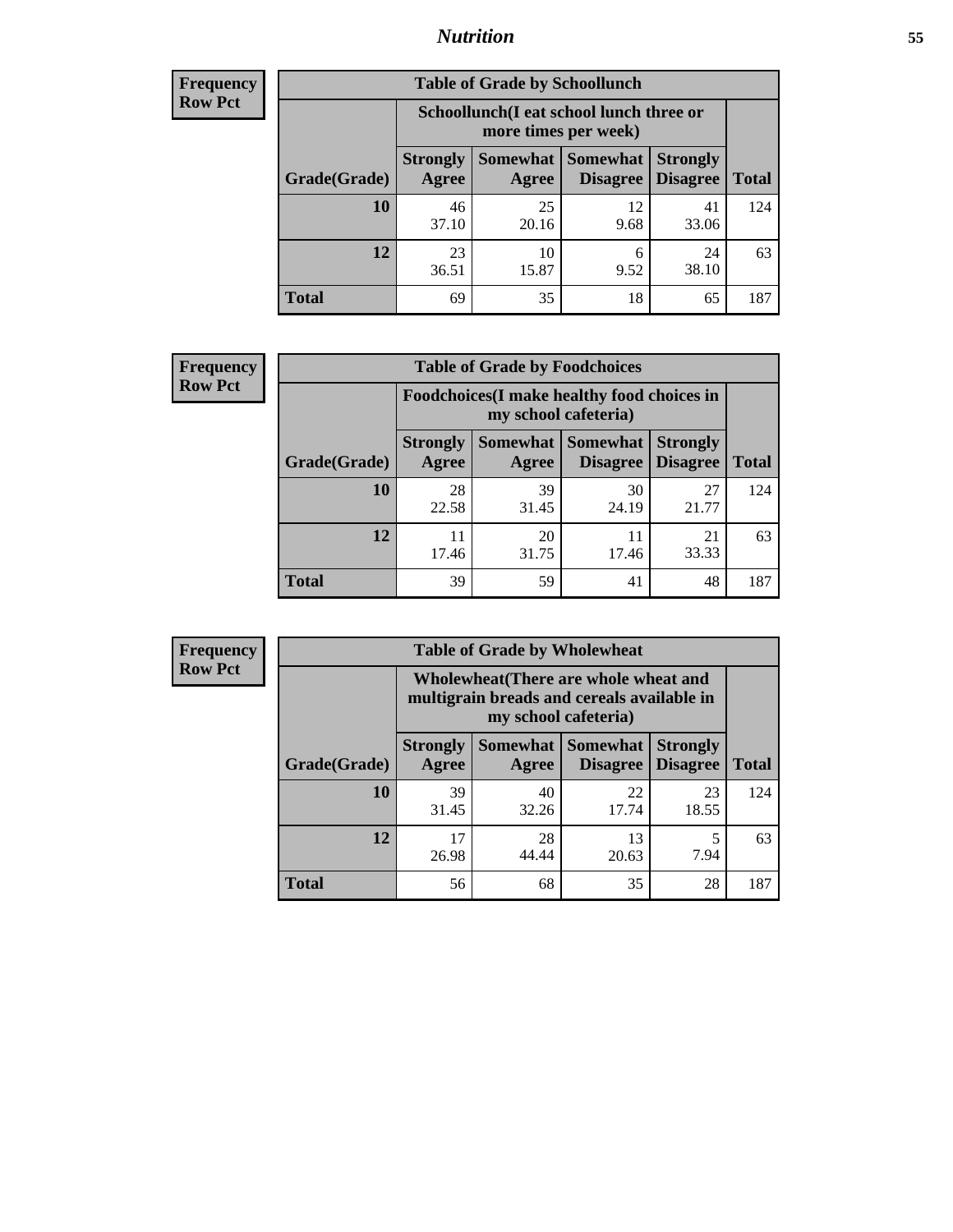## *Nutrition* **55**

| Frequency |
|-----------|
| Row Pct   |

| <b>Table of Grade by Schoollunch</b> |                          |                                                                 |                      |                                    |              |
|--------------------------------------|--------------------------|-----------------------------------------------------------------|----------------------|------------------------------------|--------------|
|                                      |                          | Schoollunch(I eat school lunch three or<br>more times per week) |                      |                                    |              |
| Grade(Grade)                         | <b>Strongly</b><br>Agree | Somewhat  <br>Agree                                             | Somewhat<br>Disagree | <b>Strongly</b><br><b>Disagree</b> | <b>Total</b> |
| 10                                   | 46<br>37.10              | 25<br>20.16                                                     | 12<br>9.68           | 41<br>33.06                        | 124          |
| 12                                   | 23<br>36.51              | 10<br>15.87                                                     | 6<br>9.52            | 24<br>38.10                        | 63           |
| <b>Total</b>                         | 69                       | 35                                                              | 18                   | 65                                 | 187          |

| <b>Frequency</b> |  |
|------------------|--|
| <b>Row Pct</b>   |  |

| <b>Table of Grade by Foodchoices</b>                                |                          |             |                                      |                                    |              |
|---------------------------------------------------------------------|--------------------------|-------------|--------------------------------------|------------------------------------|--------------|
| Foodchoices (I make healthy food choices in<br>my school cafeteria) |                          |             |                                      |                                    |              |
| Grade(Grade)                                                        | <b>Strongly</b><br>Agree | Agree       | Somewhat Somewhat<br><b>Disagree</b> | <b>Strongly</b><br><b>Disagree</b> | <b>Total</b> |
| 10                                                                  | 28<br>22.58              | 39<br>31.45 | 30<br>24.19                          | 27<br>21.77                        | 124          |
| 12                                                                  | 11<br>17.46              | 20<br>31.75 | 11<br>17.46                          | 21<br>33.33                        | 63           |
| <b>Total</b>                                                        | 39                       | 59          | 41                                   | 48                                 | 187          |

| <b>Frequency</b> |
|------------------|
| Row Pct          |

п

| <b>Table of Grade by Wholewheat</b> |                                                                                                             |             |                                          |                                    |              |  |
|-------------------------------------|-------------------------------------------------------------------------------------------------------------|-------------|------------------------------------------|------------------------------------|--------------|--|
|                                     | Wholewheat (There are whole wheat and<br>multigrain breads and cereals available in<br>my school cafeteria) |             |                                          |                                    |              |  |
| Grade(Grade)                        | <b>Strongly</b><br>Agree                                                                                    | Agree       | Somewhat   Somewhat  <br><b>Disagree</b> | <b>Strongly</b><br><b>Disagree</b> | <b>Total</b> |  |
| 10                                  | 39<br>31.45                                                                                                 | 40<br>32.26 | 22<br>17.74                              | 23<br>18.55                        | 124          |  |
| 12                                  | 17<br>26.98                                                                                                 | 28<br>44.44 | 13<br>20.63                              | 5<br>7.94                          | 63           |  |
| Total                               | 56                                                                                                          | 68          | 35                                       | 28                                 | 187          |  |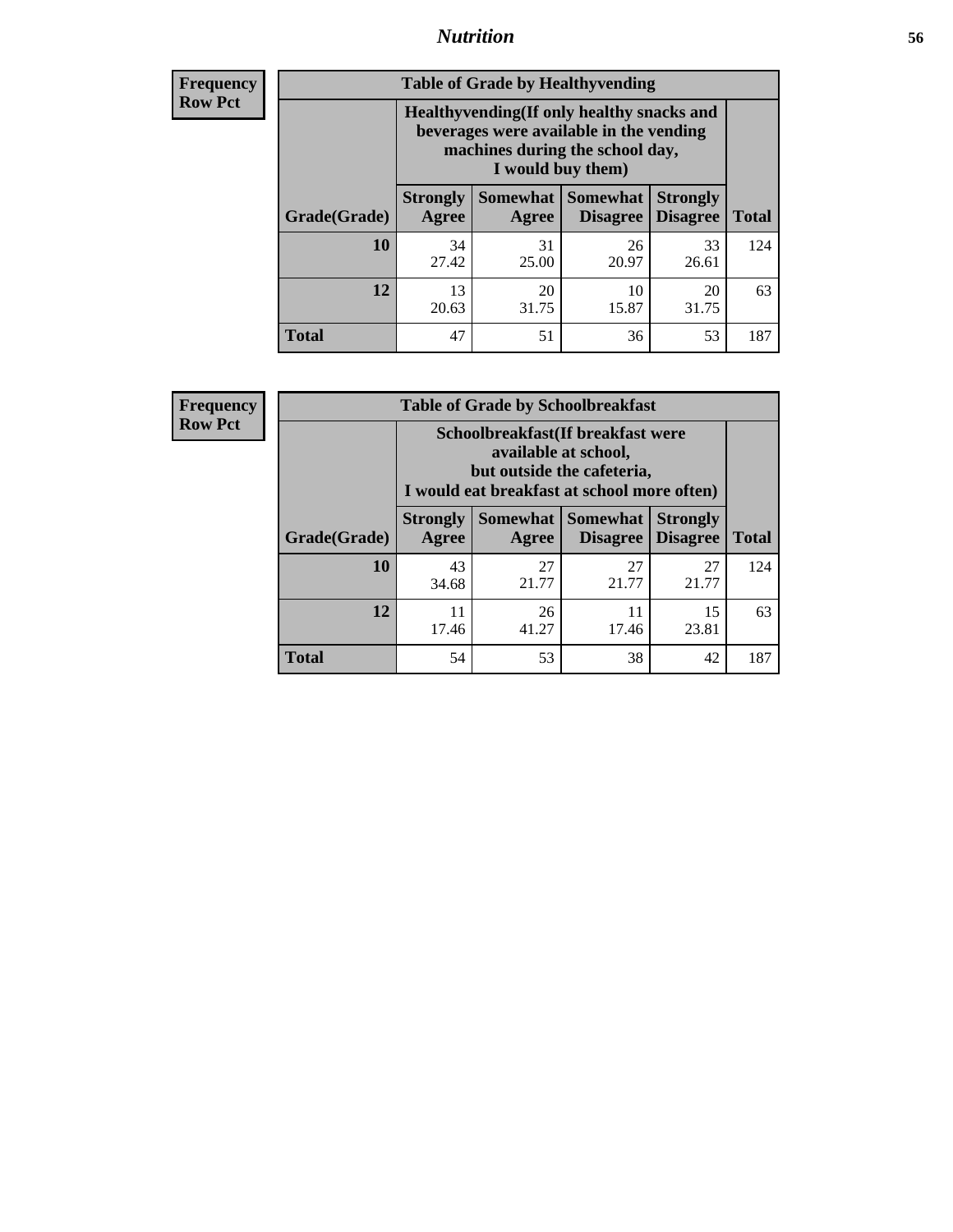## *Nutrition* **56**

**Frequency Row Pct**

| <b>Table of Grade by Healthyvending</b> |                                                                                                                                               |                          |                                    |                                    |              |  |
|-----------------------------------------|-----------------------------------------------------------------------------------------------------------------------------------------------|--------------------------|------------------------------------|------------------------------------|--------------|--|
|                                         | Healthyvending (If only healthy snacks and<br>beverages were available in the vending<br>machines during the school day,<br>I would buy them) |                          |                                    |                                    |              |  |
| Grade(Grade)                            | <b>Strongly</b><br>Agree                                                                                                                      | <b>Somewhat</b><br>Agree | <b>Somewhat</b><br><b>Disagree</b> | <b>Strongly</b><br><b>Disagree</b> | <b>Total</b> |  |
| 10                                      | 34<br>27.42                                                                                                                                   | 31<br>25.00              | 26<br>20.97                        | 33<br>26.61                        | 124          |  |
| 12                                      | 13<br>20.63                                                                                                                                   | 20<br>31.75              | 10<br>15.87                        | 20<br>31.75                        | 63           |  |
| Total                                   | 47                                                                                                                                            | 51                       | 36                                 | 53                                 | 187          |  |

**Frequency Row Pct**

| <b>Table of Grade by Schoolbreakfast</b> |                                                                                                                                         |             |                               |                                    |              |  |
|------------------------------------------|-----------------------------------------------------------------------------------------------------------------------------------------|-------------|-------------------------------|------------------------------------|--------------|--|
|                                          | Schoolbreakfast (If breakfast were<br>available at school,<br>but outside the cafeteria,<br>I would eat breakfast at school more often) |             |                               |                                    |              |  |
| Grade(Grade)                             | <b>Strongly</b><br>Agree                                                                                                                | Agree       | Somewhat Somewhat<br>Disagree | <b>Strongly</b><br><b>Disagree</b> | <b>Total</b> |  |
| <b>10</b>                                | 43<br>34.68                                                                                                                             | 27<br>21.77 | 27<br>21.77                   | 27<br>21.77                        | 124          |  |
| 12                                       | 11<br>17.46                                                                                                                             | 26<br>41.27 | 11<br>17.46                   | 15<br>23.81                        | 63           |  |
| <b>Total</b>                             | 54                                                                                                                                      | 53          | 38                            | 42                                 | 187          |  |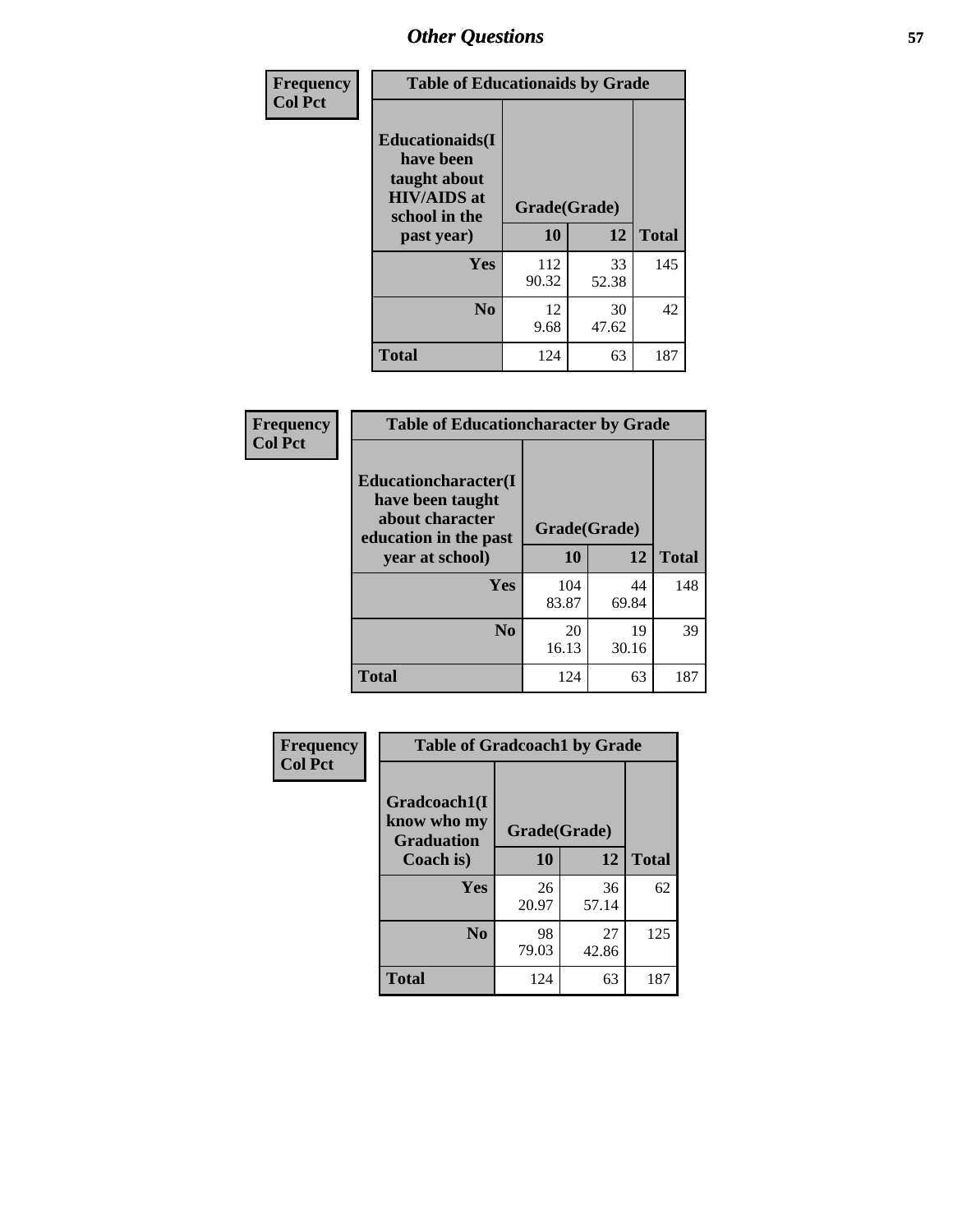| Frequency<br><b>Col Pct</b> | <b>Table of Educationaids by Grade</b>                                                                    |                    |             |              |
|-----------------------------|-----------------------------------------------------------------------------------------------------------|--------------------|-------------|--------------|
|                             | <b>Educationaids</b> (I<br>have been<br>taught about<br><b>HIV/AIDS</b> at<br>school in the<br>past year) | Grade(Grade)<br>10 | 12          | <b>Total</b> |
|                             | Yes                                                                                                       | 112<br>90.32       | 33<br>52.38 | 145          |
|                             | N <sub>0</sub>                                                                                            | 12<br>9.68         | 30<br>47.62 | 42           |
|                             | <b>Total</b>                                                                                              | 124                | 63          | 187          |

| Frequency      |                                                                     | <b>Table of Educationcharacter by Grade</b> |             |              |  |
|----------------|---------------------------------------------------------------------|---------------------------------------------|-------------|--------------|--|
| <b>Col Pct</b> | <b>Educationcharacter(I)</b><br>have been taught<br>about character | Grade(Grade)                                |             |              |  |
|                | education in the past<br>year at school)                            | 10                                          | 12          | <b>Total</b> |  |
|                | <b>Yes</b>                                                          | 104<br>83.87                                | 44<br>69.84 | 148          |  |
|                | N <sub>0</sub>                                                      | 20<br>16.13                                 | 19<br>30.16 | 39           |  |
|                | <b>Total</b>                                                        | 124                                         | 63          | 187          |  |

| <b>Frequency</b><br><b>Col Pct</b> | <b>Table of Gradcoach1 by Grade</b>              |              |             |              |  |
|------------------------------------|--------------------------------------------------|--------------|-------------|--------------|--|
|                                    | Gradcoach1(I<br>know who my<br><b>Graduation</b> | Grade(Grade) |             |              |  |
|                                    | Coach is)                                        | 10           | 12          | <b>Total</b> |  |
|                                    | Yes                                              | 26<br>20.97  | 36<br>57.14 | 62           |  |
|                                    | N <sub>0</sub>                                   | 98<br>79.03  | 27<br>42.86 | 125          |  |
|                                    | <b>Total</b>                                     | 124          | 63          | 187          |  |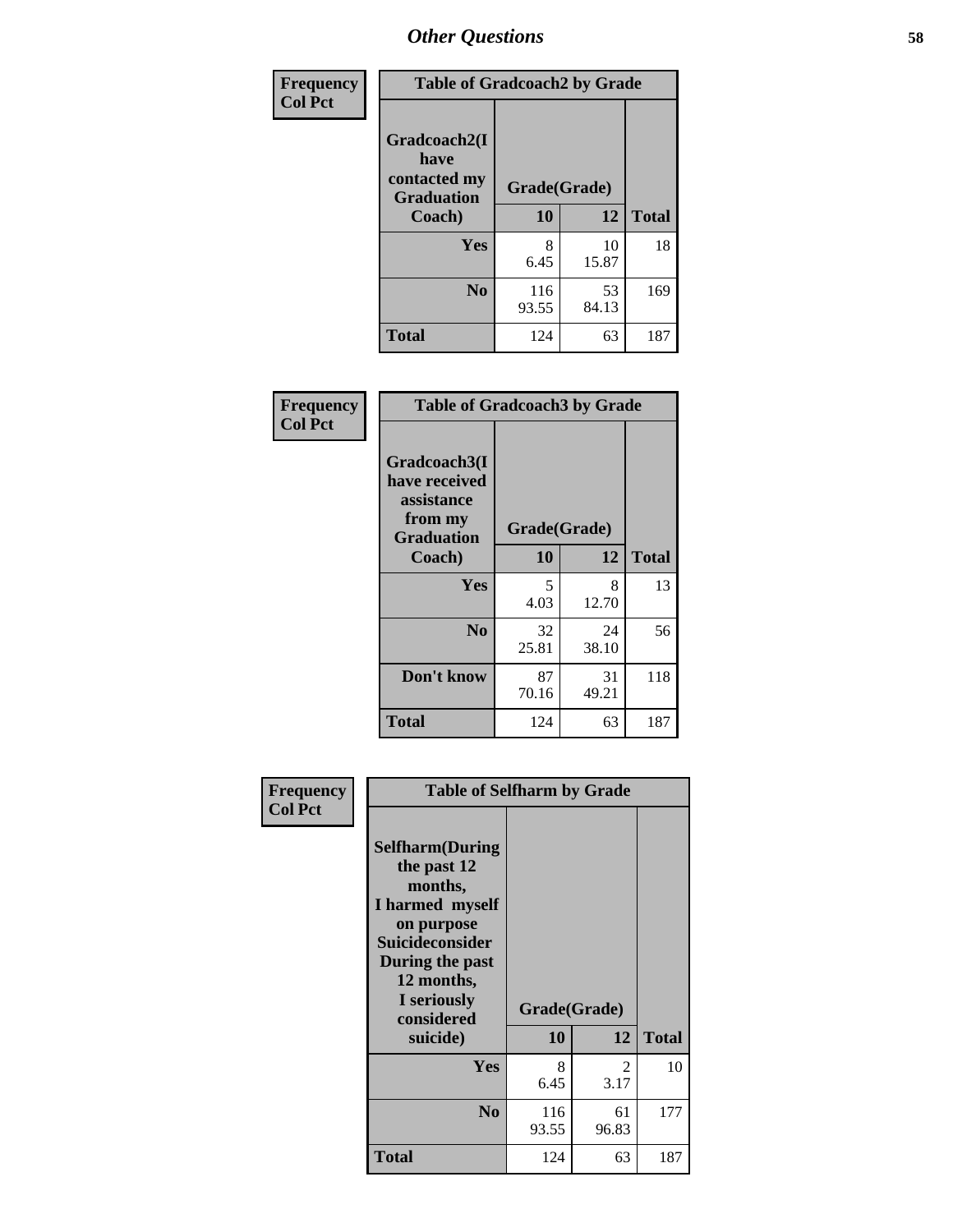| Frequency      | <b>Table of Gradcoach2 by Grade</b> |              |             |              |  |
|----------------|-------------------------------------|--------------|-------------|--------------|--|
| <b>Col Pct</b> |                                     |              |             |              |  |
|                | Gradcoach2(I<br>have                |              |             |              |  |
|                | contacted my<br><b>Graduation</b>   | Grade(Grade) |             |              |  |
|                | Coach)                              | 10           | 12          | <b>Total</b> |  |
|                | Yes                                 | 8<br>6.45    | 10<br>15.87 | 18           |  |
|                | N <sub>0</sub>                      | 116<br>93.55 | 53<br>84.13 | 169          |  |
|                | <b>Total</b>                        | 124          | 63          | 187          |  |

| Frequency<br><b>Col Pct</b> | <b>Table of Gradcoach3 by Grade</b>                                         |              |             |              |
|-----------------------------|-----------------------------------------------------------------------------|--------------|-------------|--------------|
|                             | Gradcoach3(I<br>have received<br>assistance<br>from my<br><b>Graduation</b> | Grade(Grade) |             |              |
|                             | Coach)                                                                      | 10           | 12          | <b>Total</b> |
|                             | Yes                                                                         | 5<br>4.03    | 8<br>12.70  | 13           |
|                             | N <sub>0</sub>                                                              | 32<br>25.81  | 24<br>38.10 | 56           |
|                             | Don't know                                                                  | 87<br>70.16  | 31<br>49.21 | 118          |
|                             | <b>Total</b>                                                                | 124          | 63          | 187          |

| <b>Selfharm</b> (During<br>the past 12<br>months,<br>I harmed myself<br>on purpose<br><b>Suicideconsider</b><br>During the past<br>12 months,<br>I seriously<br>considered |              |             |                                                         |
|----------------------------------------------------------------------------------------------------------------------------------------------------------------------------|--------------|-------------|---------------------------------------------------------|
|                                                                                                                                                                            |              |             | <b>Total</b>                                            |
| Yes                                                                                                                                                                        | 8<br>6.45    | 2<br>3.17   | 10                                                      |
| N <sub>0</sub>                                                                                                                                                             | 116<br>93.55 | 61<br>96.83 | 177                                                     |
| Total                                                                                                                                                                      | 124          | 63          | 187                                                     |
|                                                                                                                                                                            | suicide)     | 10          | <b>Table of Selfharm by Grade</b><br>Grade(Grade)<br>12 |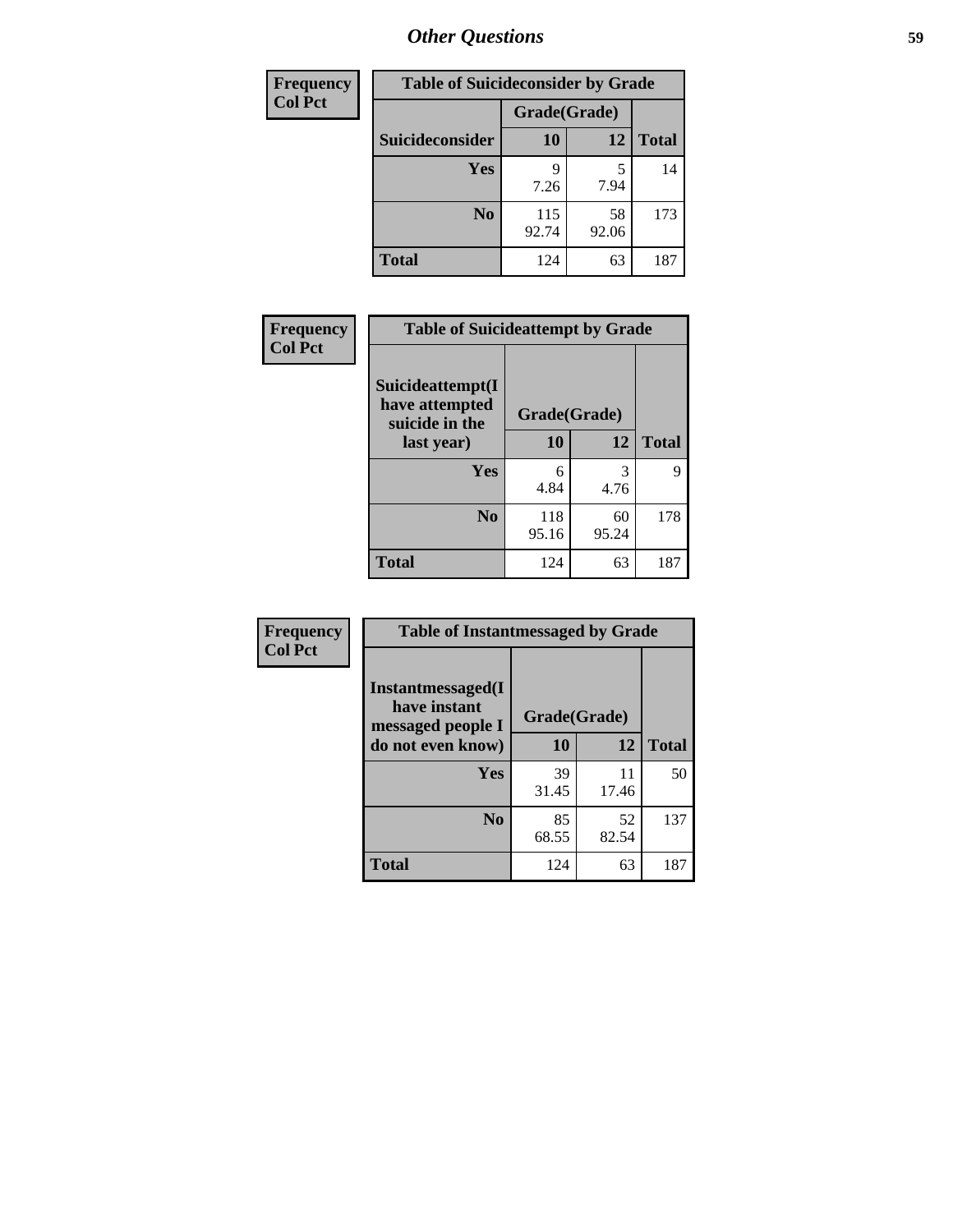| <b>Frequency</b> | <b>Table of Suicideconsider by Grade</b> |              |             |              |
|------------------|------------------------------------------|--------------|-------------|--------------|
| <b>Col Pct</b>   |                                          | Grade(Grade) |             |              |
|                  | Suicideconsider                          | <b>10</b>    | 12          | <b>Total</b> |
|                  | <b>Yes</b>                               | q<br>7.26    | 7.94        | 14           |
|                  | N <sub>0</sub>                           | 115<br>92.74 | 58<br>92.06 | 173          |
|                  | <b>Total</b>                             | 124          | 63          | 187          |

| Frequency      | <b>Table of Suicideattempt by Grade</b>                            |              |             |              |
|----------------|--------------------------------------------------------------------|--------------|-------------|--------------|
| <b>Col Pct</b> | Suicideattempt(I<br>have attempted<br>suicide in the<br>last year) | Grade(Grade) |             |              |
|                |                                                                    | 10           | 12          | <b>Total</b> |
|                | Yes                                                                | 6<br>4.84    | 3<br>4.76   | 9            |
|                | N <sub>0</sub>                                                     | 118<br>95.16 | 60<br>95.24 | 178          |
|                | <b>Total</b>                                                       | 124          | 63          | 187          |

| Frequency      | <b>Table of Instantmessaged by Grade</b>               |              |             |              |
|----------------|--------------------------------------------------------|--------------|-------------|--------------|
| <b>Col Pct</b> | Instantmessaged(I<br>have instant<br>messaged people I | Grade(Grade) |             |              |
|                | do not even know)                                      | 10           | 12          | <b>Total</b> |
|                | Yes                                                    | 39<br>31.45  | 11<br>17.46 | 50           |
|                | N <sub>0</sub>                                         | 85<br>68.55  | 52<br>82.54 | 137          |
|                | <b>Total</b>                                           | 124          | 63          | 187          |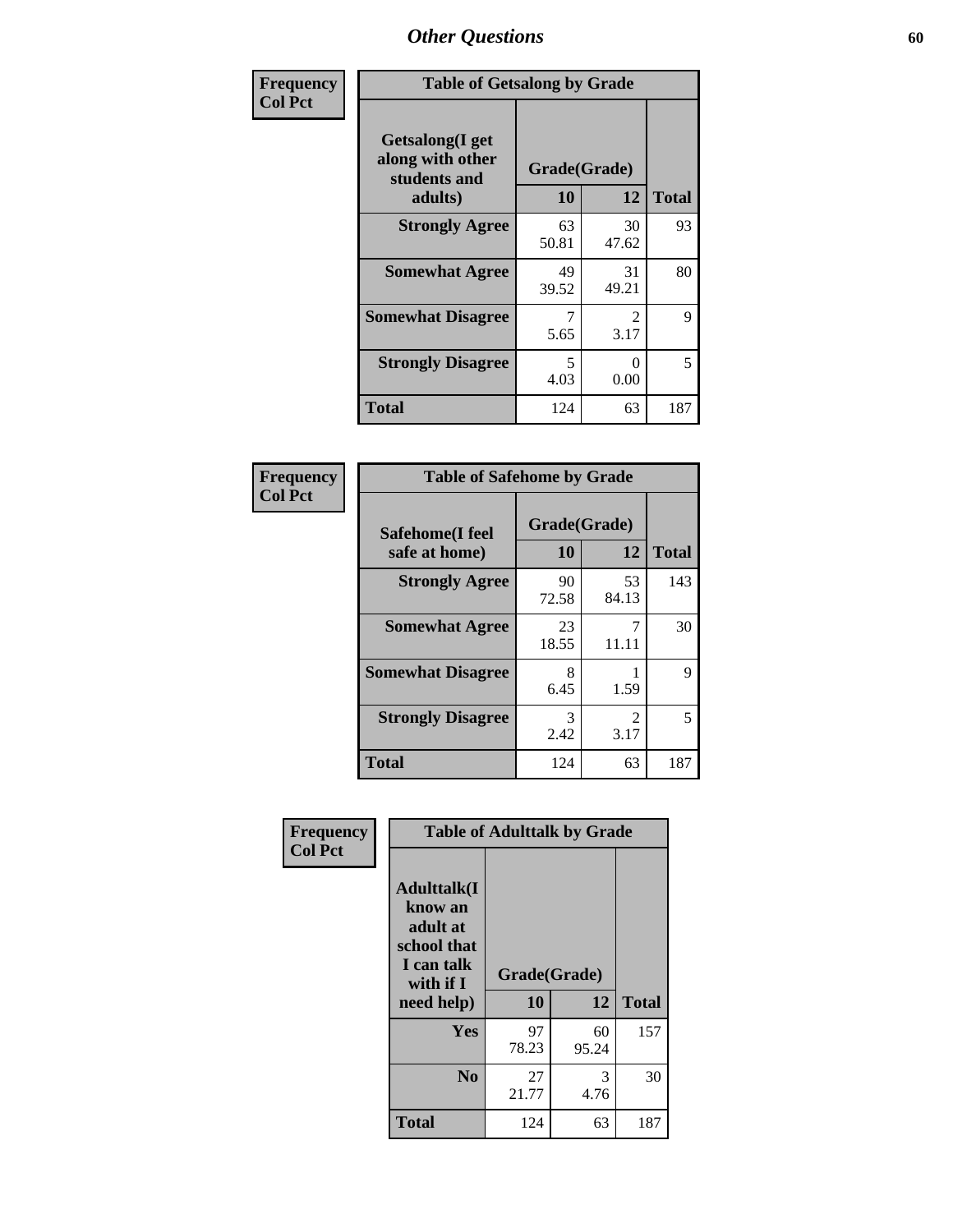| Frequency      | <b>Table of Getsalong by Grade</b>                          |             |              |              |  |  |  |
|----------------|-------------------------------------------------------------|-------------|--------------|--------------|--|--|--|
| <b>Col Pct</b> | <b>Getsalong</b> (I get<br>along with other<br>students and |             | Grade(Grade) |              |  |  |  |
|                | adults)                                                     | 10          | 12           | <b>Total</b> |  |  |  |
|                | <b>Strongly Agree</b>                                       | 63<br>50.81 | 30<br>47.62  | 93           |  |  |  |
|                | <b>Somewhat Agree</b>                                       | 49<br>39.52 | 31<br>49.21  | 80           |  |  |  |
|                | <b>Somewhat Disagree</b>                                    | 7<br>5.65   | 2<br>3.17    | 9            |  |  |  |
|                | <b>Strongly Disagree</b>                                    | 5<br>4.03   | 0<br>0.00    | 5            |  |  |  |
|                | Total                                                       | 124         | 63           | 187          |  |  |  |

| Frequency      | <b>Table of Safehome by Grade</b> |                    |             |              |  |  |
|----------------|-----------------------------------|--------------------|-------------|--------------|--|--|
| <b>Col Pct</b> | Safehome(I feel<br>safe at home)  | Grade(Grade)<br>10 | 12          | <b>Total</b> |  |  |
|                | <b>Strongly Agree</b>             | 90<br>72.58        | 53<br>84.13 | 143          |  |  |
|                | <b>Somewhat Agree</b>             | 23<br>18.55        | 11.11       | 30           |  |  |
|                | <b>Somewhat Disagree</b>          | 8<br>6.45          | 1.59        | 9            |  |  |
|                | <b>Strongly Disagree</b>          | 3<br>2.42          | 2<br>3.17   | 5            |  |  |
|                | <b>Total</b>                      | 124                | 63          | 187          |  |  |

| Frequency      | <b>Table of Adulttalk by Grade</b>                                                                |                    |             |              |  |  |
|----------------|---------------------------------------------------------------------------------------------------|--------------------|-------------|--------------|--|--|
| <b>Col Pct</b> | <b>Adulttalk(I</b><br>know an<br>adult at<br>school that<br>I can talk<br>with if I<br>need help) | Grade(Grade)<br>10 | 12          | <b>Total</b> |  |  |
|                |                                                                                                   |                    |             |              |  |  |
|                | <b>Yes</b>                                                                                        | 97<br>78.23        | 60<br>95.24 | 157          |  |  |
|                | N <sub>0</sub>                                                                                    | 27<br>21.77        | 3<br>4.76   | 30           |  |  |
|                | <b>Total</b>                                                                                      | 124                | 63          | 187          |  |  |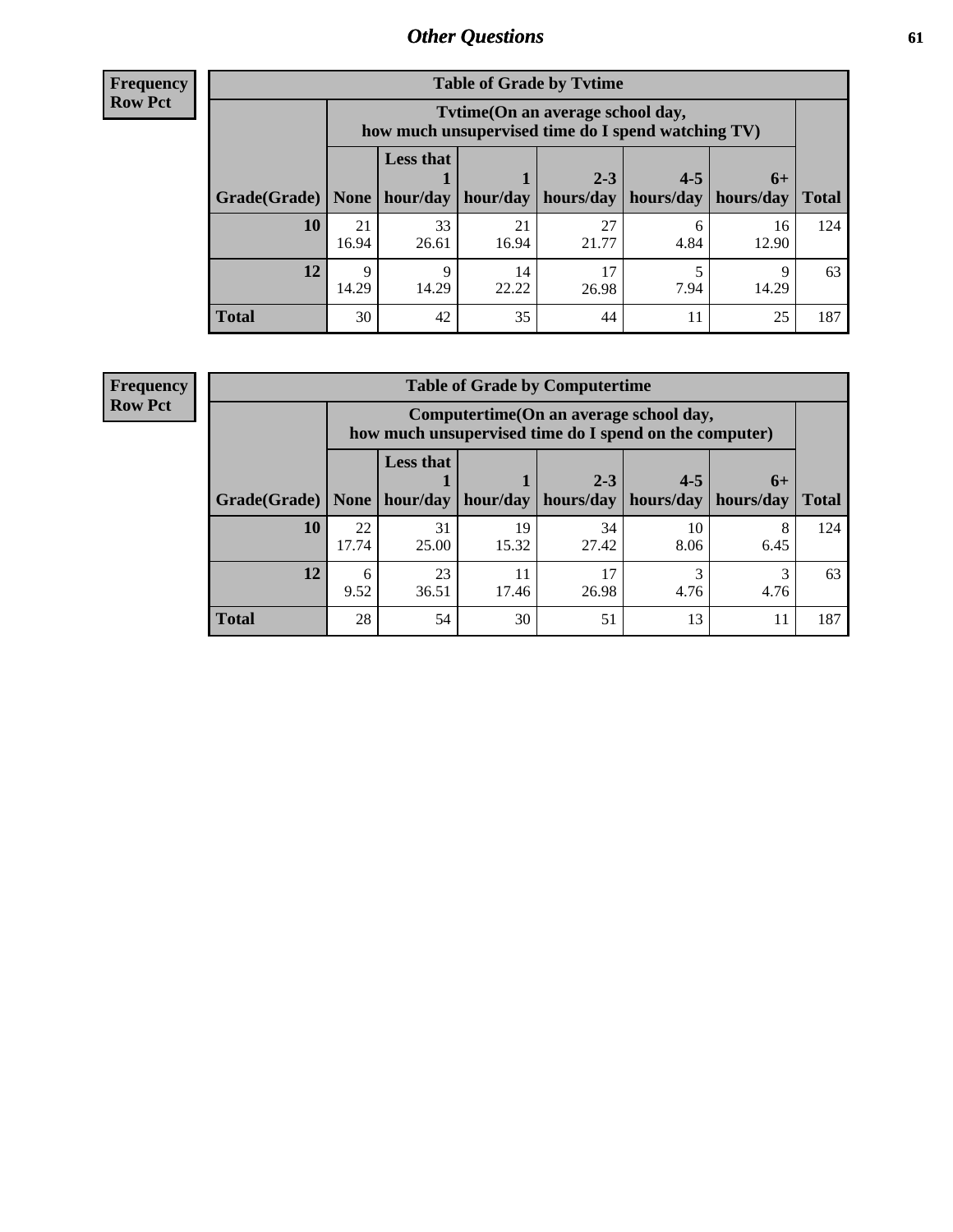**Frequency Row Pct**

| <b>Table of Grade by Tvtime</b> |             |                                                                                         |                     |             |           |             |              |  |  |  |
|---------------------------------|-------------|-----------------------------------------------------------------------------------------|---------------------|-------------|-----------|-------------|--------------|--|--|--|
|                                 |             | Tytime (On an average school day,<br>how much unsupervised time do I spend watching TV) |                     |             |           |             |              |  |  |  |
|                                 |             | <b>Less that</b><br>$2 - 3$<br>$4 - 5$<br>$6+$                                          |                     |             |           |             |              |  |  |  |
| Grade(Grade)   None             |             |                                                                                         | hour/day   hour/day | hours/day   | hours/day | hours/day   | <b>Total</b> |  |  |  |
| 10                              | 21<br>16.94 | 33<br>26.61                                                                             | 21<br>16.94         | 27<br>21.77 | 6<br>4.84 | 16<br>12.90 | 124          |  |  |  |
| 12                              | 9<br>14.29  | 9<br>14.29                                                                              | 14<br>22.22         | 17<br>26.98 | 7.94      | Q<br>14.29  | 63           |  |  |  |
| <b>Total</b>                    | 30          | 42                                                                                      | 35                  | 44          |           | 25          | 187          |  |  |  |

**Frequency Row Pct**

| <b>Table of Grade by Computertime</b> |             |                                                                                                   |             |                      |                      |                   |              |  |  |  |
|---------------------------------------|-------------|---------------------------------------------------------------------------------------------------|-------------|----------------------|----------------------|-------------------|--------------|--|--|--|
|                                       |             | Computertime (On an average school day,<br>how much unsupervised time do I spend on the computer) |             |                      |                      |                   |              |  |  |  |
| Grade(Grade)                          | None        | <b>Less that</b><br>hour/day                                                                      | hour/day    | $2 - 3$<br>hours/day | $4 - 5$<br>hours/day | $6+$<br>hours/day | <b>Total</b> |  |  |  |
| 10                                    | 22<br>17.74 | 31<br>25.00                                                                                       | 19<br>15.32 | 34<br>27.42          | 10<br>8.06           | 8<br>6.45         | 124          |  |  |  |
| 12                                    | 6<br>9.52   | 23<br>17<br>3<br>11<br>3<br>26.98<br>4.76<br>4.76<br>36.51<br>17.46                               |             |                      |                      |                   |              |  |  |  |
| <b>Total</b>                          | 28          | 54                                                                                                | 30          | 51                   | 13                   | 11                | 187          |  |  |  |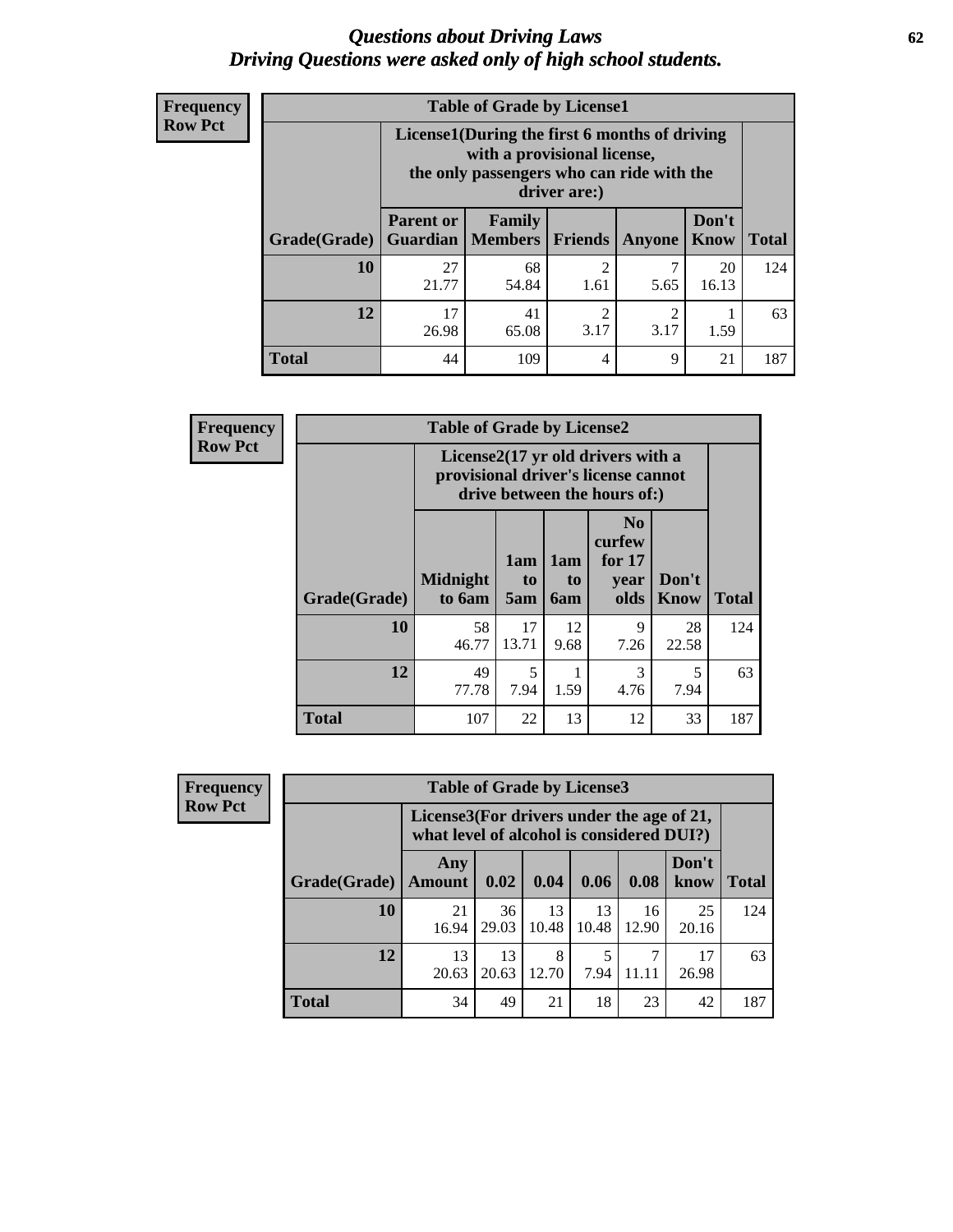#### *Questions about Driving Laws* **62** *Driving Questions were asked only of high school students.*

| <b>Frequency</b> |
|------------------|
| <b>Row Pct</b>   |

| <b>Table of Grade by License1</b> |                                                              |                                                                                                                                           |                        |               |               |              |  |  |  |
|-----------------------------------|--------------------------------------------------------------|-------------------------------------------------------------------------------------------------------------------------------------------|------------------------|---------------|---------------|--------------|--|--|--|
|                                   |                                                              | License1(During the first 6 months of driving<br>with a provisional license,<br>the only passengers who can ride with the<br>driver are:) |                        |               |               |              |  |  |  |
| Grade(Grade)                      | <b>Parent or</b>                                             | Family<br><b>Guardian   Members  </b>                                                                                                     | <b>Friends</b>         | <b>Anyone</b> | Don't<br>Know | <b>Total</b> |  |  |  |
| 10                                | 27<br>21.77                                                  | 68<br>54.84                                                                                                                               | $\overline{c}$<br>1.61 | 7<br>5.65     | 20<br>16.13   | 124          |  |  |  |
| 12                                | 17<br>41<br>2<br>2<br>3.17<br>3.17<br>26.98<br>65.08<br>1.59 |                                                                                                                                           |                        |               |               |              |  |  |  |
| <b>Total</b>                      | 44                                                           | 109                                                                                                                                       | 4                      | 9             | 21            | 187          |  |  |  |

| Frequency      |                                                                                                          | <b>Table of Grade by License2</b> |                  |                  |                                                      |                      |              |  |  |  |
|----------------|----------------------------------------------------------------------------------------------------------|-----------------------------------|------------------|------------------|------------------------------------------------------|----------------------|--------------|--|--|--|
| <b>Row Pct</b> | License2(17 yr old drivers with a<br>provisional driver's license cannot<br>drive between the hours of:) |                                   |                  |                  |                                                      |                      |              |  |  |  |
|                | Grade(Grade)                                                                                             | <b>Midnight</b><br>to 6am         | 1am<br>to<br>5am | 1am<br>to<br>6am | N <sub>0</sub><br>curfew<br>for $17$<br>year<br>olds | Don't<br><b>Know</b> | <b>Total</b> |  |  |  |
|                | 10                                                                                                       | 58<br>46.77                       | 17<br>13.71      | 12<br>9.68       | 9<br>7.26                                            | 28<br>22.58          | 124          |  |  |  |
|                | 12                                                                                                       | 49<br>77.78                       | 5<br>7.94        | 1<br>1.59        | 3<br>4.76                                            | 5<br>7.94            | 63           |  |  |  |
|                | <b>Total</b>                                                                                             | 107                               | 22               | 13               | 12                                                   | 33                   | 187          |  |  |  |

| <b>Frequency</b> |              | <b>Table of Grade by License3</b> |                                                                                        |             |             |             |               |              |  |  |
|------------------|--------------|-----------------------------------|----------------------------------------------------------------------------------------|-------------|-------------|-------------|---------------|--------------|--|--|
| <b>Row Pct</b>   |              |                                   | License3(For drivers under the age of 21,<br>what level of alcohol is considered DUI?) |             |             |             |               |              |  |  |
|                  | Grade(Grade) | Any<br>Amount                     | 0.02                                                                                   | 0.04        | 0.06        | 0.08        | Don't<br>know | <b>Total</b> |  |  |
|                  | 10           | 21<br>16.94                       | 36<br>29.03                                                                            | 13<br>10.48 | 13<br>10.48 | 16<br>12.90 | 25<br>20.16   | 124          |  |  |
|                  | 12           | 13<br>20.63                       | 13<br>20.63                                                                            | 8<br>12.70  | 7.94        | 11.11       | 17<br>26.98   | 63           |  |  |
|                  | <b>Total</b> | 34                                | 49                                                                                     | 21          | 18          | 23          | 42            | 187          |  |  |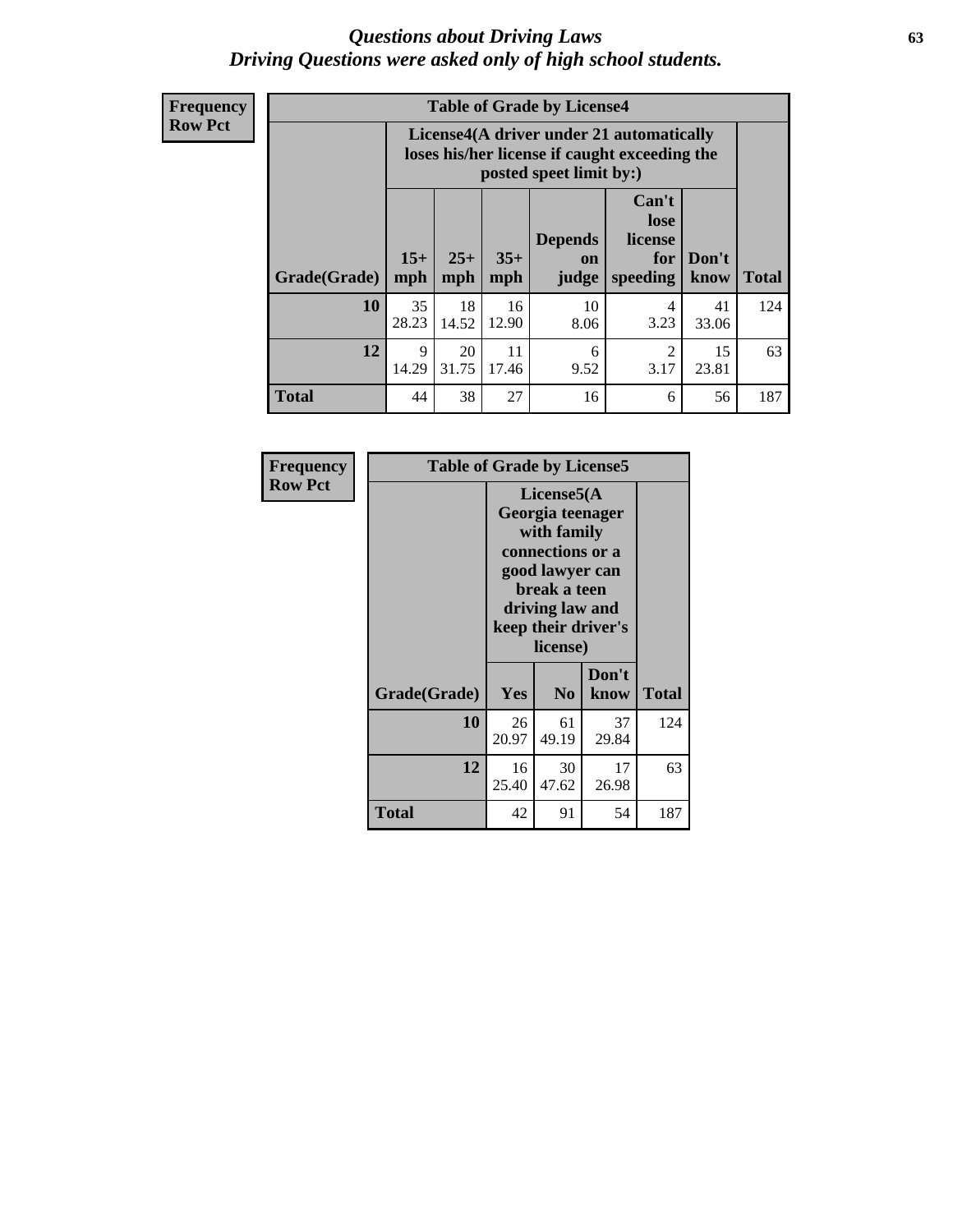#### *Questions about Driving Laws* **63** *Driving Questions were asked only of high school students.*

**Frequency Row Pct**

| <b>Table of Grade by License4</b> |             |                                                                                                                                                                                                                                                                                       |             |            |           |             |     |  |  |
|-----------------------------------|-------------|---------------------------------------------------------------------------------------------------------------------------------------------------------------------------------------------------------------------------------------------------------------------------------------|-------------|------------|-----------|-------------|-----|--|--|
|                                   |             | License4(A driver under 21 automatically<br>loses his/her license if caught exceeding the<br>posted speet limit by:)<br>Can't<br>lose<br><b>Depends</b><br>license<br>$15+$<br>$25+$<br>$35+$<br>Don't<br>for<br><b>on</b><br>speeding<br><b>Total</b><br>mph<br>know<br>mph<br>judge |             |            |           |             |     |  |  |
| Grade(Grade)                      | mph         |                                                                                                                                                                                                                                                                                       |             |            |           |             |     |  |  |
| 10                                | 35<br>28.23 | 18<br>14.52                                                                                                                                                                                                                                                                           | 16<br>12.90 | 10<br>8.06 | 4<br>3.23 | 41<br>33.06 | 124 |  |  |
| 12                                | 9<br>14.29  | 20<br>11<br>$\mathcal{D}_{\mathcal{L}}$<br>15<br>6<br>31.75<br>3.17<br>17.46<br>9.52<br>23.81                                                                                                                                                                                         |             |            |           |             |     |  |  |
| <b>Total</b>                      | 44          | 38                                                                                                                                                                                                                                                                                    | 27          | 16         | 6         | 56          | 187 |  |  |

| Frequency      | <b>Table of Grade by License5</b> |                                                                                                                                                             |                |               |              |
|----------------|-----------------------------------|-------------------------------------------------------------------------------------------------------------------------------------------------------------|----------------|---------------|--------------|
| <b>Row Pct</b> |                                   | License5(A)<br>Georgia teenager<br>with family<br>connections or a<br>good lawyer can<br>break a teen<br>driving law and<br>keep their driver's<br>license) |                |               |              |
|                | Grade(Grade)                      | Yes                                                                                                                                                         | N <sub>0</sub> | Don't<br>know | <b>Total</b> |
|                | 10                                | 26<br>20.97                                                                                                                                                 | 61<br>49.19    | 37<br>29.84   | 124          |
|                | 12                                | 16<br>25.40                                                                                                                                                 | 30<br>47.62    | 17<br>26.98   | 63           |
|                | Total                             | 42                                                                                                                                                          | 91             | 54            | 187          |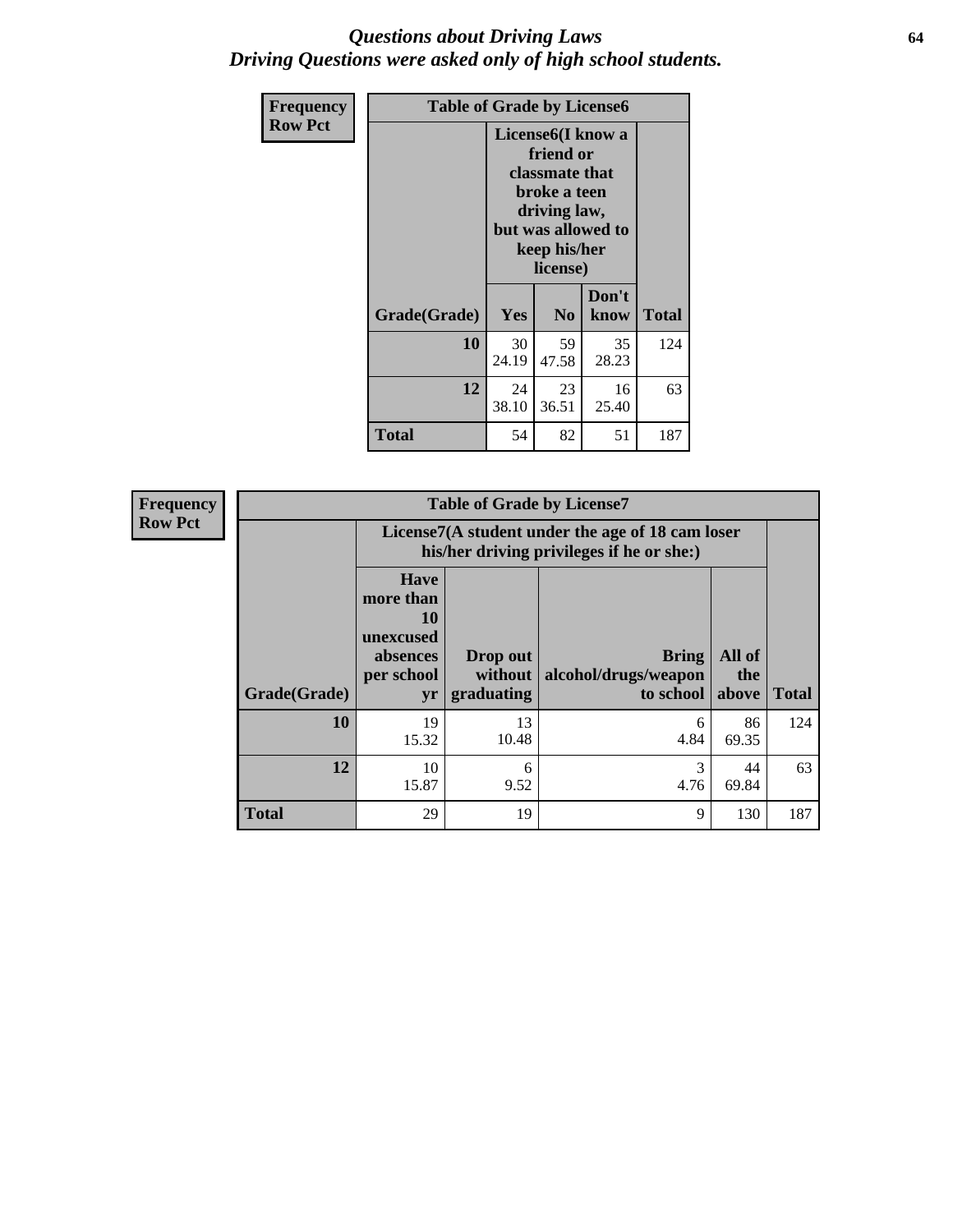#### *Questions about Driving Laws* **64** *Driving Questions were asked only of high school students.*

| <b>Frequency</b> | <b>Table of Grade by License6</b> |                                                                                                                                                 |                            |               |              |
|------------------|-----------------------------------|-------------------------------------------------------------------------------------------------------------------------------------------------|----------------------------|---------------|--------------|
| <b>Row Pct</b>   |                                   | License <sub>6</sub> (I know a<br>friend or<br>classmate that<br>broke a teen<br>driving law,<br>but was allowed to<br>keep his/her<br>license) |                            |               |              |
|                  | Grade(Grade)                      | <b>Yes</b>                                                                                                                                      | N <sub>0</sub>             | Don't<br>know | <b>Total</b> |
|                  | 10                                | 30<br>24.19                                                                                                                                     | 59<br>35<br>47.58<br>28.23 |               |              |
|                  | 12                                | 24<br>23<br>16<br>38.10<br>36.51<br>25.40                                                                                                       |                            |               | 63           |
|                  | <b>Total</b>                      | 54                                                                                                                                              | 82                         | 51            | 187          |

| <b>Frequency</b> | <b>Table of Grade by License7</b> |                                                                                               |                                     |                                                   |                        |              |
|------------------|-----------------------------------|-----------------------------------------------------------------------------------------------|-------------------------------------|---------------------------------------------------|------------------------|--------------|
| <b>Row Pct</b>   |                                   | License7(A student under the age of 18 cam loser<br>his/her driving privileges if he or she:) |                                     |                                                   |                        |              |
|                  | Grade(Grade)                      | <b>Have</b><br>more than<br>10<br>unexcused<br>absences<br>per school<br>yr                   | Drop out<br>without  <br>graduating | <b>Bring</b><br>alcohol/drugs/weapon<br>to school | All of<br>the<br>above | <b>Total</b> |
|                  | 10                                | 19<br>15.32                                                                                   | 13<br>10.48                         | 6<br>4.84                                         | 86<br>69.35            | 124          |
|                  | 12                                | 10<br>15.87                                                                                   | 6<br>9.52                           | 3<br>4.76                                         | 44<br>69.84            | 63           |
|                  | <b>Total</b>                      | 29                                                                                            | 19                                  | 9                                                 | 130                    | 187          |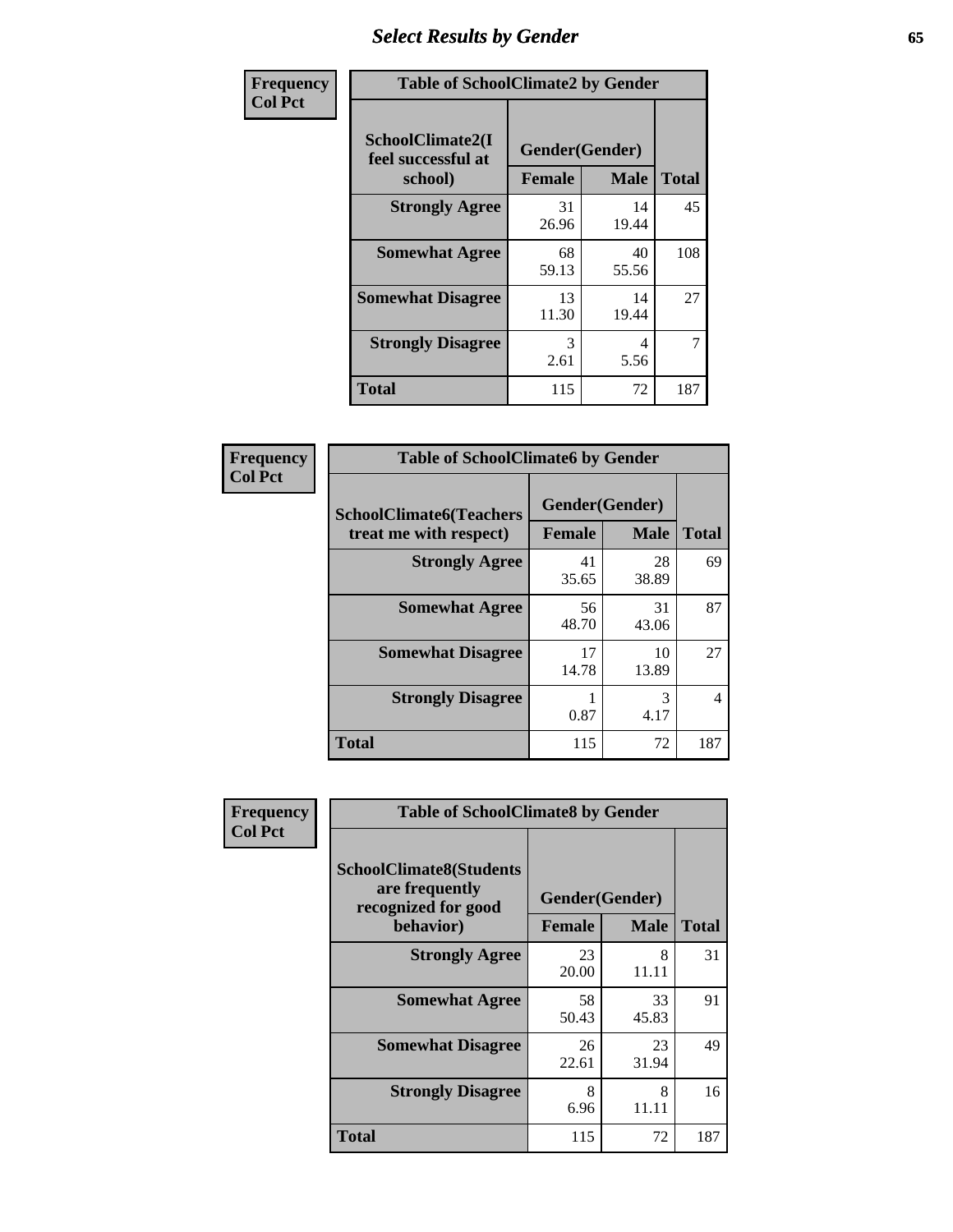# *Select Results by Gender* **65**

| Frequency      | <b>Table of SchoolClimate2 by Gender</b>          |                                 |             |              |
|----------------|---------------------------------------------------|---------------------------------|-------------|--------------|
| <b>Col Pct</b> | SchoolClimate2(I<br>feel successful at<br>school) | Gender(Gender)<br><b>Female</b> | <b>Male</b> | <b>Total</b> |
|                | <b>Strongly Agree</b>                             | 31<br>26.96                     | 14<br>19.44 | 45           |
|                | <b>Somewhat Agree</b>                             | 68<br>59.13                     | 40<br>55.56 | 108          |
|                | <b>Somewhat Disagree</b>                          | 13<br>11.30                     | 14<br>19.44 | 27           |
|                | <b>Strongly Disagree</b>                          | 3<br>2.61                       | 4<br>5.56   | 7            |
|                | <b>Total</b>                                      | 115                             | 72          | 187          |

| Frequency      | <b>Table of SchoolClimate6 by Gender</b>                 |               |                               |              |  |
|----------------|----------------------------------------------------------|---------------|-------------------------------|--------------|--|
| <b>Col Pct</b> | <b>SchoolClimate6(Teachers</b><br>treat me with respect) | <b>Female</b> | Gender(Gender)<br><b>Male</b> | <b>Total</b> |  |
|                | <b>Strongly Agree</b>                                    | 41<br>35.65   | 28<br>38.89                   | 69           |  |
|                | <b>Somewhat Agree</b>                                    | 56<br>48.70   | 31<br>43.06                   | 87           |  |
|                | <b>Somewhat Disagree</b>                                 | 17<br>14.78   | 10<br>13.89                   | 27           |  |
|                | <b>Strongly Disagree</b>                                 | 0.87          | 3<br>4.17                     | 4            |  |
|                | Total                                                    | 115           | 72                            | 187          |  |

| Frequency      | <b>Table of SchoolClimate8 by Gender</b>                                             |                                 |             |              |
|----------------|--------------------------------------------------------------------------------------|---------------------------------|-------------|--------------|
| <b>Col Pct</b> | <b>SchoolClimate8(Students</b><br>are frequently<br>recognized for good<br>behavior) | Gender(Gender)<br><b>Female</b> | <b>Male</b> | <b>Total</b> |
|                | <b>Strongly Agree</b>                                                                | 23<br>20.00                     | 8<br>11.11  | 31           |
|                | <b>Somewhat Agree</b>                                                                | 58<br>50.43                     | 33<br>45.83 | 91           |
|                | <b>Somewhat Disagree</b>                                                             | 26<br>22.61                     | 23<br>31.94 | 49           |
|                | <b>Strongly Disagree</b>                                                             | 8<br>6.96                       | 8<br>11.11  | 16           |
|                | Total                                                                                | 115                             | 72          | 187          |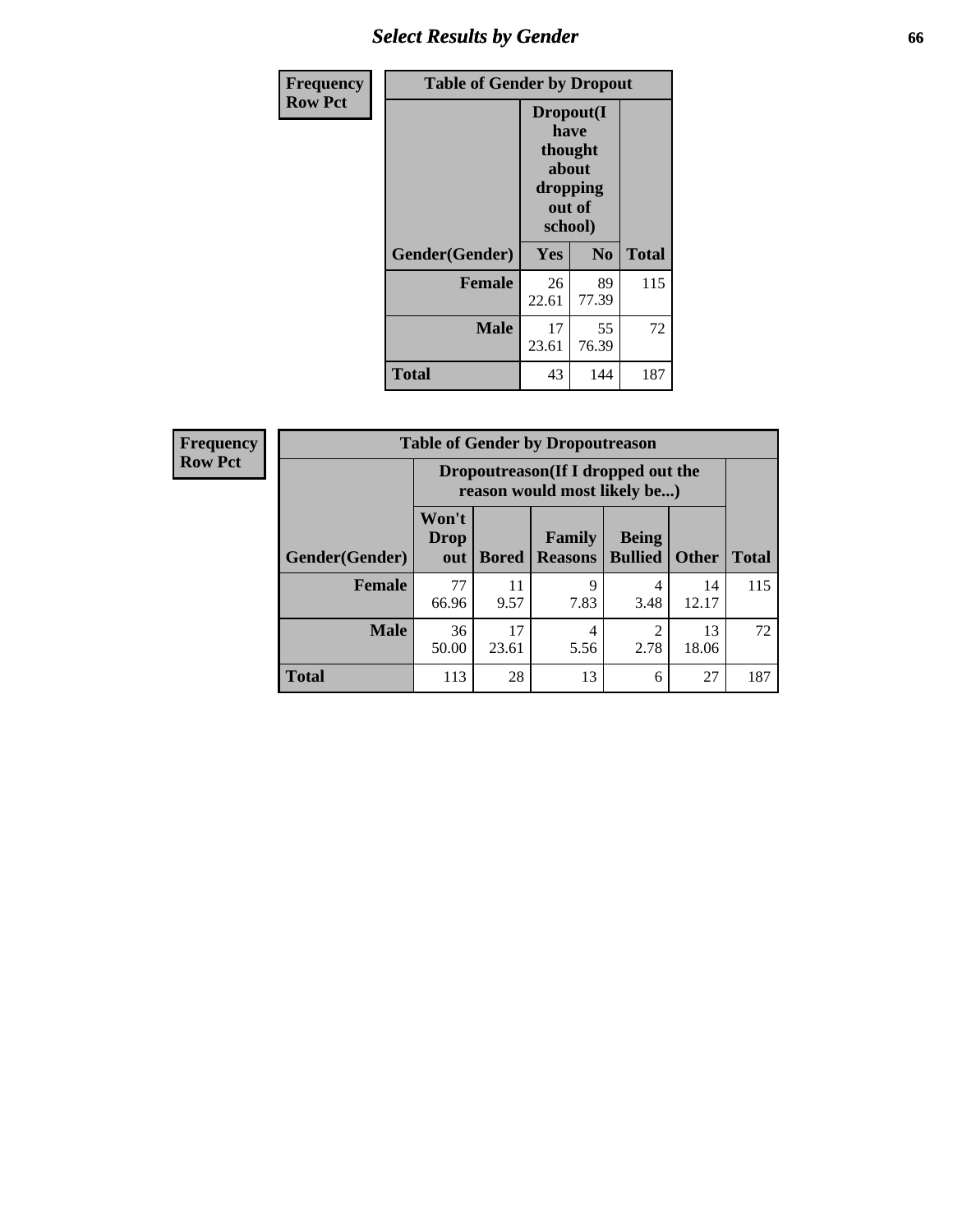# *Select Results by Gender* **66**

| Frequency      | <b>Table of Gender by Dropout</b> |                                                                        |                |              |
|----------------|-----------------------------------|------------------------------------------------------------------------|----------------|--------------|
| <b>Row Pct</b> |                                   | Dropout(I<br>have<br>thought<br>about<br>dropping<br>out of<br>school) |                |              |
|                | Gender(Gender)                    | Yes                                                                    | N <sub>0</sub> | <b>Total</b> |
|                | <b>Female</b>                     | 26<br>22.61                                                            | 89<br>77.39    | 115          |
|                | <b>Male</b>                       | 17<br>23.61                                                            | 55<br>76.39    | 72           |
|                | <b>Total</b>                      | 43                                                                     | 144            | 187          |

| <b>Frequency</b> | <b>Table of Gender by Dropoutreason</b> |                                                                    |              |                          |                                |              |              |
|------------------|-----------------------------------------|--------------------------------------------------------------------|--------------|--------------------------|--------------------------------|--------------|--------------|
| <b>Row Pct</b>   |                                         | Dropoutreason(If I dropped out the<br>reason would most likely be) |              |                          |                                |              |              |
|                  | <b>Gender(Gender)</b>                   | Won't<br><b>Drop</b><br>out                                        | <b>Bored</b> | Family<br><b>Reasons</b> | <b>Being</b><br><b>Bullied</b> | <b>Other</b> | <b>Total</b> |
|                  | <b>Female</b>                           | 77<br>66.96                                                        | 11<br>9.57   | 9<br>7.83                | 4<br>3.48                      | 14<br>12.17  | 115          |
|                  | <b>Male</b>                             | 36<br>50.00                                                        | 17<br>23.61  | 4<br>5.56                | 2<br>2.78                      | 13<br>18.06  | 72           |
|                  | <b>Total</b>                            | 113                                                                | 28           | 13                       | 6                              | 27           | 187          |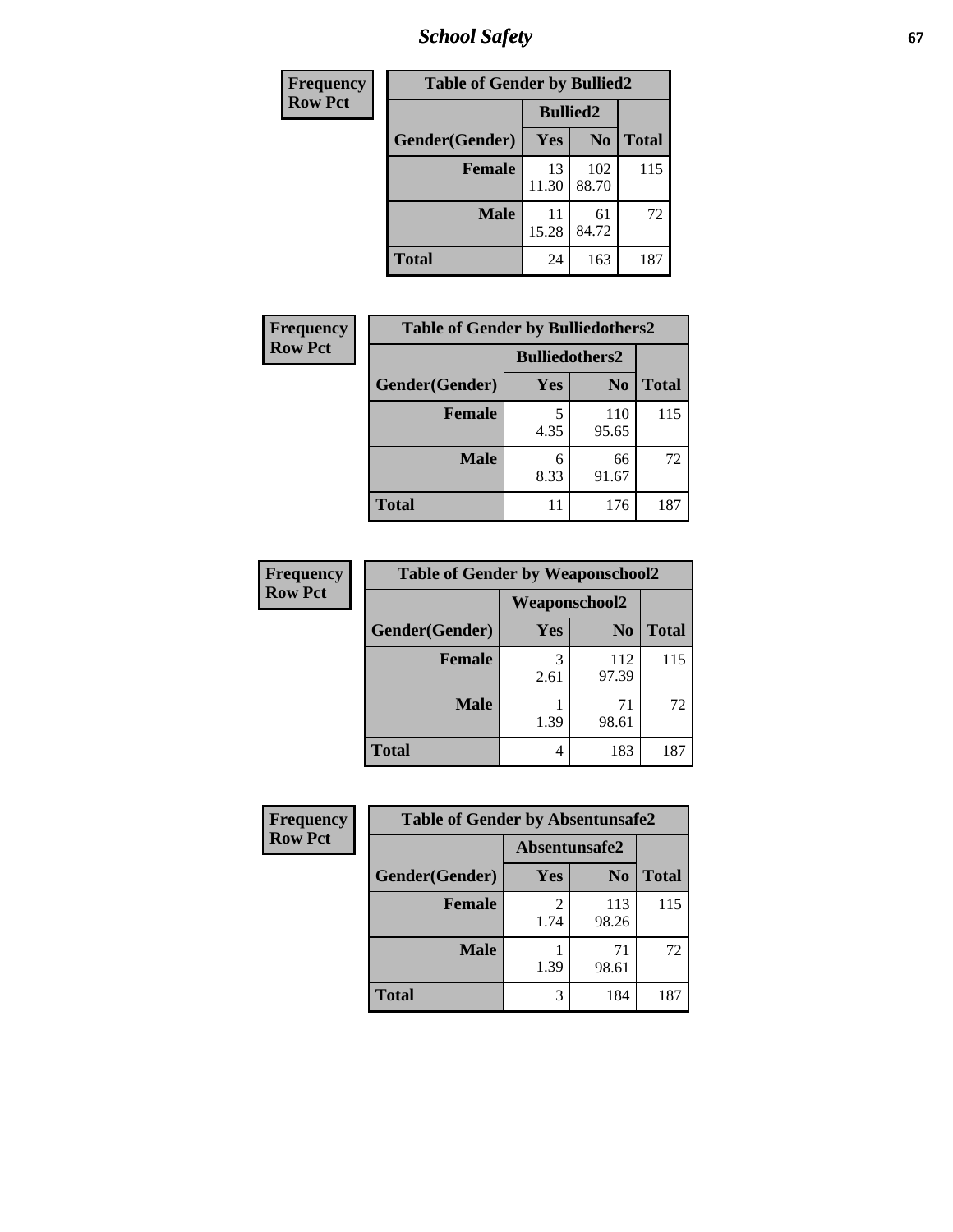*School Safety* **67**

| Frequency      | <b>Table of Gender by Bullied2</b> |                 |                |              |
|----------------|------------------------------------|-----------------|----------------|--------------|
| <b>Row Pct</b> |                                    | <b>Bullied2</b> |                |              |
|                | Gender(Gender)                     | <b>Yes</b>      | N <sub>0</sub> | <b>Total</b> |
|                | <b>Female</b>                      | 13<br>11.30     | 102<br>88.70   | 115          |
|                | <b>Male</b>                        | 11<br>15.28     | 61<br>84.72    | 72           |
|                | <b>Total</b>                       | 24              | 163            | 187          |

| Frequency      | <b>Table of Gender by Bulliedothers2</b> |                       |                |              |
|----------------|------------------------------------------|-----------------------|----------------|--------------|
| <b>Row Pct</b> |                                          | <b>Bulliedothers2</b> |                |              |
|                | Gender(Gender)                           | Yes                   | N <sub>0</sub> | <b>Total</b> |
|                | <b>Female</b>                            | 4.35                  | 110<br>95.65   | 115          |
|                | <b>Male</b>                              | 6<br>8.33             | 66<br>91.67    | 72           |
|                | <b>Total</b>                             | 11                    | 176            | 187          |

| Frequency      | <b>Table of Gender by Weaponschool2</b> |                      |                |              |
|----------------|-----------------------------------------|----------------------|----------------|--------------|
| <b>Row Pct</b> |                                         | <b>Weaponschool2</b> |                |              |
|                | Gender(Gender)                          | Yes                  | N <sub>0</sub> | <b>Total</b> |
|                | <b>Female</b>                           | 3<br>2.61            | 112<br>97.39   | 115          |
|                | <b>Male</b>                             | 1.39                 | 71<br>98.61    | 72           |
|                | <b>Total</b>                            | 4                    | 183            | 187          |

| Frequency      | <b>Table of Gender by Absentunsafe2</b> |               |                |              |
|----------------|-----------------------------------------|---------------|----------------|--------------|
| <b>Row Pct</b> |                                         | Absentunsafe2 |                |              |
|                | Gender(Gender)                          | Yes           | N <sub>0</sub> | <b>Total</b> |
|                | <b>Female</b>                           | 1.74          | 113<br>98.26   | 115          |
|                | <b>Male</b>                             | 1.39          | 71<br>98.61    | 72           |
|                | <b>Total</b>                            |               | 184            | 187          |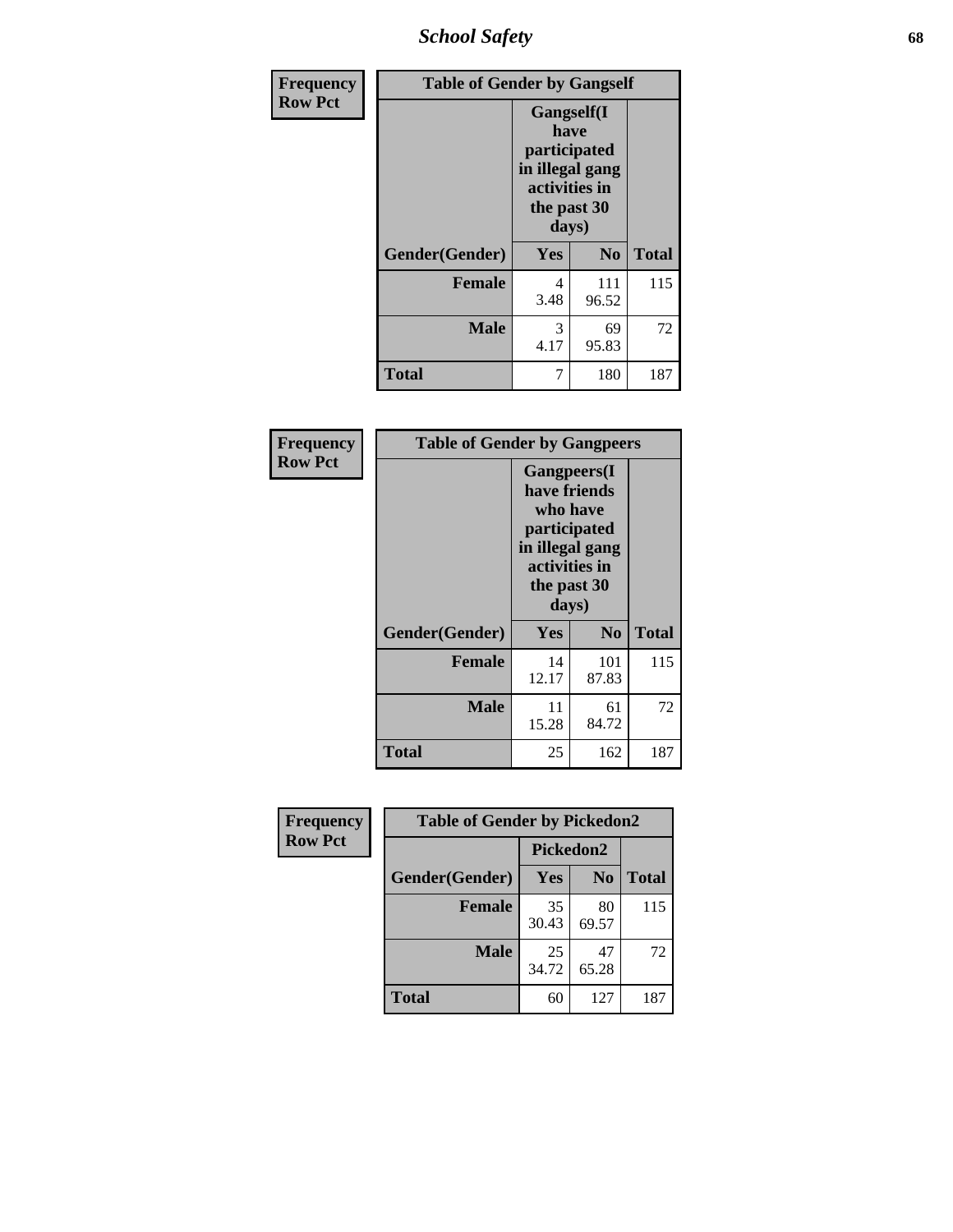*School Safety* **68**

| Frequency      | <b>Table of Gender by Gangself</b> |                                                                                                |                |              |  |
|----------------|------------------------------------|------------------------------------------------------------------------------------------------|----------------|--------------|--|
| <b>Row Pct</b> |                                    | Gangself(I<br>have<br>participated<br>in illegal gang<br>activities in<br>the past 30<br>days) |                |              |  |
|                | Gender(Gender)                     | Yes                                                                                            | N <sub>0</sub> | <b>Total</b> |  |
|                | <b>Female</b>                      | 4<br>3.48                                                                                      | 111<br>96.52   | 115          |  |
|                | <b>Male</b>                        | 3<br>4.17                                                                                      | 69<br>95.83    | 72           |  |
|                | <b>Total</b>                       | 7                                                                                              | 180            | 187          |  |

| Frequency      | <b>Table of Gender by Gangpeers</b> |                                                                                                                             |                |              |
|----------------|-------------------------------------|-----------------------------------------------------------------------------------------------------------------------------|----------------|--------------|
| <b>Row Pct</b> |                                     | <b>Gangpeers</b> (I<br>have friends<br>who have<br>participated<br>in illegal gang<br>activities in<br>the past 30<br>days) |                |              |
|                | Gender(Gender)                      | <b>Yes</b>                                                                                                                  | N <sub>0</sub> | <b>Total</b> |
|                | <b>Female</b>                       | 14<br>12.17                                                                                                                 | 101<br>87.83   | 115          |
|                | <b>Male</b>                         | 11<br>15.28                                                                                                                 | 61<br>84.72    | 72           |
|                | <b>Total</b>                        | 25                                                                                                                          | 162            | 187          |

| Frequency      | <b>Table of Gender by Pickedon2</b> |             |                |              |
|----------------|-------------------------------------|-------------|----------------|--------------|
| <b>Row Pct</b> |                                     | Pickedon2   |                |              |
|                | Gender(Gender)                      | <b>Yes</b>  | N <sub>0</sub> | <b>Total</b> |
|                | <b>Female</b>                       | 35<br>30.43 | 80<br>69.57    | 115          |
|                | <b>Male</b>                         | 25<br>34.72 | 47<br>65.28    | 72           |
|                | <b>Total</b>                        | 60          | 127            | 187          |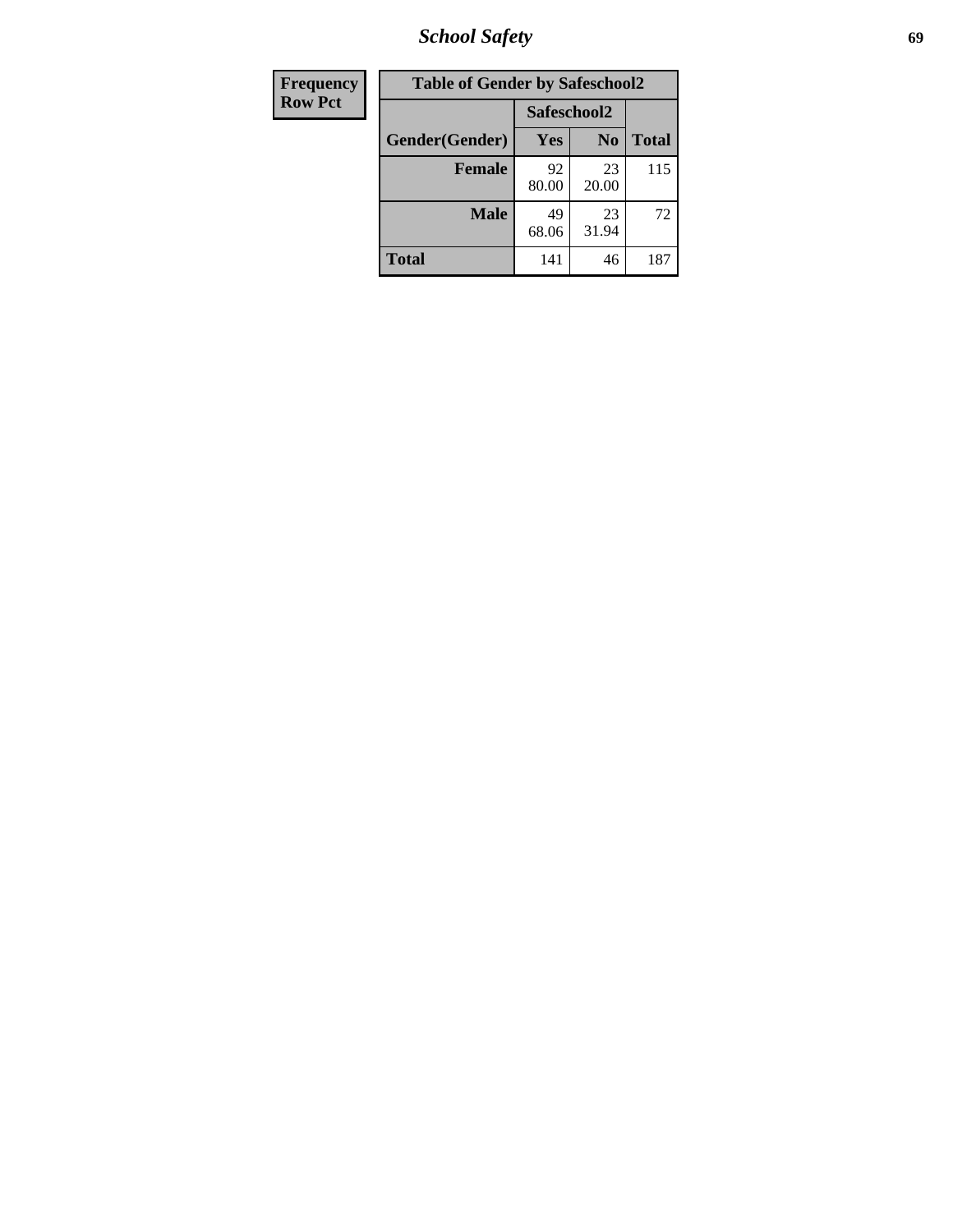*School Safety* **69**

| Frequency      | <b>Table of Gender by Safeschool2</b> |             |                |              |
|----------------|---------------------------------------|-------------|----------------|--------------|
| <b>Row Pct</b> |                                       | Safeschool2 |                |              |
|                | Gender(Gender)                        | Yes         | N <sub>0</sub> | <b>Total</b> |
|                | <b>Female</b>                         | 92<br>80.00 | 23<br>20.00    | 115          |
|                | <b>Male</b>                           | 49<br>68.06 | 23<br>31.94    | 72           |
|                | <b>Total</b>                          | 141         | 46             | 187          |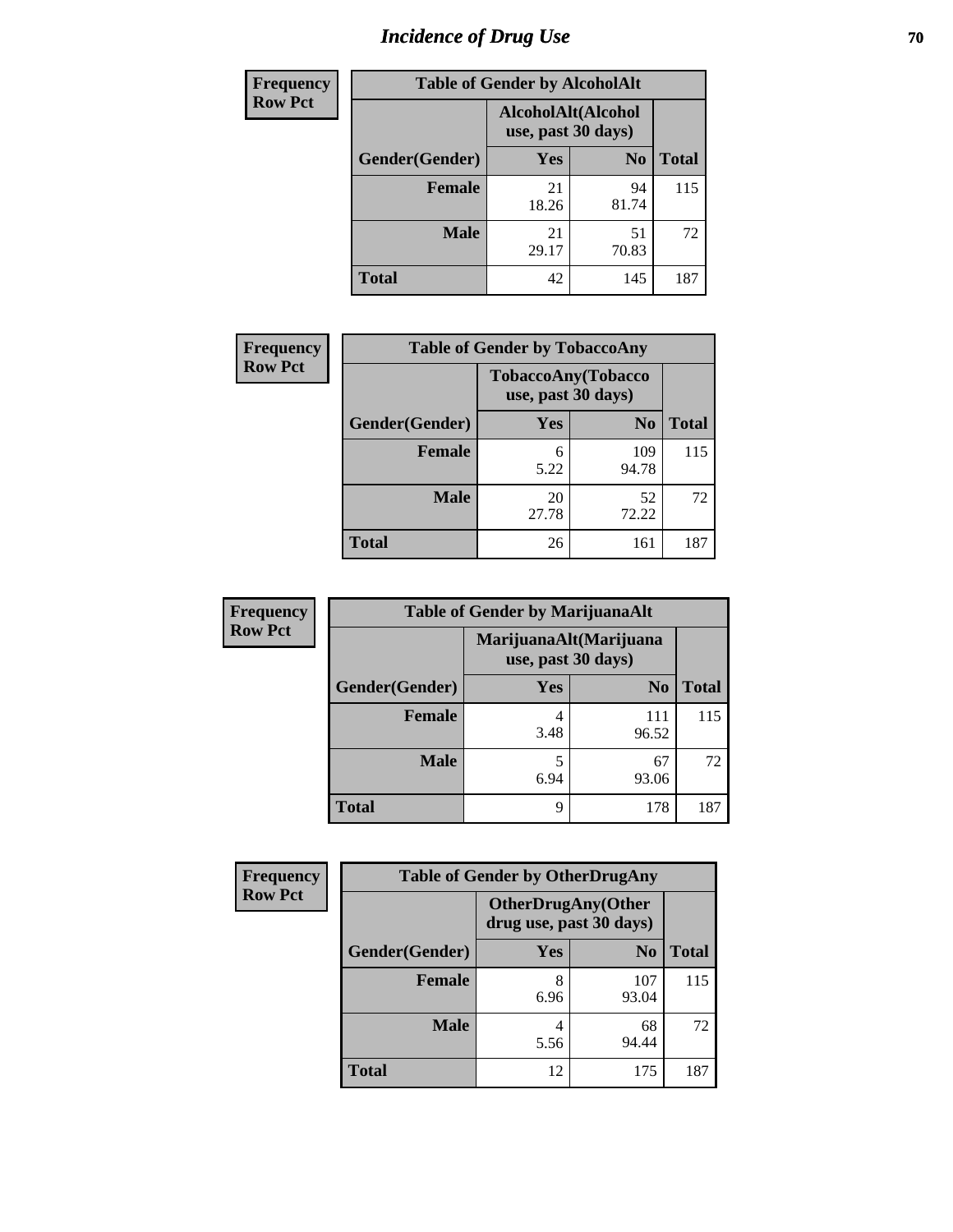# *Incidence of Drug Use* **70**

| <b>Frequency</b> | <b>Table of Gender by AlcoholAlt</b> |                    |                    |              |
|------------------|--------------------------------------|--------------------|--------------------|--------------|
| <b>Row Pct</b>   |                                      | use, past 30 days) | AlcoholAlt(Alcohol |              |
|                  | Gender(Gender)                       | Yes                | N <sub>0</sub>     | <b>Total</b> |
|                  | <b>Female</b>                        | 21<br>18.26        | 94<br>81.74        | 115          |
|                  | <b>Male</b>                          | 21<br>29.17        | 51<br>70.83        | 72           |
|                  | <b>Total</b>                         | 42                 | 145                | 187          |

| <b>Frequency</b> | <b>Table of Gender by TobaccoAny</b> |                                          |                |              |
|------------------|--------------------------------------|------------------------------------------|----------------|--------------|
| <b>Row Pct</b>   |                                      | TobaccoAny(Tobacco<br>use, past 30 days) |                |              |
|                  | Gender(Gender)                       | Yes                                      | N <sub>0</sub> | <b>Total</b> |
|                  | <b>Female</b>                        | 6<br>5.22                                | 109<br>94.78   | 115          |
|                  | <b>Male</b>                          | 20<br>27.78                              | 52<br>72.22    | 72           |
|                  | <b>Total</b>                         | 26                                       | 161            | 187          |

| <b>Frequency</b> | <b>Table of Gender by MarijuanaAlt</b> |                    |                        |              |
|------------------|----------------------------------------|--------------------|------------------------|--------------|
| <b>Row Pct</b>   |                                        | use, past 30 days) | MarijuanaAlt(Marijuana |              |
|                  | Gender(Gender)                         | <b>Yes</b>         | N <sub>0</sub>         | <b>Total</b> |
|                  | <b>Female</b>                          | 4<br>3.48          | 111<br>96.52           | 115          |
|                  | <b>Male</b>                            | 5<br>6.94          | 67<br>93.06            | 72           |
|                  | <b>Total</b>                           | 9                  | 178                    | 187          |

| <b>Frequency</b> | <b>Table of Gender by OtherDrugAny</b> |                                                      |                |              |
|------------------|----------------------------------------|------------------------------------------------------|----------------|--------------|
| <b>Row Pct</b>   |                                        | <b>OtherDrugAny(Other</b><br>drug use, past 30 days) |                |              |
|                  | Gender(Gender)                         | <b>Yes</b>                                           | N <sub>0</sub> | <b>Total</b> |
|                  | <b>Female</b>                          | 8<br>6.96                                            | 107<br>93.04   | 115          |
|                  | <b>Male</b>                            | 4<br>5.56                                            | 68<br>94.44    | 72           |
|                  | <b>Total</b>                           | 12                                                   | 175            | 187          |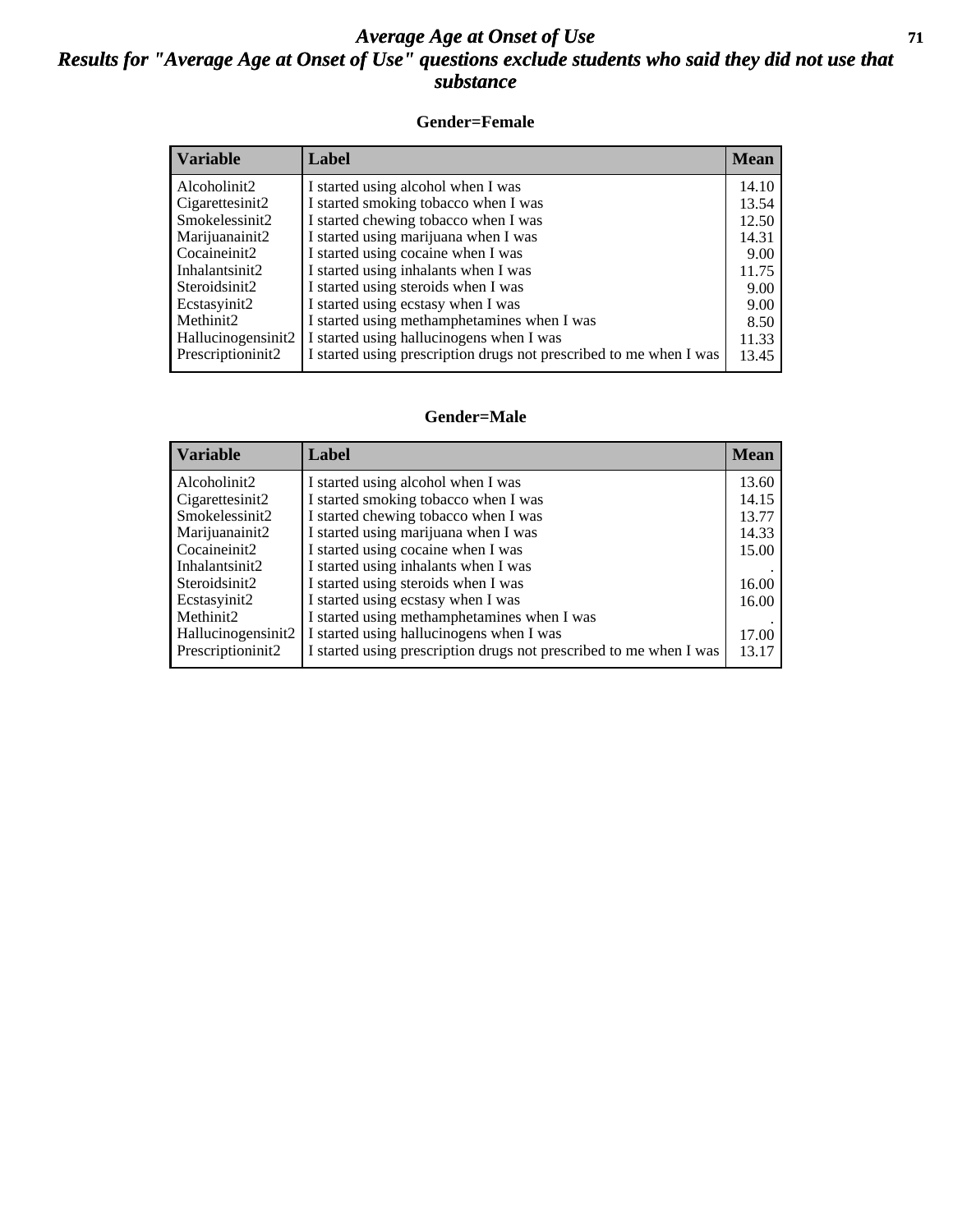### *Average Age at Onset of Use* **71** *Results for "Average Age at Onset of Use" questions exclude students who said they did not use that substance*

#### **Gender=Female**

| <b>Variable</b>    | <b>Label</b>                                                       | <b>Mean</b> |
|--------------------|--------------------------------------------------------------------|-------------|
| Alcoholinit2       | I started using alcohol when I was                                 | 14.10       |
| Cigarettesinit2    | I started smoking tobacco when I was                               | 13.54       |
| Smokelessinit2     | I started chewing tobacco when I was                               | 12.50       |
| Marijuanainit2     | I started using marijuana when I was                               | 14.31       |
| Cocaineinit2       | I started using cocaine when I was                                 | 9.00        |
| Inhalantsinit2     | I started using inhalants when I was                               | 11.75       |
| Steroidsinit2      | I started using steroids when I was                                | 9.00        |
| Ecstasyinit2       | I started using ecstasy when I was                                 | 9.00        |
| Methinit2          | I started using methamphetamines when I was                        | 8.50        |
| Hallucinogensinit2 | I started using hallucinogens when I was                           | 11.33       |
| Prescription in t2 | I started using prescription drugs not prescribed to me when I was | 13.45       |

#### **Gender=Male**

| <b>Variable</b>                 | Label                                                              | <b>Mean</b> |
|---------------------------------|--------------------------------------------------------------------|-------------|
| Alcoholinit2                    | I started using alcohol when I was                                 | 13.60       |
| Cigarettesinit2                 | I started smoking tobacco when I was                               | 14.15       |
| Smokelessinit2                  | I started chewing tobacco when I was                               | 13.77       |
| Marijuanainit2                  | I started using marijuana when I was                               | 14.33       |
| Cocaineinit2                    | I started using cocaine when I was                                 | 15.00       |
| Inhalantsinit2                  | I started using inhalants when I was                               |             |
| Steroidsinit2                   | I started using steroids when I was                                | 16.00       |
| Ecstasyinit2                    | I started using ecstasy when I was                                 | 16.00       |
| Methinit2                       | I started using methamphetamines when I was                        |             |
| Hallucinogensinit2              | I started using hallucinogens when I was                           | 17.00       |
| Prescription in it <sub>2</sub> | I started using prescription drugs not prescribed to me when I was | 13.17       |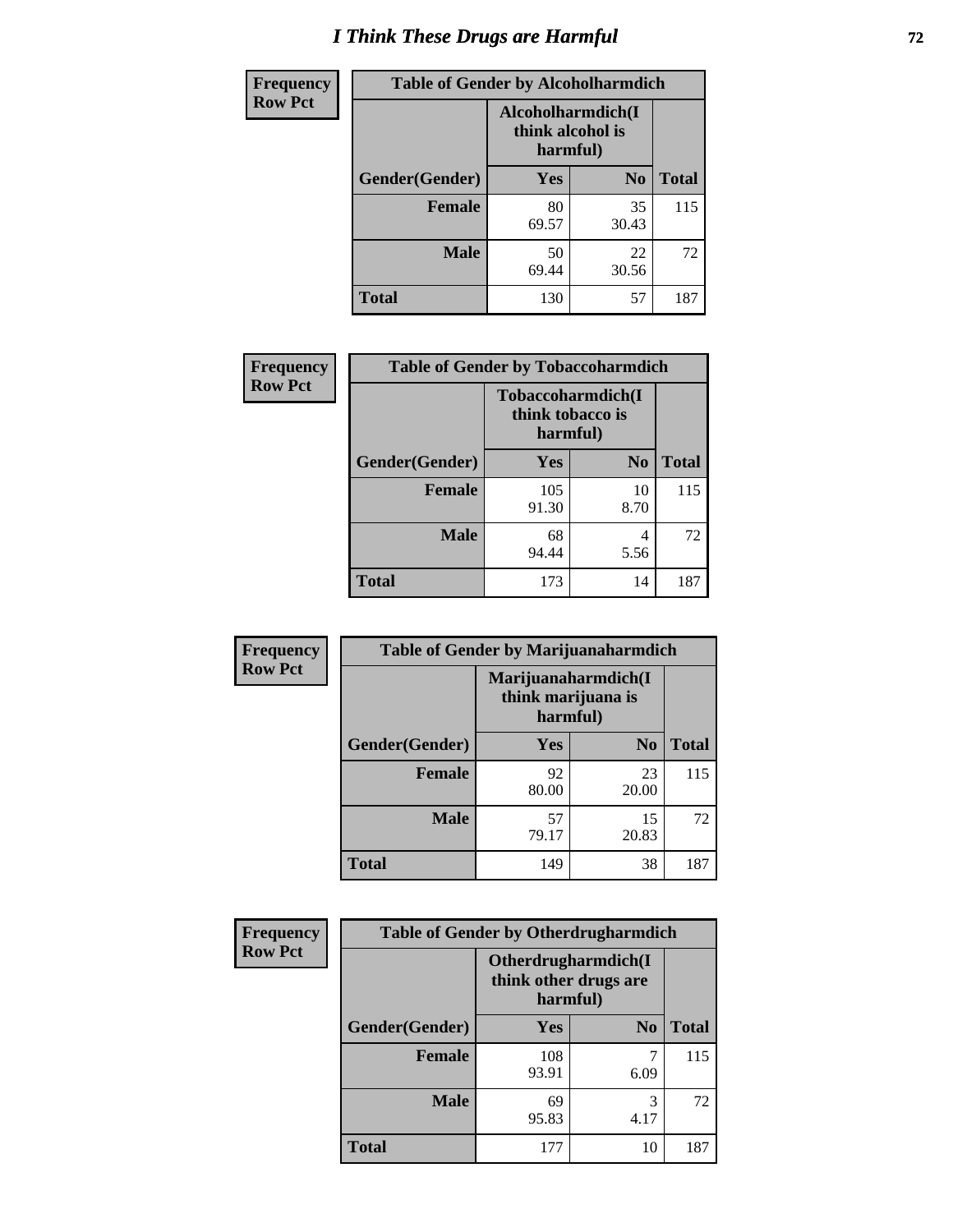# *I Think These Drugs are Harmful* **72**

| <b>Frequency</b> | <b>Table of Gender by Alcoholharmdich</b> |                                                   |                |              |
|------------------|-------------------------------------------|---------------------------------------------------|----------------|--------------|
| <b>Row Pct</b>   |                                           | Alcoholharmdich(I<br>think alcohol is<br>harmful) |                |              |
|                  | Gender(Gender)                            | Yes                                               | N <sub>0</sub> | <b>Total</b> |
|                  | <b>Female</b>                             | 80<br>69.57                                       | 35<br>30.43    | 115          |
|                  | <b>Male</b>                               | 50<br>69.44                                       | 22<br>30.56    | 72           |
|                  | <b>Total</b>                              | 130                                               | 57             | 187          |

| Frequency      | <b>Table of Gender by Tobaccoharmdich</b> |                  |                               |              |
|----------------|-------------------------------------------|------------------|-------------------------------|--------------|
| <b>Row Pct</b> |                                           | think tobacco is | Tobaccoharmdich(I<br>harmful) |              |
|                | Gender(Gender)                            | Yes              | N <sub>0</sub>                | <b>Total</b> |
|                | <b>Female</b>                             | 105<br>91.30     | 10<br>8.70                    | 115          |
|                | <b>Male</b>                               | 68<br>94.44      | 4<br>5.56                     | 72           |
|                | <b>Total</b>                              | 173              | 14                            | 187          |

| Frequency      | <b>Table of Gender by Marijuanaharmdich</b> |                                |                     |              |
|----------------|---------------------------------------------|--------------------------------|---------------------|--------------|
| <b>Row Pct</b> |                                             | think marijuana is<br>harmful) | Marijuanaharmdich(I |              |
|                | Gender(Gender)                              | <b>Yes</b>                     | N <sub>0</sub>      | <b>Total</b> |
|                | <b>Female</b>                               | 92<br>80.00                    | 23<br>20.00         | 115          |
|                | <b>Male</b>                                 | 57<br>79.17                    | 15<br>20.83         | 72           |
|                | <b>Total</b>                                | 149                            | 38                  | 187          |

| <b>Frequency</b> | <b>Table of Gender by Otherdrugharmdich</b> |                                                          |                |              |  |
|------------------|---------------------------------------------|----------------------------------------------------------|----------------|--------------|--|
| <b>Row Pct</b>   |                                             | Otherdrugharmdich(I<br>think other drugs are<br>harmful) |                |              |  |
|                  | Gender(Gender)                              | <b>Yes</b>                                               | N <sub>0</sub> | <b>Total</b> |  |
|                  | <b>Female</b>                               | 108<br>93.91                                             | 6.09           | 115          |  |
|                  | <b>Male</b>                                 | 69<br>95.83                                              | 3<br>4.17      | 72           |  |
|                  | <b>Total</b>                                | 177                                                      | 10             | 187          |  |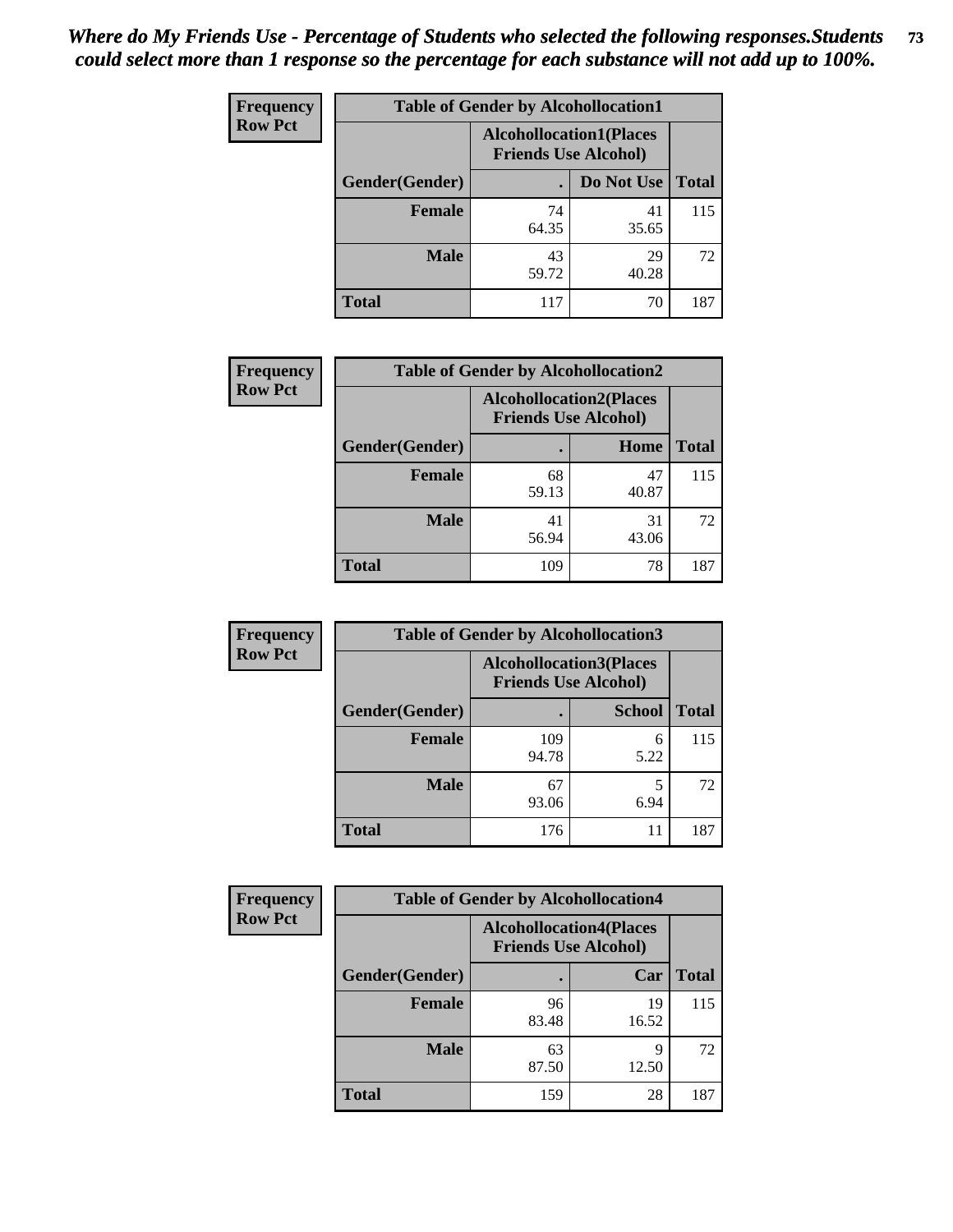| <b>Frequency</b> | <b>Table of Gender by Alcohollocation1</b> |                                                               |             |              |
|------------------|--------------------------------------------|---------------------------------------------------------------|-------------|--------------|
| <b>Row Pct</b>   |                                            | <b>Alcohollocation1(Places</b><br><b>Friends Use Alcohol)</b> |             |              |
|                  | Gender(Gender)                             |                                                               | Do Not Use  | <b>Total</b> |
|                  | <b>Female</b>                              | 74<br>64.35                                                   | 41<br>35.65 | 115          |
|                  | <b>Male</b>                                | 43<br>59.72                                                   | 29<br>40.28 | 72           |
|                  | Total                                      | 117                                                           | 70          | 187          |

| <b>Frequency</b> | <b>Table of Gender by Alcohollocation2</b> |                                                               |             |              |
|------------------|--------------------------------------------|---------------------------------------------------------------|-------------|--------------|
| <b>Row Pct</b>   |                                            | <b>Alcohollocation2(Places</b><br><b>Friends Use Alcohol)</b> |             |              |
|                  | Gender(Gender)                             |                                                               | Home        | <b>Total</b> |
|                  | <b>Female</b>                              | 68<br>59.13                                                   | 47<br>40.87 | 115          |
|                  | <b>Male</b>                                | 41<br>56.94                                                   | 31<br>43.06 | 72           |
|                  | <b>Total</b>                               | 109                                                           | 78          | 187          |

| Frequency      | <b>Table of Gender by Alcohollocation3</b> |                                                               |               |              |
|----------------|--------------------------------------------|---------------------------------------------------------------|---------------|--------------|
| <b>Row Pct</b> |                                            | <b>Alcohollocation3(Places</b><br><b>Friends Use Alcohol)</b> |               |              |
|                | Gender(Gender)                             |                                                               | <b>School</b> | <b>Total</b> |
|                | <b>Female</b>                              | 109<br>94.78                                                  | 6<br>5.22     | 115          |
|                | <b>Male</b>                                | 67<br>93.06                                                   | 6.94          | 72           |
|                | <b>Total</b>                               | 176                                                           | 11            | 187          |

| Frequency      | <b>Table of Gender by Alcohollocation4</b> |                                                               |             |              |
|----------------|--------------------------------------------|---------------------------------------------------------------|-------------|--------------|
| <b>Row Pct</b> |                                            | <b>Alcohollocation4(Places</b><br><b>Friends Use Alcohol)</b> |             |              |
|                | Gender(Gender)                             |                                                               | Car         | <b>Total</b> |
|                | <b>Female</b>                              | 96<br>83.48                                                   | 19<br>16.52 | 115          |
|                | <b>Male</b>                                | 63<br>87.50                                                   | q<br>12.50  | 72           |
|                | <b>Total</b>                               | 159                                                           | 28          | 187          |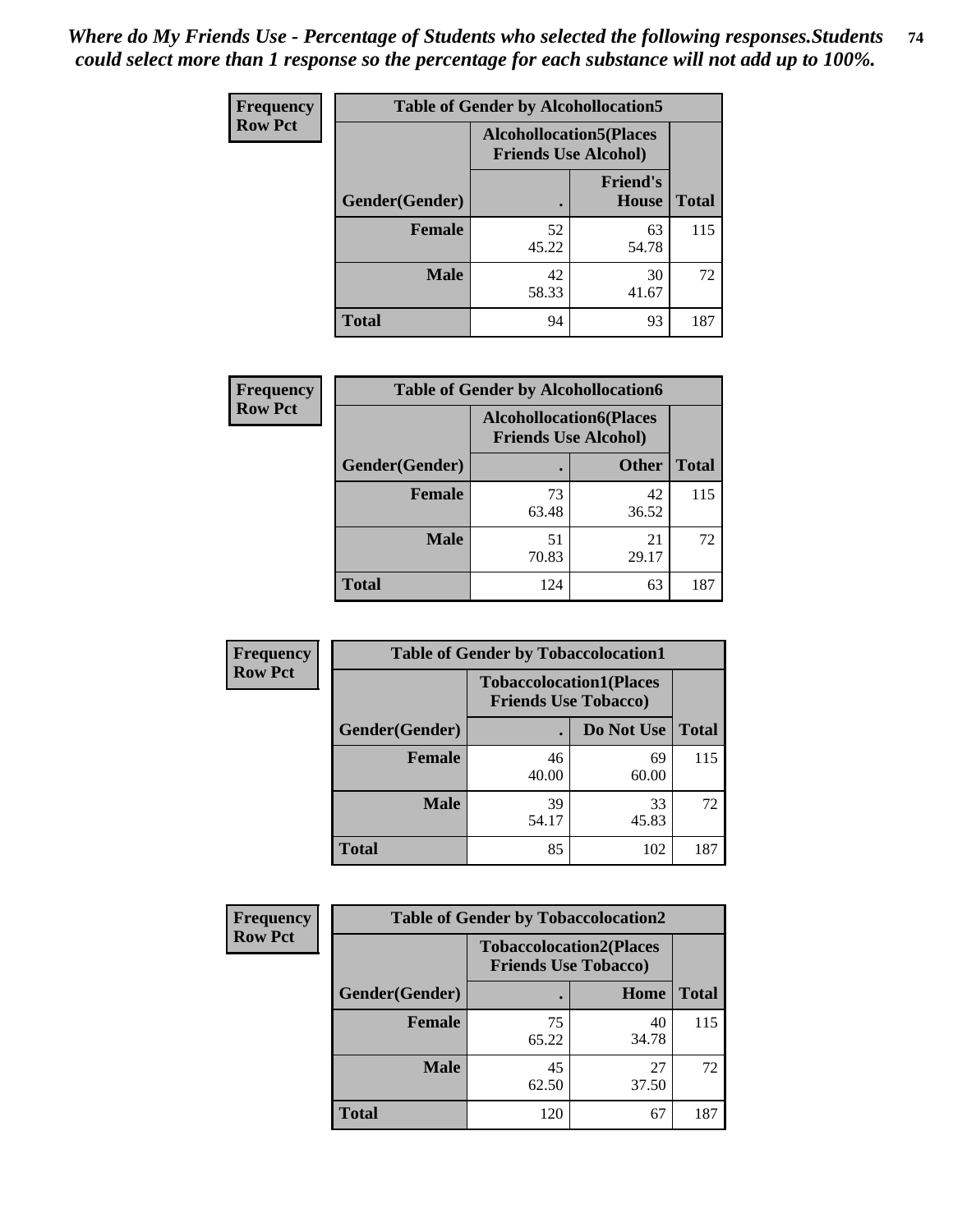| <b>Frequency</b> | <b>Table of Gender by Alcohollocation5</b> |                                                                |                                 |              |
|------------------|--------------------------------------------|----------------------------------------------------------------|---------------------------------|--------------|
| <b>Row Pct</b>   |                                            | <b>Alcohollocation5</b> (Places<br><b>Friends Use Alcohol)</b> |                                 |              |
|                  | Gender(Gender)                             |                                                                | <b>Friend's</b><br><b>House</b> | <b>Total</b> |
|                  | <b>Female</b>                              | 52<br>45.22                                                    | 63<br>54.78                     | 115          |
|                  | <b>Male</b>                                | 42<br>58.33                                                    | 30<br>41.67                     | 72           |
|                  | <b>Total</b>                               | 94                                                             | 93                              | 187          |

| <b>Frequency</b> | <b>Table of Gender by Alcohollocation6</b> |                                                               |              |              |
|------------------|--------------------------------------------|---------------------------------------------------------------|--------------|--------------|
| <b>Row Pct</b>   |                                            | <b>Alcohollocation6(Places</b><br><b>Friends Use Alcohol)</b> |              |              |
|                  | <b>Gender</b> (Gender)                     |                                                               | <b>Other</b> | <b>Total</b> |
|                  | Female                                     | 73<br>63.48                                                   | 42<br>36.52  | 115          |
|                  | <b>Male</b>                                | 51<br>70.83                                                   | 21<br>29.17  | 72           |
|                  | <b>Total</b>                               | 124                                                           | 63           | 187          |

| Frequency      | <b>Table of Gender by Tobaccolocation1</b> |                                                               |             |              |  |
|----------------|--------------------------------------------|---------------------------------------------------------------|-------------|--------------|--|
| <b>Row Pct</b> |                                            | <b>Tobaccolocation1(Places</b><br><b>Friends Use Tobacco)</b> |             |              |  |
|                | Gender(Gender)                             |                                                               | Do Not Use  | <b>Total</b> |  |
|                | Female                                     | 46<br>40.00                                                   | 69<br>60.00 | 115          |  |
|                | <b>Male</b>                                | 39<br>54.17                                                   | 33<br>45.83 | 72           |  |
|                | <b>Total</b>                               | 85                                                            | 102         | 187          |  |

| <b>Frequency</b> | <b>Table of Gender by Tobaccolocation2</b> |                                                               |             |              |
|------------------|--------------------------------------------|---------------------------------------------------------------|-------------|--------------|
| <b>Row Pct</b>   |                                            | <b>Tobaccolocation2(Places</b><br><b>Friends Use Tobacco)</b> |             |              |
|                  | Gender(Gender)                             |                                                               | Home        | <b>Total</b> |
|                  | Female                                     | 75<br>65.22                                                   | 40<br>34.78 | 115          |
|                  | <b>Male</b>                                | 45<br>62.50                                                   | 27<br>37.50 | 72           |
|                  | <b>Total</b>                               | 120                                                           | 67          | 187          |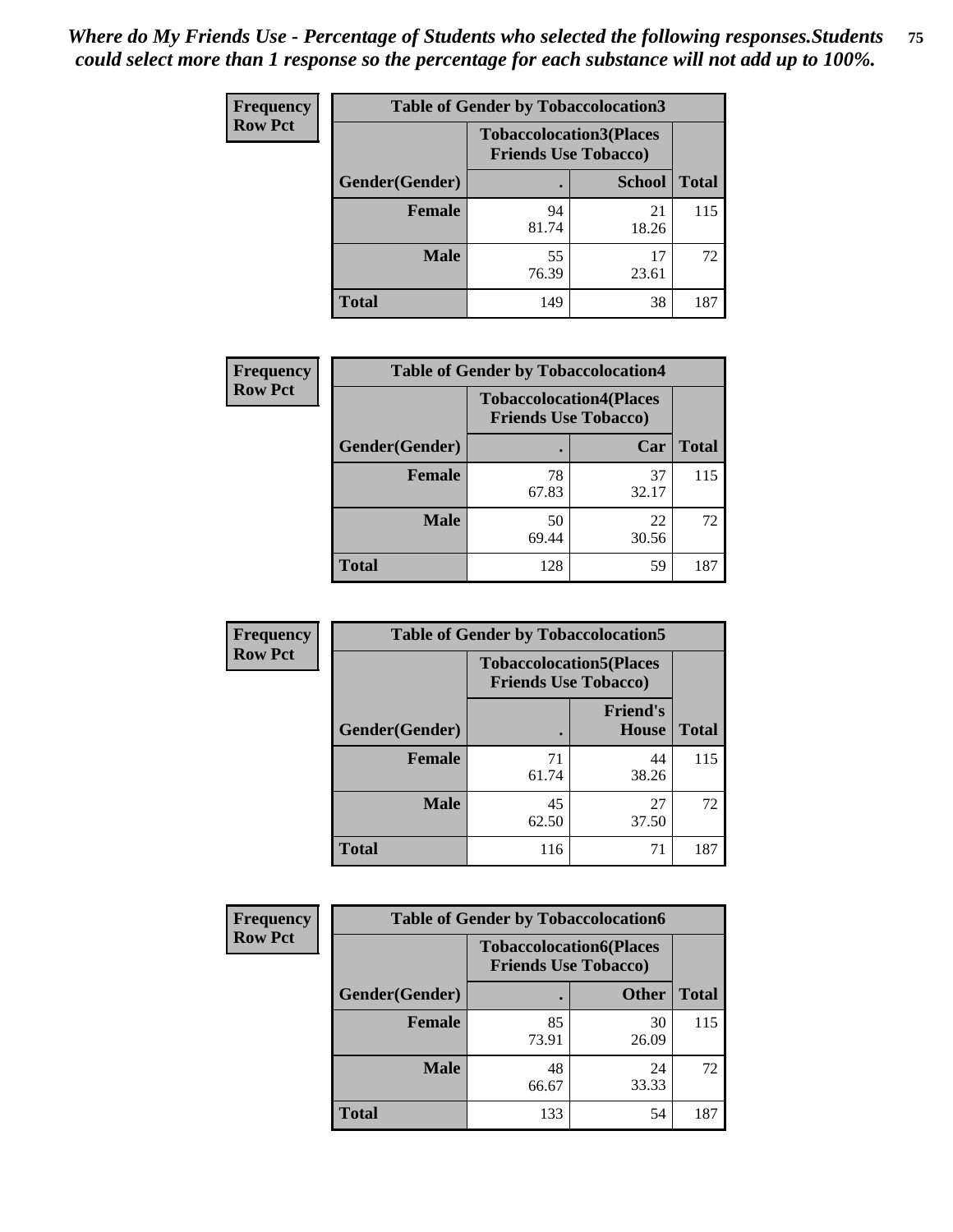| <b>Frequency</b> | <b>Table of Gender by Tobaccolocation3</b> |                                                               |               |              |  |
|------------------|--------------------------------------------|---------------------------------------------------------------|---------------|--------------|--|
| <b>Row Pct</b>   |                                            | <b>Tobaccolocation3(Places</b><br><b>Friends Use Tobacco)</b> |               |              |  |
|                  | Gender(Gender)                             |                                                               | <b>School</b> | <b>Total</b> |  |
|                  | <b>Female</b>                              | 94<br>81.74                                                   | 21<br>18.26   | 115          |  |
|                  | <b>Male</b>                                | 55<br>76.39                                                   | 17<br>23.61   | 72           |  |
|                  | <b>Total</b>                               | 149                                                           | 38            | 187          |  |

| <b>Frequency</b> | <b>Table of Gender by Tobaccolocation4</b> |             |                                                               |              |
|------------------|--------------------------------------------|-------------|---------------------------------------------------------------|--------------|
| <b>Row Pct</b>   |                                            |             | <b>Tobaccolocation4(Places</b><br><b>Friends Use Tobacco)</b> |              |
|                  | Gender(Gender)                             |             | Car                                                           | <b>Total</b> |
|                  | Female                                     | 78<br>67.83 | 37<br>32.17                                                   | 115          |
|                  | <b>Male</b>                                | 50<br>69.44 | 22<br>30.56                                                   | 72           |
|                  | <b>Total</b>                               | 128         | 59                                                            | 187          |

| <b>Frequency</b> | <b>Table of Gender by Tobaccolocation5</b> |                                                               |                                 |              |
|------------------|--------------------------------------------|---------------------------------------------------------------|---------------------------------|--------------|
| <b>Row Pct</b>   |                                            | <b>Tobaccolocation5(Places</b><br><b>Friends Use Tobacco)</b> |                                 |              |
|                  | Gender(Gender)                             |                                                               | <b>Friend's</b><br><b>House</b> | <b>Total</b> |
|                  | <b>Female</b>                              | 71<br>61.74                                                   | 44<br>38.26                     | 115          |
|                  | <b>Male</b>                                | 45<br>62.50                                                   | 27<br>37.50                     | 72           |
|                  | <b>Total</b>                               | 116                                                           | 71                              | 187          |

| Frequency      | <b>Table of Gender by Tobaccolocation6</b> |                                                               |              |              |  |
|----------------|--------------------------------------------|---------------------------------------------------------------|--------------|--------------|--|
| <b>Row Pct</b> |                                            | <b>Tobaccolocation6(Places</b><br><b>Friends Use Tobacco)</b> |              |              |  |
|                | Gender(Gender)                             |                                                               | <b>Other</b> | <b>Total</b> |  |
|                | Female                                     | 85<br>73.91                                                   | 30<br>26.09  | 115          |  |
|                | <b>Male</b>                                | 48<br>66.67                                                   | 24<br>33.33  | 72           |  |
|                | <b>Total</b>                               | 133                                                           | 54           | 187          |  |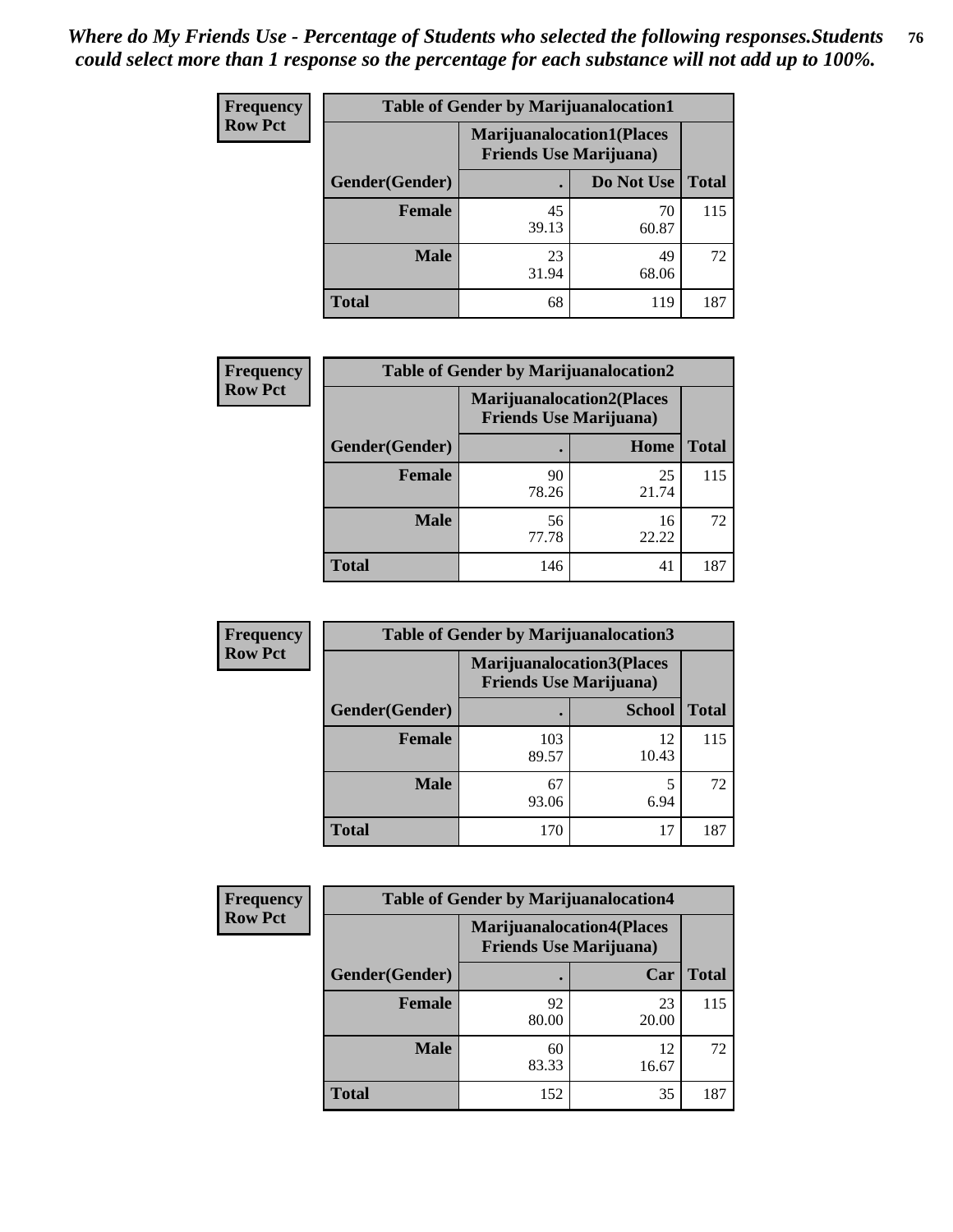| <b>Frequency</b> | <b>Table of Gender by Marijuanalocation1</b> |                                |                                  |              |
|------------------|----------------------------------------------|--------------------------------|----------------------------------|--------------|
| <b>Row Pct</b>   |                                              | <b>Friends Use Marijuana</b> ) | <b>Marijuanalocation1(Places</b> |              |
|                  | Gender(Gender)                               |                                | Do Not Use                       | <b>Total</b> |
|                  | <b>Female</b>                                | 45<br>39.13                    | 70<br>60.87                      | 115          |
|                  | <b>Male</b>                                  | 23<br>31.94                    | 49<br>68.06                      | 72           |
|                  | <b>Total</b>                                 | 68                             | 119                              | 187          |

| <b>Frequency</b> | <b>Table of Gender by Marijuanalocation2</b> |                                                                    |             |              |  |
|------------------|----------------------------------------------|--------------------------------------------------------------------|-------------|--------------|--|
| <b>Row Pct</b>   |                                              | <b>Marijuanalocation2(Places</b><br><b>Friends Use Marijuana</b> ) |             |              |  |
|                  | <b>Gender</b> (Gender)                       |                                                                    | Home        | <b>Total</b> |  |
|                  | <b>Female</b>                                | 90<br>78.26                                                        | 25<br>21.74 | 115          |  |
|                  | <b>Male</b>                                  | 56<br>77.78                                                        | 16<br>22.22 | 72           |  |
|                  | <b>Total</b>                                 | 146                                                                | 41          | 187          |  |

| Frequency      | <b>Table of Gender by Marijuanalocation3</b> |                                                                    |               |              |
|----------------|----------------------------------------------|--------------------------------------------------------------------|---------------|--------------|
| <b>Row Pct</b> |                                              | <b>Marijuanalocation3(Places</b><br><b>Friends Use Marijuana</b> ) |               |              |
|                | Gender(Gender)                               |                                                                    | <b>School</b> | <b>Total</b> |
|                | Female                                       | 103<br>89.57                                                       | 12<br>10.43   | 115          |
|                | <b>Male</b>                                  | 67<br>93.06                                                        | 6.94          | 72           |
|                | <b>Total</b>                                 | 170                                                                | 17            | 187          |

| <b>Frequency</b> | <b>Table of Gender by Marijuanalocation4</b> |                                                                    |             |              |
|------------------|----------------------------------------------|--------------------------------------------------------------------|-------------|--------------|
| <b>Row Pct</b>   |                                              | <b>Marijuanalocation4(Places</b><br><b>Friends Use Marijuana</b> ) |             |              |
|                  | Gender(Gender)                               |                                                                    | Car         | <b>Total</b> |
|                  | <b>Female</b>                                | 92<br>80.00                                                        | 23<br>20.00 | 115          |
|                  | <b>Male</b>                                  | 60<br>83.33                                                        | 12<br>16.67 | 72           |
|                  | <b>Total</b>                                 | 152                                                                | 35          | 187          |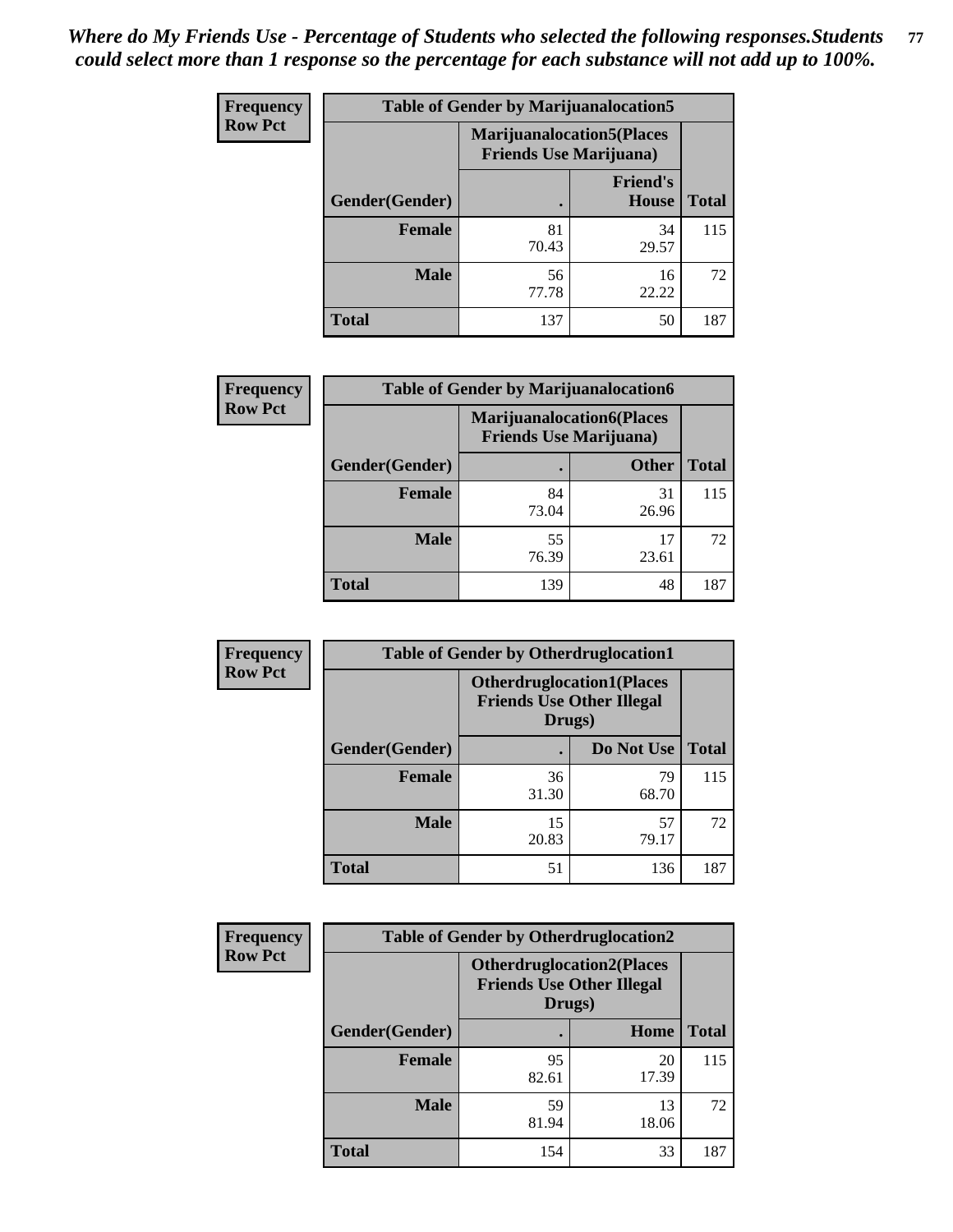| <b>Frequency</b> | <b>Table of Gender by Marijuanalocation5</b> |                                                                     |                          |              |
|------------------|----------------------------------------------|---------------------------------------------------------------------|--------------------------|--------------|
| <b>Row Pct</b>   |                                              | <b>Marijuanalocation5</b> (Places<br><b>Friends Use Marijuana</b> ) |                          |              |
|                  | Gender(Gender)                               |                                                                     | <b>Friend's</b><br>House | <b>Total</b> |
|                  | <b>Female</b>                                | 81<br>70.43                                                         | 34<br>29.57              | 115          |
|                  | <b>Male</b>                                  | 56<br>77.78                                                         | 16<br>22.22              | 72           |
|                  | <b>Total</b>                                 | 137                                                                 | 50                       | 187          |

| <b>Frequency</b> | <b>Table of Gender by Marijuanalocation6</b> |                                |                                  |              |
|------------------|----------------------------------------------|--------------------------------|----------------------------------|--------------|
| <b>Row Pct</b>   |                                              | <b>Friends Use Marijuana</b> ) | <b>Marijuanalocation6(Places</b> |              |
|                  | Gender(Gender)                               |                                | <b>Other</b>                     | <b>Total</b> |
|                  | <b>Female</b>                                | 84<br>73.04                    | 31<br>26.96                      | 115          |
|                  | <b>Male</b>                                  | 55<br>76.39                    | 17<br>23.61                      | 72           |
|                  | <b>Total</b>                                 | 139                            | 48                               | 187          |

| Frequency      | <b>Table of Gender by Otherdruglocation1</b> |                                                                                |             |              |
|----------------|----------------------------------------------|--------------------------------------------------------------------------------|-------------|--------------|
| <b>Row Pct</b> |                                              | <b>Otherdruglocation1(Places</b><br><b>Friends Use Other Illegal</b><br>Drugs) |             |              |
|                | Gender(Gender)                               |                                                                                | Do Not Use  | <b>Total</b> |
|                | <b>Female</b>                                | 36<br>31.30                                                                    | 79<br>68.70 | 115          |
|                | <b>Male</b>                                  | 15<br>20.83                                                                    | 57<br>79.17 | 72           |
|                | <b>Total</b>                                 | 51                                                                             | 136         | 187          |

| Frequency      | <b>Table of Gender by Otherdruglocation2</b> |                                                                                |             |              |
|----------------|----------------------------------------------|--------------------------------------------------------------------------------|-------------|--------------|
| <b>Row Pct</b> |                                              | <b>Otherdruglocation2(Places</b><br><b>Friends Use Other Illegal</b><br>Drugs) |             |              |
|                | Gender(Gender)                               |                                                                                | Home        | <b>Total</b> |
|                | Female                                       | 95<br>82.61                                                                    | 20<br>17.39 | 115          |
|                | <b>Male</b>                                  | 59<br>81.94                                                                    | 13<br>18.06 | 72           |
|                | <b>Total</b>                                 | 154                                                                            | 33          | 187          |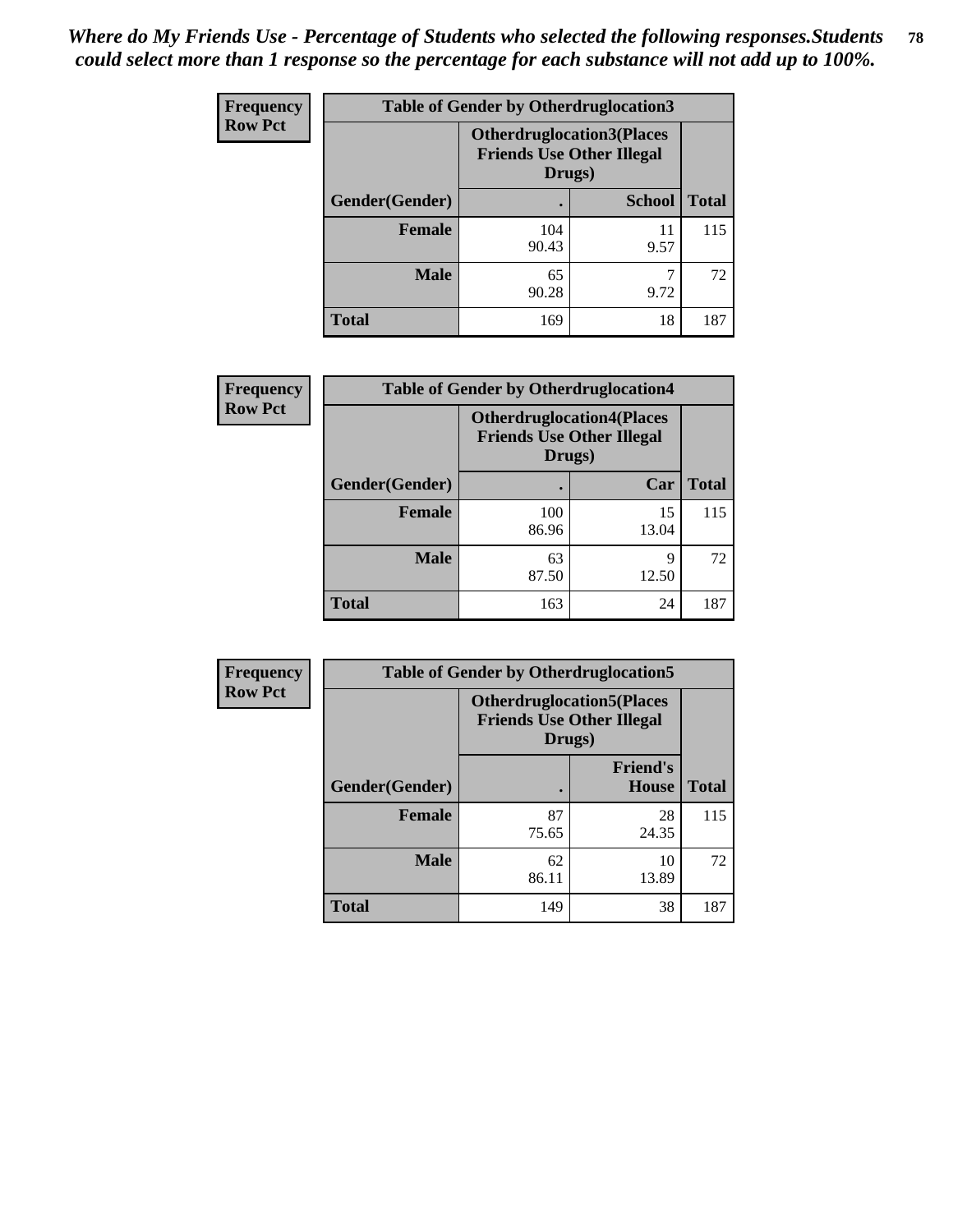| <b>Frequency</b> | <b>Table of Gender by Otherdruglocation3</b> |                                                                                |               |              |
|------------------|----------------------------------------------|--------------------------------------------------------------------------------|---------------|--------------|
| <b>Row Pct</b>   |                                              | <b>Otherdruglocation3(Places</b><br><b>Friends Use Other Illegal</b><br>Drugs) |               |              |
|                  | Gender(Gender)                               |                                                                                | <b>School</b> | <b>Total</b> |
|                  | <b>Female</b>                                | 104<br>90.43                                                                   | 11<br>9.57    | 115          |
|                  | <b>Male</b>                                  | 65<br>90.28                                                                    | 9.72          | 72           |
|                  | <b>Total</b>                                 | 169                                                                            | 18            | 187          |

| <b>Frequency</b> | <b>Table of Gender by Otherdruglocation4</b> |                                                                                |             |              |
|------------------|----------------------------------------------|--------------------------------------------------------------------------------|-------------|--------------|
| <b>Row Pct</b>   |                                              | <b>Otherdruglocation4(Places</b><br><b>Friends Use Other Illegal</b><br>Drugs) |             |              |
|                  | Gender(Gender)                               |                                                                                | Car         | <b>Total</b> |
|                  | <b>Female</b>                                | 100<br>86.96                                                                   | 15<br>13.04 | 115          |
|                  | <b>Male</b>                                  | 63<br>87.50                                                                    | q<br>12.50  | 72           |
|                  | <b>Total</b>                                 | 163                                                                            | 24          | 187          |

| <b>Frequency</b> | <b>Table of Gender by Otherdruglocation5</b> |                                                                                |                                 |              |
|------------------|----------------------------------------------|--------------------------------------------------------------------------------|---------------------------------|--------------|
| <b>Row Pct</b>   |                                              | <b>Otherdruglocation5(Places</b><br><b>Friends Use Other Illegal</b><br>Drugs) |                                 |              |
|                  | Gender(Gender)                               |                                                                                | <b>Friend's</b><br><b>House</b> | <b>Total</b> |
|                  | <b>Female</b>                                | 87<br>75.65                                                                    | 28<br>24.35                     | 115          |
|                  | <b>Male</b>                                  | 62<br>86.11                                                                    | 10<br>13.89                     | 72           |
|                  | <b>Total</b>                                 | 149                                                                            | 38                              | 187          |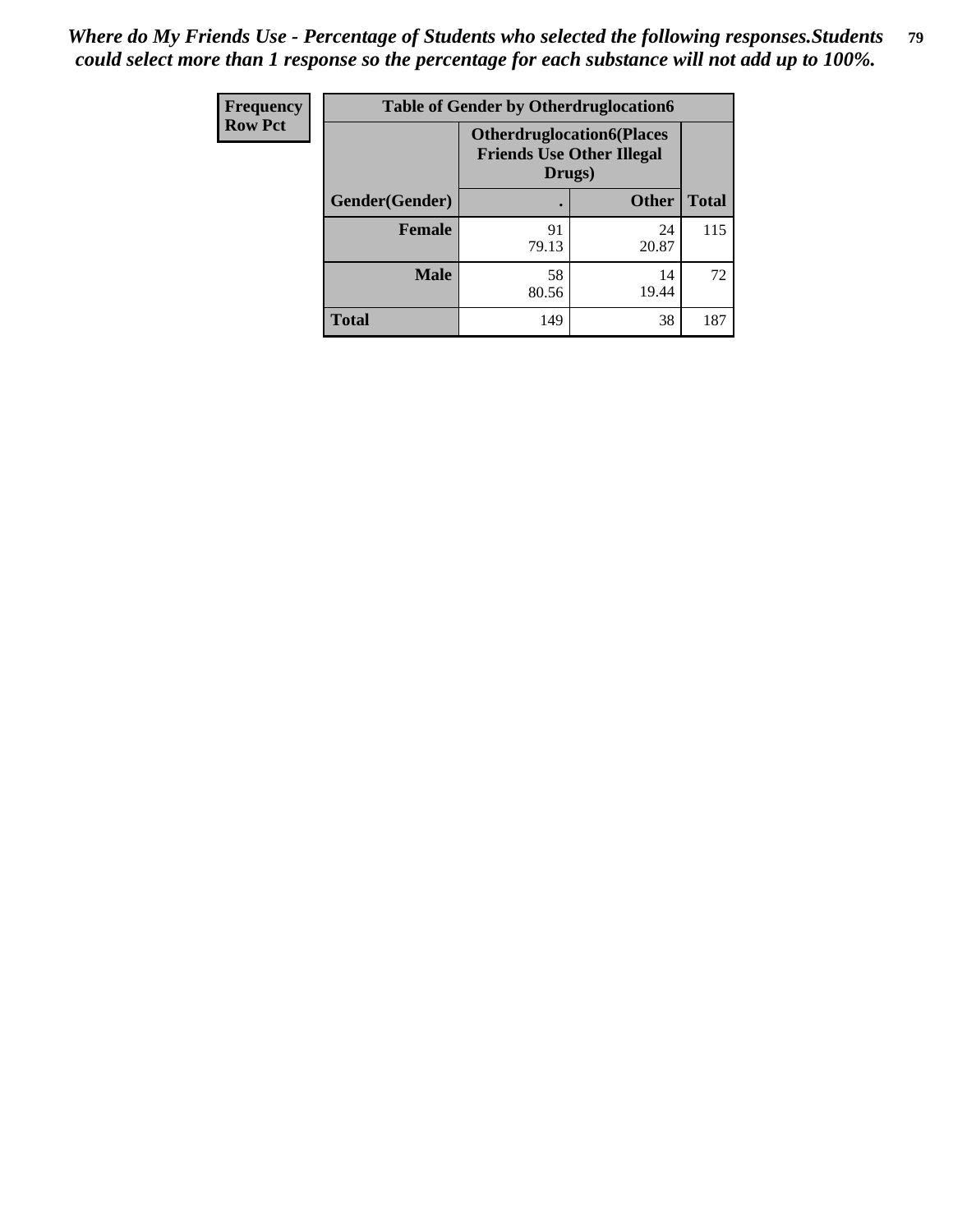| <b>Frequency</b> | <b>Table of Gender by Otherdruglocation6</b> |                                                                                |              |              |
|------------------|----------------------------------------------|--------------------------------------------------------------------------------|--------------|--------------|
| <b>Row Pct</b>   |                                              | <b>Otherdruglocation6(Places</b><br><b>Friends Use Other Illegal</b><br>Drugs) |              |              |
|                  | Gender(Gender)                               |                                                                                | <b>Other</b> | <b>Total</b> |
|                  | Female                                       | 91<br>79.13                                                                    | 24<br>20.87  | 115          |
|                  | <b>Male</b>                                  | 58<br>80.56                                                                    | 14<br>19.44  | 72           |
|                  | <b>Total</b>                                 | 149                                                                            | 38           | 187          |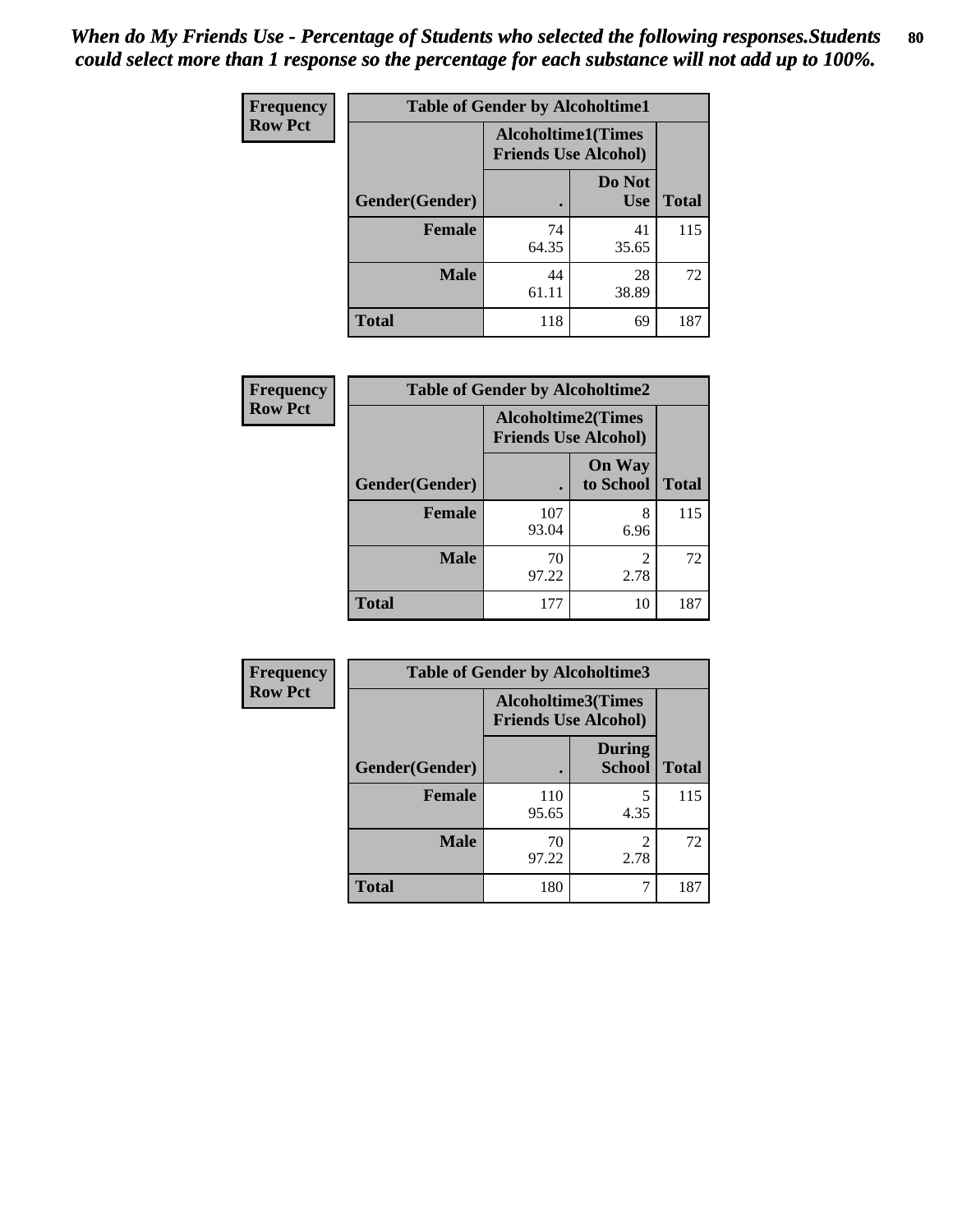| Frequency      | <b>Table of Gender by Alcoholtime1</b> |                                                          |                      |              |
|----------------|----------------------------------------|----------------------------------------------------------|----------------------|--------------|
| <b>Row Pct</b> |                                        | <b>Alcoholtime1(Times</b><br><b>Friends Use Alcohol)</b> |                      |              |
|                | Gender(Gender)                         | $\bullet$                                                | Do Not<br><b>Use</b> | <b>Total</b> |
|                | <b>Female</b>                          | 74<br>64.35                                              | 41<br>35.65          | 115          |
|                | <b>Male</b>                            | 44<br>61.11                                              | 28<br>38.89          | 72           |
|                | <b>Total</b>                           | 118                                                      | 69                   | 187          |

| <b>Frequency</b> | <b>Table of Gender by Alcoholtime2</b> |              |                                                          |              |
|------------------|----------------------------------------|--------------|----------------------------------------------------------|--------------|
| <b>Row Pct</b>   |                                        |              | <b>Alcoholtime2(Times</b><br><b>Friends Use Alcohol)</b> |              |
|                  | Gender(Gender)                         |              | <b>On Way</b><br>to School                               | <b>Total</b> |
|                  | <b>Female</b>                          | 107<br>93.04 | 8<br>6.96                                                | 115          |
|                  | <b>Male</b>                            | 70<br>97.22  | 2<br>2.78                                                | 72           |
|                  | <b>Total</b>                           | 177          | 10                                                       | 187          |

| <b>Frequency</b> | <b>Table of Gender by Alcoholtime3</b> |                                                          |                                |              |
|------------------|----------------------------------------|----------------------------------------------------------|--------------------------------|--------------|
| <b>Row Pct</b>   |                                        | <b>Alcoholtime3(Times</b><br><b>Friends Use Alcohol)</b> |                                |              |
|                  | <b>Gender</b> (Gender)                 |                                                          | <b>During</b><br><b>School</b> | <b>Total</b> |
|                  | Female                                 | 110<br>95.65                                             | 5<br>4.35                      | 115          |
|                  | <b>Male</b>                            | 70<br>97.22                                              | 2<br>2.78                      | 72           |
|                  | <b>Total</b>                           | 180                                                      |                                | 187          |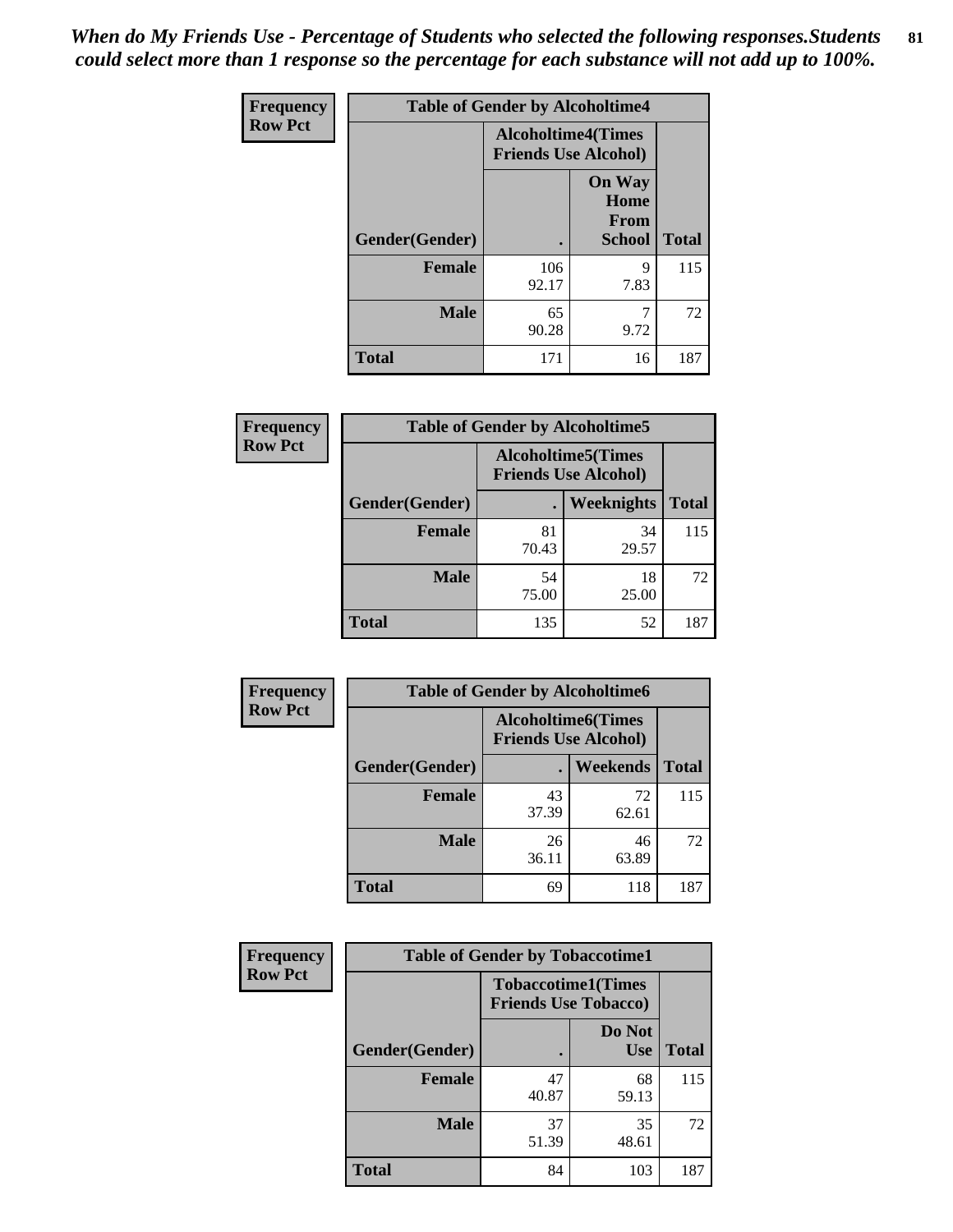*When do My Friends Use - Percentage of Students who selected the following responses.Students could select more than 1 response so the percentage for each substance will not add up to 100%.* **81**

| <b>Frequency</b> | <b>Table of Gender by Alcoholtime4</b> |                                                          |                                                       |              |  |
|------------------|----------------------------------------|----------------------------------------------------------|-------------------------------------------------------|--------------|--|
| <b>Row Pct</b>   |                                        | <b>Alcoholtime4(Times</b><br><b>Friends Use Alcohol)</b> |                                                       |              |  |
|                  | Gender(Gender)                         |                                                          | <b>On Way</b><br>Home<br><b>From</b><br><b>School</b> | <b>Total</b> |  |
|                  | <b>Female</b>                          | 106<br>92.17                                             | 9<br>7.83                                             | 115          |  |
|                  | <b>Male</b>                            | 65<br>90.28                                              | 7<br>9.72                                             | 72           |  |
|                  | <b>Total</b>                           | 171                                                      | 16                                                    | 187          |  |

| <b>Frequency</b> | <b>Table of Gender by Alcoholtime5</b> |                                                          |                   |              |
|------------------|----------------------------------------|----------------------------------------------------------|-------------------|--------------|
| <b>Row Pct</b>   |                                        | <b>Alcoholtime5(Times</b><br><b>Friends Use Alcohol)</b> |                   |              |
|                  | Gender(Gender)                         |                                                          | <b>Weeknights</b> | <b>Total</b> |
|                  | <b>Female</b>                          | 81<br>70.43                                              | 34<br>29.57       | 115          |
|                  | <b>Male</b>                            | 54<br>75.00                                              | 18<br>25.00       | 72           |
|                  | <b>Total</b>                           | 135                                                      | 52                | 187          |

| <b>Frequency</b> | <b>Table of Gender by Alcoholtime6</b> |             |                                                          |              |
|------------------|----------------------------------------|-------------|----------------------------------------------------------|--------------|
| <b>Row Pct</b>   |                                        |             | <b>Alcoholtime6(Times</b><br><b>Friends Use Alcohol)</b> |              |
|                  | Gender(Gender)                         |             | Weekends                                                 | <b>Total</b> |
|                  | Female                                 | 43<br>37.39 | 72<br>62.61                                              | 115          |
|                  | <b>Male</b>                            | 26<br>36.11 | 46<br>63.89                                              | 72           |
|                  | <b>Total</b>                           | 69          | 118                                                      | 187          |

| <b>Frequency</b> | <b>Table of Gender by Tobaccotime1</b> |                                                          |                      |              |
|------------------|----------------------------------------|----------------------------------------------------------|----------------------|--------------|
| <b>Row Pct</b>   |                                        | <b>Tobaccotime1(Times</b><br><b>Friends Use Tobacco)</b> |                      |              |
|                  | Gender(Gender)                         |                                                          | Do Not<br><b>Use</b> | <b>Total</b> |
|                  | <b>Female</b>                          | 47<br>40.87                                              | 68<br>59.13          | 115          |
|                  | <b>Male</b>                            | 37<br>51.39                                              | 35<br>48.61          | 72           |
|                  | <b>Total</b>                           | 84                                                       | 103                  | 187          |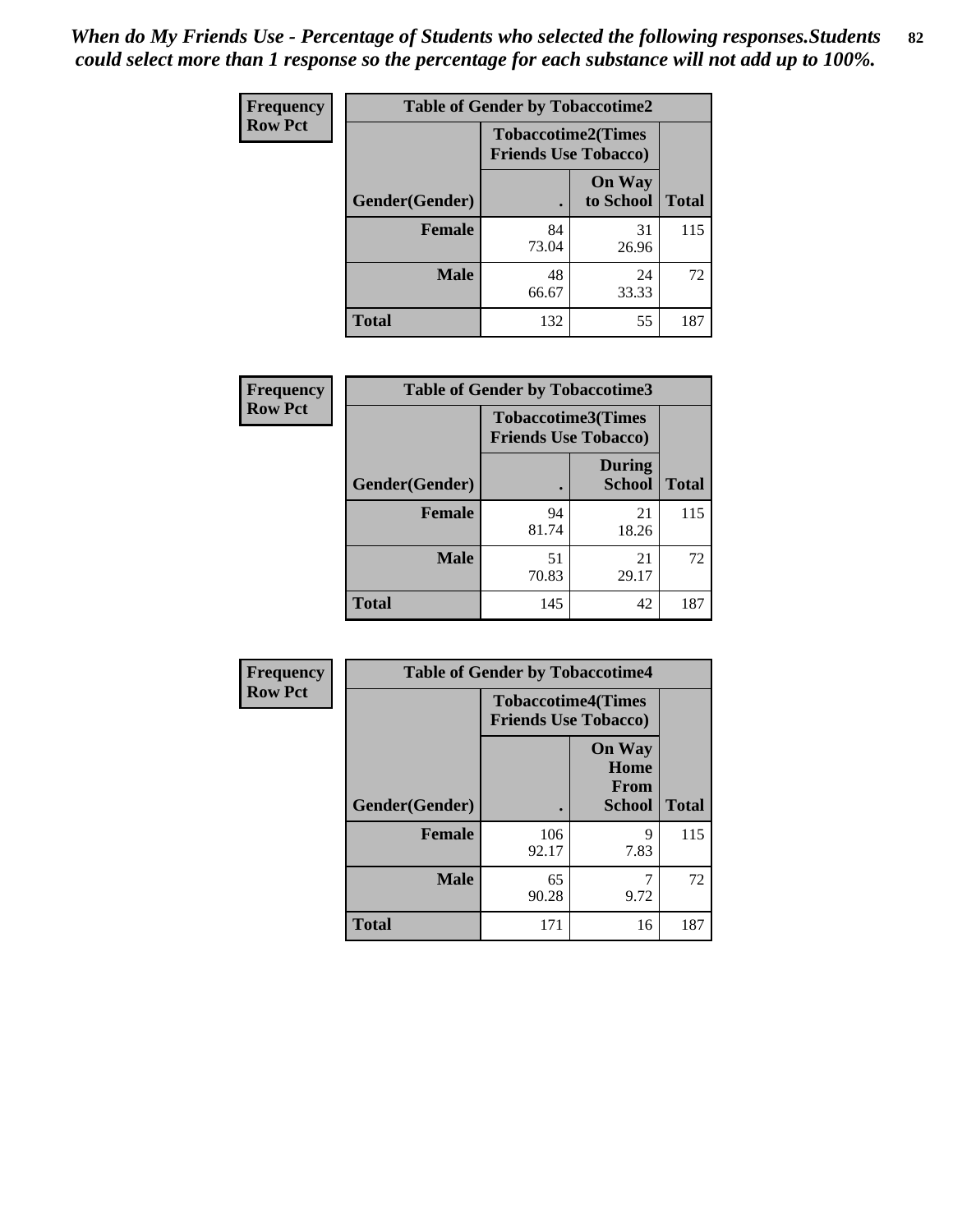| <b>Frequency</b> | <b>Table of Gender by Tobaccotime2</b> |                             |                            |              |
|------------------|----------------------------------------|-----------------------------|----------------------------|--------------|
| <b>Row Pct</b>   |                                        | <b>Friends Use Tobacco)</b> | <b>Tobaccotime2(Times</b>  |              |
|                  | Gender(Gender)                         |                             | <b>On Way</b><br>to School | <b>Total</b> |
|                  | <b>Female</b>                          | 84<br>73.04                 | 31<br>26.96                | 115          |
|                  | <b>Male</b>                            | 48<br>66.67                 | 24<br>33.33                | 72           |
|                  | <b>Total</b>                           | 132                         | 55                         | 187          |

| Frequency      | <b>Table of Gender by Tobaccotime3</b> |                                                          |                                |              |
|----------------|----------------------------------------|----------------------------------------------------------|--------------------------------|--------------|
| <b>Row Pct</b> |                                        | <b>Tobaccotime3(Times</b><br><b>Friends Use Tobacco)</b> |                                |              |
|                | Gender(Gender)                         |                                                          | <b>During</b><br><b>School</b> | <b>Total</b> |
|                | Female                                 | 94<br>81.74                                              | 21<br>18.26                    | 115          |
|                | <b>Male</b>                            | 51<br>70.83                                              | 21<br>29.17                    | 72           |
|                | <b>Total</b>                           | 145                                                      | 42                             | 187          |

| <b>Frequency</b> | <b>Table of Gender by Tobaccotime4</b> |                                                          |                                                |              |
|------------------|----------------------------------------|----------------------------------------------------------|------------------------------------------------|--------------|
| <b>Row Pct</b>   |                                        | <b>Tobaccotime4(Times</b><br><b>Friends Use Tobacco)</b> |                                                |              |
|                  | Gender(Gender)                         |                                                          | <b>On Way</b><br>Home<br>From<br><b>School</b> | <b>Total</b> |
|                  | <b>Female</b>                          | 106<br>92.17                                             | 9<br>7.83                                      | 115          |
|                  | <b>Male</b>                            | 65<br>90.28                                              | 7<br>9.72                                      | 72           |
|                  | <b>Total</b>                           | 171                                                      | 16                                             | 187          |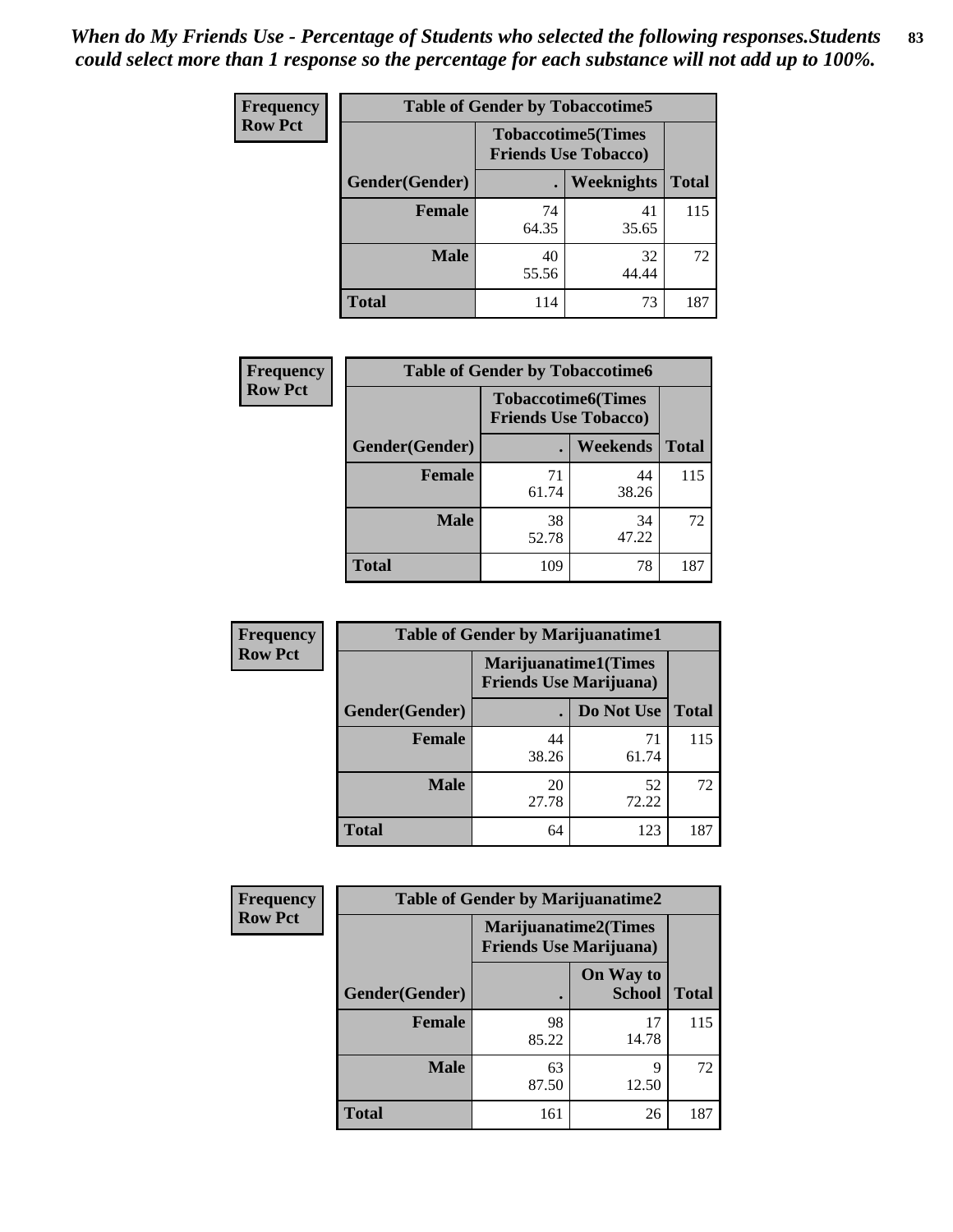| Frequency      | <b>Table of Gender by Tobaccotime5</b> |             |                                                          |              |  |
|----------------|----------------------------------------|-------------|----------------------------------------------------------|--------------|--|
| <b>Row Pct</b> |                                        |             | <b>Tobaccotime5(Times</b><br><b>Friends Use Tobacco)</b> |              |  |
|                | Gender(Gender)                         |             | Weeknights                                               | <b>Total</b> |  |
|                | <b>Female</b>                          | 74<br>64.35 | 41<br>35.65                                              | 115          |  |
|                | <b>Male</b>                            | 40<br>55.56 | 32<br>44.44                                              | 72           |  |
|                | <b>Total</b>                           | 114         | 73                                                       | 187          |  |

| Frequency      | <b>Table of Gender by Tobaccotime6</b> |                                                          |             |              |
|----------------|----------------------------------------|----------------------------------------------------------|-------------|--------------|
| <b>Row Pct</b> |                                        | <b>Tobaccotime6(Times</b><br><b>Friends Use Tobacco)</b> |             |              |
|                | Gender(Gender)                         |                                                          | Weekends    | <b>Total</b> |
|                | <b>Female</b>                          | 71<br>61.74                                              | 44<br>38.26 | 115          |
|                | <b>Male</b>                            | 38<br>52.78                                              | 34<br>47.22 | 72           |
|                | <b>Total</b>                           | 109                                                      | 78          | 187          |

| Frequency      | <b>Table of Gender by Marijuanatime1</b> |                                                               |             |              |  |
|----------------|------------------------------------------|---------------------------------------------------------------|-------------|--------------|--|
| <b>Row Pct</b> |                                          | <b>Marijuanatime1(Times</b><br><b>Friends Use Marijuana</b> ) |             |              |  |
|                | Gender(Gender)                           |                                                               | Do Not Use  | <b>Total</b> |  |
|                | <b>Female</b>                            | 44<br>38.26                                                   | 71<br>61.74 | 115          |  |
|                | <b>Male</b>                              | 20<br>27.78                                                   | 52<br>72.22 | 72           |  |
|                | <b>Total</b>                             | 64                                                            | 123         | 187          |  |

| <b>Frequency</b> | <b>Table of Gender by Marijuanatime2</b> |                                                               |                            |              |
|------------------|------------------------------------------|---------------------------------------------------------------|----------------------------|--------------|
| <b>Row Pct</b>   |                                          | <b>Marijuanatime2(Times</b><br><b>Friends Use Marijuana</b> ) |                            |              |
|                  | Gender(Gender)                           |                                                               | On Way to<br><b>School</b> | <b>Total</b> |
|                  | <b>Female</b>                            | 98<br>85.22                                                   | 17<br>14.78                | 115          |
|                  | <b>Male</b>                              | 63<br>87.50                                                   | 9<br>12.50                 | 72           |
|                  | <b>Total</b>                             | 161                                                           | 26                         | 187          |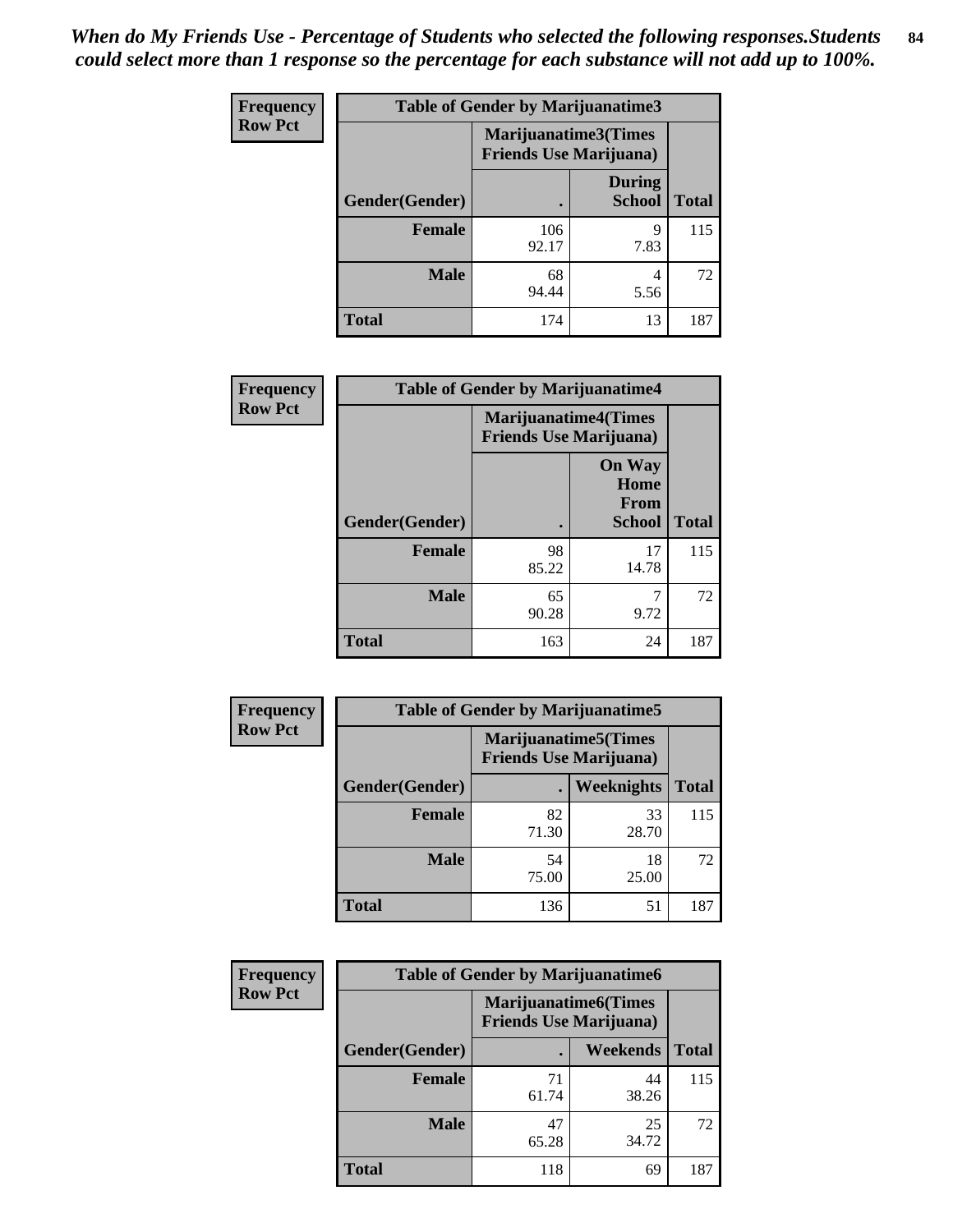*When do My Friends Use - Percentage of Students who selected the following responses.Students could select more than 1 response so the percentage for each substance will not add up to 100%.* **84**

| <b>Frequency</b> | <b>Table of Gender by Marijuanatime3</b> |                                                        |                                |              |
|------------------|------------------------------------------|--------------------------------------------------------|--------------------------------|--------------|
| <b>Row Pct</b>   |                                          | Marijuanatime3(Times<br><b>Friends Use Marijuana</b> ) |                                |              |
|                  | Gender(Gender)                           |                                                        | <b>During</b><br><b>School</b> | <b>Total</b> |
|                  | <b>Female</b>                            | 106<br>92.17                                           | 9<br>7.83                      | 115          |
|                  | <b>Male</b>                              | 68<br>94.44                                            | 4<br>5.56                      | 72           |
|                  | <b>Total</b>                             | 174                                                    | 13                             | 187          |

| Frequency      | <b>Table of Gender by Marijuanatime4</b> |                                                               |                                                |              |
|----------------|------------------------------------------|---------------------------------------------------------------|------------------------------------------------|--------------|
| <b>Row Pct</b> |                                          | <b>Marijuanatime4(Times</b><br><b>Friends Use Marijuana</b> ) |                                                |              |
|                | Gender(Gender)                           |                                                               | <b>On Way</b><br>Home<br>From<br><b>School</b> | <b>Total</b> |
|                | <b>Female</b>                            | 98<br>85.22                                                   | 17<br>14.78                                    | 115          |
|                | <b>Male</b>                              | 65<br>90.28                                                   | 7<br>9.72                                      | 72           |
|                | <b>Total</b>                             | 163                                                           | 24                                             | 187          |

| <b>Frequency</b> | <b>Table of Gender by Marijuanatime5</b> |             |                                                                |              |  |
|------------------|------------------------------------------|-------------|----------------------------------------------------------------|--------------|--|
| <b>Row Pct</b>   |                                          |             | <b>Marijuanatime5</b> (Times<br><b>Friends Use Marijuana</b> ) |              |  |
|                  | Gender(Gender)                           | ٠           | Weeknights                                                     | <b>Total</b> |  |
|                  | <b>Female</b>                            | 82<br>71.30 | 33<br>28.70                                                    | 115          |  |
|                  | <b>Male</b>                              | 54<br>75.00 | 18<br>25.00                                                    | 72           |  |
|                  | <b>Total</b>                             | 136         | 51                                                             | 187          |  |

| <b>Frequency</b> | <b>Table of Gender by Marijuanatime6</b> |                                                               |                 |              |  |
|------------------|------------------------------------------|---------------------------------------------------------------|-----------------|--------------|--|
| <b>Row Pct</b>   |                                          | <b>Marijuanatime6(Times</b><br><b>Friends Use Marijuana</b> ) |                 |              |  |
|                  | Gender(Gender)                           |                                                               | <b>Weekends</b> | <b>Total</b> |  |
|                  | Female                                   | 71<br>61.74                                                   | 44<br>38.26     | 115          |  |
|                  | <b>Male</b>                              | 47<br>65.28                                                   | 25<br>34.72     | 72           |  |
|                  | <b>Total</b>                             | 118                                                           | 69              | 187          |  |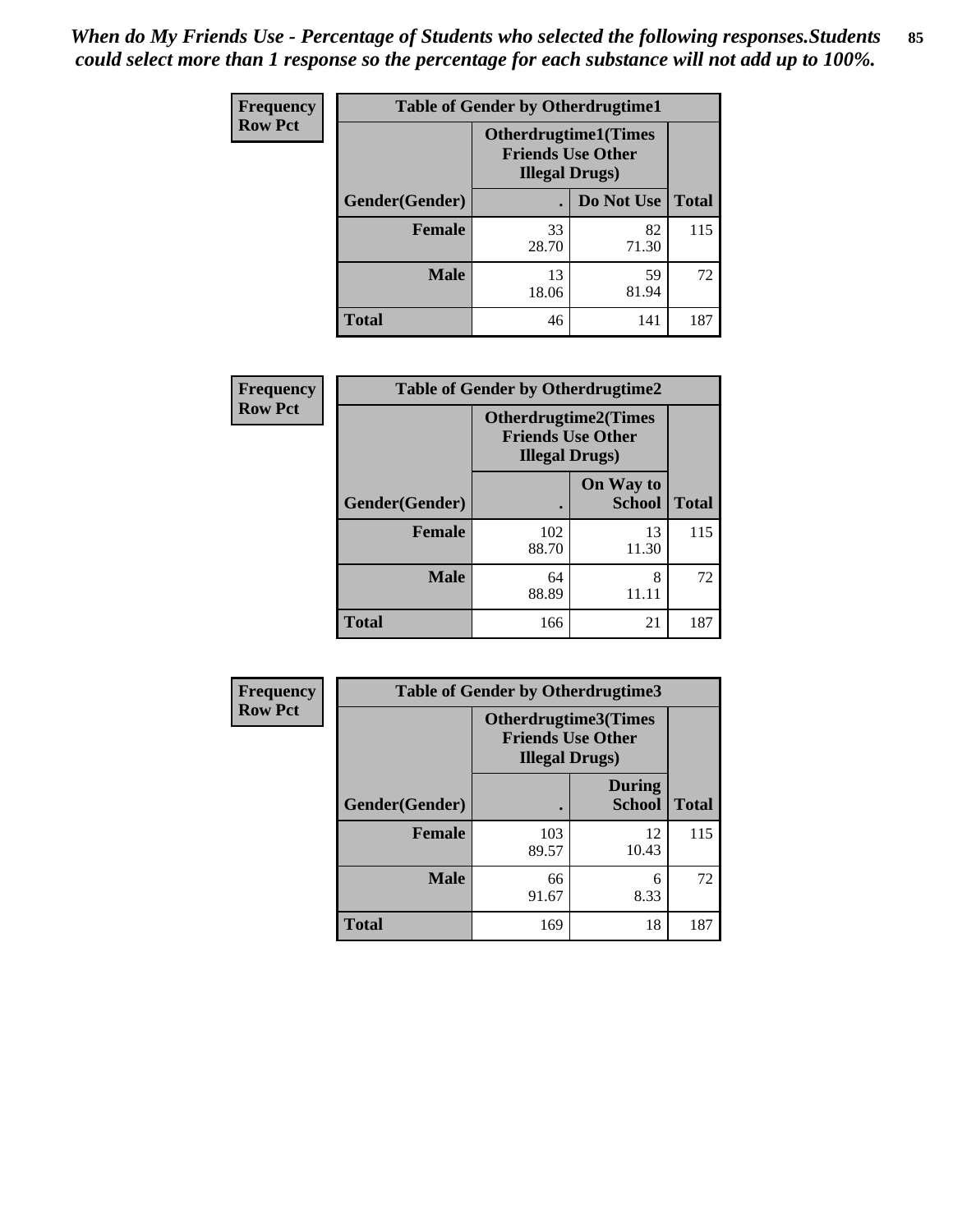| <b>Frequency</b> | <b>Table of Gender by Otherdrugtime1</b> |                                                                                   |                    |     |  |
|------------------|------------------------------------------|-----------------------------------------------------------------------------------|--------------------|-----|--|
| <b>Row Pct</b>   |                                          | <b>Otherdrugtime1(Times</b><br><b>Friends Use Other</b><br><b>Illegal Drugs</b> ) |                    |     |  |
|                  | Gender(Gender)                           |                                                                                   | Do Not Use   Total |     |  |
|                  | <b>Female</b>                            | 33<br>28.70                                                                       | 82<br>71.30        | 115 |  |
|                  | <b>Male</b>                              | 13<br>18.06                                                                       | 59<br>81.94        | 72  |  |
|                  | <b>Total</b>                             | 46                                                                                | 141                | 187 |  |

| Frequency      | <b>Table of Gender by Otherdrugtime2</b> |                                                                                   |                            |              |
|----------------|------------------------------------------|-----------------------------------------------------------------------------------|----------------------------|--------------|
| <b>Row Pct</b> |                                          | <b>Otherdrugtime2(Times</b><br><b>Friends Use Other</b><br><b>Illegal Drugs</b> ) |                            |              |
|                | Gender(Gender)                           |                                                                                   | On Way to<br><b>School</b> | <b>Total</b> |
|                | <b>Female</b>                            | 102<br>88.70                                                                      | 13<br>11.30                | 115          |
|                | <b>Male</b>                              | 64<br>88.89                                                                       | 8<br>11.11                 | 72           |
|                | <b>Total</b>                             | 166                                                                               | 21                         | 187          |

| Frequency      |                | <b>Table of Gender by Otherdrugtime3</b>           |                                |              |
|----------------|----------------|----------------------------------------------------|--------------------------------|--------------|
| <b>Row Pct</b> |                | <b>Friends Use Other</b><br><b>Illegal Drugs</b> ) | Otherdrugtime3(Times           |              |
|                | Gender(Gender) |                                                    | <b>During</b><br><b>School</b> | <b>Total</b> |
|                | <b>Female</b>  | 103<br>89.57                                       | 12<br>10.43                    | 115          |
|                | <b>Male</b>    | 66<br>91.67                                        | 6<br>8.33                      | 72           |
|                | <b>Total</b>   | 169                                                | 18                             | 187          |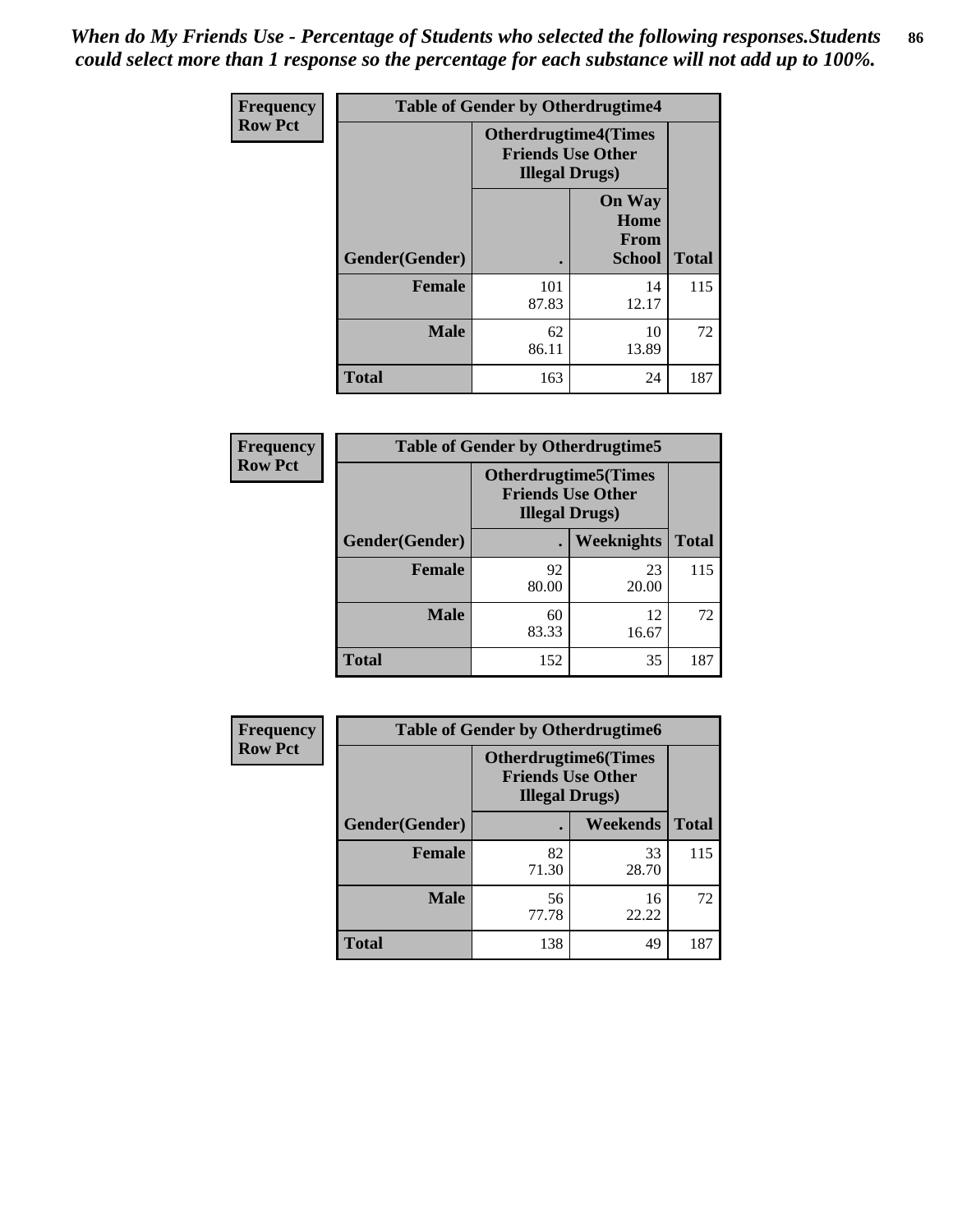*When do My Friends Use - Percentage of Students who selected the following responses.Students could select more than 1 response so the percentage for each substance will not add up to 100%.* **86**

| <b>Frequency</b> | <b>Table of Gender by Otherdrugtime4</b> |                                                                                   |                                                |              |
|------------------|------------------------------------------|-----------------------------------------------------------------------------------|------------------------------------------------|--------------|
| <b>Row Pct</b>   |                                          | <b>Otherdrugtime4(Times</b><br><b>Friends Use Other</b><br><b>Illegal Drugs</b> ) |                                                |              |
|                  | Gender(Gender)                           |                                                                                   | <b>On Way</b><br>Home<br>From<br><b>School</b> | <b>Total</b> |
|                  | <b>Female</b>                            | 101<br>87.83                                                                      | 14<br>12.17                                    | 115          |
|                  | <b>Male</b>                              | 62<br>86.11                                                                       | 10<br>13.89                                    | 72           |
|                  | <b>Total</b>                             | 163                                                                               | 24                                             | 187          |

| <b>Frequency</b> | <b>Table of Gender by Otherdrugtime5</b> |             |                                                                                    |              |
|------------------|------------------------------------------|-------------|------------------------------------------------------------------------------------|--------------|
| <b>Row Pct</b>   |                                          |             | <b>Otherdrugtime5</b> (Times<br><b>Friends Use Other</b><br><b>Illegal Drugs</b> ) |              |
|                  | Gender(Gender)                           |             | <b>Weeknights</b>                                                                  | <b>Total</b> |
|                  | <b>Female</b>                            | 92<br>80.00 | 23<br>20.00                                                                        | 115          |
|                  | <b>Male</b>                              | 60<br>83.33 | 12<br>16.67                                                                        | 72           |
|                  | Total                                    | 152         | 35                                                                                 | 187          |

| <b>Frequency</b> | <b>Table of Gender by Otherdrugtime6</b> |                                                                                   |             |              |
|------------------|------------------------------------------|-----------------------------------------------------------------------------------|-------------|--------------|
| <b>Row Pct</b>   |                                          | <b>Otherdrugtime6(Times</b><br><b>Friends Use Other</b><br><b>Illegal Drugs</b> ) |             |              |
|                  | Gender(Gender)                           |                                                                                   | Weekends    | <b>Total</b> |
|                  | <b>Female</b>                            | 82<br>71.30                                                                       | 33<br>28.70 | 115          |
|                  | <b>Male</b>                              | 56<br>77.78                                                                       | 16<br>22.22 | 72           |
|                  | <b>Total</b>                             | 138                                                                               | 49          | 187          |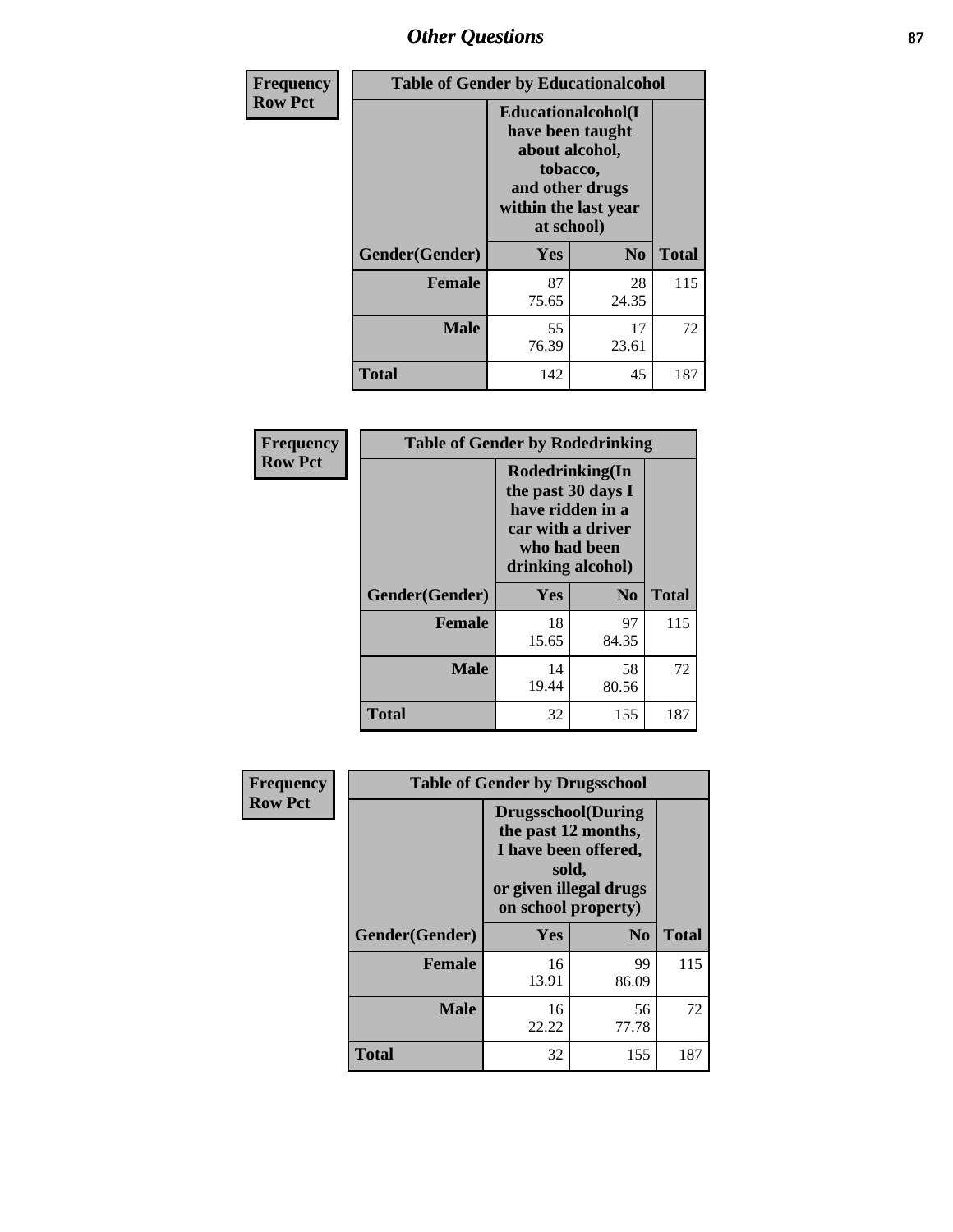## *Other Questions* **87**

| Frequency      | <b>Table of Gender by Educationalcohol</b> |                                                                                                                               |                |              |  |
|----------------|--------------------------------------------|-------------------------------------------------------------------------------------------------------------------------------|----------------|--------------|--|
| <b>Row Pct</b> |                                            | Educationalcohol(I<br>have been taught<br>about alcohol,<br>tobacco,<br>and other drugs<br>within the last year<br>at school) |                |              |  |
|                | Gender(Gender)                             | Yes                                                                                                                           | N <sub>0</sub> | <b>Total</b> |  |
|                | Female                                     | 87<br>75.65                                                                                                                   | 28<br>24.35    | 115          |  |
|                | <b>Male</b>                                | 55<br>76.39                                                                                                                   | 17<br>23.61    | 72           |  |
|                | <b>Total</b>                               | 142                                                                                                                           | 45             | 187          |  |

| Frequency      | <b>Table of Gender by Rodedrinking</b> |                                                                                                                     |                        |              |  |
|----------------|----------------------------------------|---------------------------------------------------------------------------------------------------------------------|------------------------|--------------|--|
| <b>Row Pct</b> |                                        | Rodedrinking(In<br>the past 30 days I<br>have ridden in a<br>car with a driver<br>who had been<br>drinking alcohol) |                        |              |  |
|                | Gender(Gender)                         | Yes                                                                                                                 | $\mathbf{N}\mathbf{0}$ | <b>Total</b> |  |
|                | <b>Female</b>                          | 18<br>15.65                                                                                                         | 97<br>84.35            | 115          |  |
|                | <b>Male</b>                            | 14<br>19.44                                                                                                         | 58<br>80.56            | 72           |  |
|                | <b>Total</b>                           | 32                                                                                                                  | 155                    | 187          |  |

| Frequency      | <b>Table of Gender by Drugsschool</b> |                                                                                                                                     |                |              |  |
|----------------|---------------------------------------|-------------------------------------------------------------------------------------------------------------------------------------|----------------|--------------|--|
| <b>Row Pct</b> |                                       | <b>Drugsschool</b> (During<br>the past 12 months,<br>I have been offered,<br>sold,<br>or given illegal drugs<br>on school property) |                |              |  |
|                | Gender(Gender)                        | <b>Yes</b>                                                                                                                          | N <sub>0</sub> | <b>Total</b> |  |
|                | <b>Female</b>                         | 16<br>13.91                                                                                                                         | 99<br>86.09    | 115          |  |
|                | <b>Male</b>                           | 16<br>22.22                                                                                                                         | 56<br>77.78    | 72           |  |
|                | <b>Total</b>                          | 32                                                                                                                                  | 155            | 187          |  |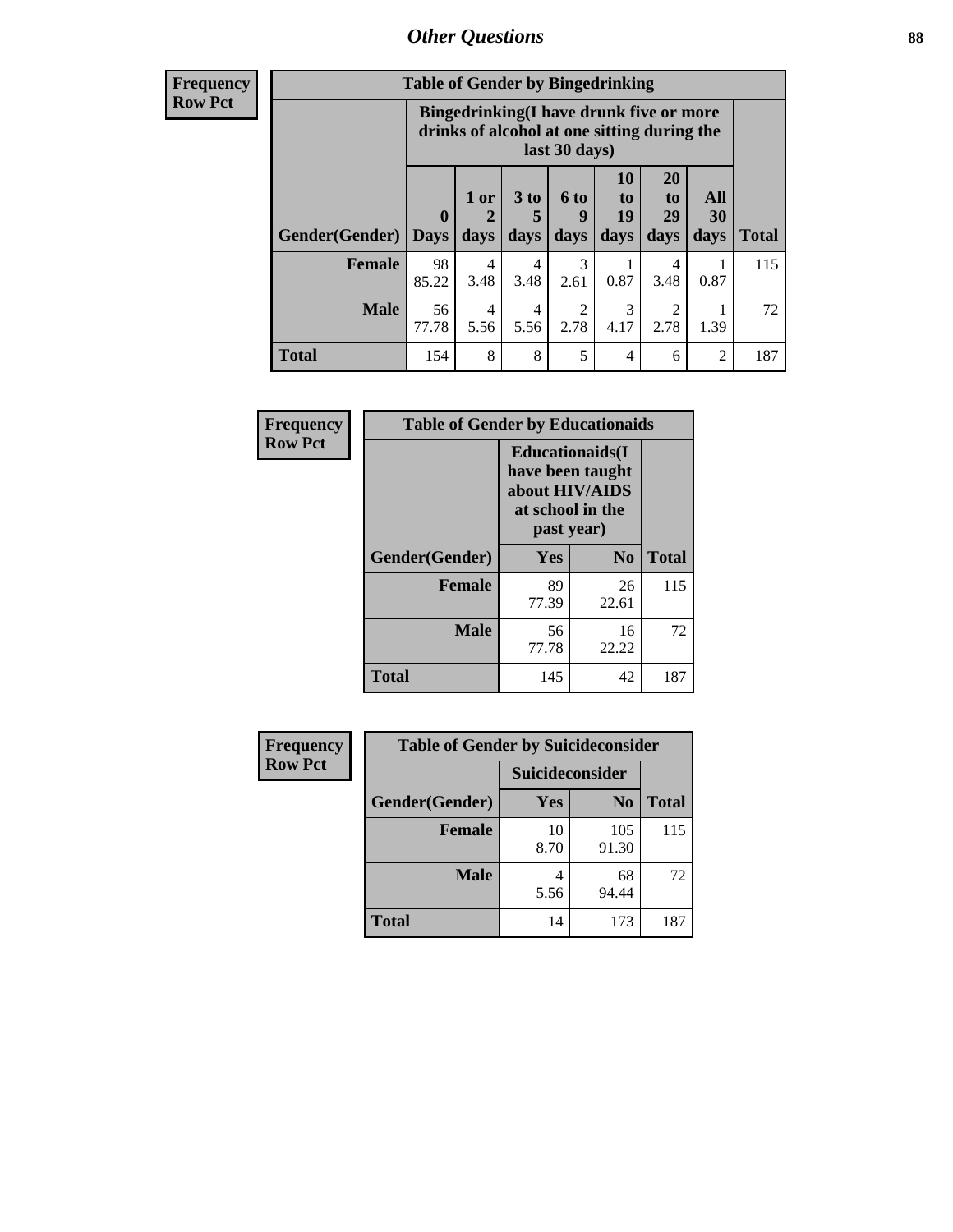### *Other Questions* **88**

**Frequency Row Pct**

| <b>Table of Gender by Bingedrinking</b> |                         |                                                                                                         |                   |                        |                               |                               |                   |              |
|-----------------------------------------|-------------------------|---------------------------------------------------------------------------------------------------------|-------------------|------------------------|-------------------------------|-------------------------------|-------------------|--------------|
|                                         |                         | Bingedrinking(I have drunk five or more<br>drinks of alcohol at one sitting during the<br>last 30 days) |                   |                        |                               |                               |                   |              |
| <b>Gender</b> (Gender)                  | $\bf{0}$<br><b>Days</b> | 1 or<br>days                                                                                            | 3 to<br>5<br>days | 6 to<br>9<br>days      | <b>10</b><br>to<br>19<br>days | <b>20</b><br>to<br>29<br>days | All<br>30<br>days | <b>Total</b> |
| <b>Female</b>                           | 98<br>85.22             | 4<br>3.48                                                                                               | 4<br>3.48         | 3<br>2.61              | 0.87                          | 4<br>3.48                     | 0.87              | 115          |
| <b>Male</b>                             | 56<br>77.78             | 4<br>5.56                                                                                               | 4<br>5.56         | $\overline{2}$<br>2.78 | 3<br>4.17                     | 2<br>2.78                     | 1.39              | 72           |
| <b>Total</b>                            | 154                     | 8                                                                                                       | 8                 | 5                      | 4                             | 6                             | $\mathfrak{D}$    | 187          |

| Frequency      | <b>Table of Gender by Educationaids</b> |                                                                                                 |             |              |  |
|----------------|-----------------------------------------|-------------------------------------------------------------------------------------------------|-------------|--------------|--|
| <b>Row Pct</b> |                                         | <b>Educationaids</b> (I<br>have been taught<br>about HIV/AIDS<br>at school in the<br>past year) |             |              |  |
|                | Gender(Gender)                          | Yes                                                                                             | $\bf N_0$   | <b>Total</b> |  |
|                | <b>Female</b>                           | 89<br>77.39                                                                                     | 26<br>22.61 | 115          |  |
|                | <b>Male</b>                             | 56<br>77.78                                                                                     | 16<br>22.22 | 72           |  |
|                | <b>Total</b>                            | 145                                                                                             | 42          | 187          |  |

| Frequency      | <b>Table of Gender by Suicideconsider</b> |                 |                |              |  |
|----------------|-------------------------------------------|-----------------|----------------|--------------|--|
| <b>Row Pct</b> |                                           | Suicideconsider |                |              |  |
|                | Gender(Gender)                            | Yes             | N <sub>0</sub> | <b>Total</b> |  |
|                | <b>Female</b>                             | 10<br>8.70      | 105<br>91.30   | 115          |  |
|                | <b>Male</b>                               | 5.56            | 68<br>94.44    | 72           |  |
|                | <b>Total</b>                              | 14              | 173            | 187          |  |